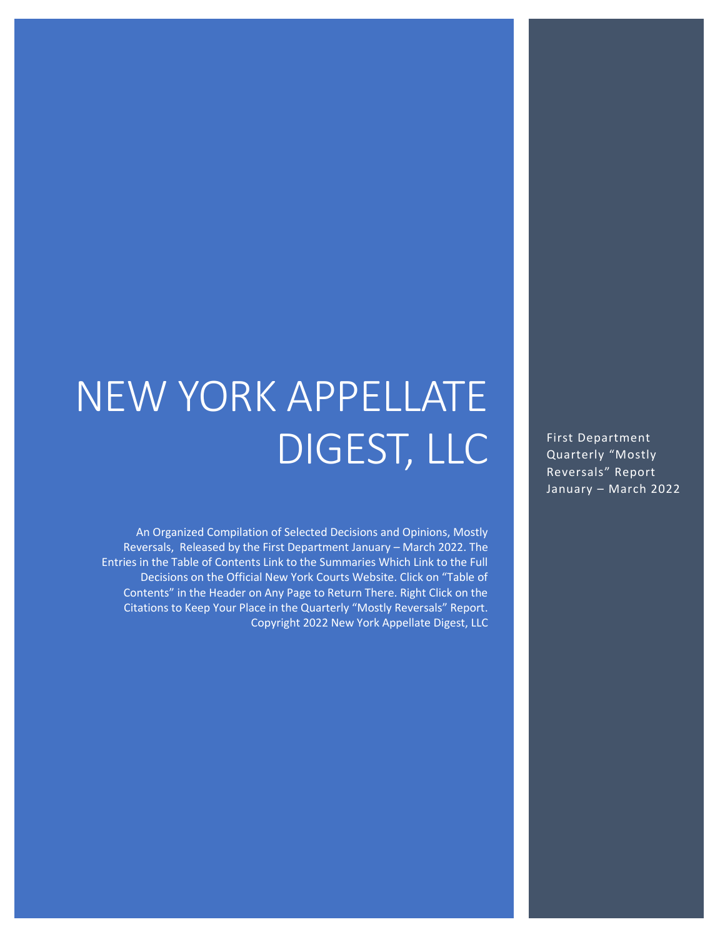# NEW YORK APPELLATE DIGEST, LLC

An Organized Compilation of Selected Decisions and Opinions, Mostly Reversals, Released by the First Department January – March 2022. The Entries in the Table of Contents Link to the Summaries Which Link to the Full Decisions on the Official New York Courts Website. Click on "Table of Contents" in the Header on Any Page to Return There. Right Click on the Citations to Keep Your Place in the Quarterly "Mostly Reversals" Report. Copyright 2022 New York Appellate Digest, LLC

First Department Quarterly "Mostly Reversals" Report January – March 2022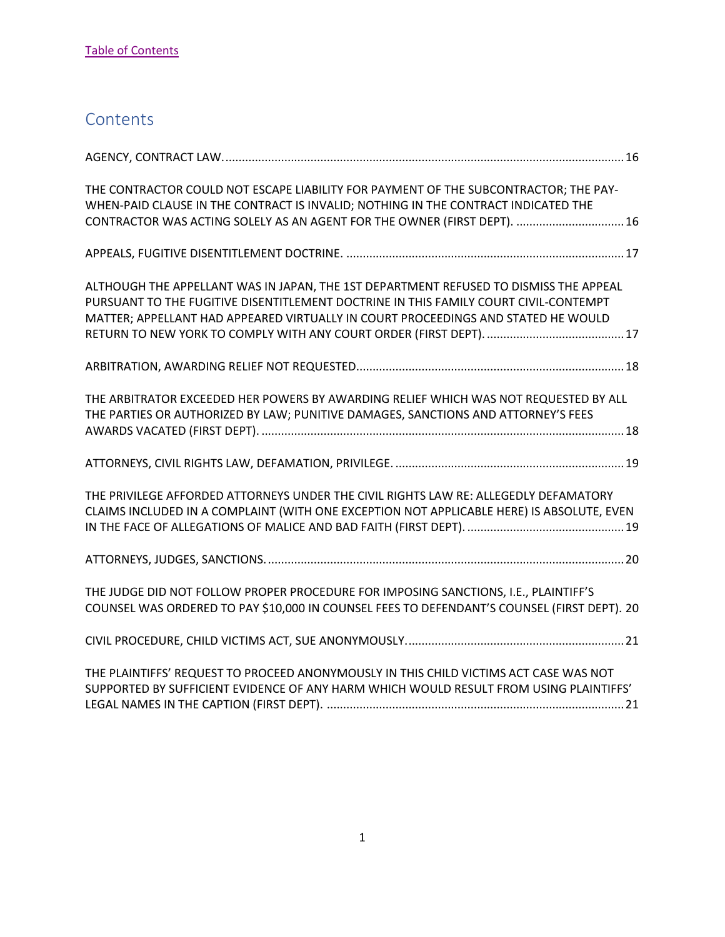## <span id="page-1-0"></span>**Contents**

| THE CONTRACTOR COULD NOT ESCAPE LIABILITY FOR PAYMENT OF THE SUBCONTRACTOR; THE PAY-<br>WHEN-PAID CLAUSE IN THE CONTRACT IS INVALID; NOTHING IN THE CONTRACT INDICATED THE<br>CONTRACTOR WAS ACTING SOLELY AS AN AGENT FOR THE OWNER (FIRST DEPT).  16             |
|--------------------------------------------------------------------------------------------------------------------------------------------------------------------------------------------------------------------------------------------------------------------|
|                                                                                                                                                                                                                                                                    |
| ALTHOUGH THE APPELLANT WAS IN JAPAN, THE 1ST DEPARTMENT REFUSED TO DISMISS THE APPEAL<br>PURSUANT TO THE FUGITIVE DISENTITLEMENT DOCTRINE IN THIS FAMILY COURT CIVIL-CONTEMPT<br>MATTER; APPELLANT HAD APPEARED VIRTUALLY IN COURT PROCEEDINGS AND STATED HE WOULD |
|                                                                                                                                                                                                                                                                    |
| THE ARBITRATOR EXCEEDED HER POWERS BY AWARDING RELIEF WHICH WAS NOT REQUESTED BY ALL<br>THE PARTIES OR AUTHORIZED BY LAW; PUNITIVE DAMAGES, SANCTIONS AND ATTORNEY'S FEES                                                                                          |
|                                                                                                                                                                                                                                                                    |
| THE PRIVILEGE AFFORDED ATTORNEYS UNDER THE CIVIL RIGHTS LAW RE: ALLEGEDLY DEFAMATORY<br>CLAIMS INCLUDED IN A COMPLAINT (WITH ONE EXCEPTION NOT APPLICABLE HERE) IS ABSOLUTE, EVEN                                                                                  |
|                                                                                                                                                                                                                                                                    |
| THE JUDGE DID NOT FOLLOW PROPER PROCEDURE FOR IMPOSING SANCTIONS, I.E., PLAINTIFF'S<br>COUNSEL WAS ORDERED TO PAY \$10,000 IN COUNSEL FEES TO DEFENDANT'S COUNSEL (FIRST DEPT). 20                                                                                 |
|                                                                                                                                                                                                                                                                    |
| THE PLAINTIFFS' REQUEST TO PROCEED ANONYMOUSLY IN THIS CHILD VICTIMS ACT CASE WAS NOT<br>SUPPORTED BY SUFFICIENT EVIDENCE OF ANY HARM WHICH WOULD RESULT FROM USING PLAINTIFFS'                                                                                    |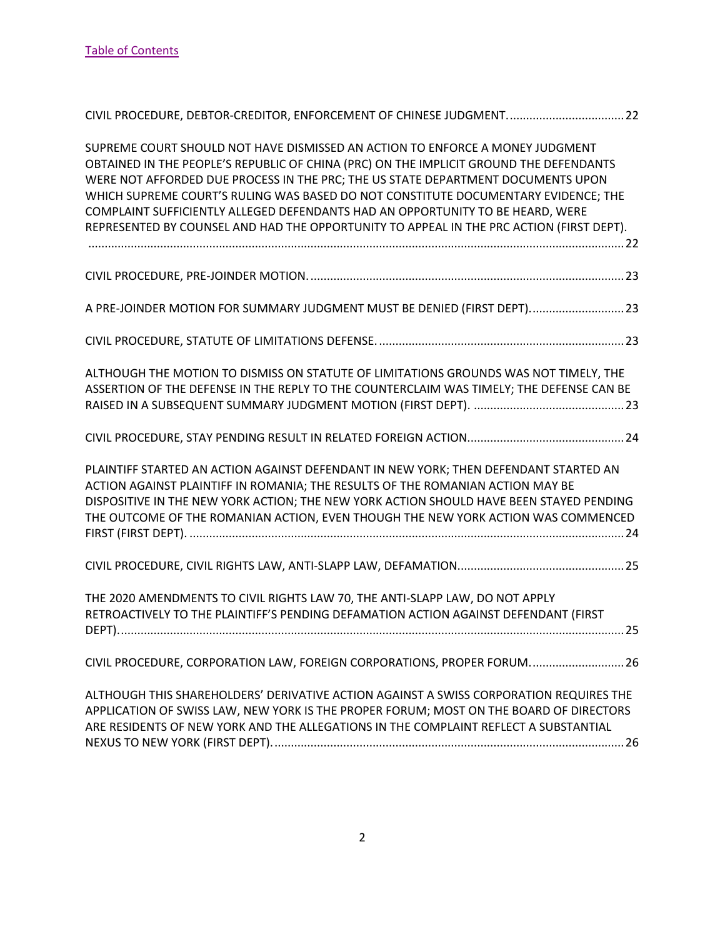| CIVIL PROCEDURE, DEBTOR-CREDITOR, ENFORCEMENT OF CHINESE JUDGMENT 22                                                                                                                                                                                                                                                                                                                                                                                                                                                            |
|---------------------------------------------------------------------------------------------------------------------------------------------------------------------------------------------------------------------------------------------------------------------------------------------------------------------------------------------------------------------------------------------------------------------------------------------------------------------------------------------------------------------------------|
| SUPREME COURT SHOULD NOT HAVE DISMISSED AN ACTION TO ENFORCE A MONEY JUDGMENT<br>OBTAINED IN THE PEOPLE'S REPUBLIC OF CHINA (PRC) ON THE IMPLICIT GROUND THE DEFENDANTS<br>WERE NOT AFFORDED DUE PROCESS IN THE PRC; THE US STATE DEPARTMENT DOCUMENTS UPON<br>WHICH SUPREME COURT'S RULING WAS BASED DO NOT CONSTITUTE DOCUMENTARY EVIDENCE; THE<br>COMPLAINT SUFFICIENTLY ALLEGED DEFENDANTS HAD AN OPPORTUNITY TO BE HEARD, WERE<br>REPRESENTED BY COUNSEL AND HAD THE OPPORTUNITY TO APPEAL IN THE PRC ACTION (FIRST DEPT). |
|                                                                                                                                                                                                                                                                                                                                                                                                                                                                                                                                 |
| A PRE-JOINDER MOTION FOR SUMMARY JUDGMENT MUST BE DENIED (FIRST DEPT)23                                                                                                                                                                                                                                                                                                                                                                                                                                                         |
|                                                                                                                                                                                                                                                                                                                                                                                                                                                                                                                                 |
| ALTHOUGH THE MOTION TO DISMISS ON STATUTE OF LIMITATIONS GROUNDS WAS NOT TIMELY, THE<br>ASSERTION OF THE DEFENSE IN THE REPLY TO THE COUNTERCLAIM WAS TIMELY; THE DEFENSE CAN BE                                                                                                                                                                                                                                                                                                                                                |
|                                                                                                                                                                                                                                                                                                                                                                                                                                                                                                                                 |
| PLAINTIFF STARTED AN ACTION AGAINST DEFENDANT IN NEW YORK; THEN DEFENDANT STARTED AN<br>ACTION AGAINST PLAINTIFF IN ROMANIA; THE RESULTS OF THE ROMANIAN ACTION MAY BE<br>DISPOSITIVE IN THE NEW YORK ACTION; THE NEW YORK ACTION SHOULD HAVE BEEN STAYED PENDING<br>THE OUTCOME OF THE ROMANIAN ACTION, EVEN THOUGH THE NEW YORK ACTION WAS COMMENCED                                                                                                                                                                          |
|                                                                                                                                                                                                                                                                                                                                                                                                                                                                                                                                 |
| THE 2020 AMENDMENTS TO CIVIL RIGHTS LAW 70, THE ANTI-SLAPP LAW, DO NOT APPLY<br>RETROACTIVELY TO THE PLAINTIFF'S PENDING DEFAMATION ACTION AGAINST DEFENDANT (FIRST                                                                                                                                                                                                                                                                                                                                                             |
| CIVIL PROCEDURE, CORPORATION LAW, FOREIGN CORPORATIONS, PROPER FORUM 26                                                                                                                                                                                                                                                                                                                                                                                                                                                         |
| ALTHOUGH THIS SHAREHOLDERS' DERIVATIVE ACTION AGAINST A SWISS CORPORATION REQUIRES THE<br>APPLICATION OF SWISS LAW, NEW YORK IS THE PROPER FORUM; MOST ON THE BOARD OF DIRECTORS<br>ARE RESIDENTS OF NEW YORK AND THE ALLEGATIONS IN THE COMPLAINT REFLECT A SUBSTANTIAL                                                                                                                                                                                                                                                        |

[NEXUS TO NEW YORK \(FIRST DEPT\)............................................................................................................26](#page-26-1)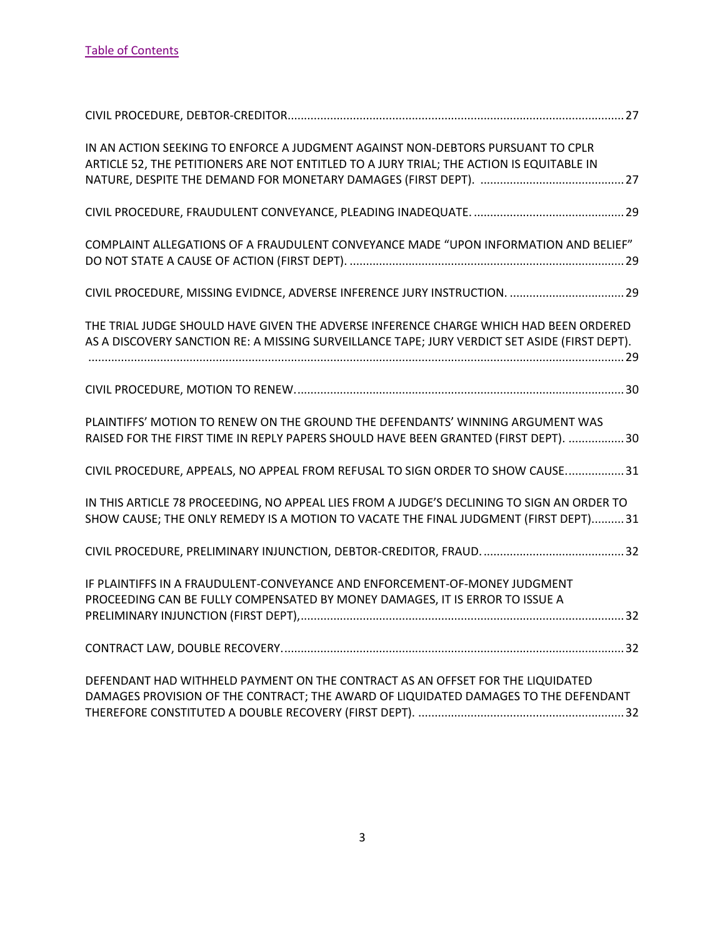| IN AN ACTION SEEKING TO ENFORCE A JUDGMENT AGAINST NON-DEBTORS PURSUANT TO CPLR<br>ARTICLE 52, THE PETITIONERS ARE NOT ENTITLED TO A JURY TRIAL; THE ACTION IS EQUITABLE IN            |
|----------------------------------------------------------------------------------------------------------------------------------------------------------------------------------------|
|                                                                                                                                                                                        |
| COMPLAINT ALLEGATIONS OF A FRAUDULENT CONVEYANCE MADE "UPON INFORMATION AND BELIEF"                                                                                                    |
| CIVIL PROCEDURE, MISSING EVIDNCE, ADVERSE INFERENCE JURY INSTRUCTION.  29                                                                                                              |
| THE TRIAL JUDGE SHOULD HAVE GIVEN THE ADVERSE INFERENCE CHARGE WHICH HAD BEEN ORDERED<br>AS A DISCOVERY SANCTION RE: A MISSING SURVEILLANCE TAPE; JURY VERDICT SET ASIDE (FIRST DEPT). |
|                                                                                                                                                                                        |
| PLAINTIFFS' MOTION TO RENEW ON THE GROUND THE DEFENDANTS' WINNING ARGUMENT WAS<br>RAISED FOR THE FIRST TIME IN REPLY PAPERS SHOULD HAVE BEEN GRANTED (FIRST DEPT). 30                  |
| CIVIL PROCEDURE, APPEALS, NO APPEAL FROM REFUSAL TO SIGN ORDER TO SHOW CAUSE 31                                                                                                        |
| IN THIS ARTICLE 78 PROCEEDING, NO APPEAL LIES FROM A JUDGE'S DECLINING TO SIGN AN ORDER TO<br>SHOW CAUSE; THE ONLY REMEDY IS A MOTION TO VACATE THE FINAL JUDGMENT (FIRST DEPT) 31     |
|                                                                                                                                                                                        |
| IF PLAINTIFFS IN A FRAUDULENT-CONVEYANCE AND ENFORCEMENT-OF-MONEY JUDGMENT<br>PROCEEDING CAN BE FULLY COMPENSATED BY MONEY DAMAGES, IT IS ERROR TO ISSUE A                             |
|                                                                                                                                                                                        |
| DEFENDANT HAD WITHHELD PAYMENT ON THE CONTRACT AS AN OFFSET FOR THE LIQUIDATED<br>DAMAGES PROVISION OF THE CONTRACT; THE AWARD OF LIQUIDATED DAMAGES TO THE DEFENDANT                  |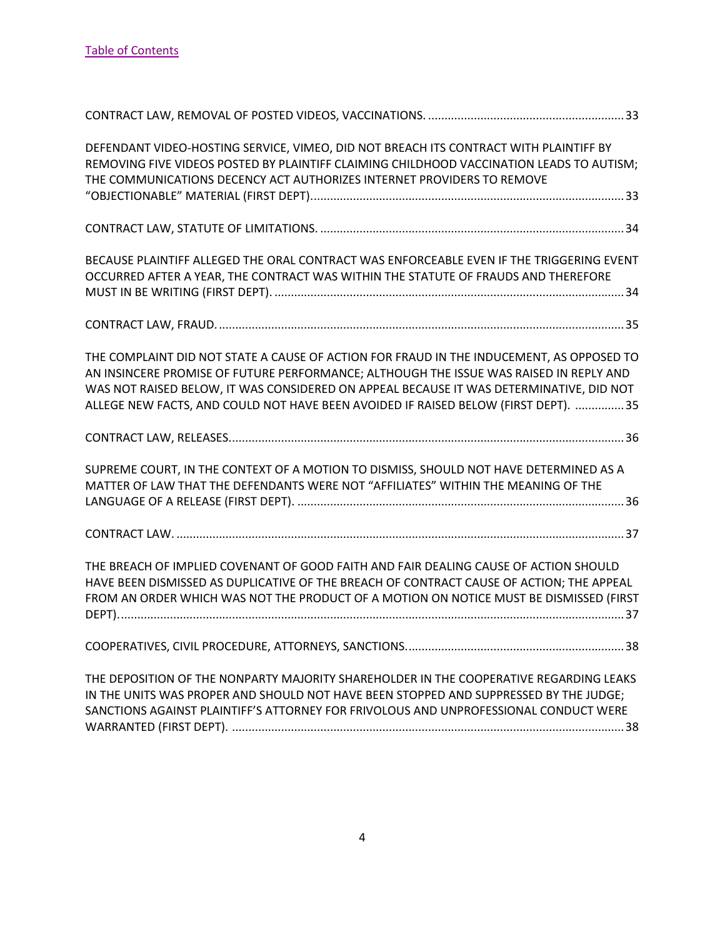| DEFENDANT VIDEO-HOSTING SERVICE, VIMEO, DID NOT BREACH ITS CONTRACT WITH PLAINTIFF BY<br>REMOVING FIVE VIDEOS POSTED BY PLAINTIFF CLAIMING CHILDHOOD VACCINATION LEADS TO AUTISM;<br>THE COMMUNICATIONS DECENCY ACT AUTHORIZES INTERNET PROVIDERS TO REMOVE                                                                                                          |
|----------------------------------------------------------------------------------------------------------------------------------------------------------------------------------------------------------------------------------------------------------------------------------------------------------------------------------------------------------------------|
|                                                                                                                                                                                                                                                                                                                                                                      |
| BECAUSE PLAINTIFF ALLEGED THE ORAL CONTRACT WAS ENFORCEABLE EVEN IF THE TRIGGERING EVENT<br>OCCURRED AFTER A YEAR, THE CONTRACT WAS WITHIN THE STATUTE OF FRAUDS AND THEREFORE                                                                                                                                                                                       |
|                                                                                                                                                                                                                                                                                                                                                                      |
| THE COMPLAINT DID NOT STATE A CAUSE OF ACTION FOR FRAUD IN THE INDUCEMENT, AS OPPOSED TO<br>AN INSINCERE PROMISE OF FUTURE PERFORMANCE; ALTHOUGH THE ISSUE WAS RAISED IN REPLY AND<br>WAS NOT RAISED BELOW, IT WAS CONSIDERED ON APPEAL BECAUSE IT WAS DETERMINATIVE, DID NOT<br>ALLEGE NEW FACTS, AND COULD NOT HAVE BEEN AVOIDED IF RAISED BELOW (FIRST DEPT).  35 |
|                                                                                                                                                                                                                                                                                                                                                                      |
| SUPREME COURT, IN THE CONTEXT OF A MOTION TO DISMISS, SHOULD NOT HAVE DETERMINED AS A<br>MATTER OF LAW THAT THE DEFENDANTS WERE NOT "AFFILIATES" WITHIN THE MEANING OF THE                                                                                                                                                                                           |
|                                                                                                                                                                                                                                                                                                                                                                      |
| THE BREACH OF IMPLIED COVENANT OF GOOD FAITH AND FAIR DEALING CAUSE OF ACTION SHOULD<br>HAVE BEEN DISMISSED AS DUPLICATIVE OF THE BREACH OF CONTRACT CAUSE OF ACTION; THE APPEAL<br>FROM AN ORDER WHICH WAS NOT THE PRODUCT OF A MOTION ON NOTICE MUST BE DISMISSED (FIRST                                                                                           |
|                                                                                                                                                                                                                                                                                                                                                                      |
| THE DEPOSITION OF THE NONPARTY MAJORITY SHAREHOLDER IN THE COOPERATIVE REGARDING LEAKS<br>IN THE UNITS WAS PROPER AND SHOULD NOT HAVE BEEN STOPPED AND SUPPRESSED BY THE JUDGE;<br>SANCTIONS AGAINST PLAINTIFF'S ATTORNEY FOR FRIVOLOUS AND UNPROFESSIONAL CONDUCT WERE                                                                                              |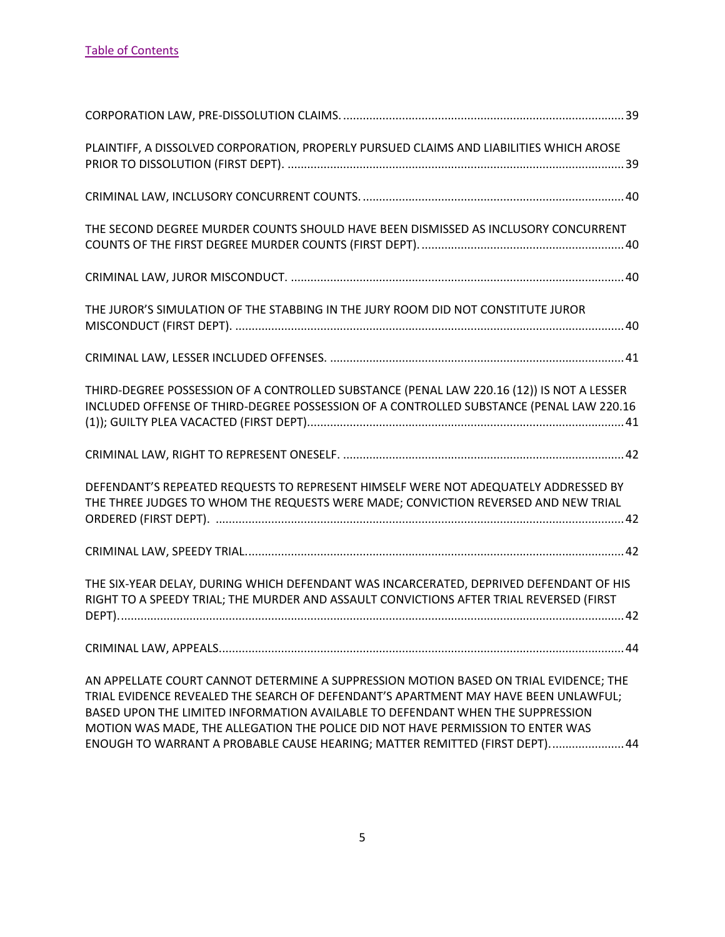| PLAINTIFF, A DISSOLVED CORPORATION, PROPERLY PURSUED CLAIMS AND LIABILITIES WHICH AROSE                                                                                                                                                                                                                                                           |
|---------------------------------------------------------------------------------------------------------------------------------------------------------------------------------------------------------------------------------------------------------------------------------------------------------------------------------------------------|
|                                                                                                                                                                                                                                                                                                                                                   |
| THE SECOND DEGREE MURDER COUNTS SHOULD HAVE BEEN DISMISSED AS INCLUSORY CONCURRENT                                                                                                                                                                                                                                                                |
|                                                                                                                                                                                                                                                                                                                                                   |
| THE JUROR'S SIMULATION OF THE STABBING IN THE JURY ROOM DID NOT CONSTITUTE JUROR                                                                                                                                                                                                                                                                  |
|                                                                                                                                                                                                                                                                                                                                                   |
| THIRD-DEGREE POSSESSION OF A CONTROLLED SUBSTANCE (PENAL LAW 220.16 (12)) IS NOT A LESSER<br>INCLUDED OFFENSE OF THIRD-DEGREE POSSESSION OF A CONTROLLED SUBSTANCE (PENAL LAW 220.16                                                                                                                                                              |
|                                                                                                                                                                                                                                                                                                                                                   |
| DEFENDANT'S REPEATED REQUESTS TO REPRESENT HIMSELF WERE NOT ADEQUATELY ADDRESSED BY<br>THE THREE JUDGES TO WHOM THE REQUESTS WERE MADE; CONVICTION REVERSED AND NEW TRIAL                                                                                                                                                                         |
|                                                                                                                                                                                                                                                                                                                                                   |
| THE SIX-YEAR DELAY, DURING WHICH DEFENDANT WAS INCARCERATED, DEPRIVED DEFENDANT OF HIS<br>RIGHT TO A SPEEDY TRIAL; THE MURDER AND ASSAULT CONVICTIONS AFTER TRIAL REVERSED (FIRST                                                                                                                                                                 |
|                                                                                                                                                                                                                                                                                                                                                   |
| AN APPELLATE COURT CANNOT DETERMINE A SUPPRESSION MOTION BASED ON TRIAL EVIDENCE; THE<br>TRIAL EVIDENCE REVEALED THE SEARCH OF DEFENDANT'S APARTMENT MAY HAVE BEEN UNLAWFUL;<br>BASED UPON THE LIMITED INFORMATION AVAILABLE TO DEFENDANT WHEN THE SUPPRESSION<br>MOTION WAS MADE, THE ALLEGATION THE POLICE DID NOT HAVE PERMISSION TO ENTER WAS |

[ENOUGH TO WARRANT A PROBABLE CAUSE HEARING; MATTER REMITTED \(FIRST DEPT\).......................44](#page-44-1)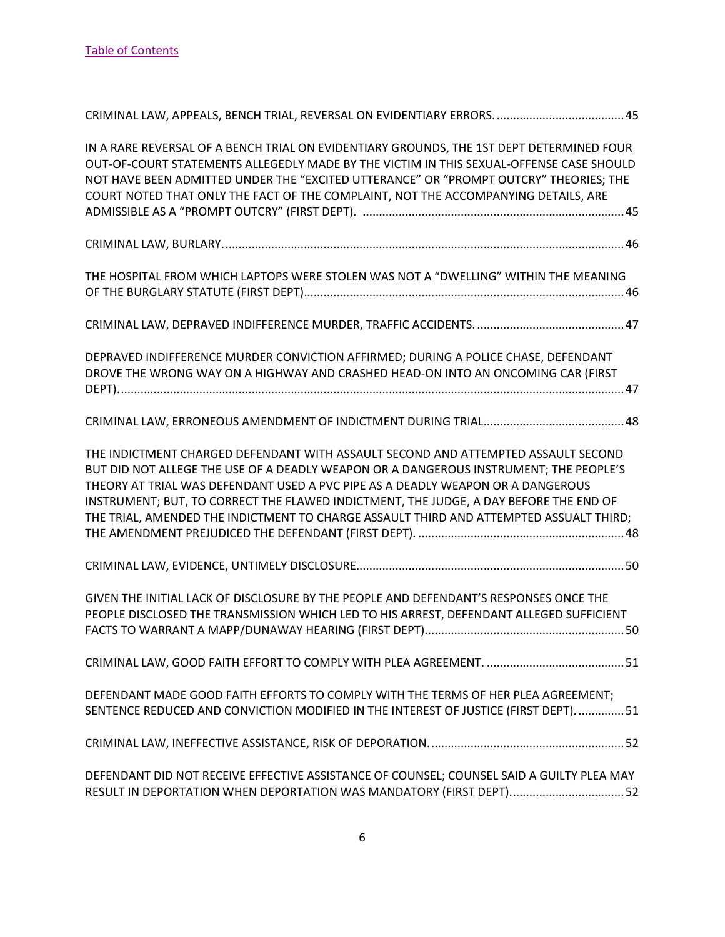| IN A RARE REVERSAL OF A BENCH TRIAL ON EVIDENTIARY GROUNDS, THE 1ST DEPT DETERMINED FOUR<br>OUT-OF-COURT STATEMENTS ALLEGEDLY MADE BY THE VICTIM IN THIS SEXUAL-OFFENSE CASE SHOULD<br>NOT HAVE BEEN ADMITTED UNDER THE "EXCITED UTTERANCE" OR "PROMPT OUTCRY" THEORIES; THE<br>COURT NOTED THAT ONLY THE FACT OF THE COMPLAINT, NOT THE ACCOMPANYING DETAILS, ARE                                                                               |
|--------------------------------------------------------------------------------------------------------------------------------------------------------------------------------------------------------------------------------------------------------------------------------------------------------------------------------------------------------------------------------------------------------------------------------------------------|
|                                                                                                                                                                                                                                                                                                                                                                                                                                                  |
| THE HOSPITAL FROM WHICH LAPTOPS WERE STOLEN WAS NOT A "DWELLING" WITHIN THE MEANING                                                                                                                                                                                                                                                                                                                                                              |
|                                                                                                                                                                                                                                                                                                                                                                                                                                                  |
| DEPRAVED INDIFFERENCE MURDER CONVICTION AFFIRMED; DURING A POLICE CHASE, DEFENDANT<br>DROVE THE WRONG WAY ON A HIGHWAY AND CRASHED HEAD-ON INTO AN ONCOMING CAR (FIRST                                                                                                                                                                                                                                                                           |
|                                                                                                                                                                                                                                                                                                                                                                                                                                                  |
| THE INDICTMENT CHARGED DEFENDANT WITH ASSAULT SECOND AND ATTEMPTED ASSAULT SECOND<br>BUT DID NOT ALLEGE THE USE OF A DEADLY WEAPON OR A DANGEROUS INSTRUMENT; THE PEOPLE'S<br>THEORY AT TRIAL WAS DEFENDANT USED A PVC PIPE AS A DEADLY WEAPON OR A DANGEROUS<br>INSTRUMENT; BUT, TO CORRECT THE FLAWED INDICTMENT, THE JUDGE, A DAY BEFORE THE END OF<br>THE TRIAL, AMENDED THE INDICTMENT TO CHARGE ASSAULT THIRD AND ATTEMPTED ASSUALT THIRD; |
|                                                                                                                                                                                                                                                                                                                                                                                                                                                  |
| GIVEN THE INITIAL LACK OF DISCLOSURE BY THE PEOPLE AND DEFENDANT'S RESPONSES ONCE THE<br>PEOPLE DISCLOSED THE TRANSMISSION WHICH LED TO HIS ARREST, DEFENDANT ALLEGED SUFFICIENT                                                                                                                                                                                                                                                                 |
|                                                                                                                                                                                                                                                                                                                                                                                                                                                  |
| DEFENDANT MADE GOOD FAITH EFFORTS TO COMPLY WITH THE TERMS OF HER PLEA AGREEMENT;<br>SENTENCE REDUCED AND CONVICTION MODIFIED IN THE INTEREST OF JUSTICE (FIRST DEPT).  51                                                                                                                                                                                                                                                                       |
|                                                                                                                                                                                                                                                                                                                                                                                                                                                  |
| DEFENDANT DID NOT RECEIVE EFFECTIVE ASSISTANCE OF COUNSEL; COUNSEL SAID A GUILTY PLEA MAY<br>RESULT IN DEPORTATION WHEN DEPORTATION WAS MANDATORY (FIRST DEPT) 52                                                                                                                                                                                                                                                                                |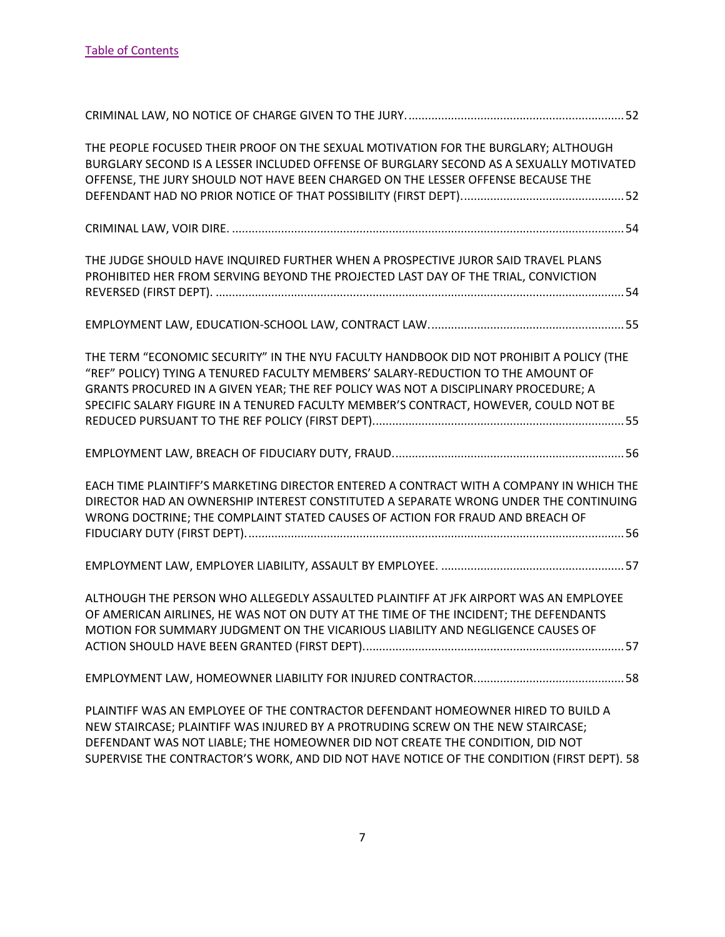| THE PEOPLE FOCUSED THEIR PROOF ON THE SEXUAL MOTIVATION FOR THE BURGLARY; ALTHOUGH<br>BURGLARY SECOND IS A LESSER INCLUDED OFFENSE OF BURGLARY SECOND AS A SEXUALLY MOTIVATED<br>OFFENSE, THE JURY SHOULD NOT HAVE BEEN CHARGED ON THE LESSER OFFENSE BECAUSE THE                                                                                          |
|------------------------------------------------------------------------------------------------------------------------------------------------------------------------------------------------------------------------------------------------------------------------------------------------------------------------------------------------------------|
|                                                                                                                                                                                                                                                                                                                                                            |
| THE JUDGE SHOULD HAVE INQUIRED FURTHER WHEN A PROSPECTIVE JUROR SAID TRAVEL PLANS<br>PROHIBITED HER FROM SERVING BEYOND THE PROJECTED LAST DAY OF THE TRIAL, CONVICTION                                                                                                                                                                                    |
|                                                                                                                                                                                                                                                                                                                                                            |
| THE TERM "ECONOMIC SECURITY" IN THE NYU FACULTY HANDBOOK DID NOT PROHIBIT A POLICY (THE<br>"REF" POLICY) TYING A TENURED FACULTY MEMBERS' SALARY-REDUCTION TO THE AMOUNT OF<br>GRANTS PROCURED IN A GIVEN YEAR; THE REF POLICY WAS NOT A DISCIPLINARY PROCEDURE; A<br>SPECIFIC SALARY FIGURE IN A TENURED FACULTY MEMBER'S CONTRACT, HOWEVER, COULD NOT BE |
|                                                                                                                                                                                                                                                                                                                                                            |
| EACH TIME PLAINTIFF'S MARKETING DIRECTOR ENTERED A CONTRACT WITH A COMPANY IN WHICH THE<br>DIRECTOR HAD AN OWNERSHIP INTEREST CONSTITUTED A SEPARATE WRONG UNDER THE CONTINUING<br>WRONG DOCTRINE; THE COMPLAINT STATED CAUSES OF ACTION FOR FRAUD AND BREACH OF                                                                                           |
|                                                                                                                                                                                                                                                                                                                                                            |
| ALTHOUGH THE PERSON WHO ALLEGEDLY ASSAULTED PLAINTIFF AT JFK AIRPORT WAS AN EMPLOYEE<br>OF AMERICAN AIRLINES, HE WAS NOT ON DUTY AT THE TIME OF THE INCIDENT; THE DEFENDANTS<br>MOTION FOR SUMMARY JUDGMENT ON THE VICARIOUS LIABILITY AND NEGLIGENCE CAUSES OF                                                                                            |
|                                                                                                                                                                                                                                                                                                                                                            |
| PLAINTIFF WAS AN EMPLOYEE OF THE CONTRACTOR DEFENDANT HOMEOWNER HIRED TO BUILD A<br>NEW STAIRCASE; PLAINTIFF WAS INJURED BY A PROTRUDING SCREW ON THE NEW STAIRCASE;<br>DEFENDANT WAS NOT LIABLE; THE HOMEOWNER DID NOT CREATE THE CONDITION, DID NOT<br>SUPERVISE THE CONTRACTOR'S WORK, AND DID NOT HAVE NOTICE OF THE CONDITION (FIRST DEPT). 58        |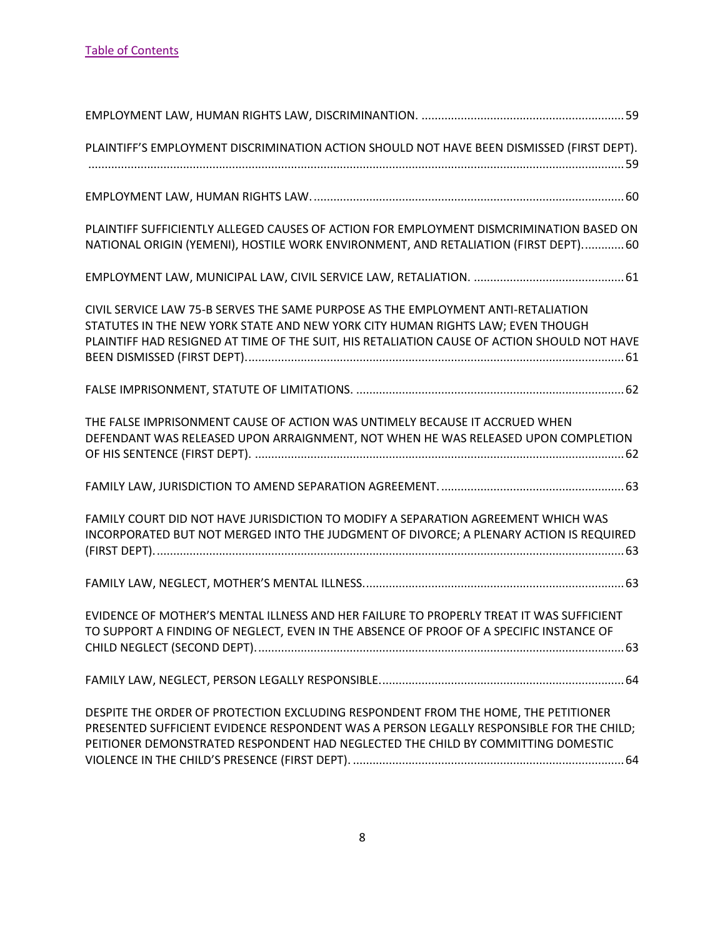| PLAINTIFF'S EMPLOYMENT DISCRIMINATION ACTION SHOULD NOT HAVE BEEN DISMISSED (FIRST DEPT).                                                                                                                                                                          |
|--------------------------------------------------------------------------------------------------------------------------------------------------------------------------------------------------------------------------------------------------------------------|
|                                                                                                                                                                                                                                                                    |
| PLAINTIFF SUFFICIENTLY ALLEGED CAUSES OF ACTION FOR EMPLOYMENT DISMCRIMINATION BASED ON<br>NATIONAL ORIGIN (YEMENI), HOSTILE WORK ENVIRONMENT, AND RETALIATION (FIRST DEPT)60                                                                                      |
|                                                                                                                                                                                                                                                                    |
| CIVIL SERVICE LAW 75-B SERVES THE SAME PURPOSE AS THE EMPLOYMENT ANTI-RETALIATION<br>STATUTES IN THE NEW YORK STATE AND NEW YORK CITY HUMAN RIGHTS LAW; EVEN THOUGH<br>PLAINTIFF HAD RESIGNED AT TIME OF THE SUIT, HIS RETALIATION CAUSE OF ACTION SHOULD NOT HAVE |
|                                                                                                                                                                                                                                                                    |
| THE FALSE IMPRISONMENT CAUSE OF ACTION WAS UNTIMELY BECAUSE IT ACCRUED WHEN<br>DEFENDANT WAS RELEASED UPON ARRAIGNMENT, NOT WHEN HE WAS RELEASED UPON COMPLETION                                                                                                   |
|                                                                                                                                                                                                                                                                    |
| FAMILY COURT DID NOT HAVE JURISDICTION TO MODIFY A SEPARATION AGREEMENT WHICH WAS<br>INCORPORATED BUT NOT MERGED INTO THE JUDGMENT OF DIVORCE; A PLENARY ACTION IS REQUIRED                                                                                        |
|                                                                                                                                                                                                                                                                    |
| EVIDENCE OF MOTHER'S MENTAL ILLNESS AND HER FAILURE TO PROPERLY TREAT IT WAS SUFFICIENT<br>TO SUPPORT A FINDING OF NEGLECT, EVEN IN THE ABSENCE OF PROOF OF A SPECIFIC INSTANCE OF                                                                                 |
|                                                                                                                                                                                                                                                                    |
| DESPITE THE ORDER OF PROTECTION EXCLUDING RESPONDENT FROM THE HOME, THE PETITIONER<br>PRESENTED SUFFICIENT EVIDENCE RESPONDENT WAS A PERSON LEGALLY RESPONSIBLE FOR THE CHILD;<br>PEITIONER DEMONSTRATED RESPONDENT HAD NEGLECTED THE CHILD BY COMMITTING DOMESTIC |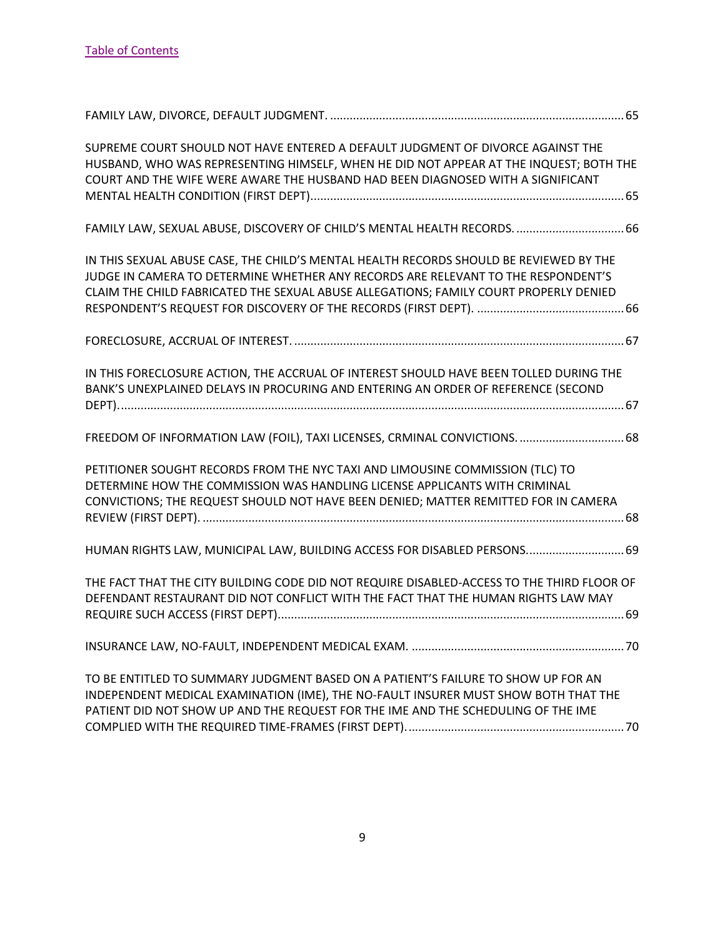| SUPREME COURT SHOULD NOT HAVE ENTERED A DEFAULT JUDGMENT OF DIVORCE AGAINST THE<br>HUSBAND, WHO WAS REPRESENTING HIMSELF, WHEN HE DID NOT APPEAR AT THE INQUEST; BOTH THE<br>COURT AND THE WIFE WERE AWARE THE HUSBAND HAD BEEN DIAGNOSED WITH A SIGNIFICANT         |  |
|----------------------------------------------------------------------------------------------------------------------------------------------------------------------------------------------------------------------------------------------------------------------|--|
| FAMILY LAW, SEXUAL ABUSE, DISCOVERY OF CHILD'S MENTAL HEALTH RECORDS.  66                                                                                                                                                                                            |  |
| IN THIS SEXUAL ABUSE CASE, THE CHILD'S MENTAL HEALTH RECORDS SHOULD BE REVIEWED BY THE<br>JUDGE IN CAMERA TO DETERMINE WHETHER ANY RECORDS ARE RELEVANT TO THE RESPONDENT'S<br>CLAIM THE CHILD FABRICATED THE SEXUAL ABUSE ALLEGATIONS; FAMILY COURT PROPERLY DENIED |  |
|                                                                                                                                                                                                                                                                      |  |
| IN THIS FORECLOSURE ACTION, THE ACCRUAL OF INTEREST SHOULD HAVE BEEN TOLLED DURING THE<br>BANK'S UNEXPLAINED DELAYS IN PROCURING AND ENTERING AN ORDER OF REFERENCE (SECOND                                                                                          |  |
| FREEDOM OF INFORMATION LAW (FOIL), TAXI LICENSES, CRMINAL CONVICTIONS.  68                                                                                                                                                                                           |  |
| PETITIONER SOUGHT RECORDS FROM THE NYC TAXI AND LIMOUSINE COMMISSION (TLC) TO<br>DETERMINE HOW THE COMMISSION WAS HANDLING LICENSE APPLICANTS WITH CRIMINAL<br>CONVICTIONS; THE REQUEST SHOULD NOT HAVE BEEN DENIED; MATTER REMITTED FOR IN CAMERA                   |  |
| HUMAN RIGHTS LAW, MUNICIPAL LAW, BUILDING ACCESS FOR DISABLED PERSONS 69                                                                                                                                                                                             |  |
| THE FACT THAT THE CITY BUILDING CODE DID NOT REQUIRE DISABLED-ACCESS TO THE THIRD FLOOR OF<br>DEFENDANT RESTAURANT DID NOT CONFLICT WITH THE FACT THAT THE HUMAN RIGHTS LAW MAY                                                                                      |  |
|                                                                                                                                                                                                                                                                      |  |
| TO BE ENTITLED TO SUMMARY JUDGMENT BASED ON A PATIENT'S FAILURE TO SHOW UP FOR AN<br>INDEPENDENT MEDICAL EXAMINATION (IME), THE NO-FAULT INSURER MUST SHOW BOTH THAT THE<br>PATIENT DID NOT SHOW UP AND THE REQUEST FOR THE IME AND THE SCHEDULING OF THE IME        |  |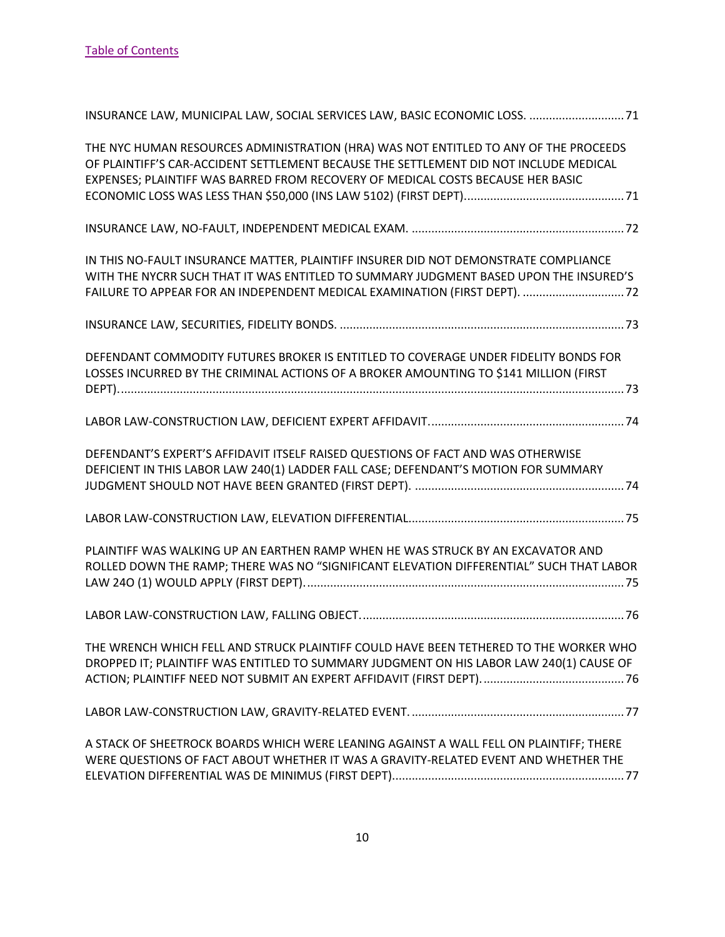| INSURANCE LAW, MUNICIPAL LAW, SOCIAL SERVICES LAW, BASIC ECONOMIC LOSS.  71                                                                                                                                                                                      |
|------------------------------------------------------------------------------------------------------------------------------------------------------------------------------------------------------------------------------------------------------------------|
| THE NYC HUMAN RESOURCES ADMINISTRATION (HRA) WAS NOT ENTITLED TO ANY OF THE PROCEEDS<br>OF PLAINTIFF'S CAR-ACCIDENT SETTLEMENT BECAUSE THE SETTLEMENT DID NOT INCLUDE MEDICAL<br>EXPENSES; PLAINTIFF WAS BARRED FROM RECOVERY OF MEDICAL COSTS BECAUSE HER BASIC |
|                                                                                                                                                                                                                                                                  |
| IN THIS NO-FAULT INSURANCE MATTER, PLAINTIFF INSURER DID NOT DEMONSTRATE COMPLIANCE<br>WITH THE NYCRR SUCH THAT IT WAS ENTITLED TO SUMMARY JUDGMENT BASED UPON THE INSURED'S<br>FAILURE TO APPEAR FOR AN INDEPENDENT MEDICAL EXAMINATION (FIRST DEPT).  72       |
|                                                                                                                                                                                                                                                                  |
| DEFENDANT COMMODITY FUTURES BROKER IS ENTITLED TO COVERAGE UNDER FIDELITY BONDS FOR<br>LOSSES INCURRED BY THE CRIMINAL ACTIONS OF A BROKER AMOUNTING TO \$141 MILLION (FIRST                                                                                     |
|                                                                                                                                                                                                                                                                  |
| DEFENDANT'S EXPERT'S AFFIDAVIT ITSELF RAISED QUESTIONS OF FACT AND WAS OTHERWISE<br>DEFICIENT IN THIS LABOR LAW 240(1) LADDER FALL CASE; DEFENDANT'S MOTION FOR SUMMARY                                                                                          |
|                                                                                                                                                                                                                                                                  |
| PLAINTIFF WAS WALKING UP AN EARTHEN RAMP WHEN HE WAS STRUCK BY AN EXCAVATOR AND<br>ROLLED DOWN THE RAMP; THERE WAS NO "SIGNIFICANT ELEVATION DIFFERENTIAL" SUCH THAT LABOR                                                                                       |
|                                                                                                                                                                                                                                                                  |
| THE WRENCH WHICH FELL AND STRUCK PLAINTIFF COULD HAVE BEEN TETHERED TO THE WORKER WHO<br>DROPPED IT; PLAINTIFF WAS ENTITLED TO SUMMARY JUDGMENT ON HIS LABOR LAW 240(1) CAUSE OF                                                                                 |
|                                                                                                                                                                                                                                                                  |
| A STACK OF SHEETROCK BOARDS WHICH WERE LEANING AGAINST A WALL FELL ON PLAINTIFF; THERE<br>WERE QUESTIONS OF FACT ABOUT WHETHER IT WAS A GRAVITY-RELATED EVENT AND WHETHER THE                                                                                    |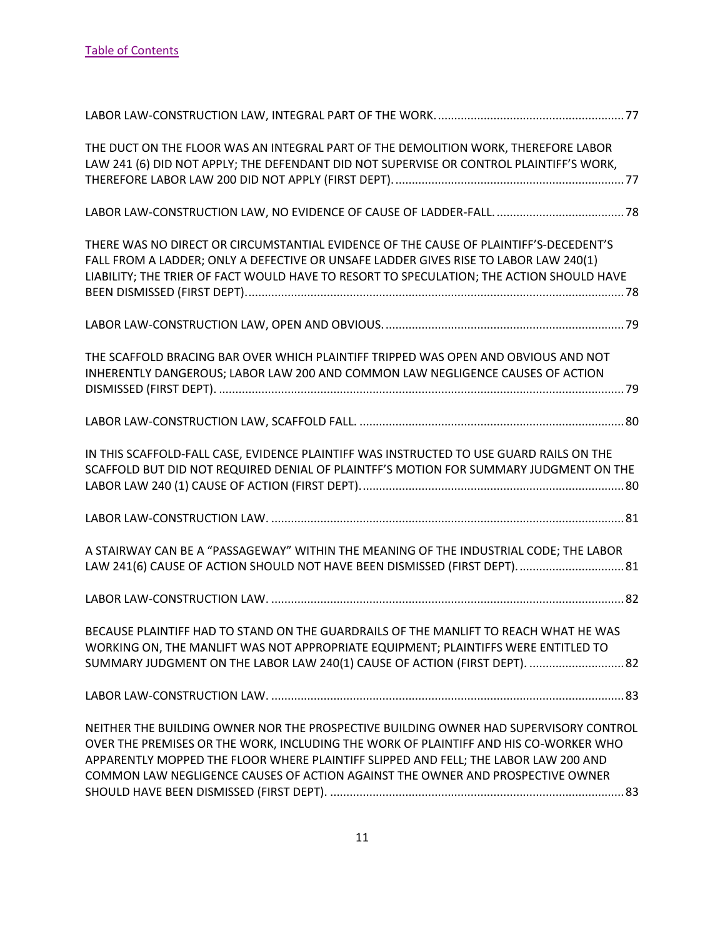| THE DUCT ON THE FLOOR WAS AN INTEGRAL PART OF THE DEMOLITION WORK, THEREFORE LABOR<br>LAW 241 (6) DID NOT APPLY; THE DEFENDANT DID NOT SUPERVISE OR CONTROL PLAINTIFF'S WORK,                                                                                                                                                                          |  |
|--------------------------------------------------------------------------------------------------------------------------------------------------------------------------------------------------------------------------------------------------------------------------------------------------------------------------------------------------------|--|
|                                                                                                                                                                                                                                                                                                                                                        |  |
|                                                                                                                                                                                                                                                                                                                                                        |  |
| THERE WAS NO DIRECT OR CIRCUMSTANTIAL EVIDENCE OF THE CAUSE OF PLAINTIFF'S-DECEDENT'S<br>FALL FROM A LADDER; ONLY A DEFECTIVE OR UNSAFE LADDER GIVES RISE TO LABOR LAW 240(1)<br>LIABILITY; THE TRIER OF FACT WOULD HAVE TO RESORT TO SPECULATION; THE ACTION SHOULD HAVE                                                                              |  |
|                                                                                                                                                                                                                                                                                                                                                        |  |
| THE SCAFFOLD BRACING BAR OVER WHICH PLAINTIFF TRIPPED WAS OPEN AND OBVIOUS AND NOT<br>INHERENTLY DANGEROUS; LABOR LAW 200 AND COMMON LAW NEGLIGENCE CAUSES OF ACTION                                                                                                                                                                                   |  |
|                                                                                                                                                                                                                                                                                                                                                        |  |
| IN THIS SCAFFOLD-FALL CASE, EVIDENCE PLAINTIFF WAS INSTRUCTED TO USE GUARD RAILS ON THE<br>SCAFFOLD BUT DID NOT REQUIRED DENIAL OF PLAINTFF'S MOTION FOR SUMMARY JUDGMENT ON THE                                                                                                                                                                       |  |
|                                                                                                                                                                                                                                                                                                                                                        |  |
| A STAIRWAY CAN BE A "PASSAGEWAY" WITHIN THE MEANING OF THE INDUSTRIAL CODE; THE LABOR<br>LAW 241(6) CAUSE OF ACTION SHOULD NOT HAVE BEEN DISMISSED (FIRST DEPT) 81                                                                                                                                                                                     |  |
|                                                                                                                                                                                                                                                                                                                                                        |  |
| BECAUSE PLAINTIFF HAD TO STAND ON THE GUARDRAILS OF THE MANLIFT TO REACH WHAT HE WAS<br>WORKING ON, THE MANLIFT WAS NOT APPROPRIATE EQUIPMENT; PLAINTIFFS WERE ENTITLED TO<br>SUMMARY JUDGMENT ON THE LABOR LAW 240(1) CAUSE OF ACTION (FIRST DEPT).  82                                                                                               |  |
|                                                                                                                                                                                                                                                                                                                                                        |  |
| NEITHER THE BUILDING OWNER NOR THE PROSPECTIVE BUILDING OWNER HAD SUPERVISORY CONTROL<br>OVER THE PREMISES OR THE WORK, INCLUDING THE WORK OF PLAINTIFF AND HIS CO-WORKER WHO<br>APPARENTLY MOPPED THE FLOOR WHERE PLAINTIFF SLIPPED AND FELL; THE LABOR LAW 200 AND<br>COMMON LAW NEGLIGENCE CAUSES OF ACTION AGAINST THE OWNER AND PROSPECTIVE OWNER |  |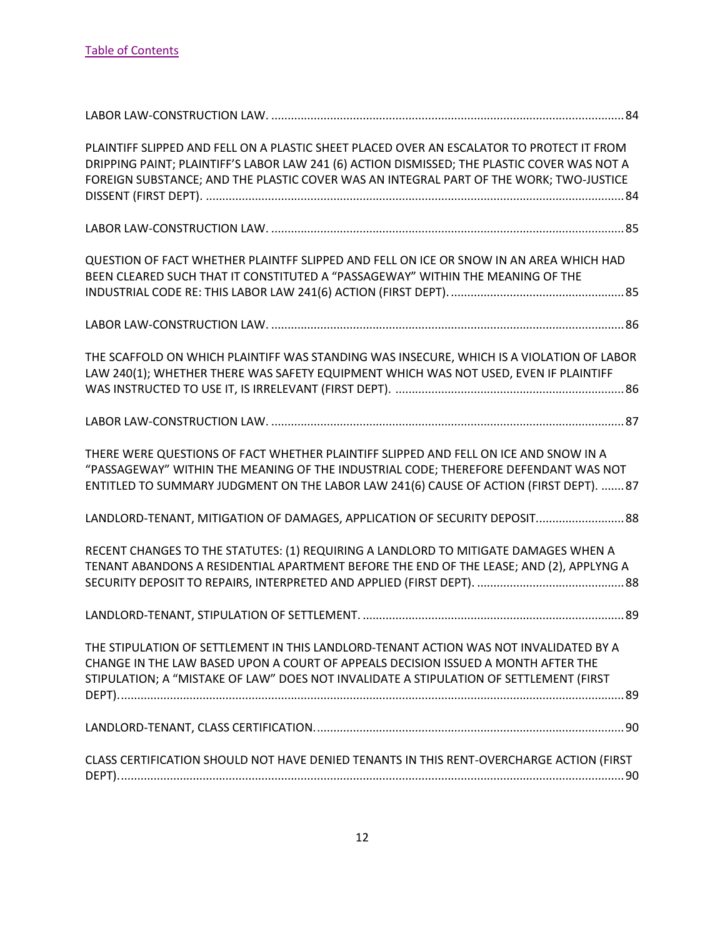| PLAINTIFF SLIPPED AND FELL ON A PLASTIC SHEET PLACED OVER AN ESCALATOR TO PROTECT IT FROM<br>DRIPPING PAINT; PLAINTIFF'S LABOR LAW 241 (6) ACTION DISMISSED; THE PLASTIC COVER WAS NOT A<br>FOREIGN SUBSTANCE; AND THE PLASTIC COVER WAS AN INTEGRAL PART OF THE WORK; TWO-JUSTICE |  |
|------------------------------------------------------------------------------------------------------------------------------------------------------------------------------------------------------------------------------------------------------------------------------------|--|
|                                                                                                                                                                                                                                                                                    |  |
| QUESTION OF FACT WHETHER PLAINTFF SLIPPED AND FELL ON ICE OR SNOW IN AN AREA WHICH HAD<br>BEEN CLEARED SUCH THAT IT CONSTITUTED A "PASSAGEWAY" WITHIN THE MEANING OF THE                                                                                                           |  |
|                                                                                                                                                                                                                                                                                    |  |
| THE SCAFFOLD ON WHICH PLAINTIFF WAS STANDING WAS INSECURE, WHICH IS A VIOLATION OF LABOR<br>LAW 240(1); WHETHER THERE WAS SAFETY EQUIPMENT WHICH WAS NOT USED, EVEN IF PLAINTIFF                                                                                                   |  |
|                                                                                                                                                                                                                                                                                    |  |
| THERE WERE QUESTIONS OF FACT WHETHER PLAINTIFF SLIPPED AND FELL ON ICE AND SNOW IN A<br>"PASSAGEWAY" WITHIN THE MEANING OF THE INDUSTRIAL CODE; THEREFORE DEFENDANT WAS NOT<br>ENTITLED TO SUMMARY JUDGMENT ON THE LABOR LAW 241(6) CAUSE OF ACTION (FIRST DEPT). 87               |  |
| LANDLORD-TENANT, MITIGATION OF DAMAGES, APPLICATION OF SECURITY DEPOSIT 88                                                                                                                                                                                                         |  |
| RECENT CHANGES TO THE STATUTES: (1) REQUIRING A LANDLORD TO MITIGATE DAMAGES WHEN A<br>TENANT ABANDONS A RESIDENTIAL APARTMENT BEFORE THE END OF THE LEASE; AND (2), APPLYNG A                                                                                                     |  |
|                                                                                                                                                                                                                                                                                    |  |
| THE STIPULATION OF SETTLEMENT IN THIS LANDLORD-TENANT ACTION WAS NOT INVALIDATED BY A<br>CHANGE IN THE LAW BASED UPON A COURT OF APPEALS DECISION ISSUED A MONTH AFTER THE<br>STIPULATION; A "MISTAKE OF LAW" DOES NOT INVALIDATE A STIPULATION OF SETTLEMENT (FIRST               |  |
|                                                                                                                                                                                                                                                                                    |  |
| CLASS CERTIFICATION SHOULD NOT HAVE DENIED TENANTS IN THIS RENT-OVERCHARGE ACTION (FIRST                                                                                                                                                                                           |  |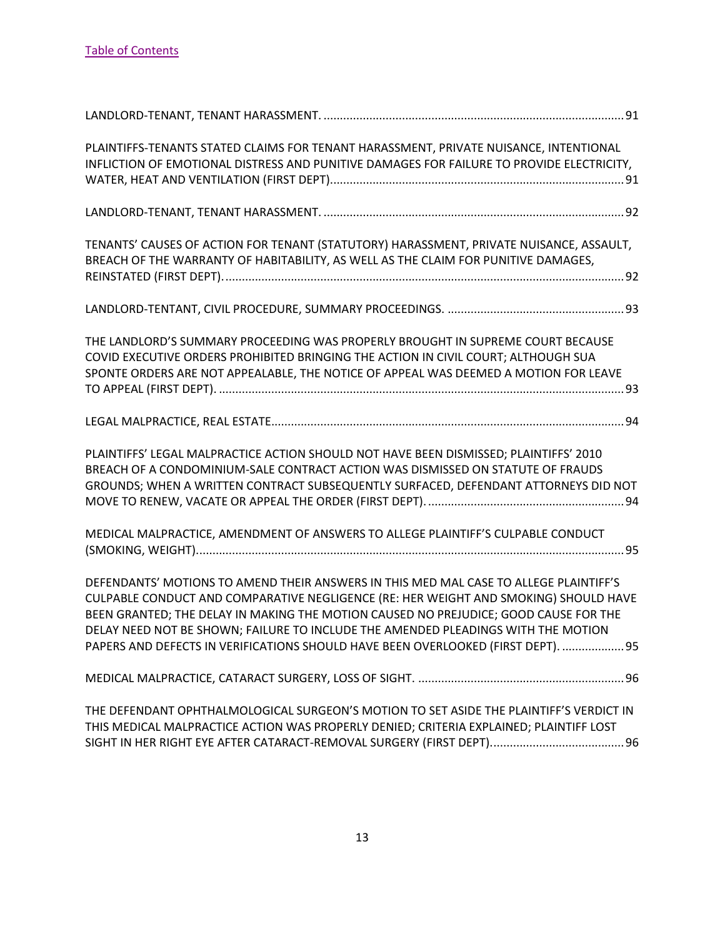| PLAINTIFFS-TENANTS STATED CLAIMS FOR TENANT HARASSMENT, PRIVATE NUISANCE, INTENTIONAL<br>INFLICTION OF EMOTIONAL DISTRESS AND PUNITIVE DAMAGES FOR FAILURE TO PROVIDE ELECTRICITY,                                                                                                                                                                                                                                                              |
|-------------------------------------------------------------------------------------------------------------------------------------------------------------------------------------------------------------------------------------------------------------------------------------------------------------------------------------------------------------------------------------------------------------------------------------------------|
|                                                                                                                                                                                                                                                                                                                                                                                                                                                 |
| TENANTS' CAUSES OF ACTION FOR TENANT (STATUTORY) HARASSMENT, PRIVATE NUISANCE, ASSAULT,<br>BREACH OF THE WARRANTY OF HABITABILITY, AS WELL AS THE CLAIM FOR PUNITIVE DAMAGES,                                                                                                                                                                                                                                                                   |
|                                                                                                                                                                                                                                                                                                                                                                                                                                                 |
| THE LANDLORD'S SUMMARY PROCEEDING WAS PROPERLY BROUGHT IN SUPREME COURT BECAUSE<br>COVID EXECUTIVE ORDERS PROHIBITED BRINGING THE ACTION IN CIVIL COURT; ALTHOUGH SUA<br>SPONTE ORDERS ARE NOT APPEALABLE, THE NOTICE OF APPEAL WAS DEEMED A MOTION FOR LEAVE                                                                                                                                                                                   |
|                                                                                                                                                                                                                                                                                                                                                                                                                                                 |
| PLAINTIFFS' LEGAL MALPRACTICE ACTION SHOULD NOT HAVE BEEN DISMISSED; PLAINTIFFS' 2010<br>BREACH OF A CONDOMINIUM-SALE CONTRACT ACTION WAS DISMISSED ON STATUTE OF FRAUDS<br>GROUNDS; WHEN A WRITTEN CONTRACT SUBSEQUENTLY SURFACED, DEFENDANT ATTORNEYS DID NOT                                                                                                                                                                                 |
| MEDICAL MALPRACTICE, AMENDMENT OF ANSWERS TO ALLEGE PLAINTIFF'S CULPABLE CONDUCT                                                                                                                                                                                                                                                                                                                                                                |
| DEFENDANTS' MOTIONS TO AMEND THEIR ANSWERS IN THIS MED MAL CASE TO ALLEGE PLAINTIFF'S<br>CULPABLE CONDUCT AND COMPARATIVE NEGLIGENCE (RE: HER WEIGHT AND SMOKING) SHOULD HAVE<br>BEEN GRANTED; THE DELAY IN MAKING THE MOTION CAUSED NO PREJUDICE; GOOD CAUSE FOR THE<br>DELAY NEED NOT BE SHOWN; FAILURE TO INCLUDE THE AMENDED PLEADINGS WITH THE MOTION<br>PAPERS AND DEFECTS IN VERIFICATIONS SHOULD HAVE BEEN OVERLOOKED (FIRST DEPT).  95 |
|                                                                                                                                                                                                                                                                                                                                                                                                                                                 |
| THE DEFENDANT OPHTHALMOLOGICAL SURGEON'S MOTION TO SET ASIDE THE PLAINTIFF'S VERDICT IN<br>THIS MEDICAL MALPRACTICE ACTION WAS PROPERLY DENIED; CRITERIA EXPLAINED; PLAINTIFF LOST                                                                                                                                                                                                                                                              |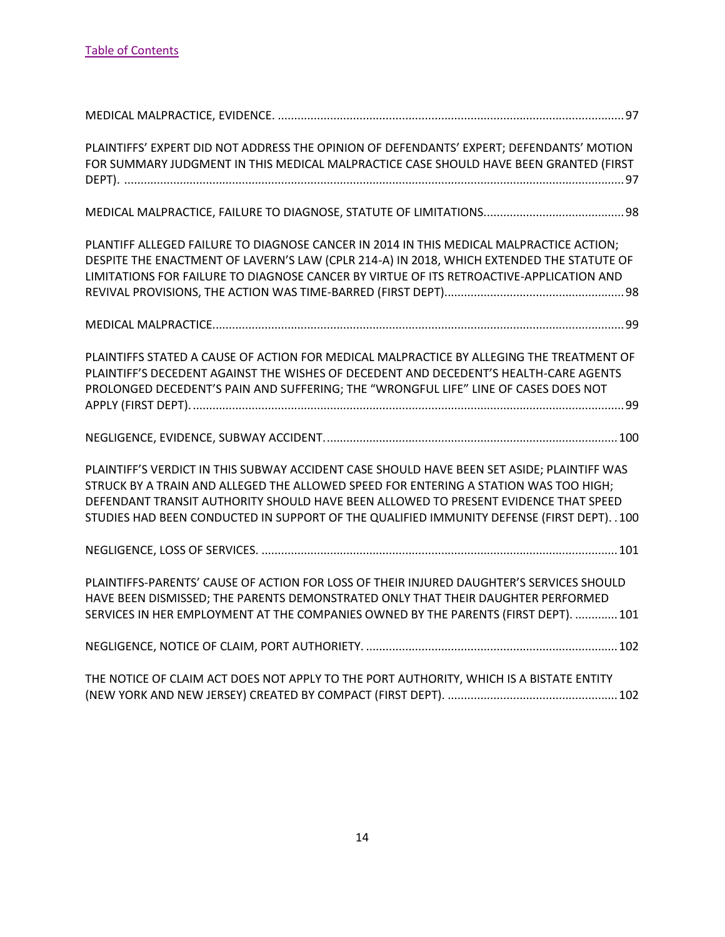| PLAINTIFFS' EXPERT DID NOT ADDRESS THE OPINION OF DEFENDANTS' EXPERT; DEFENDANTS' MOTION<br>FOR SUMMARY JUDGMENT IN THIS MEDICAL MALPRACTICE CASE SHOULD HAVE BEEN GRANTED (FIRST                                                                                                                                                                                        |  |
|--------------------------------------------------------------------------------------------------------------------------------------------------------------------------------------------------------------------------------------------------------------------------------------------------------------------------------------------------------------------------|--|
|                                                                                                                                                                                                                                                                                                                                                                          |  |
| PLANTIFF ALLEGED FAILURE TO DIAGNOSE CANCER IN 2014 IN THIS MEDICAL MALPRACTICE ACTION;<br>DESPITE THE ENACTMENT OF LAVERN'S LAW (CPLR 214-A) IN 2018, WHICH EXTENDED THE STATUTE OF<br>LIMITATIONS FOR FAILURE TO DIAGNOSE CANCER BY VIRTUE OF ITS RETROACTIVE-APPLICATION AND                                                                                          |  |
|                                                                                                                                                                                                                                                                                                                                                                          |  |
| PLAINTIFFS STATED A CAUSE OF ACTION FOR MEDICAL MALPRACTICE BY ALLEGING THE TREATMENT OF<br>PLAINTIFF'S DECEDENT AGAINST THE WISHES OF DECEDENT AND DECEDENT'S HEALTH-CARE AGENTS<br>PROLONGED DECEDENT'S PAIN AND SUFFERING; THE "WRONGFUL LIFE" LINE OF CASES DOES NOT                                                                                                 |  |
|                                                                                                                                                                                                                                                                                                                                                                          |  |
| PLAINTIFF'S VERDICT IN THIS SUBWAY ACCIDENT CASE SHOULD HAVE BEEN SET ASIDE; PLAINTIFF WAS<br>STRUCK BY A TRAIN AND ALLEGED THE ALLOWED SPEED FOR ENTERING A STATION WAS TOO HIGH;<br>DEFENDANT TRANSIT AUTHORITY SHOULD HAVE BEEN ALLOWED TO PRESENT EVIDENCE THAT SPEED<br>STUDIES HAD BEEN CONDUCTED IN SUPPORT OF THE QUALIFIED IMMUNITY DEFENSE (FIRST DEPT). . 100 |  |
|                                                                                                                                                                                                                                                                                                                                                                          |  |
| PLAINTIFFS-PARENTS' CAUSE OF ACTION FOR LOSS OF THEIR INJURED DAUGHTER'S SERVICES SHOULD<br>HAVE BEEN DISMISSED; THE PARENTS DEMONSTRATED ONLY THAT THEIR DAUGHTER PERFORMED<br>SERVICES IN HER EMPLOYMENT AT THE COMPANIES OWNED BY THE PARENTS (FIRST DEPT).  101                                                                                                      |  |
|                                                                                                                                                                                                                                                                                                                                                                          |  |
| THE NOTICE OF CLAIM ACT DOES NOT APPLY TO THE PORT AUTHORITY, WHICH IS A BISTATE ENTITY                                                                                                                                                                                                                                                                                  |  |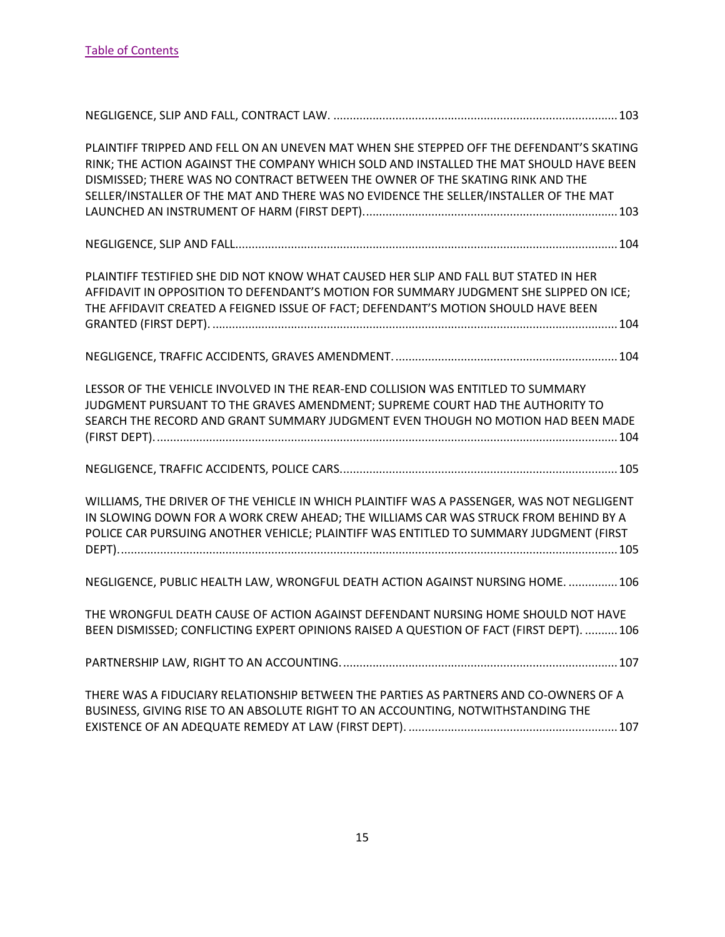| PLAINTIFF TRIPPED AND FELL ON AN UNEVEN MAT WHEN SHE STEPPED OFF THE DEFENDANT'S SKATING<br>RINK; THE ACTION AGAINST THE COMPANY WHICH SOLD AND INSTALLED THE MAT SHOULD HAVE BEEN<br>DISMISSED; THERE WAS NO CONTRACT BETWEEN THE OWNER OF THE SKATING RINK AND THE<br>SELLER/INSTALLER OF THE MAT AND THERE WAS NO EVIDENCE THE SELLER/INSTALLER OF THE MAT |  |
|---------------------------------------------------------------------------------------------------------------------------------------------------------------------------------------------------------------------------------------------------------------------------------------------------------------------------------------------------------------|--|
|                                                                                                                                                                                                                                                                                                                                                               |  |
| PLAINTIFF TESTIFIED SHE DID NOT KNOW WHAT CAUSED HER SLIP AND FALL BUT STATED IN HER<br>AFFIDAVIT IN OPPOSITION TO DEFENDANT'S MOTION FOR SUMMARY JUDGMENT SHE SLIPPED ON ICE;<br>THE AFFIDAVIT CREATED A FEIGNED ISSUE OF FACT; DEFENDANT'S MOTION SHOULD HAVE BEEN                                                                                          |  |
|                                                                                                                                                                                                                                                                                                                                                               |  |
| LESSOR OF THE VEHICLE INVOLVED IN THE REAR-END COLLISION WAS ENTITLED TO SUMMARY<br>JUDGMENT PURSUANT TO THE GRAVES AMENDMENT; SUPREME COURT HAD THE AUTHORITY TO<br>SEARCH THE RECORD AND GRANT SUMMARY JUDGMENT EVEN THOUGH NO MOTION HAD BEEN MADE                                                                                                         |  |
|                                                                                                                                                                                                                                                                                                                                                               |  |
| WILLIAMS, THE DRIVER OF THE VEHICLE IN WHICH PLAINTIFF WAS A PASSENGER, WAS NOT NEGLIGENT<br>IN SLOWING DOWN FOR A WORK CREW AHEAD; THE WILLIAMS CAR WAS STRUCK FROM BEHIND BY A<br>POLICE CAR PURSUING ANOTHER VEHICLE; PLAINTIFF WAS ENTITLED TO SUMMARY JUDGMENT (FIRST                                                                                    |  |
| NEGLIGENCE, PUBLIC HEALTH LAW, WRONGFUL DEATH ACTION AGAINST NURSING HOME.  106                                                                                                                                                                                                                                                                               |  |
| THE WRONGFUL DEATH CAUSE OF ACTION AGAINST DEFENDANT NURSING HOME SHOULD NOT HAVE<br>BEEN DISMISSED; CONFLICTING EXPERT OPINIONS RAISED A QUESTION OF FACT (FIRST DEPT).  106                                                                                                                                                                                 |  |
|                                                                                                                                                                                                                                                                                                                                                               |  |
| THERE WAS A FIDUCIARY RELATIONSHIP BETWEEN THE PARTIES AS PARTNERS AND CO-OWNERS OF A<br>BUSINESS, GIVING RISE TO AN ABSOLUTE RIGHT TO AN ACCOUNTING, NOTWITHSTANDING THE                                                                                                                                                                                     |  |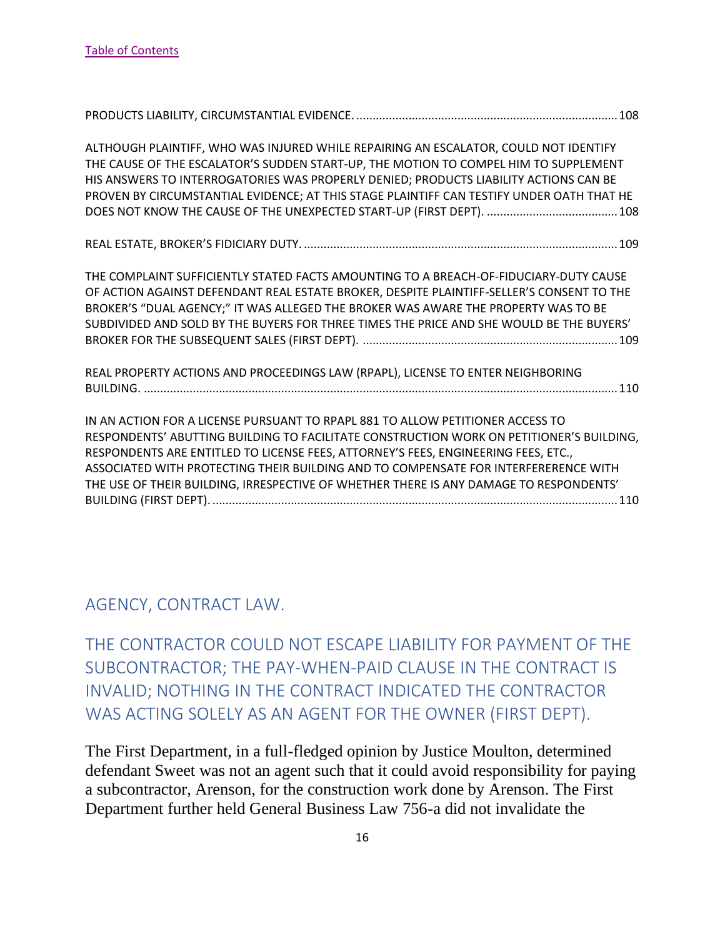| ALTHOUGH PLAINTIFF, WHO WAS INJURED WHILE REPAIRING AN ESCALATOR, COULD NOT IDENTIFY<br>THE CAUSE OF THE ESCALATOR'S SUDDEN START-UP, THE MOTION TO COMPEL HIM TO SUPPLEMENT<br>HIS ANSWERS TO INTERROGATORIES WAS PROPERLY DENIED; PRODUCTS LIABILITY ACTIONS CAN BE<br>PROVEN BY CIRCUMSTANTIAL EVIDENCE; AT THIS STAGE PLAINTIFF CAN TESTIFY UNDER OATH THAT HE                                                                                |  |
|---------------------------------------------------------------------------------------------------------------------------------------------------------------------------------------------------------------------------------------------------------------------------------------------------------------------------------------------------------------------------------------------------------------------------------------------------|--|
|                                                                                                                                                                                                                                                                                                                                                                                                                                                   |  |
| THE COMPLAINT SUFFICIENTLY STATED FACTS AMOUNTING TO A BREACH-OF-FIDUCIARY-DUTY CAUSE<br>OF ACTION AGAINST DEFENDANT REAL ESTATE BROKER, DESPITE PLAINTIFF-SELLER'S CONSENT TO THE<br>BROKER'S "DUAL AGENCY;" IT WAS ALLEGED THE BROKER WAS AWARE THE PROPERTY WAS TO BE<br>SUBDIVIDED AND SOLD BY THE BUYERS FOR THREE TIMES THE PRICE AND SHE WOULD BE THE BUYERS'                                                                              |  |
| REAL PROPERTY ACTIONS AND PROCEEDINGS LAW (RPAPL), LICENSE TO ENTER NEIGHBORING                                                                                                                                                                                                                                                                                                                                                                   |  |
| IN AN ACTION FOR A LICENSE PURSUANT TO RPAPL 881 TO ALLOW PETITIONER ACCESS TO<br>RESPONDENTS' ABUTTING BUILDING TO FACILITATE CONSTRUCTION WORK ON PETITIONER'S BUILDING,<br>RESPONDENTS ARE ENTITLED TO LICENSE FEES, ATTORNEY'S FEES, ENGINEERING FEES, ETC.,<br>ASSOCIATED WITH PROTECTING THEIR BUILDING AND TO COMPENSATE FOR INTERFERERENCE WITH<br>THE USE OF THEIR BUILDING, IRRESPECTIVE OF WHETHER THERE IS ANY DAMAGE TO RESPONDENTS' |  |

#### <span id="page-16-0"></span>AGENCY, CONTRACT LAW.

<span id="page-16-1"></span>THE CONTRACTOR COULD NOT ESCAPE LIABILITY FOR PAYMENT OF THE SUBCONTRACTOR; THE PAY-WHEN-PAID CLAUSE IN THE CONTRACT IS INVALID; NOTHING IN THE CONTRACT INDICATED THE CONTRACTOR WAS ACTING SOLELY AS AN AGENT FOR THE OWNER (FIRST DEPT).

The First Department, in a full-fledged opinion by Justice Moulton, determined defendant Sweet was not an agent such that it could avoid responsibility for paying a subcontractor, Arenson, for the construction work done by Arenson. The First Department further held General Business Law 756-a did not invalidate the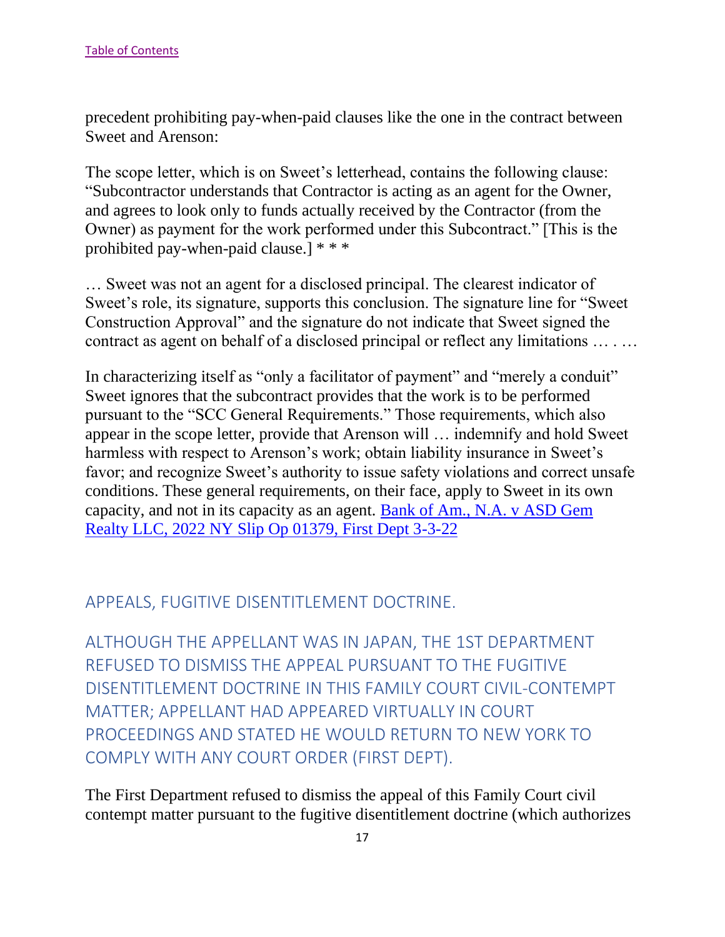precedent prohibiting pay-when-paid clauses like the one in the contract between Sweet and Arenson:

The scope letter, which is on Sweet's letterhead, contains the following clause: "Subcontractor understands that Contractor is acting as an agent for the Owner, and agrees to look only to funds actually received by the Contractor (from the Owner) as payment for the work performed under this Subcontract." [This is the prohibited pay-when-paid clause.] \* \* \*

… Sweet was not an agent for a disclosed principal. The clearest indicator of Sweet's role, its signature, supports this conclusion. The signature line for "Sweet Construction Approval" and the signature do not indicate that Sweet signed the contract as agent on behalf of a disclosed principal or reflect any limitations … . …

In characterizing itself as "only a facilitator of payment" and "merely a conduit" Sweet ignores that the subcontract provides that the work is to be performed pursuant to the "SCC General Requirements." Those requirements, which also appear in the scope letter, provide that Arenson will … indemnify and hold Sweet harmless with respect to Arenson's work; obtain liability insurance in Sweet's favor; and recognize Sweet's authority to issue safety violations and correct unsafe conditions. These general requirements, on their face, apply to Sweet in its own capacity, and not in its capacity as an agent. [Bank of Am., N.A. v ASD Gem](https://nycourts.gov/reporter/3dseries/2022/2022_01379.htm)  [Realty LLC, 2022 NY Slip Op 01379, First Dept 3-3-22](https://nycourts.gov/reporter/3dseries/2022/2022_01379.htm)

#### <span id="page-17-0"></span>APPEALS, FUGITIVE DISENTITLEMENT DOCTRINE.

<span id="page-17-1"></span>ALTHOUGH THE APPELLANT WAS IN JAPAN, THE 1ST DEPARTMENT REFUSED TO DISMISS THE APPEAL PURSUANT TO THE FUGITIVE DISENTITLEMENT DOCTRINE IN THIS FAMILY COURT CIVIL-CONTEMPT MATTER; APPELLANT HAD APPEARED VIRTUALLY IN COURT PROCEEDINGS AND STATED HE WOULD RETURN TO NEW YORK TO COMPLY WITH ANY COURT ORDER (FIRST DEPT).

The First Department refused to dismiss the appeal of this Family Court civil contempt matter pursuant to the fugitive disentitlement doctrine (which authorizes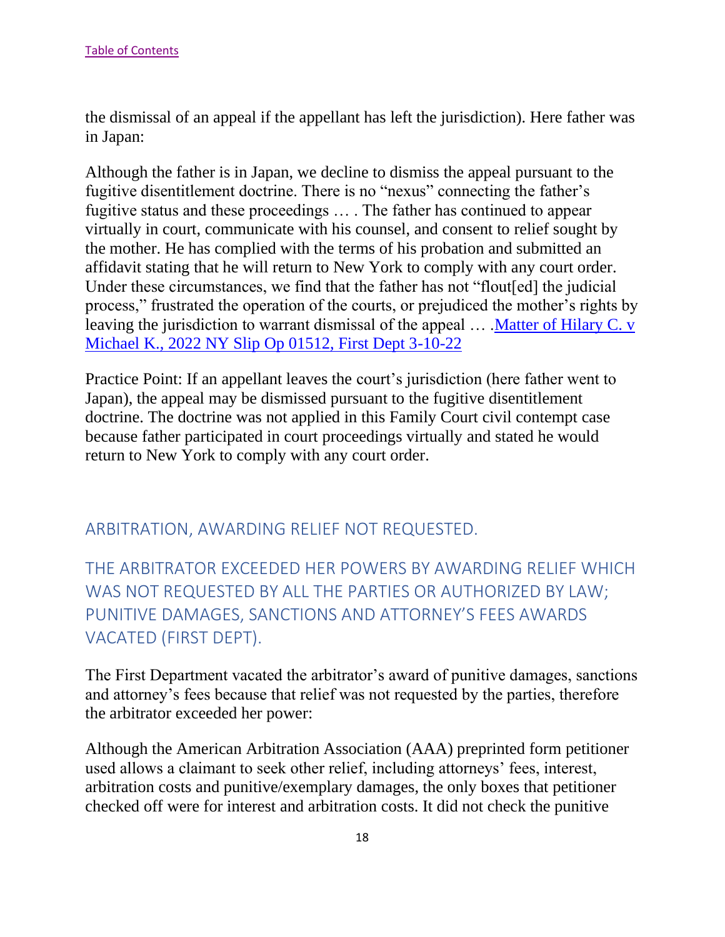the dismissal of an appeal if the appellant has left the jurisdiction). Here father was in Japan:

Although the father is in Japan, we decline to dismiss the appeal pursuant to the fugitive disentitlement doctrine. There is no "nexus" connecting the father's fugitive status and these proceedings … . The father has continued to appear virtually in court, communicate with his counsel, and consent to relief sought by the mother. He has complied with the terms of his probation and submitted an affidavit stating that he will return to New York to comply with any court order. Under these circumstances, we find that the father has not "flout[ed] the judicial process," frustrated the operation of the courts, or prejudiced the mother's rights by leaving the jurisdiction to warrant dismissal of the appeal ... Matter of Hilary C. v [Michael K., 2022 NY Slip Op 01512, First Dept 3-10-22](https://nycourts.gov/reporter/3dseries/2022/2022_01512.htm)

Practice Point: If an appellant leaves the court's jurisdiction (here father went to Japan), the appeal may be dismissed pursuant to the fugitive disentitlement doctrine. The doctrine was not applied in this Family Court civil contempt case because father participated in court proceedings virtually and stated he would return to New York to comply with any court order.

<span id="page-18-0"></span>ARBITRATION, AWARDING RELIEF NOT REQUESTED.

<span id="page-18-1"></span>THE ARBITRATOR EXCEEDED HER POWERS BY AWARDING RELIEF WHICH WAS NOT REQUESTED BY ALL THE PARTIES OR AUTHORIZED BY LAW; PUNITIVE DAMAGES, SANCTIONS AND ATTORNEY'S FEES AWARDS VACATED (FIRST DEPT).

The First Department vacated the arbitrator's award of punitive damages, sanctions and attorney's fees because that relief was not requested by the parties, therefore the arbitrator exceeded her power:

Although the American Arbitration Association (AAA) preprinted form petitioner used allows a claimant to seek other relief, including attorneys' fees, interest, arbitration costs and punitive/exemplary damages, the only boxes that petitioner checked off were for interest and arbitration costs. It did not check the punitive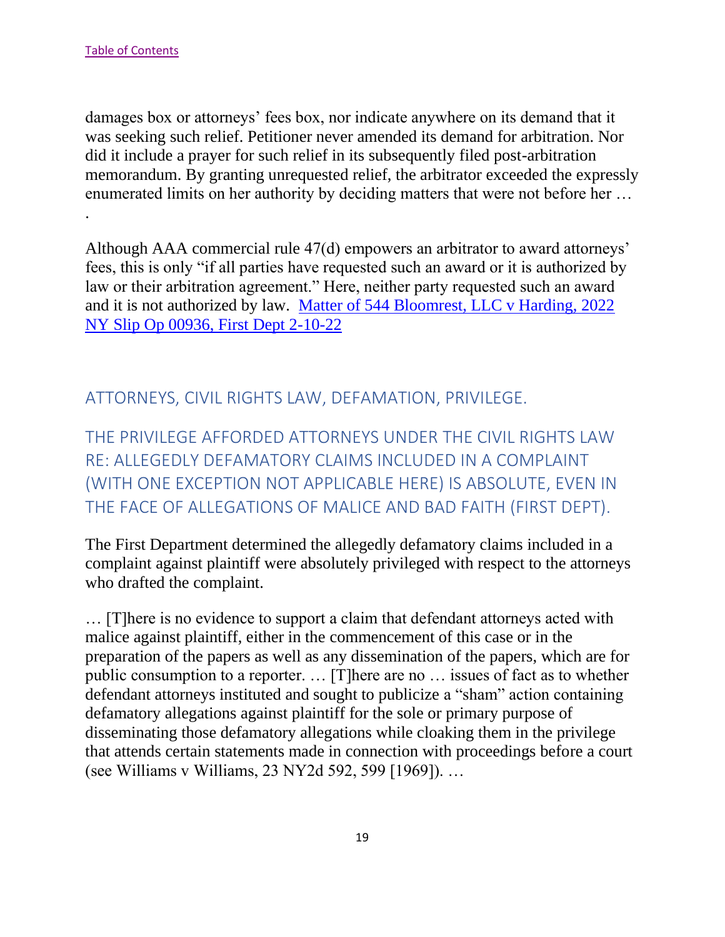damages box or attorneys' fees box, nor indicate anywhere on its demand that it was seeking such relief. Petitioner never amended its demand for arbitration. Nor did it include a prayer for such relief in its subsequently filed post-arbitration memorandum. By granting unrequested relief, the arbitrator exceeded the expressly enumerated limits on her authority by deciding matters that were not before her … .

Although AAA commercial rule 47(d) empowers an arbitrator to award attorneys' fees, this is only "if all parties have requested such an award or it is authorized by law or their arbitration agreement." Here, neither party requested such an award and it is not authorized by law. [Matter of 544 Bloomrest, LLC v Harding, 2022](https://nycourts.gov/reporter/3dseries/2022/2022_00936.htm)  [NY Slip Op 00936, First Dept 2-10-22](https://nycourts.gov/reporter/3dseries/2022/2022_00936.htm)

<span id="page-19-0"></span>ATTORNEYS, CIVIL RIGHTS LAW, DEFAMATION, PRIVILEGE.

<span id="page-19-1"></span>THE PRIVILEGE AFFORDED ATTORNEYS UNDER THE CIVIL RIGHTS LAW RE: ALLEGEDLY DEFAMATORY CLAIMS INCLUDED IN A COMPLAINT (WITH ONE EXCEPTION NOT APPLICABLE HERE) IS ABSOLUTE, EVEN IN THE FACE OF ALLEGATIONS OF MALICE AND BAD FAITH (FIRST DEPT).

The First Department determined the allegedly defamatory claims included in a complaint against plaintiff were absolutely privileged with respect to the attorneys who drafted the complaint.

… [T]here is no evidence to support a claim that defendant attorneys acted with malice against plaintiff, either in the commencement of this case or in the preparation of the papers as well as any dissemination of the papers, which are for public consumption to a reporter. … [T]here are no … issues of fact as to whether defendant attorneys instituted and sought to publicize a "sham" action containing defamatory allegations against plaintiff for the sole or primary purpose of disseminating those defamatory allegations while cloaking them in the privilege that attends certain statements made in connection with proceedings before a court (see Williams v Williams, 23 NY2d 592, 599 [1969]). …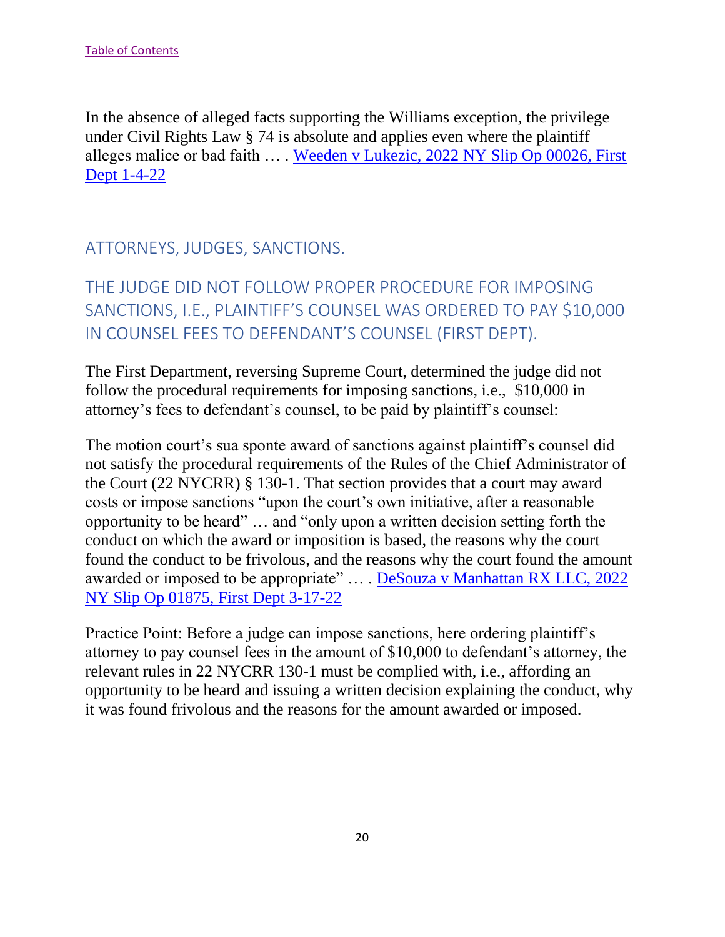In the absence of alleged facts supporting the Williams exception, the privilege under Civil Rights Law § 74 is absolute and applies even where the plaintiff alleges malice or bad faith … . [Weeden v Lukezic, 2022 NY Slip Op 00026, First](https://nycourts.gov/reporter/3dseries/2022/2022_00026.htm)  [Dept 1-4-22](https://nycourts.gov/reporter/3dseries/2022/2022_00026.htm)

## <span id="page-20-0"></span>ATTORNEYS, JUDGES, SANCTIONS.

<span id="page-20-1"></span>THE JUDGE DID NOT FOLLOW PROPER PROCEDURE FOR IMPOSING SANCTIONS, I.E., PLAINTIFF'S COUNSEL WAS ORDERED TO PAY \$10,000 IN COUNSEL FEES TO DEFENDANT'S COUNSEL (FIRST DEPT).

The First Department, reversing Supreme Court, determined the judge did not follow the procedural requirements for imposing sanctions, i.e., \$10,000 in attorney's fees to defendant's counsel, to be paid by plaintiff's counsel:

The motion court's sua sponte award of sanctions against plaintiff's counsel did not satisfy the procedural requirements of the Rules of the Chief Administrator of the Court (22 NYCRR) § 130-1. That section provides that a court may award costs or impose sanctions "upon the court's own initiative, after a reasonable opportunity to be heard" … and "only upon a written decision setting forth the conduct on which the award or imposition is based, the reasons why the court found the conduct to be frivolous, and the reasons why the court found the amount awarded or imposed to be appropriate" … . [DeSouza v Manhattan RX LLC, 2022](https://nycourts.gov/reporter/3dseries/2022/2022_01875.htm)  [NY Slip Op 01875, First Dept 3-17-22](https://nycourts.gov/reporter/3dseries/2022/2022_01875.htm)

Practice Point: Before a judge can impose sanctions, here ordering plaintiff's attorney to pay counsel fees in the amount of \$10,000 to defendant's attorney, the relevant rules in 22 NYCRR 130-1 must be complied with, i.e., affording an opportunity to be heard and issuing a written decision explaining the conduct, why it was found frivolous and the reasons for the amount awarded or imposed.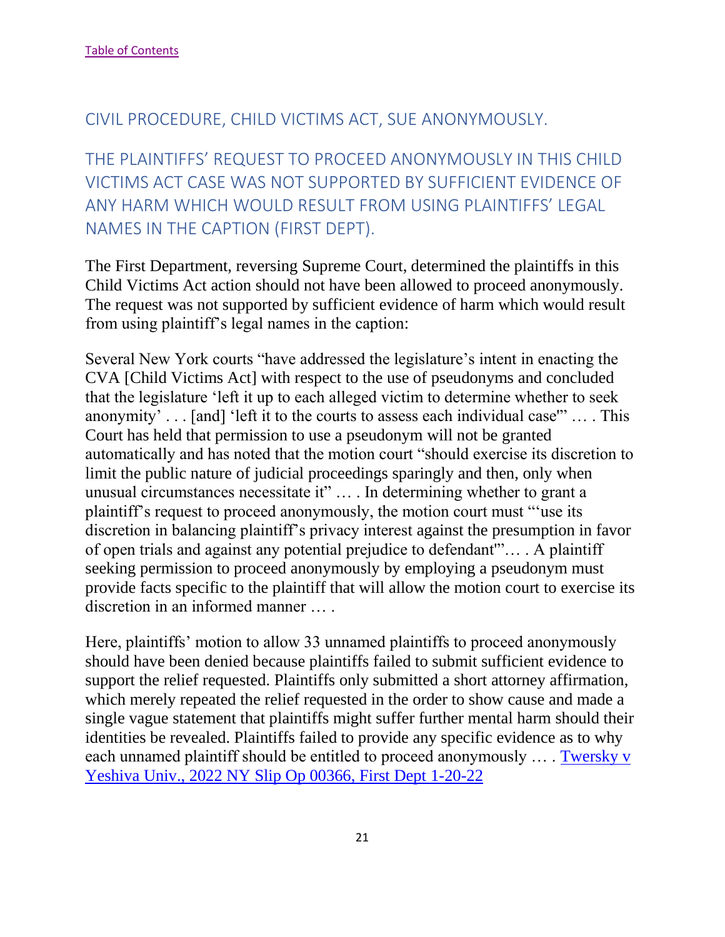### <span id="page-21-0"></span>CIVIL PROCEDURE, CHILD VICTIMS ACT, SUE ANONYMOUSLY.

<span id="page-21-1"></span>THE PLAINTIFFS' REQUEST TO PROCEED ANONYMOUSLY IN THIS CHILD VICTIMS ACT CASE WAS NOT SUPPORTED BY SUFFICIENT EVIDENCE OF ANY HARM WHICH WOULD RESULT FROM USING PLAINTIFFS' LEGAL NAMES IN THE CAPTION (FIRST DEPT).

The First Department, reversing Supreme Court, determined the plaintiffs in this Child Victims Act action should not have been allowed to proceed anonymously. The request was not supported by sufficient evidence of harm which would result from using plaintiff's legal names in the caption:

Several New York courts "have addressed the legislature's intent in enacting the CVA [Child Victims Act] with respect to the use of pseudonyms and concluded that the legislature 'left it up to each alleged victim to determine whether to seek anonymity' . . . [and] 'left it to the courts to assess each individual case'" … . This Court has held that permission to use a pseudonym will not be granted automatically and has noted that the motion court "should exercise its discretion to limit the public nature of judicial proceedings sparingly and then, only when unusual circumstances necessitate it" … . In determining whether to grant a plaintiff's request to proceed anonymously, the motion court must "'use its discretion in balancing plaintiff's privacy interest against the presumption in favor of open trials and against any potential prejudice to defendant'"… . A plaintiff seeking permission to proceed anonymously by employing a pseudonym must provide facts specific to the plaintiff that will allow the motion court to exercise its discretion in an informed manner … .

Here, plaintiffs' motion to allow 33 unnamed plaintiffs to proceed anonymously should have been denied because plaintiffs failed to submit sufficient evidence to support the relief requested. Plaintiffs only submitted a short attorney affirmation, which merely repeated the relief requested in the order to show cause and made a single vague statement that plaintiffs might suffer further mental harm should their identities be revealed. Plaintiffs failed to provide any specific evidence as to why each unnamed plaintiff should be entitled to proceed anonymously … . [Twersky v](https://nycourts.gov/reporter/3dseries/2022/2022_00366.htm)  [Yeshiva Univ., 2022 NY Slip Op 00366, First Dept](https://nycourts.gov/reporter/3dseries/2022/2022_00366.htm) 1-20-22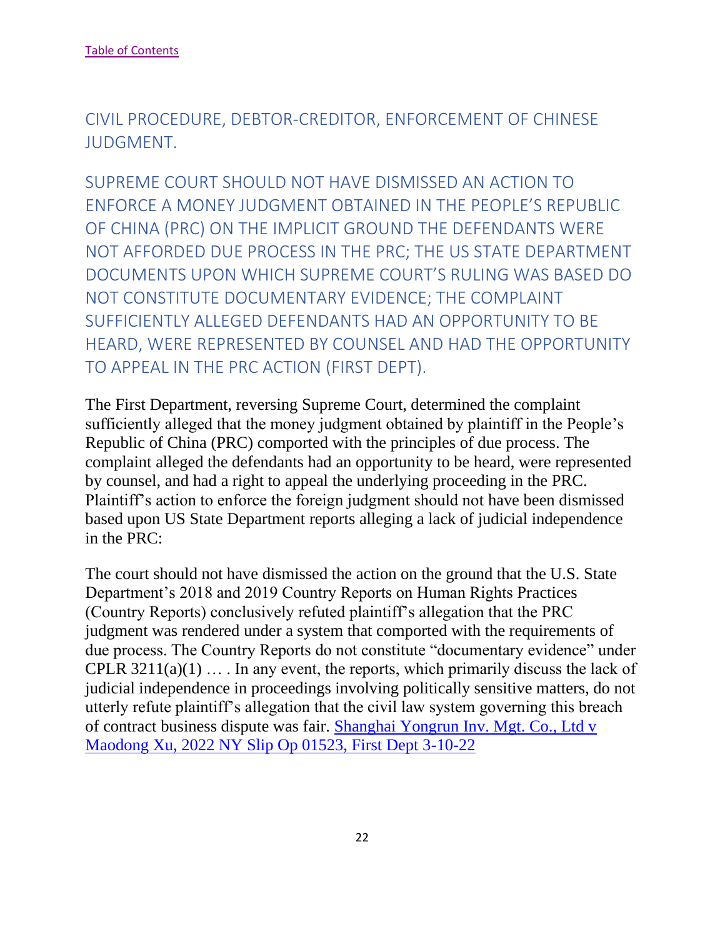<span id="page-22-0"></span>CIVIL PROCEDURE, DEBTOR-CREDITOR, ENFORCEMENT OF CHINESE JUDGMENT.

<span id="page-22-1"></span>SUPREME COURT SHOULD NOT HAVE DISMISSED AN ACTION TO ENFORCE A MONEY JUDGMENT OBTAINED IN THE PEOPLE'S REPUBLIC OF CHINA (PRC) ON THE IMPLICIT GROUND THE DEFENDANTS WERE NOT AFFORDED DUE PROCESS IN THE PRC; THE US STATE DEPARTMENT DOCUMENTS UPON WHICH SUPREME COURT'S RULING WAS BASED DO NOT CONSTITUTE DOCUMENTARY EVIDENCE; THE COMPLAINT SUFFICIENTLY ALLEGED DEFENDANTS HAD AN OPPORTUNITY TO BE HEARD, WERE REPRESENTED BY COUNSEL AND HAD THE OPPORTUNITY TO APPEAL IN THE PRC ACTION (FIRST DEPT).

The First Department, reversing Supreme Court, determined the complaint sufficiently alleged that the money judgment obtained by plaintiff in the People's Republic of China (PRC) comported with the principles of due process. The complaint alleged the defendants had an opportunity to be heard, were represented by counsel, and had a right to appeal the underlying proceeding in the PRC. Plaintiff's action to enforce the foreign judgment should not have been dismissed based upon US State Department reports alleging a lack of judicial independence in the PRC:

The court should not have dismissed the action on the ground that the U.S. State Department's 2018 and 2019 Country Reports on Human Rights Practices (Country Reports) conclusively refuted plaintiff's allegation that the PRC judgment was rendered under a system that comported with the requirements of due process. The Country Reports do not constitute "documentary evidence" under CPLR  $3211(a)(1)$  ... In any event, the reports, which primarily discuss the lack of judicial independence in proceedings involving politically sensitive matters, do not utterly refute plaintiff's allegation that the civil law system governing this breach of contract business dispute was fair. [Shanghai Yongrun Inv. Mgt. Co., Ltd v](https://nycourts.gov/reporter/3dseries/2022/2022_01523.htm)  [Maodong Xu, 2022 NY Slip Op 01523, First Dept 3-10-22](https://nycourts.gov/reporter/3dseries/2022/2022_01523.htm)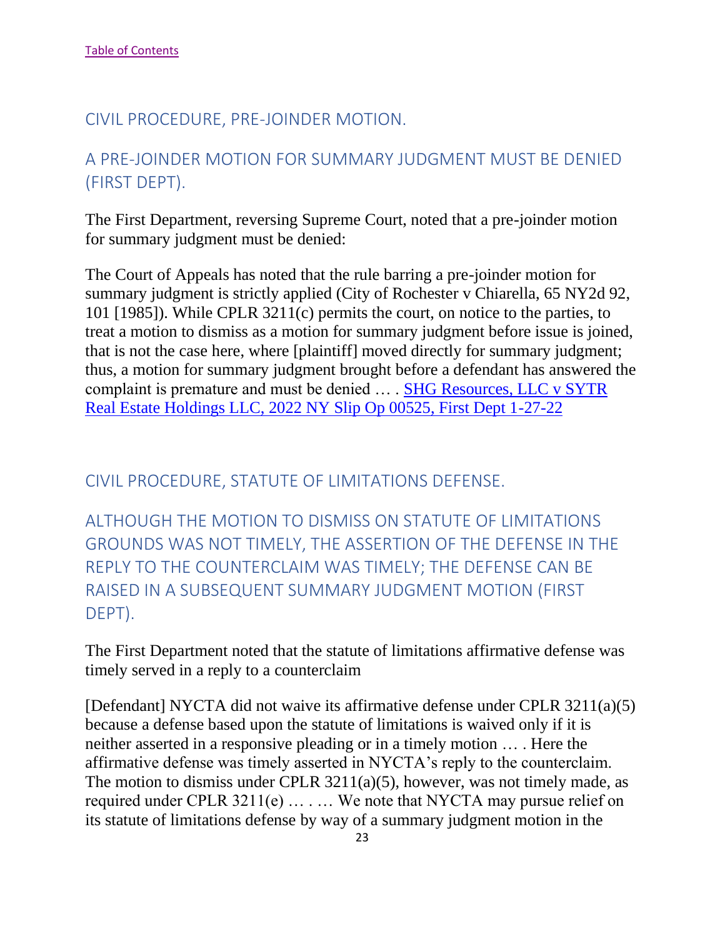#### <span id="page-23-0"></span>CIVIL PROCEDURE, PRE-JOINDER MOTION.

# <span id="page-23-1"></span>A PRE-JOINDER MOTION FOR SUMMARY JUDGMENT MUST BE DENIED (FIRST DEPT).

The First Department, reversing Supreme Court, noted that a pre-joinder motion for summary judgment must be denied:

The Court of Appeals has noted that the rule barring a pre-joinder motion for summary judgment is strictly applied (City of Rochester v Chiarella, 65 NY2d 92, 101 [1985]). While CPLR 3211(c) permits the court, on notice to the parties, to treat a motion to dismiss as a motion for summary judgment before issue is joined, that is not the case here, where [plaintiff] moved directly for summary judgment; thus, a motion for summary judgment brought before a defendant has answered the complaint is premature and must be denied ... . SHG Resources, LLC v SYTR [Real Estate Holdings LLC, 2022 NY Slip Op 00525, First Dept 1-27-22](https://nycourts.gov/reporter/3dseries/2022/2022_00525.htm)

<span id="page-23-2"></span>CIVIL PROCEDURE, STATUTE OF LIMITATIONS DEFENSE.

<span id="page-23-3"></span>ALTHOUGH THE MOTION TO DISMISS ON STATUTE OF LIMITATIONS GROUNDS WAS NOT TIMELY, THE ASSERTION OF THE DEFENSE IN THE REPLY TO THE COUNTERCLAIM WAS TIMELY; THE DEFENSE CAN BE RAISED IN A SUBSEQUENT SUMMARY JUDGMENT MOTION (FIRST DEPT).

The First Department noted that the statute of limitations affirmative defense was timely served in a reply to a counterclaim

[Defendant] NYCTA did not waive its affirmative defense under CPLR 3211(a)(5) because a defense based upon the statute of limitations is waived only if it is neither asserted in a responsive pleading or in a timely motion … . Here the affirmative defense was timely asserted in NYCTA's reply to the counterclaim. The motion to dismiss under CPLR  $3211(a)(5)$ , however, was not timely made, as required under CPLR 3211(e) … . … We note that NYCTA may pursue relief on its statute of limitations defense by way of a summary judgment motion in the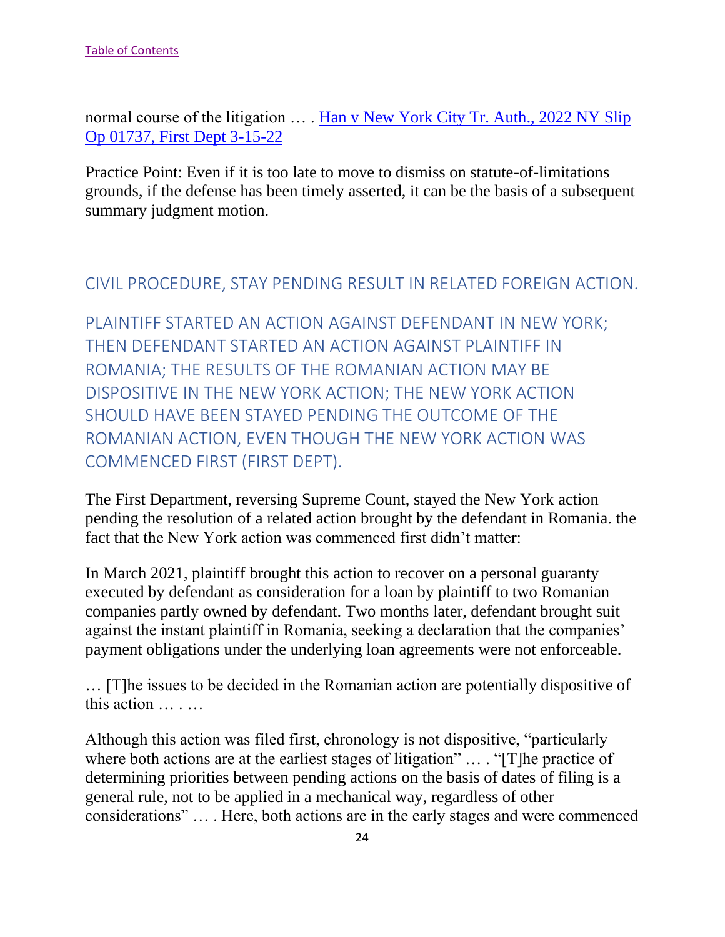normal course of the litigation ... . Han v New York City Tr. Auth., 2022 NY Slip [Op 01737, First Dept 3-15-22](https://nycourts.gov/reporter/3dseries/2022/2022_01737.htm)

Practice Point: Even if it is too late to move to dismiss on statute-of-limitations grounds, if the defense has been timely asserted, it can be the basis of a subsequent summary judgment motion.

#### <span id="page-24-0"></span>CIVIL PROCEDURE, STAY PENDING RESULT IN RELATED FOREIGN ACTION.

<span id="page-24-1"></span>PLAINTIFF STARTED AN ACTION AGAINST DEFENDANT IN NEW YORK; THEN DEFENDANT STARTED AN ACTION AGAINST PLAINTIFF IN ROMANIA; THE RESULTS OF THE ROMANIAN ACTION MAY BE DISPOSITIVE IN THE NEW YORK ACTION; THE NEW YORK ACTION SHOULD HAVE BEEN STAYED PENDING THE OUTCOME OF THE ROMANIAN ACTION, EVEN THOUGH THE NEW YORK ACTION WAS COMMENCED FIRST (FIRST DEPT).

The First Department, reversing Supreme Count, stayed the New York action pending the resolution of a related action brought by the defendant in Romania. the fact that the New York action was commenced first didn't matter:

In March 2021, plaintiff brought this action to recover on a personal guaranty executed by defendant as consideration for a loan by plaintiff to two Romanian companies partly owned by defendant. Two months later, defendant brought suit against the instant plaintiff in Romania, seeking a declaration that the companies' payment obligations under the underlying loan agreements were not enforceable.

… [T]he issues to be decided in the Romanian action are potentially dispositive of this action … . …

Although this action was filed first, chronology is not dispositive, "particularly where both actions are at the earliest stages of litigation" ... . "[T] he practice of determining priorities between pending actions on the basis of dates of filing is a general rule, not to be applied in a mechanical way, regardless of other considerations" … . Here, both actions are in the early stages and were commenced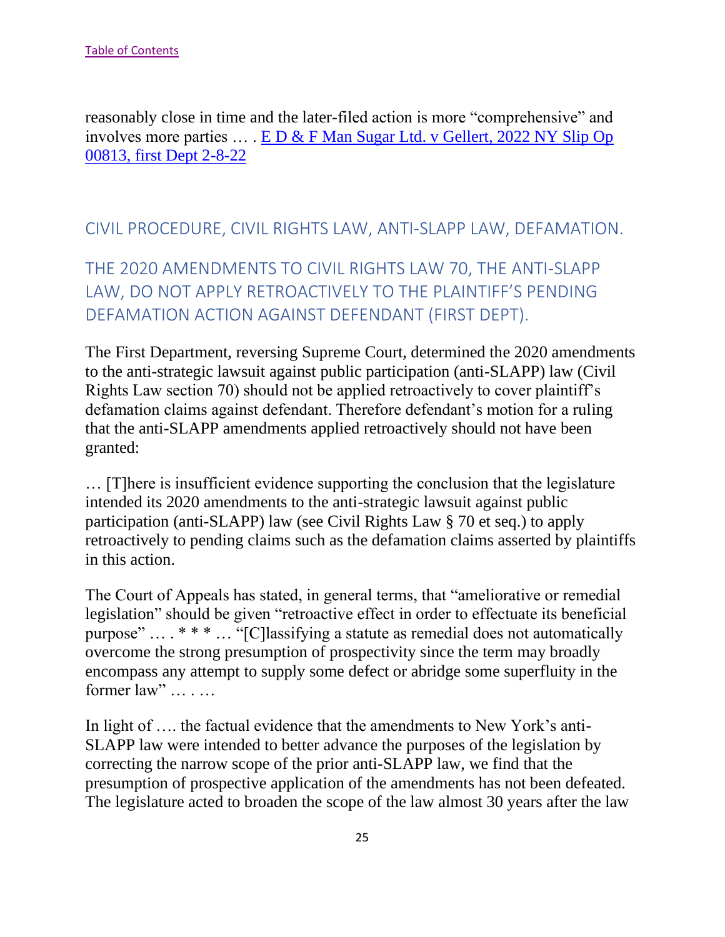reasonably close in time and the later-filed action is more "comprehensive" and involves more parties … . [E D & F Man Sugar Ltd. v Gellert, 2022 NY Slip Op](https://nycourts.gov/reporter/3dseries/2022/2022_00813.htm)  [00813, first Dept 2-8-22](https://nycourts.gov/reporter/3dseries/2022/2022_00813.htm)

### <span id="page-25-0"></span>CIVIL PROCEDURE, CIVIL RIGHTS LAW, ANTI-SLAPP LAW, DEFAMATION.

<span id="page-25-1"></span>THE 2020 AMENDMENTS TO CIVIL RIGHTS LAW 70, THE ANTI-SLAPP LAW, DO NOT APPLY RETROACTIVELY TO THE PLAINTIFF'S PENDING DEFAMATION ACTION AGAINST DEFENDANT (FIRST DEPT).

The First Department, reversing Supreme Court, determined the 2020 amendments to the anti-strategic lawsuit against public participation (anti-SLAPP) law (Civil Rights Law section 70) should not be applied retroactively to cover plaintiff's defamation claims against defendant. Therefore defendant's motion for a ruling that the anti-SLAPP amendments applied retroactively should not have been granted:

… [T]here is insufficient evidence supporting the conclusion that the legislature intended its 2020 amendments to the anti-strategic lawsuit against public participation (anti-SLAPP) law (see Civil Rights Law § 70 et seq.) to apply retroactively to pending claims such as the defamation claims asserted by plaintiffs in this action.

The Court of Appeals has stated, in general terms, that "ameliorative or remedial legislation" should be given "retroactive effect in order to effectuate its beneficial purpose" … . \* \* \* … "[C]lassifying a statute as remedial does not automatically overcome the strong presumption of prospectivity since the term may broadly encompass any attempt to supply some defect or abridge some superfluity in the former law" … . …

In light of …. the factual evidence that the amendments to New York's anti-SLAPP law were intended to better advance the purposes of the legislation by correcting the narrow scope of the prior anti-SLAPP law, we find that the presumption of prospective application of the amendments has not been defeated. The legislature acted to broaden the scope of the law almost 30 years after the law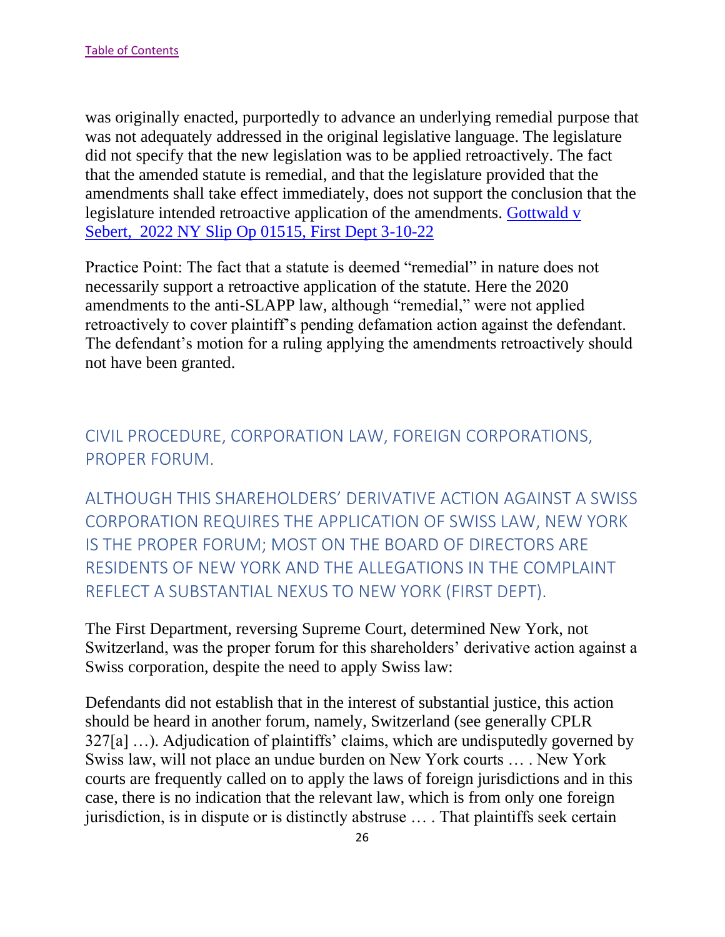was originally enacted, purportedly to advance an underlying remedial purpose that was not adequately addressed in the original legislative language. The legislature did not specify that the new legislation was to be applied retroactively. The fact that the amended statute is remedial, and that the legislature provided that the amendments shall take effect immediately, does not support the conclusion that the legislature intended retroactive application of the amendments. [Gottwald v](https://nycourts.gov/reporter/3dseries/2022/2022_01515.htm)  Sebert, [2022 NY Slip Op 01515, First Dept 3-10-22](https://nycourts.gov/reporter/3dseries/2022/2022_01515.htm)

Practice Point: The fact that a statute is deemed "remedial" in nature does not necessarily support a retroactive application of the statute. Here the 2020 amendments to the anti-SLAPP law, although "remedial," were not applied retroactively to cover plaintiff's pending defamation action against the defendant. The defendant's motion for a ruling applying the amendments retroactively should not have been granted.

## <span id="page-26-0"></span>CIVIL PROCEDURE, CORPORATION LAW, FOREIGN CORPORATIONS, PROPER FORUM.

<span id="page-26-1"></span>ALTHOUGH THIS SHAREHOLDERS' DERIVATIVE ACTION AGAINST A SWISS CORPORATION REQUIRES THE APPLICATION OF SWISS LAW, NEW YORK IS THE PROPER FORUM; MOST ON THE BOARD OF DIRECTORS ARE RESIDENTS OF NEW YORK AND THE ALLEGATIONS IN THE COMPLAINT REFLECT A SUBSTANTIAL NEXUS TO NEW YORK (FIRST DEPT).

The First Department, reversing Supreme Court, determined New York, not Switzerland, was the proper forum for this shareholders' derivative action against a Swiss corporation, despite the need to apply Swiss law:

Defendants did not establish that in the interest of substantial justice, this action should be heard in another forum, namely, Switzerland (see generally CPLR 327[a] …). Adjudication of plaintiffs' claims, which are undisputedly governed by Swiss law, will not place an undue burden on New York courts … . New York courts are frequently called on to apply the laws of foreign jurisdictions and in this case, there is no indication that the relevant law, which is from only one foreign jurisdiction, is in dispute or is distinctly abstruse … . That plaintiffs seek certain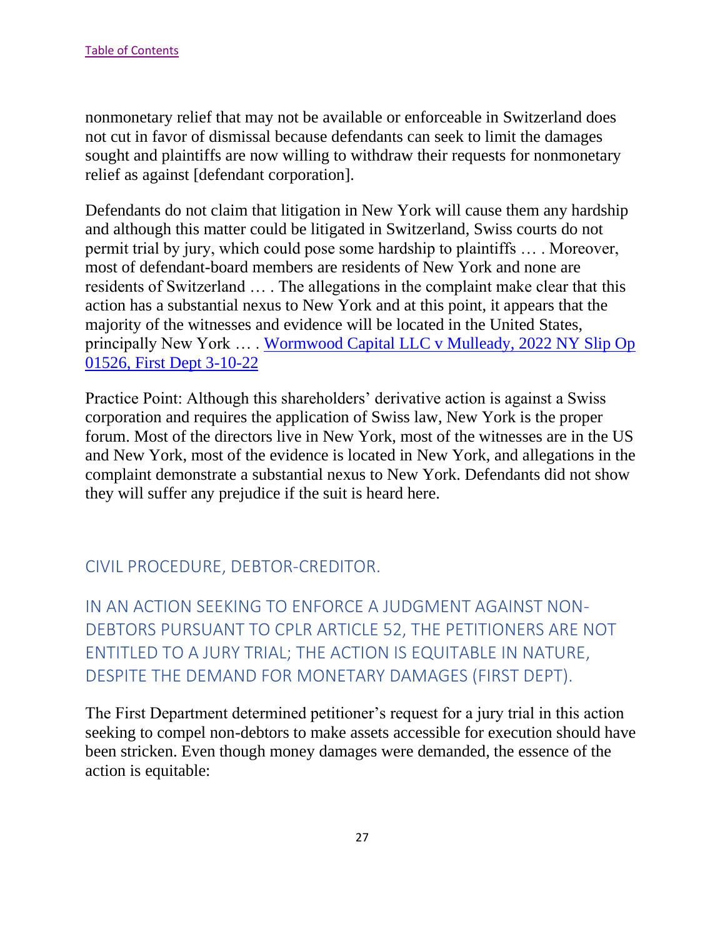nonmonetary relief that may not be available or enforceable in Switzerland does not cut in favor of dismissal because defendants can seek to limit the damages sought and plaintiffs are now willing to withdraw their requests for nonmonetary relief as against [defendant corporation].

Defendants do not claim that litigation in New York will cause them any hardship and although this matter could be litigated in Switzerland, Swiss courts do not permit trial by jury, which could pose some hardship to plaintiffs … . Moreover, most of defendant-board members are residents of New York and none are residents of Switzerland … . The allegations in the complaint make clear that this action has a substantial nexus to New York and at this point, it appears that the majority of the witnesses and evidence will be located in the United States, principally New York … . [Wormwood Capital LLC v Mulleady, 2022 NY Slip Op](https://nycourts.gov/reporter/3dseries/2022/2022_01526.htm)  [01526, First Dept 3-10-22](https://nycourts.gov/reporter/3dseries/2022/2022_01526.htm)

Practice Point: Although this shareholders' derivative action is against a Swiss corporation and requires the application of Swiss law, New York is the proper forum. Most of the directors live in New York, most of the witnesses are in the US and New York, most of the evidence is located in New York, and allegations in the complaint demonstrate a substantial nexus to New York. Defendants did not show they will suffer any prejudice if the suit is heard here.

## <span id="page-27-0"></span>CIVIL PROCEDURE, DEBTOR-CREDITOR.

<span id="page-27-1"></span>IN AN ACTION SEEKING TO ENFORCE A JUDGMENT AGAINST NON-DEBTORS PURSUANT TO CPLR ARTICLE 52, THE PETITIONERS ARE NOT ENTITLED TO A JURY TRIAL; THE ACTION IS EQUITABLE IN NATURE, DESPITE THE DEMAND FOR MONETARY DAMAGES (FIRST DEPT).

The First Department determined petitioner's request for a jury trial in this action seeking to compel non-debtors to make assets accessible for execution should have been stricken. Even though money damages were demanded, the essence of the action is equitable: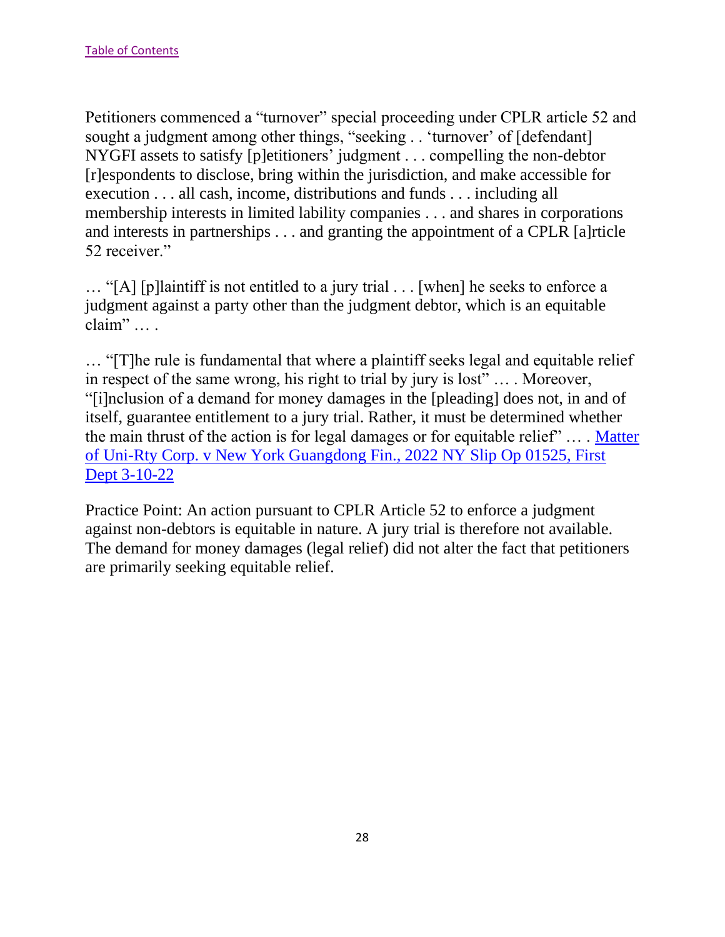Petitioners commenced a "turnover" special proceeding under CPLR article 52 and sought a judgment among other things, "seeking . . 'turnover' of [defendant] NYGFI assets to satisfy [p]etitioners' judgment . . . compelling the non-debtor [r]espondents to disclose, bring within the jurisdiction, and make accessible for execution . . . all cash, income, distributions and funds . . . including all membership interests in limited lability companies . . . and shares in corporations and interests in partnerships . . . and granting the appointment of a CPLR [a]rticle 52 receiver."

… "[A] [p]laintiff is not entitled to a jury trial . . . [when] he seeks to enforce a judgment against a party other than the judgment debtor, which is an equitable claim" … .

… "[T]he rule is fundamental that where a plaintiff seeks legal and equitable relief in respect of the same wrong, his right to trial by jury is lost" … . Moreover, "[i]nclusion of a demand for money damages in the [pleading] does not, in and of itself, guarantee entitlement to a jury trial. Rather, it must be determined whether the main thrust of the action is for legal damages or for equitable relief" … . [Matter](https://nycourts.gov/reporter/3dseries/2022/2022_01525.htm)  [of Uni-Rty Corp. v New York Guangdong Fin., 2022 NY Slip Op 01525, First](https://nycourts.gov/reporter/3dseries/2022/2022_01525.htm)  [Dept 3-10-22](https://nycourts.gov/reporter/3dseries/2022/2022_01525.htm)

Practice Point: An action pursuant to CPLR Article 52 to enforce a judgment against non-debtors is equitable in nature. A jury trial is therefore not available. The demand for money damages (legal relief) did not alter the fact that petitioners are primarily seeking equitable relief.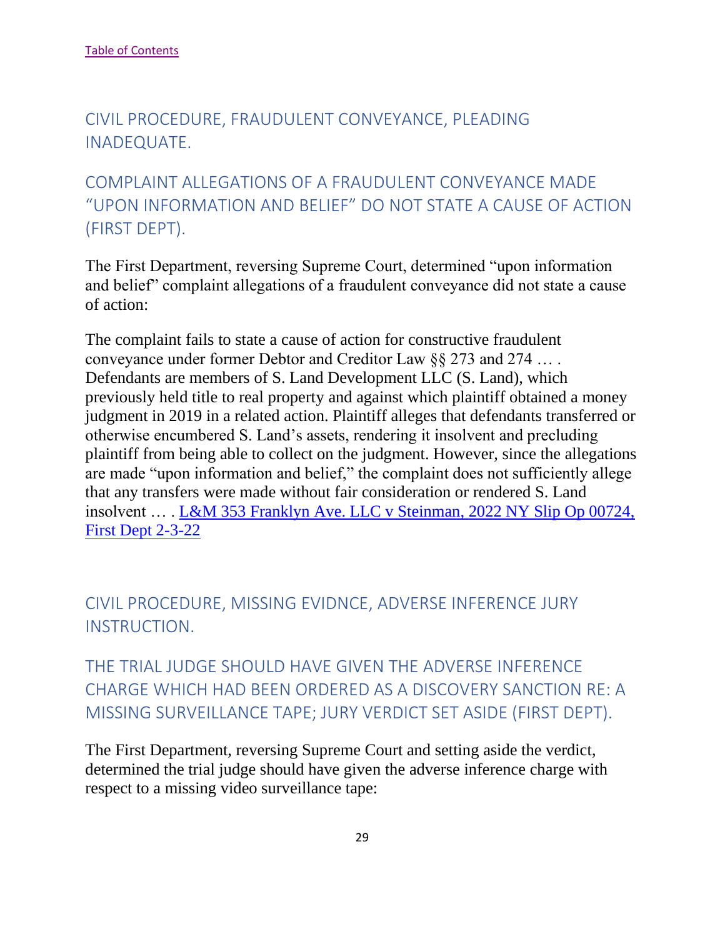# <span id="page-29-0"></span>CIVIL PROCEDURE, FRAUDULENT CONVEYANCE, PLEADING INADEQUATE.

# <span id="page-29-1"></span>COMPLAINT ALLEGATIONS OF A FRAUDULENT CONVEYANCE MADE "UPON INFORMATION AND BELIEF" DO NOT STATE A CAUSE OF ACTION (FIRST DEPT).

The First Department, reversing Supreme Court, determined "upon information and belief" complaint allegations of a fraudulent conveyance did not state a cause of action:

The complaint fails to state a cause of action for constructive fraudulent conveyance under former Debtor and Creditor Law §§ 273 and 274 … . Defendants are members of S. Land Development LLC (S. Land), which previously held title to real property and against which plaintiff obtained a money judgment in 2019 in a related action. Plaintiff alleges that defendants transferred or otherwise encumbered S. Land's assets, rendering it insolvent and precluding plaintiff from being able to collect on the judgment. However, since the allegations are made "upon information and belief," the complaint does not sufficiently allege that any transfers were made without fair consideration or rendered S. Land insolvent … . [L&M 353 Franklyn Ave. LLC v Steinman, 2022 NY Slip Op 00724,](https://nycourts.gov/reporter/3dseries/2022/2022_00724.htm)  [First Dept 2-3-22](https://nycourts.gov/reporter/3dseries/2022/2022_00724.htm)

# <span id="page-29-2"></span>CIVIL PROCEDURE, MISSING EVIDNCE, ADVERSE INFERENCE JURY INSTRUCTION.

<span id="page-29-3"></span>THE TRIAL JUDGE SHOULD HAVE GIVEN THE ADVERSE INFERENCE CHARGE WHICH HAD BEEN ORDERED AS A DISCOVERY SANCTION RE: A MISSING SURVEILLANCE TAPE; JURY VERDICT SET ASIDE (FIRST DEPT).

The First Department, reversing Supreme Court and setting aside the verdict, determined the trial judge should have given the adverse inference charge with respect to a missing video surveillance tape: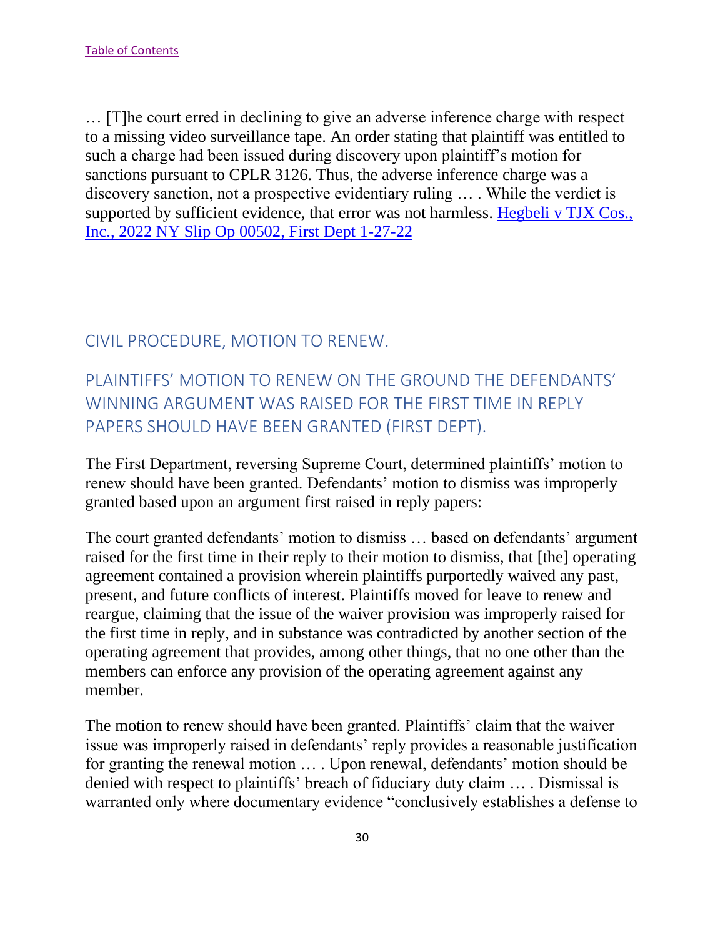… [T]he court erred in declining to give an adverse inference charge with respect to a missing video surveillance tape. An order stating that plaintiff was entitled to such a charge had been issued during discovery upon plaintiff's motion for sanctions pursuant to CPLR 3126. Thus, the adverse inference charge was a discovery sanction, not a prospective evidentiary ruling … . While the verdict is supported by sufficient evidence, that error was not harmless. [Hegbeli v TJX Cos.,](https://nycourts.gov/reporter/3dseries/2022/2022_00502.htm)  [Inc., 2022 NY Slip Op 00502, First Dept 1-27-22](https://nycourts.gov/reporter/3dseries/2022/2022_00502.htm)

### <span id="page-30-0"></span>CIVIL PROCEDURE, MOTION TO RENEW.

# <span id="page-30-1"></span>PLAINTIFFS' MOTION TO RENEW ON THE GROUND THE DEFENDANTS' WINNING ARGUMENT WAS RAISED FOR THE FIRST TIME IN REPLY PAPERS SHOULD HAVE BEEN GRANTED (FIRST DEPT).

The First Department, reversing Supreme Court, determined plaintiffs' motion to renew should have been granted. Defendants' motion to dismiss was improperly granted based upon an argument first raised in reply papers:

The court granted defendants' motion to dismiss … based on defendants' argument raised for the first time in their reply to their motion to dismiss, that [the] operating agreement contained a provision wherein plaintiffs purportedly waived any past, present, and future conflicts of interest. Plaintiffs moved for leave to renew and reargue, claiming that the issue of the waiver provision was improperly raised for the first time in reply, and in substance was contradicted by another section of the operating agreement that provides, among other things, that no one other than the members can enforce any provision of the operating agreement against any member.

The motion to renew should have been granted. Plaintiffs' claim that the waiver issue was improperly raised in defendants' reply provides a reasonable justification for granting the renewal motion … . Upon renewal, defendants' motion should be denied with respect to plaintiffs' breach of fiduciary duty claim … . Dismissal is warranted only where documentary evidence "conclusively establishes a defense to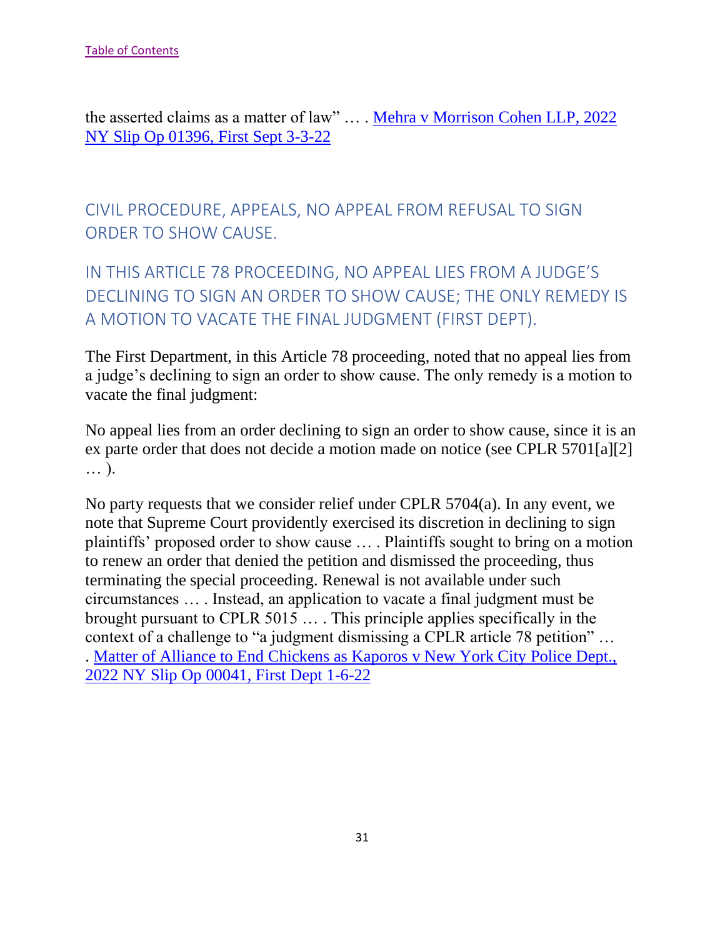the asserted claims as a matter of law" … . [Mehra v Morrison Cohen LLP, 2022](https://nycourts.gov/reporter/3dseries/2022/2022_01396.htm)  [NY Slip Op 01396, First Sept 3-3-22](https://nycourts.gov/reporter/3dseries/2022/2022_01396.htm)

# <span id="page-31-0"></span>CIVIL PROCEDURE, APPEALS, NO APPEAL FROM REFUSAL TO SIGN ORDER TO SHOW CAUSE.

# <span id="page-31-1"></span>IN THIS ARTICLE 78 PROCEEDING, NO APPEAL LIES FROM A JUDGE'S DECLINING TO SIGN AN ORDER TO SHOW CAUSE; THE ONLY REMEDY IS A MOTION TO VACATE THE FINAL JUDGMENT (FIRST DEPT).

The First Department, in this Article 78 proceeding, noted that no appeal lies from a judge's declining to sign an order to show cause. The only remedy is a motion to vacate the final judgment:

No appeal lies from an order declining to sign an order to show cause, since it is an ex parte order that does not decide a motion made on notice (see CPLR 5701[a][2] … ).

No party requests that we consider relief under CPLR 5704(a). In any event, we note that Supreme Court providently exercised its discretion in declining to sign plaintiffs' proposed order to show cause … . Plaintiffs sought to bring on a motion to renew an order that denied the petition and dismissed the proceeding, thus terminating the special proceeding. Renewal is not available under such circumstances … . Instead, an application to vacate a final judgment must be brought pursuant to CPLR 5015 … . This principle applies specifically in the context of a challenge to "a judgment dismissing a CPLR article 78 petition" … . [Matter of Alliance to End Chickens as Kaporos v New York City Police Dept.,](https://nycourts.gov/reporter/3dseries/2022/2022_00041.htm)  [2022 NY Slip Op 00041, First Dept 1-6-22](https://nycourts.gov/reporter/3dseries/2022/2022_00041.htm)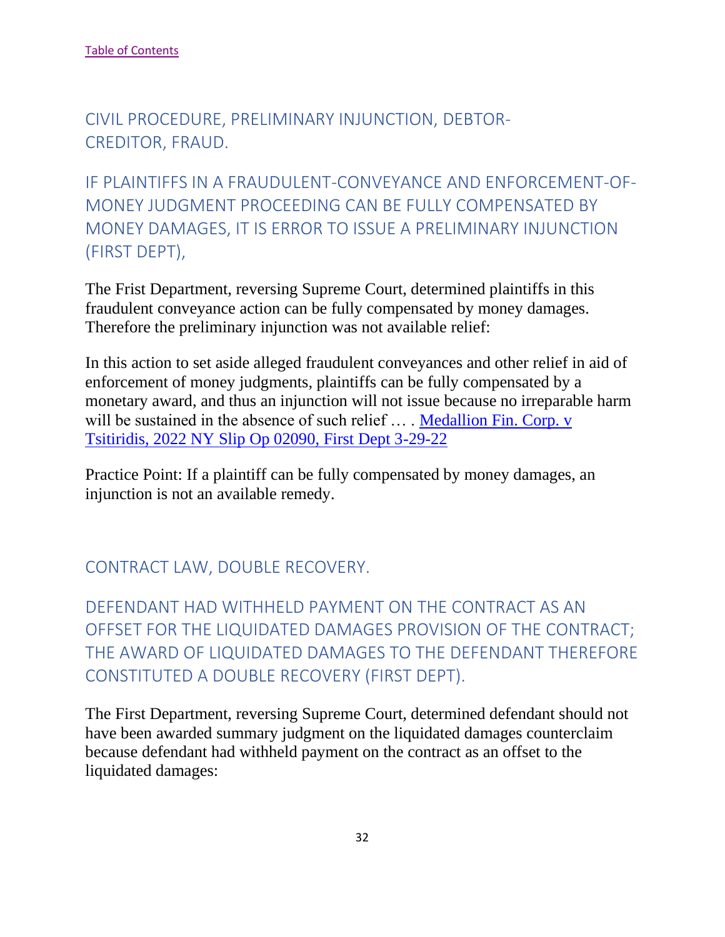<span id="page-32-0"></span>CIVIL PROCEDURE, PRELIMINARY INJUNCTION, DEBTOR-CREDITOR, FRAUD.

<span id="page-32-1"></span>IF PLAINTIFFS IN A FRAUDULENT-CONVEYANCE AND ENFORCEMENT-OF-MONEY JUDGMENT PROCEEDING CAN BE FULLY COMPENSATED BY MONEY DAMAGES, IT IS ERROR TO ISSUE A PRELIMINARY INJUNCTION (FIRST DEPT),

The Frist Department, reversing Supreme Court, determined plaintiffs in this fraudulent conveyance action can be fully compensated by money damages. Therefore the preliminary injunction was not available relief:

In this action to set aside alleged fraudulent conveyances and other relief in aid of enforcement of money judgments, plaintiffs can be fully compensated by a monetary award, and thus an injunction will not issue because no irreparable harm will be sustained in the absence of such relief ... . Medallion Fin. Corp. v [Tsitiridis, 2022 NY Slip Op 02090, First Dept 3-29-22](https://nycourts.gov/reporter/3dseries/2022/2022_02090.htm)

Practice Point: If a plaintiff can be fully compensated by money damages, an injunction is not an available remedy.

## <span id="page-32-2"></span>CONTRACT LAW, DOUBLE RECOVERY.

<span id="page-32-3"></span>DEFENDANT HAD WITHHELD PAYMENT ON THE CONTRACT AS AN OFFSET FOR THE LIQUIDATED DAMAGES PROVISION OF THE CONTRACT; THE AWARD OF LIQUIDATED DAMAGES TO THE DEFENDANT THEREFORE CONSTITUTED A DOUBLE RECOVERY (FIRST DEPT).

The First Department, reversing Supreme Court, determined defendant should not have been awarded summary judgment on the liquidated damages counterclaim because defendant had withheld payment on the contract as an offset to the liquidated damages: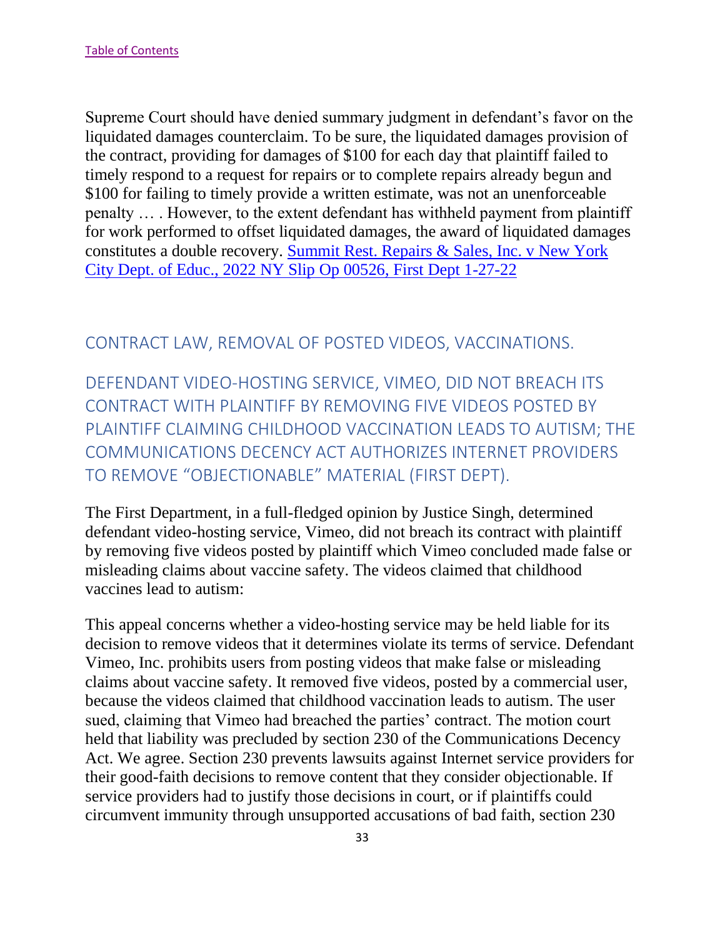Supreme Court should have denied summary judgment in defendant's favor on the liquidated damages counterclaim. To be sure, the liquidated damages provision of the contract, providing for damages of \$100 for each day that plaintiff failed to timely respond to a request for repairs or to complete repairs already begun and \$100 for failing to timely provide a written estimate, was not an unenforceable penalty … . However, to the extent defendant has withheld payment from plaintiff for work performed to offset liquidated damages, the award of liquidated damages constitutes a double recovery. [Summit Rest. Repairs & Sales, Inc. v New York](https://nycourts.gov/reporter/3dseries/2022/2022_00526.htm)  [City Dept. of Educ., 2022 NY Slip Op 00526, First Dept 1-27-22](https://nycourts.gov/reporter/3dseries/2022/2022_00526.htm)

#### <span id="page-33-0"></span>CONTRACT LAW, REMOVAL OF POSTED VIDEOS, VACCINATIONS.

<span id="page-33-1"></span>DEFENDANT VIDEO-HOSTING SERVICE, VIMEO, DID NOT BREACH ITS CONTRACT WITH PLAINTIFF BY REMOVING FIVE VIDEOS POSTED BY PLAINTIFF CLAIMING CHILDHOOD VACCINATION LEADS TO AUTISM; THE COMMUNICATIONS DECENCY ACT AUTHORIZES INTERNET PROVIDERS TO REMOVE "OBJECTIONABLE" MATERIAL (FIRST DEPT).

The First Department, in a full-fledged opinion by Justice Singh, determined defendant video-hosting service, Vimeo, did not breach its contract with plaintiff by removing five videos posted by plaintiff which Vimeo concluded made false or misleading claims about vaccine safety. The videos claimed that childhood vaccines lead to autism:

This appeal concerns whether a video-hosting service may be held liable for its decision to remove videos that it determines violate its terms of service. Defendant Vimeo, Inc. prohibits users from posting videos that make false or misleading claims about vaccine safety. It removed five videos, posted by a commercial user, because the videos claimed that childhood vaccination leads to autism. The user sued, claiming that Vimeo had breached the parties' contract. The motion court held that liability was precluded by section 230 of the Communications Decency Act. We agree. Section 230 prevents lawsuits against Internet service providers for their good-faith decisions to remove content that they consider objectionable. If service providers had to justify those decisions in court, or if plaintiffs could circumvent immunity through unsupported accusations of bad faith, section 230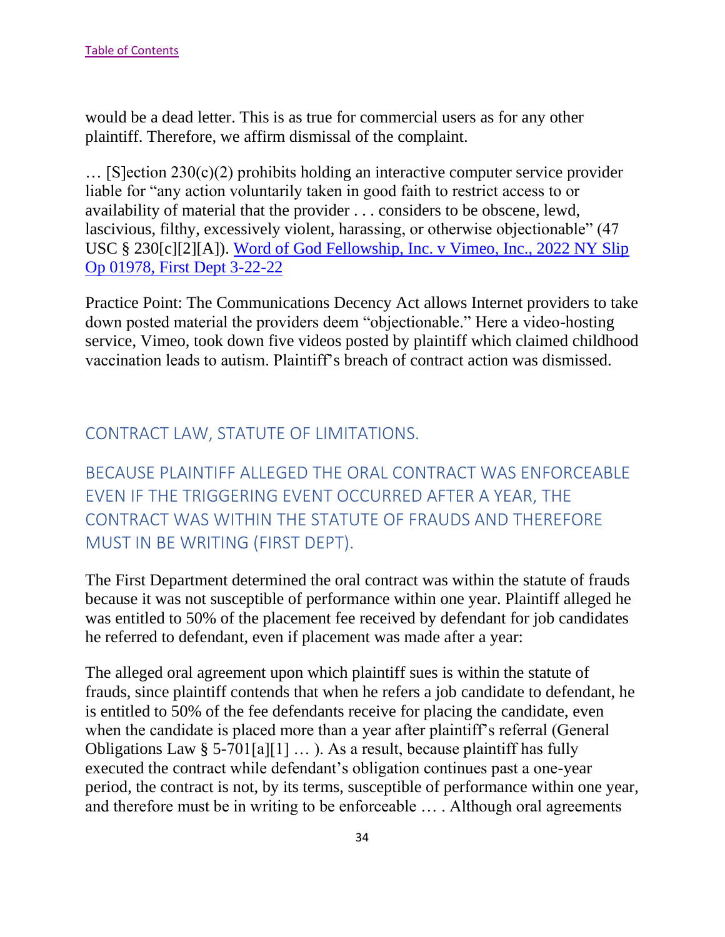would be a dead letter. This is as true for commercial users as for any other plaintiff. Therefore, we affirm dismissal of the complaint.

… [S]ection 230(c)(2) prohibits holding an interactive computer service provider liable for "any action voluntarily taken in good faith to restrict access to or availability of material that the provider . . . considers to be obscene, lewd, lascivious, filthy, excessively violent, harassing, or otherwise objectionable" (47 USC § 230[c][2][A]). [Word of God Fellowship, Inc. v Vimeo, Inc., 2022 NY Slip](https://nycourts.gov/reporter/3dseries/2022/2022_01978.htm)  [Op 01978, First Dept 3-22-22](https://nycourts.gov/reporter/3dseries/2022/2022_01978.htm)

Practice Point: The Communications Decency Act allows Internet providers to take down posted material the providers deem "objectionable." Here a video-hosting service, Vimeo, took down five videos posted by plaintiff which claimed childhood vaccination leads to autism. Plaintiff's breach of contract action was dismissed.

## <span id="page-34-0"></span>CONTRACT LAW, STATUTE OF LIMITATIONS.

<span id="page-34-1"></span>BECAUSE PLAINTIFF ALLEGED THE ORAL CONTRACT WAS ENFORCEABLE EVEN IF THE TRIGGERING EVENT OCCURRED AFTER A YEAR, THE CONTRACT WAS WITHIN THE STATUTE OF FRAUDS AND THEREFORE MUST IN BE WRITING (FIRST DEPT).

The First Department determined the oral contract was within the statute of frauds because it was not susceptible of performance within one year. Plaintiff alleged he was entitled to 50% of the placement fee received by defendant for job candidates he referred to defendant, even if placement was made after a year:

The alleged oral agreement upon which plaintiff sues is within the statute of frauds, since plaintiff contends that when he refers a job candidate to defendant, he is entitled to 50% of the fee defendants receive for placing the candidate, even when the candidate is placed more than a year after plaintiff's referral (General Obligations Law § 5-701[a][1] ... ). As a result, because plaintiff has fully executed the contract while defendant's obligation continues past a one-year period, the contract is not, by its terms, susceptible of performance within one year, and therefore must be in writing to be enforceable … . Although oral agreements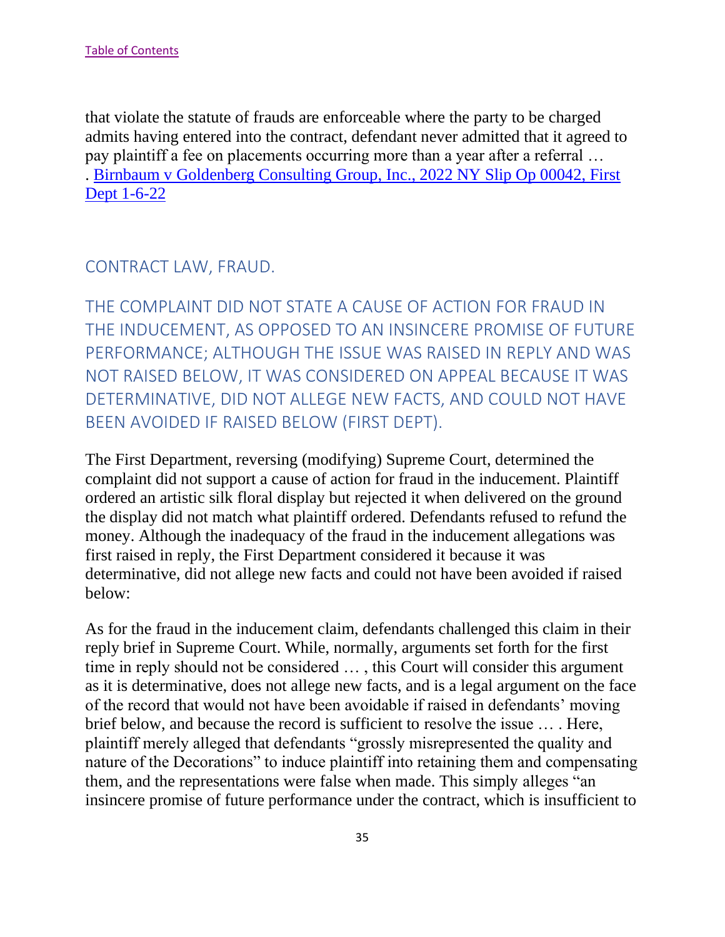that violate the statute of frauds are enforceable where the party to be charged admits having entered into the contract, defendant never admitted that it agreed to pay plaintiff a fee on placements occurring more than a year after a referral … . [Birnbaum v Goldenberg Consulting Group, Inc., 2022 NY Slip Op 00042, First](https://nycourts.gov/reporter/3dseries/2022/2022_00042.htm)  [Dept 1-6-22](https://nycourts.gov/reporter/3dseries/2022/2022_00042.htm)

<span id="page-35-0"></span>CONTRACT LAW, FRAUD.

<span id="page-35-1"></span>THE COMPLAINT DID NOT STATE A CAUSE OF ACTION FOR FRAUD IN THE INDUCEMENT, AS OPPOSED TO AN INSINCERE PROMISE OF FUTURE PERFORMANCE; ALTHOUGH THE ISSUE WAS RAISED IN REPLY AND WAS NOT RAISED BELOW, IT WAS CONSIDERED ON APPEAL BECAUSE IT WAS DETERMINATIVE, DID NOT ALLEGE NEW FACTS, AND COULD NOT HAVE BEEN AVOIDED IF RAISED BELOW (FIRST DEPT).

The First Department, reversing (modifying) Supreme Court, determined the complaint did not support a cause of action for fraud in the inducement. Plaintiff ordered an artistic silk floral display but rejected it when delivered on the ground the display did not match what plaintiff ordered. Defendants refused to refund the money. Although the inadequacy of the fraud in the inducement allegations was first raised in reply, the First Department considered it because it was determinative, did not allege new facts and could not have been avoided if raised below:

As for the fraud in the inducement claim, defendants challenged this claim in their reply brief in Supreme Court. While, normally, arguments set forth for the first time in reply should not be considered … , this Court will consider this argument as it is determinative, does not allege new facts, and is a legal argument on the face of the record that would not have been avoidable if raised in defendants' moving brief below, and because the record is sufficient to resolve the issue … . Here, plaintiff merely alleged that defendants "grossly misrepresented the quality and nature of the Decorations" to induce plaintiff into retaining them and compensating them, and the representations were false when made. This simply alleges "an insincere promise of future performance under the contract, which is insufficient to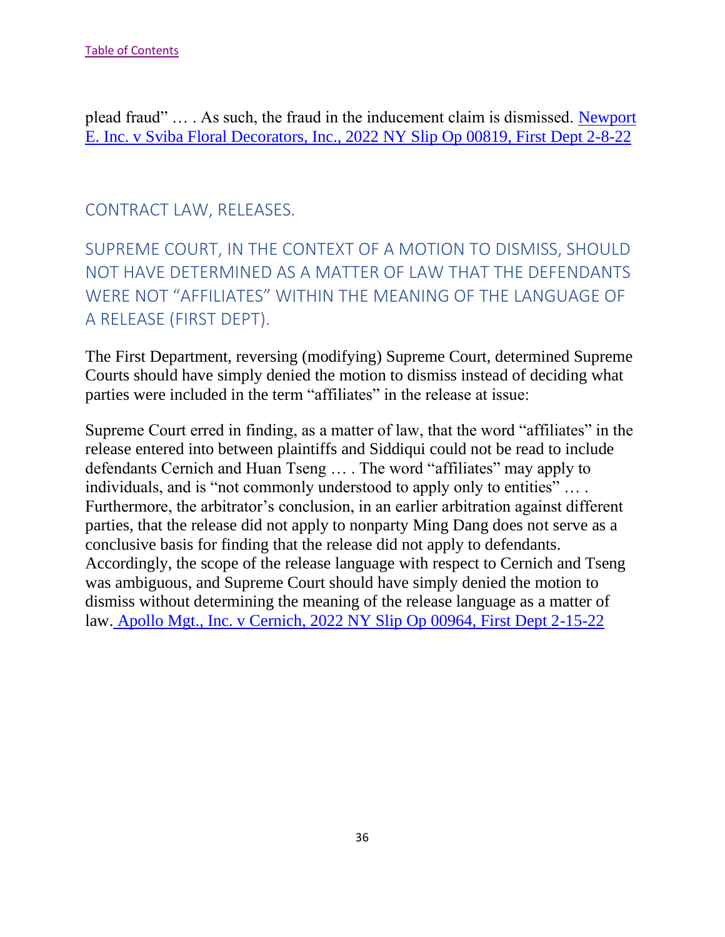plead fraud" … . As such, the fraud in the inducement claim is dismissed. [Newport](https://nycourts.gov/reporter/3dseries/2022/2022_00819.htm)  [E. Inc. v Sviba Floral Decorators, Inc., 2022 NY Slip Op 00819, First Dept 2-8-22](https://nycourts.gov/reporter/3dseries/2022/2022_00819.htm)

### CONTRACT LAW, RELEASES.

SUPREME COURT, IN THE CONTEXT OF A MOTION TO DISMISS, SHOULD NOT HAVE DETERMINED AS A MATTER OF LAW THAT THE DEFENDANTS WERE NOT "AFFILIATES" WITHIN THE MEANING OF THE LANGUAGE OF A RELEASE (FIRST DEPT).

The First Department, reversing (modifying) Supreme Court, determined Supreme Courts should have simply denied the motion to dismiss instead of deciding what parties were included in the term "affiliates" in the release at issue:

Supreme Court erred in finding, as a matter of law, that the word "affiliates" in the release entered into between plaintiffs and Siddiqui could not be read to include defendants Cernich and Huan Tseng … . The word "affiliates" may apply to individuals, and is "not commonly understood to apply only to entities" .... Furthermore, the arbitrator's conclusion, in an earlier arbitration against different parties, that the release did not apply to nonparty Ming Dang does not serve as a conclusive basis for finding that the release did not apply to defendants. Accordingly, the scope of the release language with respect to Cernich and Tseng was ambiguous, and Supreme Court should have simply denied the motion to dismiss without determining the meaning of the release language as a matter of law. [Apollo Mgt., Inc. v Cernich, 2022 NY Slip Op 00964, First Dept 2-15-22](https://nycourts.gov/reporter/3dseries/2022/2022_00964.htm)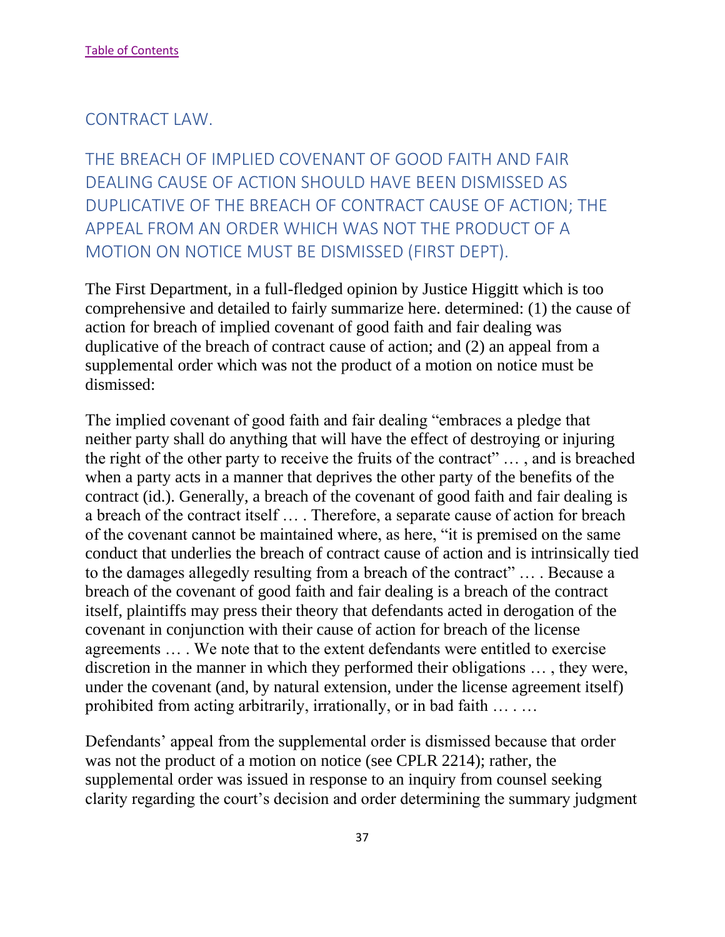#### CONTRACT LAW.

THE BREACH OF IMPLIED COVENANT OF GOOD FAITH AND FAIR DEALING CAUSE OF ACTION SHOULD HAVE BEEN DISMISSED AS DUPLICATIVE OF THE BREACH OF CONTRACT CAUSE OF ACTION; THE APPEAL FROM AN ORDER WHICH WAS NOT THE PRODUCT OF A MOTION ON NOTICE MUST BE DISMISSED (FIRST DEPT).

The First Department, in a full-fledged opinion by Justice Higgitt which is too comprehensive and detailed to fairly summarize here. determined: (1) the cause of action for breach of implied covenant of good faith and fair dealing was duplicative of the breach of contract cause of action; and (2) an appeal from a supplemental order which was not the product of a motion on notice must be dismissed:

The implied covenant of good faith and fair dealing "embraces a pledge that neither party shall do anything that will have the effect of destroying or injuring the right of the other party to receive the fruits of the contract" … , and is breached when a party acts in a manner that deprives the other party of the benefits of the contract (id.). Generally, a breach of the covenant of good faith and fair dealing is a breach of the contract itself … . Therefore, a separate cause of action for breach of the covenant cannot be maintained where, as here, "it is premised on the same conduct that underlies the breach of contract cause of action and is intrinsically tied to the damages allegedly resulting from a breach of the contract" … . Because a breach of the covenant of good faith and fair dealing is a breach of the contract itself, plaintiffs may press their theory that defendants acted in derogation of the covenant in conjunction with their cause of action for breach of the license agreements … . We note that to the extent defendants were entitled to exercise discretion in the manner in which they performed their obligations … , they were, under the covenant (and, by natural extension, under the license agreement itself) prohibited from acting arbitrarily, irrationally, or in bad faith … . …

Defendants' appeal from the supplemental order is dismissed because that order was not the product of a motion on notice (see CPLR 2214); rather, the supplemental order was issued in response to an inquiry from counsel seeking clarity regarding the court's decision and order determining the summary judgment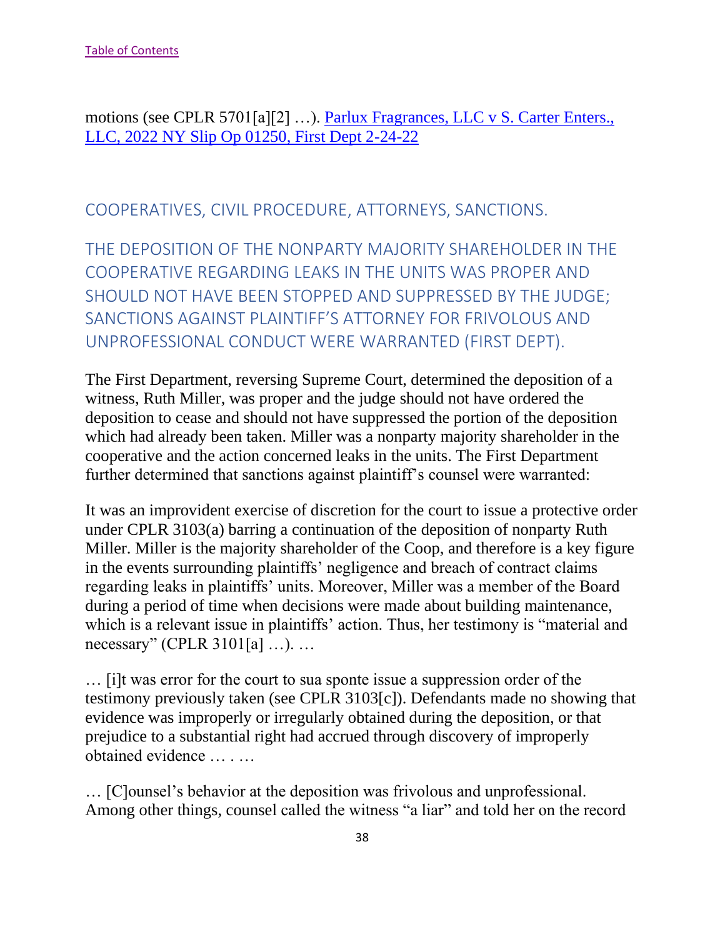motions (see CPLR 5701[a][2] …). [Parlux Fragrances, LLC v S. Carter Enters.,](https://nycourts.gov/reporter/3dseries/2022/2022_01250.htm)  [LLC, 2022 NY Slip Op 01250, First Dept 2-24-22](https://nycourts.gov/reporter/3dseries/2022/2022_01250.htm)

COOPERATIVES, CIVIL PROCEDURE, ATTORNEYS, SANCTIONS.

THE DEPOSITION OF THE NONPARTY MAJORITY SHAREHOLDER IN THE COOPERATIVE REGARDING LEAKS IN THE UNITS WAS PROPER AND SHOULD NOT HAVE BEEN STOPPED AND SUPPRESSED BY THE JUDGE; SANCTIONS AGAINST PLAINTIFF'S ATTORNEY FOR FRIVOLOUS AND UNPROFESSIONAL CONDUCT WERE WARRANTED (FIRST DEPT).

The First Department, reversing Supreme Court, determined the deposition of a witness, Ruth Miller, was proper and the judge should not have ordered the deposition to cease and should not have suppressed the portion of the deposition which had already been taken. Miller was a nonparty majority shareholder in the cooperative and the action concerned leaks in the units. The First Department further determined that sanctions against plaintiff's counsel were warranted:

It was an improvident exercise of discretion for the court to issue a protective order under CPLR 3103(a) barring a continuation of the deposition of nonparty Ruth Miller. Miller is the majority shareholder of the Coop, and therefore is a key figure in the events surrounding plaintiffs' negligence and breach of contract claims regarding leaks in plaintiffs' units. Moreover, Miller was a member of the Board during a period of time when decisions were made about building maintenance, which is a relevant issue in plaintiffs' action. Thus, her testimony is "material and necessary" (CPLR 3101[a] …). …

… [i]t was error for the court to sua sponte issue a suppression order of the testimony previously taken (see CPLR 3103[c]). Defendants made no showing that evidence was improperly or irregularly obtained during the deposition, or that prejudice to a substantial right had accrued through discovery of improperly obtained evidence … . …

… [C]ounsel's behavior at the deposition was frivolous and unprofessional. Among other things, counsel called the witness "a liar" and told her on the record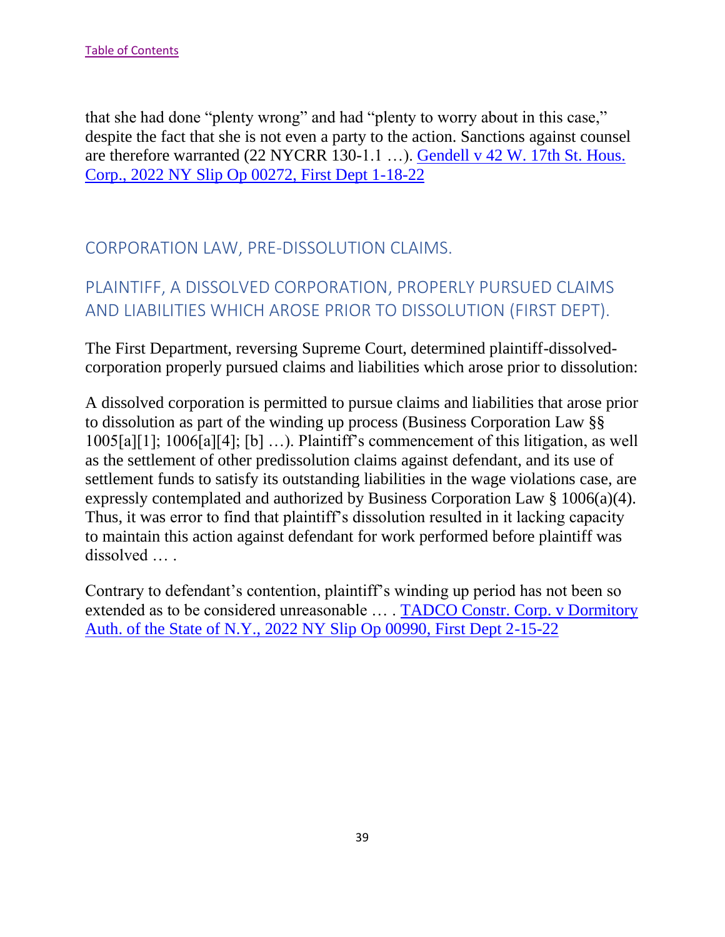that she had done "plenty wrong" and had "plenty to worry about in this case," despite the fact that she is not even a party to the action. Sanctions against counsel are therefore warranted (22 NYCRR 130-1.1 …). [Gendell v 42 W. 17th St. Hous.](https://nycourts.gov/reporter/3dseries/2022/2022_00272.htm)  [Corp., 2022 NY Slip Op 00272, First Dept 1-18-22](https://nycourts.gov/reporter/3dseries/2022/2022_00272.htm)

### CORPORATION LAW, PRE-DISSOLUTION CLAIMS.

# PLAINTIFF, A DISSOLVED CORPORATION, PROPERLY PURSUED CLAIMS AND LIABILITIES WHICH AROSE PRIOR TO DISSOLUTION (FIRST DEPT).

The First Department, reversing Supreme Court, determined plaintiff-dissolvedcorporation properly pursued claims and liabilities which arose prior to dissolution:

A dissolved corporation is permitted to pursue claims and liabilities that arose prior to dissolution as part of the winding up process (Business Corporation Law §§ 1005[a][1]; 1006[a][4]; [b] …). Plaintiff's commencement of this litigation, as well as the settlement of other predissolution claims against defendant, and its use of settlement funds to satisfy its outstanding liabilities in the wage violations case, are expressly contemplated and authorized by Business Corporation Law § 1006(a)(4). Thus, it was error to find that plaintiff's dissolution resulted in it lacking capacity to maintain this action against defendant for work performed before plaintiff was dissolved … .

Contrary to defendant's contention, plaintiff's winding up period has not been so extended as to be considered unreasonable … . [TADCO Constr. Corp. v Dormitory](https://nycourts.gov/reporter/3dseries/2022/2022_00990.htm)  [Auth. of the State of N.Y., 2022 NY Slip Op 00990, First Dept 2-15-22](https://nycourts.gov/reporter/3dseries/2022/2022_00990.htm)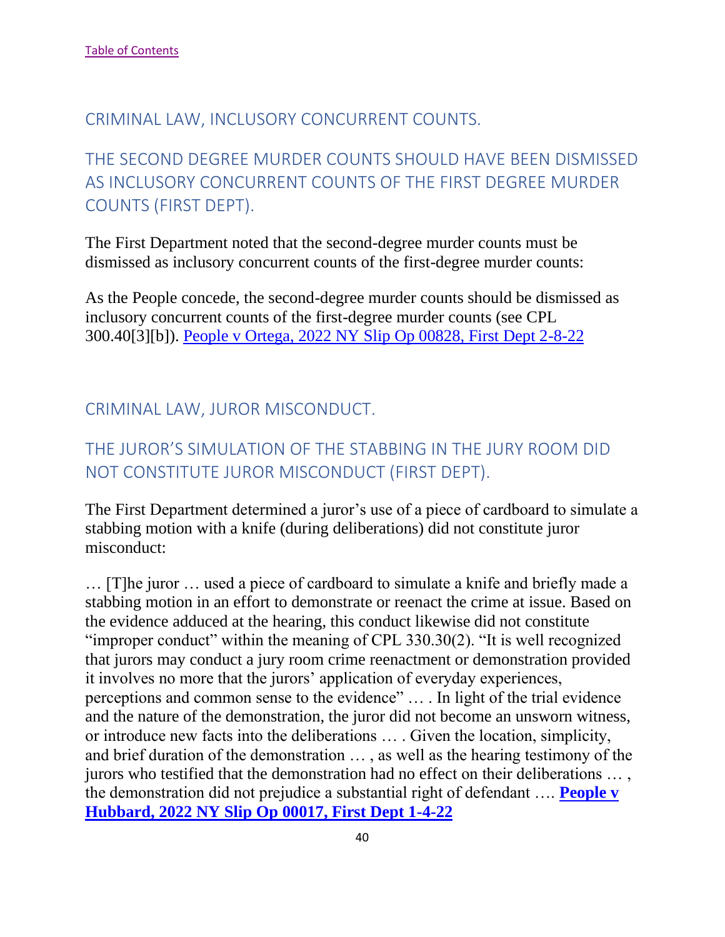#### CRIMINAL LAW, INCLUSORY CONCURRENT COUNTS.

# THE SECOND DEGREE MURDER COUNTS SHOULD HAVE BEEN DISMISSED AS INCLUSORY CONCURRENT COUNTS OF THE FIRST DEGREE MURDER COUNTS (FIRST DEPT).

The First Department noted that the second-degree murder counts must be dismissed as inclusory concurrent counts of the first-degree murder counts:

As the People concede, the second-degree murder counts should be dismissed as inclusory concurrent counts of the first-degree murder counts (see CPL 300.40[3][b]). [People v Ortega, 2022 NY Slip Op 00828, First Dept 2-8-22](https://nycourts.gov/reporter/3dseries/2022/2022_00828.htm)

### CRIMINAL LAW, JUROR MISCONDUCT.

## THE JUROR'S SIMULATION OF THE STABBING IN THE JURY ROOM DID NOT CONSTITUTE JUROR MISCONDUCT (FIRST DEPT).

The First Department determined a juror's use of a piece of cardboard to simulate a stabbing motion with a knife (during deliberations) did not constitute juror misconduct:

… [T]he juror … used a piece of cardboard to simulate a knife and briefly made a stabbing motion in an effort to demonstrate or reenact the crime at issue. Based on the evidence adduced at the hearing, this conduct likewise did not constitute "improper conduct" within the meaning of CPL 330.30(2). "It is well recognized that jurors may conduct a jury room crime reenactment or demonstration provided it involves no more that the jurors' application of everyday experiences, perceptions and common sense to the evidence" … . In light of the trial evidence and the nature of the demonstration, the juror did not become an unsworn witness, or introduce new facts into the deliberations … . Given the location, simplicity, and brief duration of the demonstration … , as well as the hearing testimony of the jurors who testified that the demonstration had no effect on their deliberations … , the demonstration did not prejudice a substantial right of defendant …. **[People v](https://nycourts.gov/reporter/3dseries/2022/2022_00017.htm)  [Hubbard, 2022 NY Slip Op 00017, First Dept 1-4-22](https://nycourts.gov/reporter/3dseries/2022/2022_00017.htm)**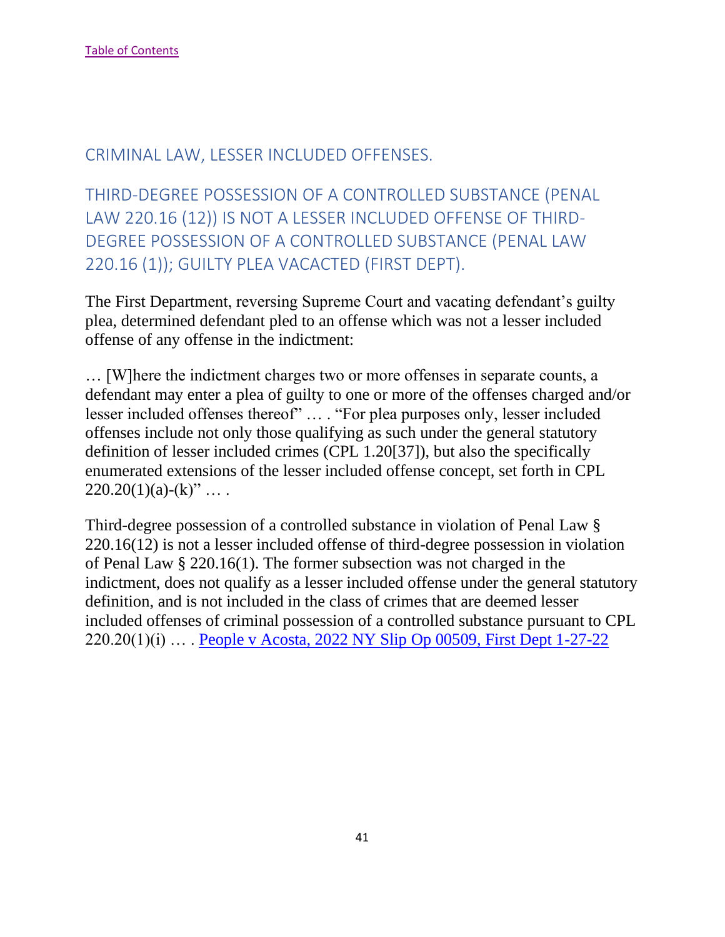### CRIMINAL LAW, LESSER INCLUDED OFFENSES.

THIRD-DEGREE POSSESSION OF A CONTROLLED SUBSTANCE (PENAL LAW 220.16 (12)) IS NOT A LESSER INCLUDED OFFENSE OF THIRD-DEGREE POSSESSION OF A CONTROLLED SUBSTANCE (PENAL LAW 220.16 (1)); GUILTY PLEA VACACTED (FIRST DEPT).

The First Department, reversing Supreme Court and vacating defendant's guilty plea, determined defendant pled to an offense which was not a lesser included offense of any offense in the indictment:

… [W]here the indictment charges two or more offenses in separate counts, a defendant may enter a plea of guilty to one or more of the offenses charged and/or lesser included offenses thereof" … . "For plea purposes only, lesser included offenses include not only those qualifying as such under the general statutory definition of lesser included crimes (CPL 1.20[37]), but also the specifically enumerated extensions of the lesser included offense concept, set forth in CPL  $220.20(1)(a)-(k)'' \dots$ 

Third-degree possession of a controlled substance in violation of Penal Law § 220.16(12) is not a lesser included offense of third-degree possession in violation of Penal Law § 220.16(1). The former subsection was not charged in the indictment, does not qualify as a lesser included offense under the general statutory definition, and is not included in the class of crimes that are deemed lesser included offenses of criminal possession of a controlled substance pursuant to CPL 220.20(1)(i) … . [People v Acosta, 2022 NY Slip Op 00509, First Dept 1-27-22](https://nycourts.gov/reporter/3dseries/2022/2022_00509.htm)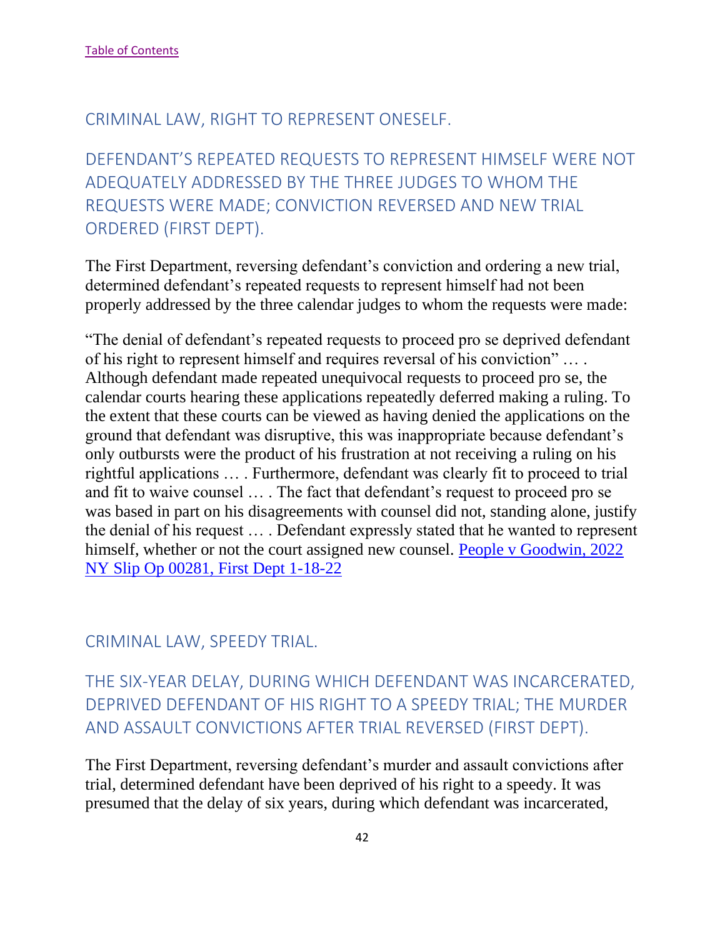### CRIMINAL LAW, RIGHT TO REPRESENT ONESELF.

DEFENDANT'S REPEATED REQUESTS TO REPRESENT HIMSELF WERE NOT ADEQUATELY ADDRESSED BY THE THREE JUDGES TO WHOM THE REQUESTS WERE MADE; CONVICTION REVERSED AND NEW TRIAL ORDERED (FIRST DEPT).

The First Department, reversing defendant's conviction and ordering a new trial, determined defendant's repeated requests to represent himself had not been properly addressed by the three calendar judges to whom the requests were made:

"The denial of defendant's repeated requests to proceed pro se deprived defendant of his right to represent himself and requires reversal of his conviction" … . Although defendant made repeated unequivocal requests to proceed pro se, the calendar courts hearing these applications repeatedly deferred making a ruling. To the extent that these courts can be viewed as having denied the applications on the ground that defendant was disruptive, this was inappropriate because defendant's only outbursts were the product of his frustration at not receiving a ruling on his rightful applications … . Furthermore, defendant was clearly fit to proceed to trial and fit to waive counsel … . The fact that defendant's request to proceed pro se was based in part on his disagreements with counsel did not, standing alone, justify the denial of his request … . Defendant expressly stated that he wanted to represent himself, whether or not the court assigned new counsel. People v Goodwin, 2022 [NY Slip Op 00281, First Dept 1-18-22](https://nycourts.gov/reporter/3dseries/2022/2022_00281.htm)

#### CRIMINAL LAW, SPEEDY TRIAL.

THE SIX-YEAR DELAY, DURING WHICH DEFENDANT WAS INCARCERATED, DEPRIVED DEFENDANT OF HIS RIGHT TO A SPEEDY TRIAL; THE MURDER AND ASSAULT CONVICTIONS AFTER TRIAL REVERSED (FIRST DEPT).

The First Department, reversing defendant's murder and assault convictions after trial, determined defendant have been deprived of his right to a speedy. It was presumed that the delay of six years, during which defendant was incarcerated,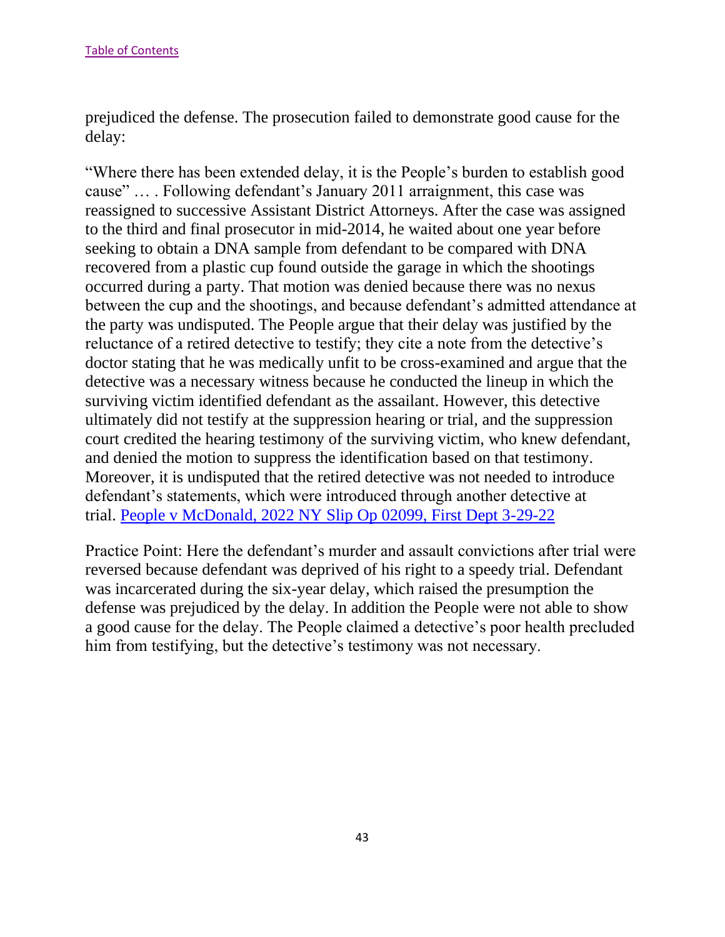prejudiced the defense. The prosecution failed to demonstrate good cause for the delay:

"Where there has been extended delay, it is the People's burden to establish good cause" … . Following defendant's January 2011 arraignment, this case was reassigned to successive Assistant District Attorneys. After the case was assigned to the third and final prosecutor in mid-2014, he waited about one year before seeking to obtain a DNA sample from defendant to be compared with DNA recovered from a plastic cup found outside the garage in which the shootings occurred during a party. That motion was denied because there was no nexus between the cup and the shootings, and because defendant's admitted attendance at the party was undisputed. The People argue that their delay was justified by the reluctance of a retired detective to testify; they cite a note from the detective's doctor stating that he was medically unfit to be cross-examined and argue that the detective was a necessary witness because he conducted the lineup in which the surviving victim identified defendant as the assailant. However, this detective ultimately did not testify at the suppression hearing or trial, and the suppression court credited the hearing testimony of the surviving victim, who knew defendant, and denied the motion to suppress the identification based on that testimony. Moreover, it is undisputed that the retired detective was not needed to introduce defendant's statements, which were introduced through another detective at trial. [People v McDonald, 2022 NY Slip Op 02099, First Dept 3-29-22](https://nycourts.gov/reporter/3dseries/2022/2022_02099.htm)

Practice Point: Here the defendant's murder and assault convictions after trial were reversed because defendant was deprived of his right to a speedy trial. Defendant was incarcerated during the six-year delay, which raised the presumption the defense was prejudiced by the delay. In addition the People were not able to show a good cause for the delay. The People claimed a detective's poor health precluded him from testifying, but the detective's testimony was not necessary.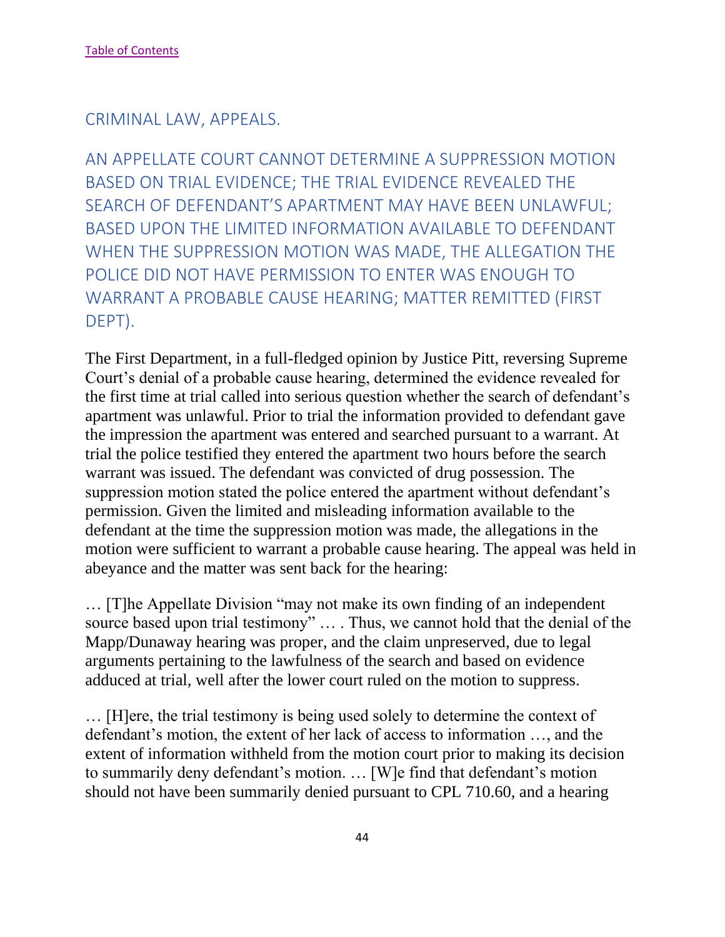#### CRIMINAL LAW, APPEALS.

AN APPELLATE COURT CANNOT DETERMINE A SUPPRESSION MOTION BASED ON TRIAL EVIDENCE; THE TRIAL EVIDENCE REVEALED THE SEARCH OF DEFENDANT'S APARTMENT MAY HAVE BEEN UNLAWFUL; BASED UPON THE LIMITED INFORMATION AVAILABLE TO DEFENDANT WHEN THE SUPPRESSION MOTION WAS MADE, THE ALLEGATION THE POLICE DID NOT HAVE PERMISSION TO ENTER WAS ENOUGH TO WARRANT A PROBABLE CAUSE HEARING; MATTER REMITTED (FIRST DEPT).

The First Department, in a full-fledged opinion by Justice Pitt, reversing Supreme Court's denial of a probable cause hearing, determined the evidence revealed for the first time at trial called into serious question whether the search of defendant's apartment was unlawful. Prior to trial the information provided to defendant gave the impression the apartment was entered and searched pursuant to a warrant. At trial the police testified they entered the apartment two hours before the search warrant was issued. The defendant was convicted of drug possession. The suppression motion stated the police entered the apartment without defendant's permission. Given the limited and misleading information available to the defendant at the time the suppression motion was made, the allegations in the motion were sufficient to warrant a probable cause hearing. The appeal was held in abeyance and the matter was sent back for the hearing:

… [T]he Appellate Division "may not make its own finding of an independent source based upon trial testimony" … . Thus, we cannot hold that the denial of the Mapp/Dunaway hearing was proper, and the claim unpreserved, due to legal arguments pertaining to the lawfulness of the search and based on evidence adduced at trial, well after the lower court ruled on the motion to suppress.

… [H]ere, the trial testimony is being used solely to determine the context of defendant's motion, the extent of her lack of access to information …, and the extent of information withheld from the motion court prior to making its decision to summarily deny defendant's motion. … [W]e find that defendant's motion should not have been summarily denied pursuant to CPL 710.60, and a hearing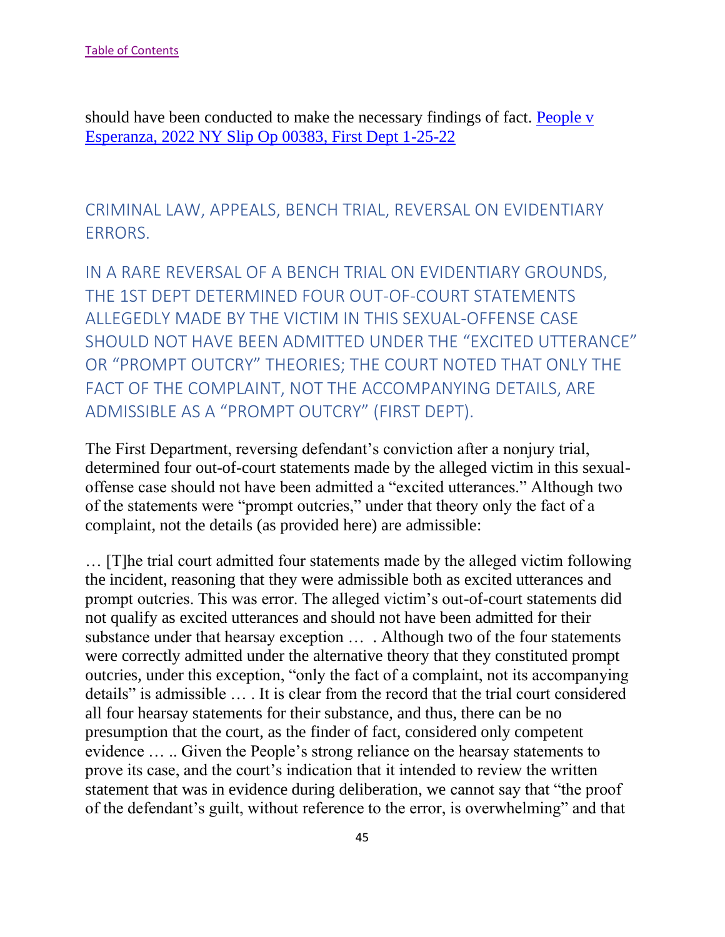should have been conducted to make the necessary findings of fact. [People v](https://nycourts.gov/reporter/3dseries/2022/2022_00383.htm)  [Esperanza, 2022 NY Slip Op 00383, First Dept 1-25-22](https://nycourts.gov/reporter/3dseries/2022/2022_00383.htm)

CRIMINAL LAW, APPEALS, BENCH TRIAL, REVERSAL ON EVIDENTIARY ERRORS.

IN A RARE REVERSAL OF A BENCH TRIAL ON EVIDENTIARY GROUNDS, THE 1ST DEPT DETERMINED FOUR OUT-OF-COURT STATEMENTS ALLEGEDLY MADE BY THE VICTIM IN THIS SEXUAL-OFFENSE CASE SHOULD NOT HAVE BEEN ADMITTED UNDER THE "EXCITED UTTERANCE" OR "PROMPT OUTCRY" THEORIES; THE COURT NOTED THAT ONLY THE FACT OF THE COMPLAINT, NOT THE ACCOMPANYING DETAILS, ARE ADMISSIBLE AS A "PROMPT OUTCRY" (FIRST DEPT).

The First Department, reversing defendant's conviction after a nonjury trial, determined four out-of-court statements made by the alleged victim in this sexualoffense case should not have been admitted a "excited utterances." Although two of the statements were "prompt outcries," under that theory only the fact of a complaint, not the details (as provided here) are admissible:

… [T]he trial court admitted four statements made by the alleged victim following the incident, reasoning that they were admissible both as excited utterances and prompt outcries. This was error. The alleged victim's out-of-court statements did not qualify as excited utterances and should not have been admitted for their substance under that hearsay exception … . Although two of the four statements were correctly admitted under the alternative theory that they constituted prompt outcries, under this exception, "only the fact of a complaint, not its accompanying details" is admissible … . It is clear from the record that the trial court considered all four hearsay statements for their substance, and thus, there can be no presumption that the court, as the finder of fact, considered only competent evidence … .. Given the People's strong reliance on the hearsay statements to prove its case, and the court's indication that it intended to review the written statement that was in evidence during deliberation, we cannot say that "the proof of the defendant's guilt, without reference to the error, is overwhelming" and that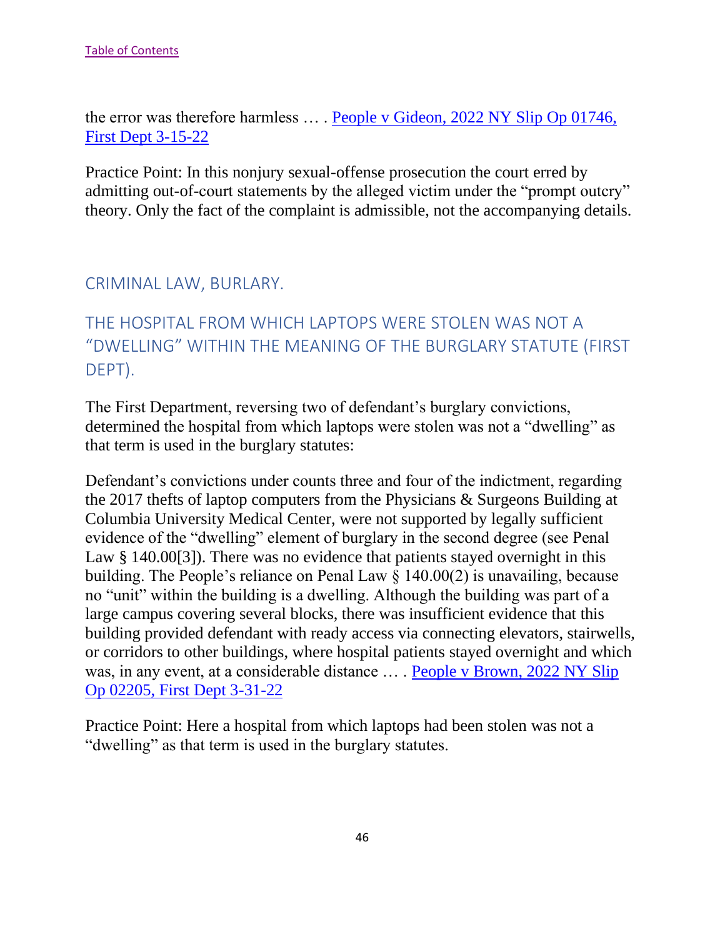the error was therefore harmless … . [People v Gideon, 2022 NY Slip Op 01746,](https://nycourts.gov/reporter/3dseries/2022/2022_01746.htm)  [First Dept 3-15-22](https://nycourts.gov/reporter/3dseries/2022/2022_01746.htm)

Practice Point: In this nonjury sexual-offense prosecution the court erred by admitting out-of-court statements by the alleged victim under the "prompt outcry" theory. Only the fact of the complaint is admissible, not the accompanying details.

#### CRIMINAL LAW, BURLARY.

# THE HOSPITAL FROM WHICH LAPTOPS WERE STOLEN WAS NOT A "DWELLING" WITHIN THE MEANING OF THE BURGLARY STATUTE (FIRST DEPT).

The First Department, reversing two of defendant's burglary convictions, determined the hospital from which laptops were stolen was not a "dwelling" as that term is used in the burglary statutes:

Defendant's convictions under counts three and four of the indictment, regarding the 2017 thefts of laptop computers from the Physicians & Surgeons Building at Columbia University Medical Center, were not supported by legally sufficient evidence of the "dwelling" element of burglary in the second degree (see Penal Law § 140.00[3]). There was no evidence that patients stayed overnight in this building. The People's reliance on Penal Law § 140.00(2) is unavailing, because no "unit" within the building is a dwelling. Although the building was part of a large campus covering several blocks, there was insufficient evidence that this building provided defendant with ready access via connecting elevators, stairwells, or corridors to other buildings, where hospital patients stayed overnight and which was, in any event, at a considerable distance … . [People v Brown, 2022 NY Slip](https://nycourts.gov/reporter/3dseries/2022/2022_02205.htm)  [Op 02205, First Dept 3-31-22](https://nycourts.gov/reporter/3dseries/2022/2022_02205.htm)

Practice Point: Here a hospital from which laptops had been stolen was not a "dwelling" as that term is used in the burglary statutes.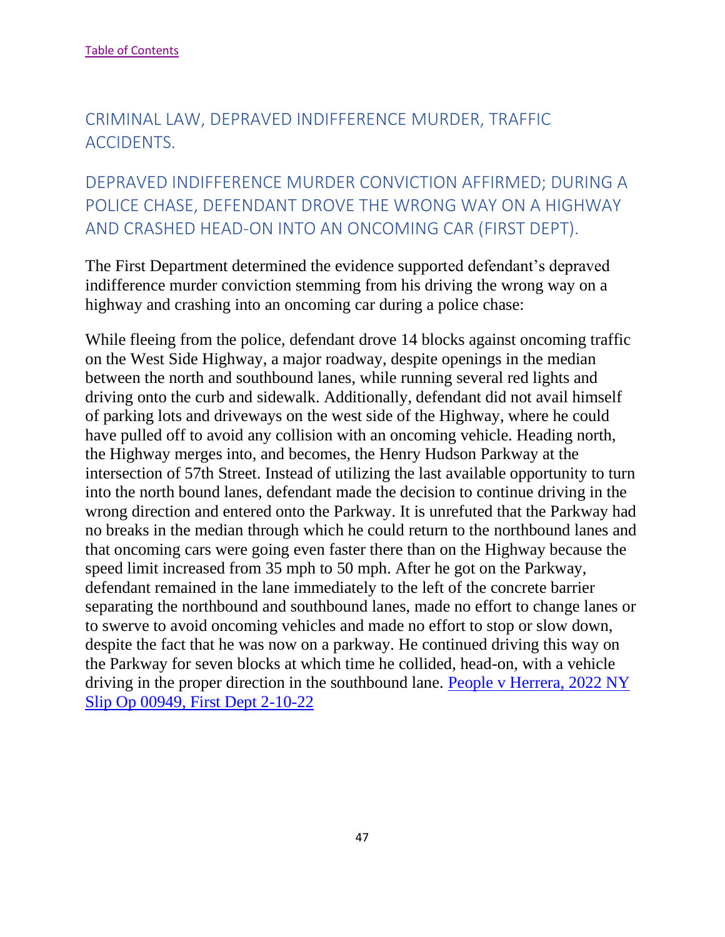# CRIMINAL LAW, DEPRAVED INDIFFERENCE MURDER, TRAFFIC ACCIDENTS.

# DEPRAVED INDIFFERENCE MURDER CONVICTION AFFIRMED; DURING A POLICE CHASE, DEFENDANT DROVE THE WRONG WAY ON A HIGHWAY AND CRASHED HEAD-ON INTO AN ONCOMING CAR (FIRST DEPT).

The First Department determined the evidence supported defendant's depraved indifference murder conviction stemming from his driving the wrong way on a highway and crashing into an oncoming car during a police chase:

While fleeing from the police, defendant drove 14 blocks against oncoming traffic on the West Side Highway, a major roadway, despite openings in the median between the north and southbound lanes, while running several red lights and driving onto the curb and sidewalk. Additionally, defendant did not avail himself of parking lots and driveways on the west side of the Highway, where he could have pulled off to avoid any collision with an oncoming vehicle. Heading north, the Highway merges into, and becomes, the Henry Hudson Parkway at the intersection of 57th Street. Instead of utilizing the last available opportunity to turn into the north bound lanes, defendant made the decision to continue driving in the wrong direction and entered onto the Parkway. It is unrefuted that the Parkway had no breaks in the median through which he could return to the northbound lanes and that oncoming cars were going even faster there than on the Highway because the speed limit increased from 35 mph to 50 mph. After he got on the Parkway, defendant remained in the lane immediately to the left of the concrete barrier separating the northbound and southbound lanes, made no effort to change lanes or to swerve to avoid oncoming vehicles and made no effort to stop or slow down, despite the fact that he was now on a parkway. He continued driving this way on the Parkway for seven blocks at which time he collided, head-on, with a vehicle driving in the proper direction in the southbound lane. [People v Herrera, 2022 NY](https://nycourts.gov/reporter/3dseries/2022/2022_00949.htm)  [Slip Op 00949, First Dept 2-10-22](https://nycourts.gov/reporter/3dseries/2022/2022_00949.htm)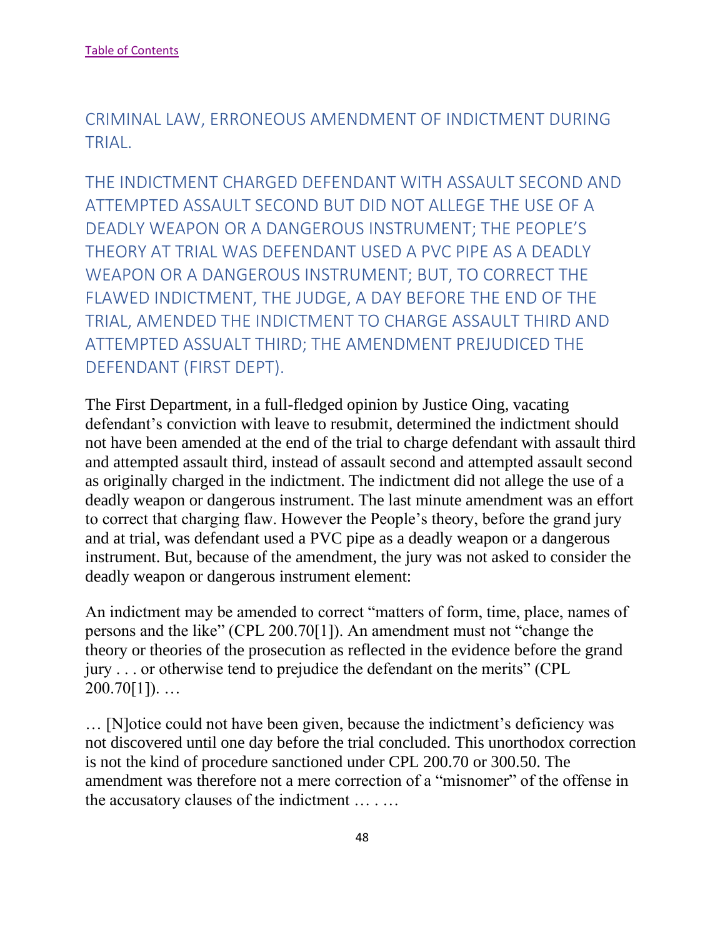CRIMINAL LAW, ERRONEOUS AMENDMENT OF INDICTMENT DURING TRIAL.

THE INDICTMENT CHARGED DEFENDANT WITH ASSAULT SECOND AND ATTEMPTED ASSAULT SECOND BUT DID NOT ALLEGE THE USE OF A DEADLY WEAPON OR A DANGEROUS INSTRUMENT; THE PEOPLE'S THEORY AT TRIAL WAS DEFENDANT USED A PVC PIPE AS A DEADLY WEAPON OR A DANGEROUS INSTRUMENT; BUT, TO CORRECT THE FLAWED INDICTMENT, THE JUDGE, A DAY BEFORE THE END OF THE TRIAL, AMENDED THE INDICTMENT TO CHARGE ASSAULT THIRD AND ATTEMPTED ASSUALT THIRD; THE AMENDMENT PREJUDICED THE DEFENDANT (FIRST DEPT).

The First Department, in a full-fledged opinion by Justice Oing, vacating defendant's conviction with leave to resubmit, determined the indictment should not have been amended at the end of the trial to charge defendant with assault third and attempted assault third, instead of assault second and attempted assault second as originally charged in the indictment. The indictment did not allege the use of a deadly weapon or dangerous instrument. The last minute amendment was an effort to correct that charging flaw. However the People's theory, before the grand jury and at trial, was defendant used a PVC pipe as a deadly weapon or a dangerous instrument. But, because of the amendment, the jury was not asked to consider the deadly weapon or dangerous instrument element:

An indictment may be amended to correct "matters of form, time, place, names of persons and the like" (CPL 200.70[1]). An amendment must not "change the theory or theories of the prosecution as reflected in the evidence before the grand jury . . . or otherwise tend to prejudice the defendant on the merits" (CPL  $200.70[1]$ ...

… [N]otice could not have been given, because the indictment's deficiency was not discovered until one day before the trial concluded. This unorthodox correction is not the kind of procedure sanctioned under CPL 200.70 or 300.50. The amendment was therefore not a mere correction of a "misnomer" of the offense in the accusatory clauses of the indictment … . …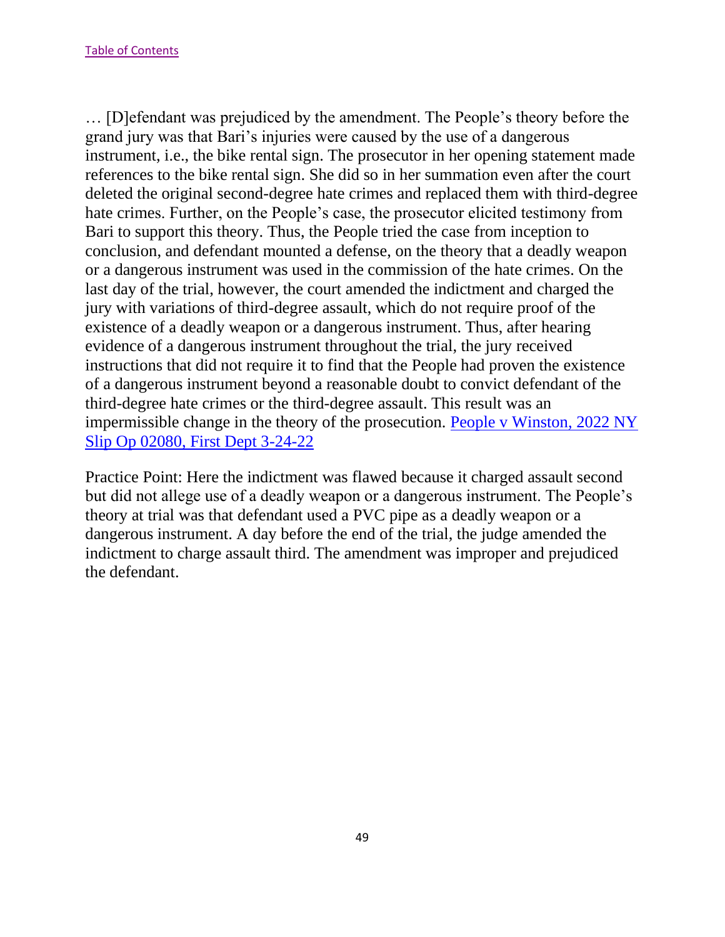… [D]efendant was prejudiced by the amendment. The People's theory before the grand jury was that Bari's injuries were caused by the use of a dangerous instrument, i.e., the bike rental sign. The prosecutor in her opening statement made references to the bike rental sign. She did so in her summation even after the court deleted the original second-degree hate crimes and replaced them with third-degree hate crimes. Further, on the People's case, the prosecutor elicited testimony from Bari to support this theory. Thus, the People tried the case from inception to conclusion, and defendant mounted a defense, on the theory that a deadly weapon or a dangerous instrument was used in the commission of the hate crimes. On the last day of the trial, however, the court amended the indictment and charged the jury with variations of third-degree assault, which do not require proof of the existence of a deadly weapon or a dangerous instrument. Thus, after hearing evidence of a dangerous instrument throughout the trial, the jury received instructions that did not require it to find that the People had proven the existence of a dangerous instrument beyond a reasonable doubt to convict defendant of the third-degree hate crimes or the third-degree assault. This result was an impermissible change in the theory of the prosecution. [People v Winston, 2022 NY](https://nycourts.gov/reporter/3dseries/2022/2022_02080.htm)  [Slip Op 02080, First Dept 3-24-22](https://nycourts.gov/reporter/3dseries/2022/2022_02080.htm)

Practice Point: Here the indictment was flawed because it charged assault second but did not allege use of a deadly weapon or a dangerous instrument. The People's theory at trial was that defendant used a PVC pipe as a deadly weapon or a dangerous instrument. A day before the end of the trial, the judge amended the indictment to charge assault third. The amendment was improper and prejudiced the defendant.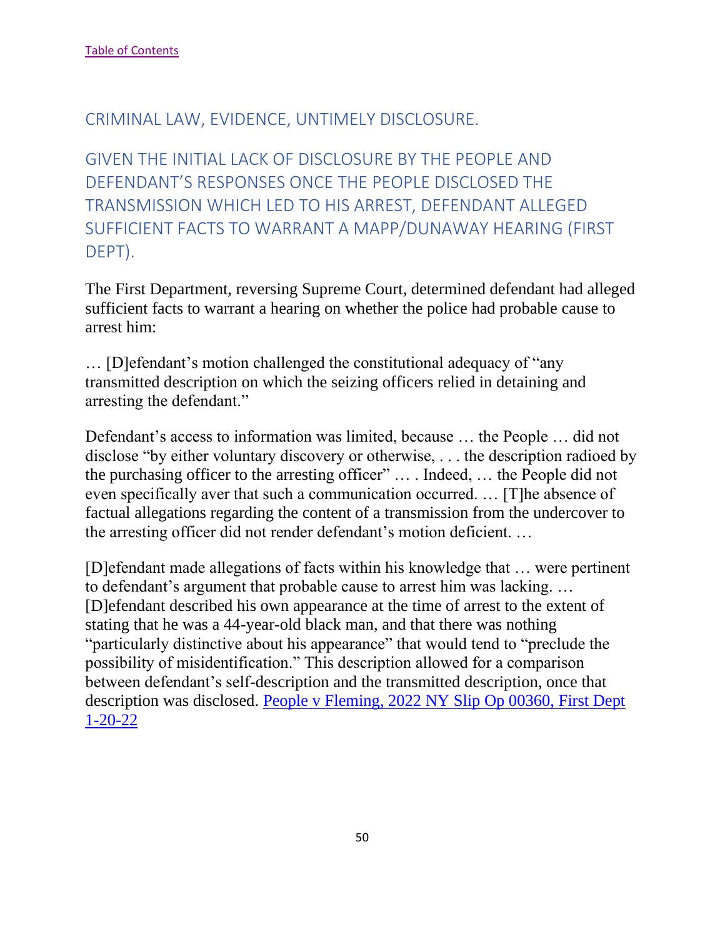### CRIMINAL LAW, EVIDENCE, UNTIMELY DISCLOSURE.

GIVEN THE INITIAL LACK OF DISCLOSURE BY THE PEOPLE AND DEFENDANT'S RESPONSES ONCE THE PEOPLE DISCLOSED THE TRANSMISSION WHICH LED TO HIS ARREST, DEFENDANT ALLEGED SUFFICIENT FACTS TO WARRANT A MAPP/DUNAWAY HEARING (FIRST DEPT).

The First Department, reversing Supreme Court, determined defendant had alleged sufficient facts to warrant a hearing on whether the police had probable cause to arrest him:

… [D]efendant's motion challenged the constitutional adequacy of "any transmitted description on which the seizing officers relied in detaining and arresting the defendant."

Defendant's access to information was limited, because … the People … did not disclose "by either voluntary discovery or otherwise, . . . the description radioed by the purchasing officer to the arresting officer" … . Indeed, … the People did not even specifically aver that such a communication occurred. … [T]he absence of factual allegations regarding the content of a transmission from the undercover to the arresting officer did not render defendant's motion deficient. …

[D]efendant made allegations of facts within his knowledge that … were pertinent to defendant's argument that probable cause to arrest him was lacking. … [D]efendant described his own appearance at the time of arrest to the extent of stating that he was a 44-year-old black man, and that there was nothing "particularly distinctive about his appearance" that would tend to "preclude the possibility of misidentification." This description allowed for a comparison between defendant's self-description and the transmitted description, once that description was disclosed. [People v Fleming, 2022 NY Slip Op 00360, First Dept](https://nycourts.gov/reporter/3dseries/2022/2022_00360.htm)  [1-20-22](https://nycourts.gov/reporter/3dseries/2022/2022_00360.htm)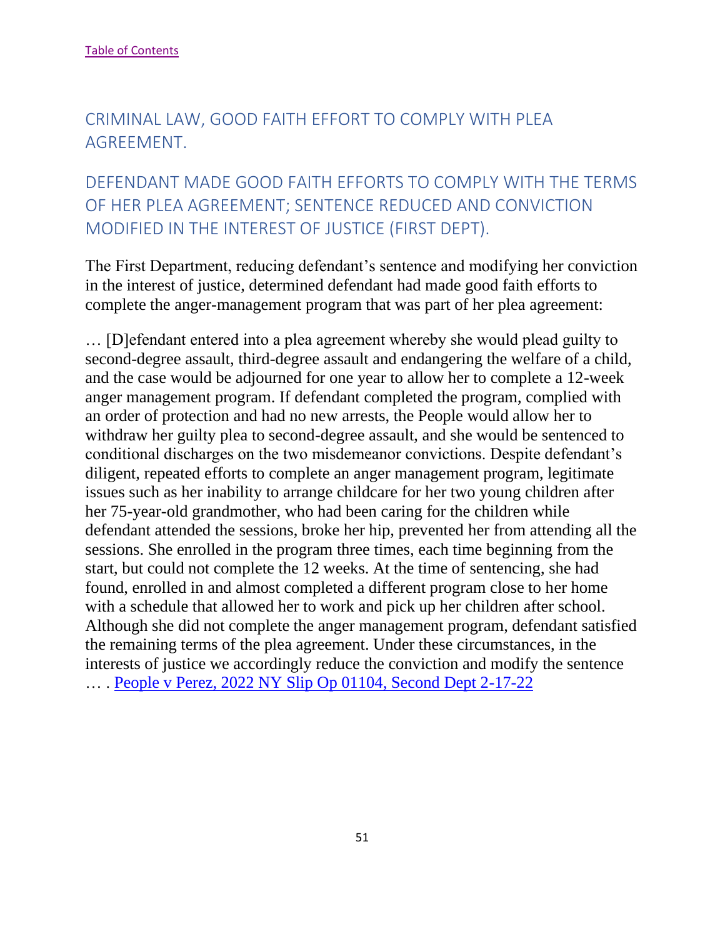# CRIMINAL LAW, GOOD FAITH EFFORT TO COMPLY WITH PLEA AGREEMENT.

# DEFENDANT MADE GOOD FAITH EFFORTS TO COMPLY WITH THE TERMS OF HER PLEA AGREEMENT; SENTENCE REDUCED AND CONVICTION MODIFIED IN THE INTEREST OF JUSTICE (FIRST DEPT).

The First Department, reducing defendant's sentence and modifying her conviction in the interest of justice, determined defendant had made good faith efforts to complete the anger-management program that was part of her plea agreement:

… [D]efendant entered into a plea agreement whereby she would plead guilty to second-degree assault, third-degree assault and endangering the welfare of a child, and the case would be adjourned for one year to allow her to complete a 12-week anger management program. If defendant completed the program, complied with an order of protection and had no new arrests, the People would allow her to withdraw her guilty plea to second-degree assault, and she would be sentenced to conditional discharges on the two misdemeanor convictions. Despite defendant's diligent, repeated efforts to complete an anger management program, legitimate issues such as her inability to arrange childcare for her two young children after her 75-year-old grandmother, who had been caring for the children while defendant attended the sessions, broke her hip, prevented her from attending all the sessions. She enrolled in the program three times, each time beginning from the start, but could not complete the 12 weeks. At the time of sentencing, she had found, enrolled in and almost completed a different program close to her home with a schedule that allowed her to work and pick up her children after school. Although she did not complete the anger management program, defendant satisfied the remaining terms of the plea agreement. Under these circumstances, in the interests of justice we accordingly reduce the conviction and modify the sentence … . [People v Perez, 2022 NY Slip Op 01104, Second Dept 2-17-22](https://nycourts.gov/reporter/3dseries/2022/2022_01104.htm)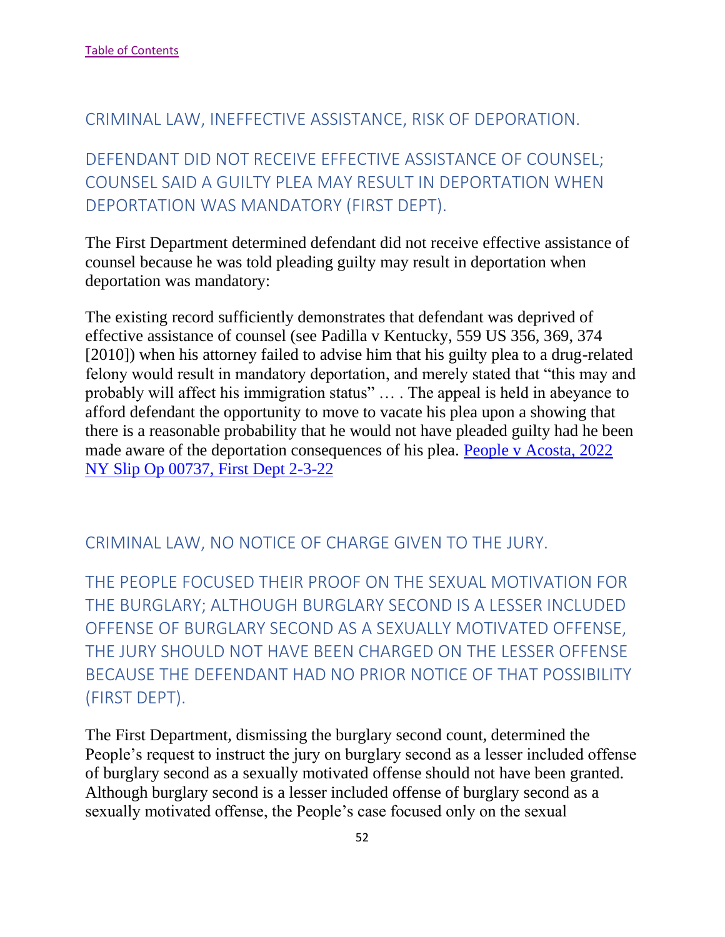#### CRIMINAL LAW, INEFFECTIVE ASSISTANCE, RISK OF DEPORATION.

DEFENDANT DID NOT RECEIVE EFFECTIVE ASSISTANCE OF COUNSEL; COUNSEL SAID A GUILTY PLEA MAY RESULT IN DEPORTATION WHEN DEPORTATION WAS MANDATORY (FIRST DEPT).

The First Department determined defendant did not receive effective assistance of counsel because he was told pleading guilty may result in deportation when deportation was mandatory:

The existing record sufficiently demonstrates that defendant was deprived of effective assistance of counsel (see Padilla v Kentucky, 559 US 356, 369, 374 [2010]) when his attorney failed to advise him that his guilty plea to a drug-related felony would result in mandatory deportation, and merely stated that "this may and probably will affect his immigration status" … . The appeal is held in abeyance to afford defendant the opportunity to move to vacate his plea upon a showing that there is a reasonable probability that he would not have pleaded guilty had he been made aware of the deportation consequences of his plea. [People v Acosta, 2022](https://nycourts.gov/reporter/3dseries/2022/2022_00737.htm)  [NY Slip Op 00737, First Dept 2-3-22](https://nycourts.gov/reporter/3dseries/2022/2022_00737.htm)

#### CRIMINAL LAW, NO NOTICE OF CHARGE GIVEN TO THE JURY.

THE PEOPLE FOCUSED THEIR PROOF ON THE SEXUAL MOTIVATION FOR THE BURGLARY; ALTHOUGH BURGLARY SECOND IS A LESSER INCLUDED OFFENSE OF BURGLARY SECOND AS A SEXUALLY MOTIVATED OFFENSE, THE JURY SHOULD NOT HAVE BEEN CHARGED ON THE LESSER OFFENSE BECAUSE THE DEFENDANT HAD NO PRIOR NOTICE OF THAT POSSIBILITY (FIRST DEPT).

The First Department, dismissing the burglary second count, determined the People's request to instruct the jury on burglary second as a lesser included offense of burglary second as a sexually motivated offense should not have been granted. Although burglary second is a lesser included offense of burglary second as a sexually motivated offense, the People's case focused only on the sexual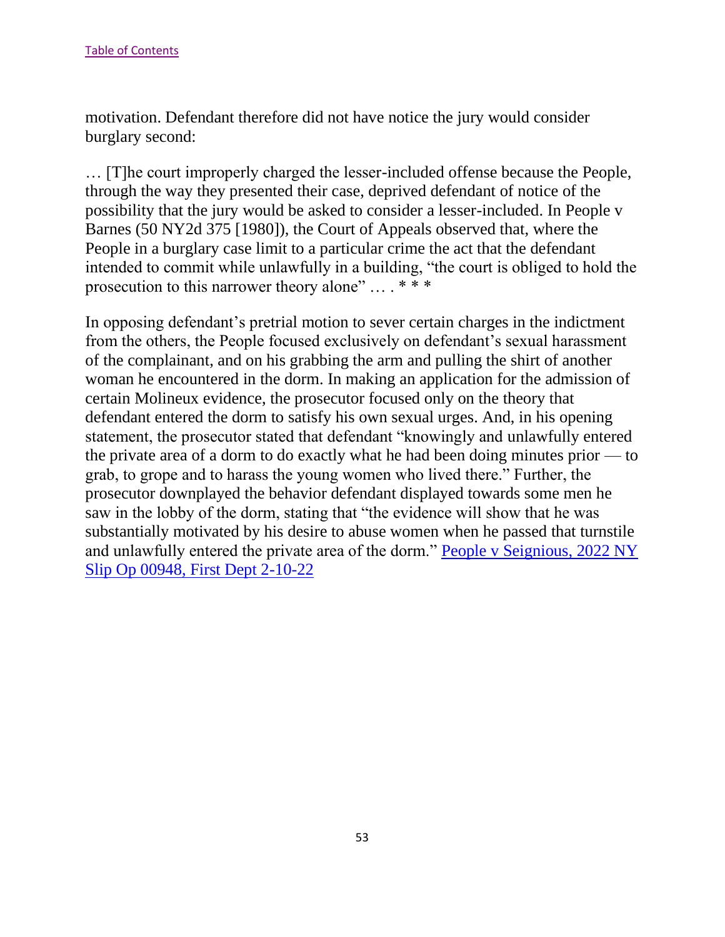motivation. Defendant therefore did not have notice the jury would consider burglary second:

… [T]he court improperly charged the lesser-included offense because the People, through the way they presented their case, deprived defendant of notice of the possibility that the jury would be asked to consider a lesser-included. In People v Barnes (50 NY2d 375 [1980]), the Court of Appeals observed that, where the People in a burglary case limit to a particular crime the act that the defendant intended to commit while unlawfully in a building, "the court is obliged to hold the prosecution to this narrower theory alone" … . \* \* \*

In opposing defendant's pretrial motion to sever certain charges in the indictment from the others, the People focused exclusively on defendant's sexual harassment of the complainant, and on his grabbing the arm and pulling the shirt of another woman he encountered in the dorm. In making an application for the admission of certain Molineux evidence, the prosecutor focused only on the theory that defendant entered the dorm to satisfy his own sexual urges. And, in his opening statement, the prosecutor stated that defendant "knowingly and unlawfully entered the private area of a dorm to do exactly what he had been doing minutes prior — to grab, to grope and to harass the young women who lived there." Further, the prosecutor downplayed the behavior defendant displayed towards some men he saw in the lobby of the dorm, stating that "the evidence will show that he was substantially motivated by his desire to abuse women when he passed that turnstile and unlawfully entered the private area of the dorm." [People v Seignious, 2022 NY](https://nycourts.gov/reporter/3dseries/2022/2022_00948.htm)  [Slip Op 00948, First Dept 2-10-22](https://nycourts.gov/reporter/3dseries/2022/2022_00948.htm)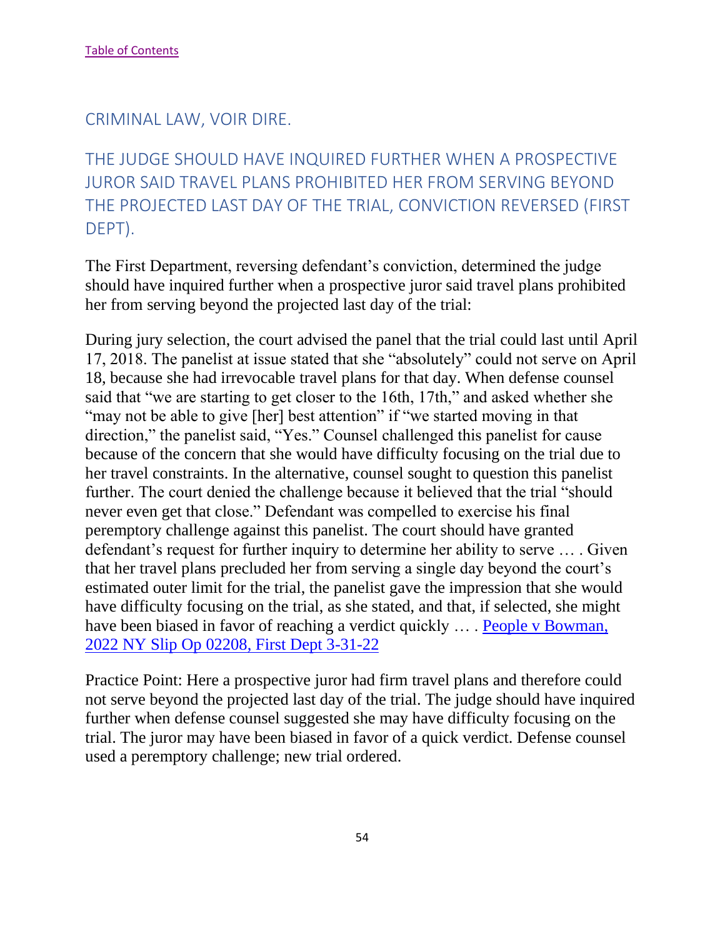#### CRIMINAL LAW, VOIR DIRE.

# THE JUDGE SHOULD HAVE INQUIRED FURTHER WHEN A PROSPECTIVE JUROR SAID TRAVEL PLANS PROHIBITED HER FROM SERVING BEYOND THE PROJECTED LAST DAY OF THE TRIAL, CONVICTION REVERSED (FIRST DEPT).

The First Department, reversing defendant's conviction, determined the judge should have inquired further when a prospective juror said travel plans prohibited her from serving beyond the projected last day of the trial:

During jury selection, the court advised the panel that the trial could last until April 17, 2018. The panelist at issue stated that she "absolutely" could not serve on April 18, because she had irrevocable travel plans for that day. When defense counsel said that "we are starting to get closer to the 16th, 17th," and asked whether she "may not be able to give [her] best attention" if "we started moving in that direction," the panelist said, "Yes." Counsel challenged this panelist for cause because of the concern that she would have difficulty focusing on the trial due to her travel constraints. In the alternative, counsel sought to question this panelist further. The court denied the challenge because it believed that the trial "should never even get that close." Defendant was compelled to exercise his final peremptory challenge against this panelist. The court should have granted defendant's request for further inquiry to determine her ability to serve … . Given that her travel plans precluded her from serving a single day beyond the court's estimated outer limit for the trial, the panelist gave the impression that she would have difficulty focusing on the trial, as she stated, and that, if selected, she might have been biased in favor of reaching a verdict quickly ... . People v Bowman, [2022 NY Slip Op 02208, First Dept 3-31-22](https://nycourts.gov/reporter/3dseries/2022/2022_02208.htm)

Practice Point: Here a prospective juror had firm travel plans and therefore could not serve beyond the projected last day of the trial. The judge should have inquired further when defense counsel suggested she may have difficulty focusing on the trial. The juror may have been biased in favor of a quick verdict. Defense counsel used a peremptory challenge; new trial ordered.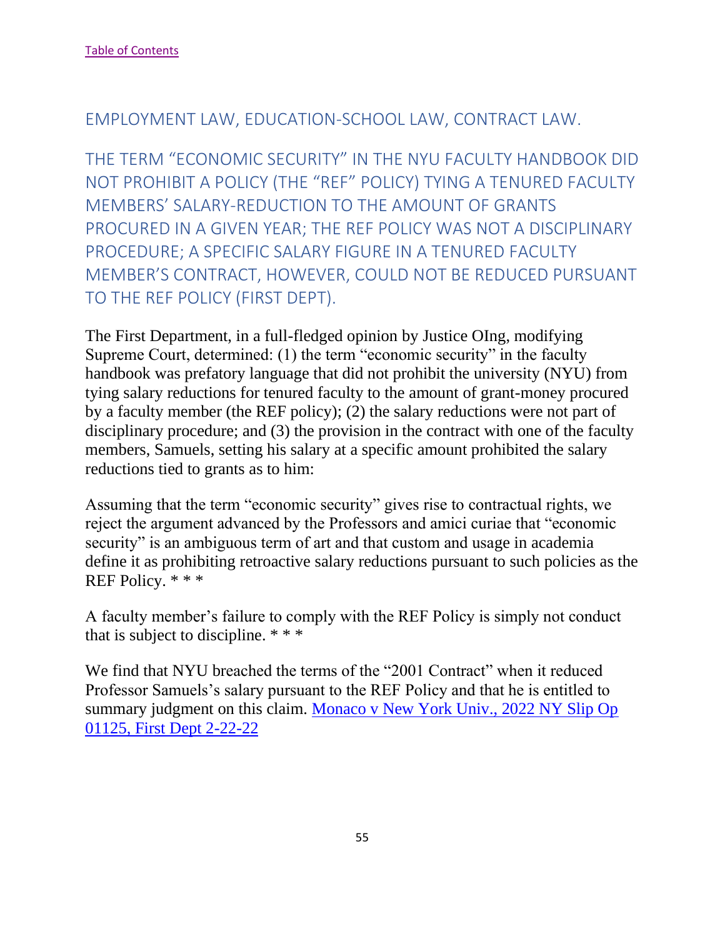## EMPLOYMENT LAW, EDUCATION-SCHOOL LAW, CONTRACT LAW.

THE TERM "ECONOMIC SECURITY" IN THE NYU FACULTY HANDBOOK DID NOT PROHIBIT A POLICY (THE "REF" POLICY) TYING A TENURED FACULTY MEMBERS' SALARY-REDUCTION TO THE AMOUNT OF GRANTS PROCURED IN A GIVEN YEAR; THE REF POLICY WAS NOT A DISCIPLINARY PROCEDURE; A SPECIFIC SALARY FIGURE IN A TENURED FACULTY MEMBER'S CONTRACT, HOWEVER, COULD NOT BE REDUCED PURSUANT TO THE REF POLICY (FIRST DEPT).

The First Department, in a full-fledged opinion by Justice OIng, modifying Supreme Court, determined: (1) the term "economic security" in the faculty handbook was prefatory language that did not prohibit the university (NYU) from tying salary reductions for tenured faculty to the amount of grant-money procured by a faculty member (the REF policy); (2) the salary reductions were not part of disciplinary procedure; and (3) the provision in the contract with one of the faculty members, Samuels, setting his salary at a specific amount prohibited the salary reductions tied to grants as to him:

Assuming that the term "economic security" gives rise to contractual rights, we reject the argument advanced by the Professors and amici curiae that "economic security" is an ambiguous term of art and that custom and usage in academia define it as prohibiting retroactive salary reductions pursuant to such policies as the REF Policy. \* \* \*

A faculty member's failure to comply with the REF Policy is simply not conduct that is subject to discipline. \* \* \*

We find that NYU breached the terms of the "2001 Contract" when it reduced Professor Samuels's salary pursuant to the REF Policy and that he is entitled to summary judgment on this claim. [Monaco v New York Univ., 2022 NY Slip Op](https://nycourts.gov/reporter/3dseries/2022/2022_01125.htm)  [01125, First Dept 2-22-22](https://nycourts.gov/reporter/3dseries/2022/2022_01125.htm)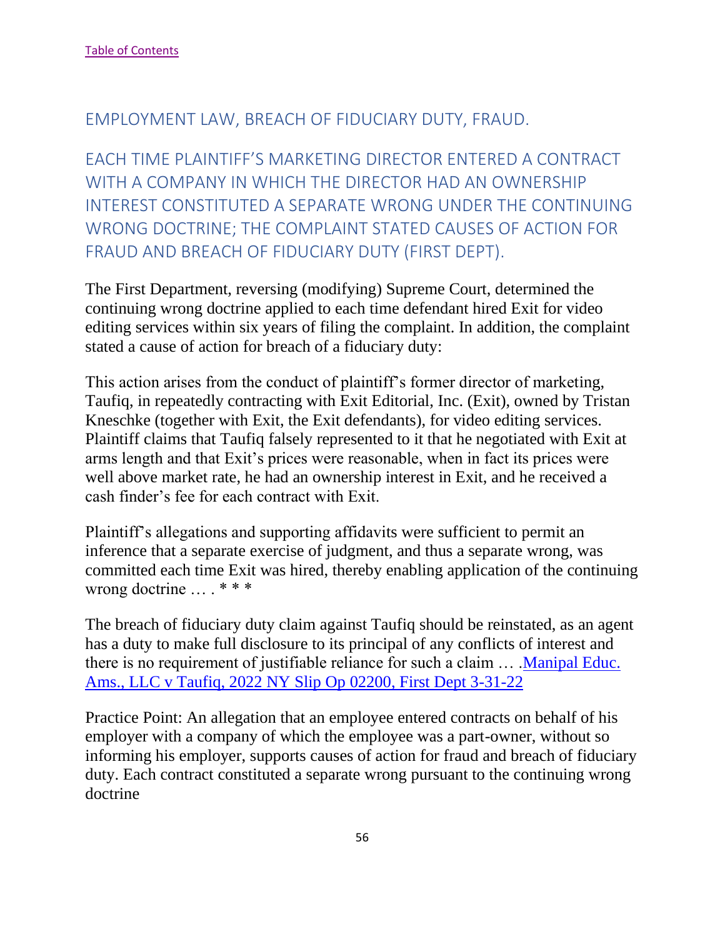### EMPLOYMENT LAW, BREACH OF FIDUCIARY DUTY, FRAUD.

EACH TIME PLAINTIFF'S MARKETING DIRECTOR ENTERED A CONTRACT WITH A COMPANY IN WHICH THE DIRECTOR HAD AN OWNERSHIP INTEREST CONSTITUTED A SEPARATE WRONG UNDER THE CONTINUING WRONG DOCTRINE; THE COMPLAINT STATED CAUSES OF ACTION FOR FRAUD AND BREACH OF FIDUCIARY DUTY (FIRST DEPT).

The First Department, reversing (modifying) Supreme Court, determined the continuing wrong doctrine applied to each time defendant hired Exit for video editing services within six years of filing the complaint. In addition, the complaint stated a cause of action for breach of a fiduciary duty:

This action arises from the conduct of plaintiff's former director of marketing, Taufiq, in repeatedly contracting with Exit Editorial, Inc. (Exit), owned by Tristan Kneschke (together with Exit, the Exit defendants), for video editing services. Plaintiff claims that Taufiq falsely represented to it that he negotiated with Exit at arms length and that Exit's prices were reasonable, when in fact its prices were well above market rate, he had an ownership interest in Exit, and he received a cash finder's fee for each contract with Exit.

Plaintiff's allegations and supporting affidavits were sufficient to permit an inference that a separate exercise of judgment, and thus a separate wrong, was committed each time Exit was hired, thereby enabling application of the continuing wrong doctrine … . \* \* \*

The breach of fiduciary duty claim against Taufiq should be reinstated, as an agent has a duty to make full disclosure to its principal of any conflicts of interest and there is no requirement of justifiable reliance for such a claim … [.Manipal Educ.](https://nycourts.gov/reporter/3dseries/2022/2022_02200.htm)  [Ams., LLC v Taufiq, 2022 NY Slip Op 02200, First Dept 3-31-22](https://nycourts.gov/reporter/3dseries/2022/2022_02200.htm)

Practice Point: An allegation that an employee entered contracts on behalf of his employer with a company of which the employee was a part-owner, without so informing his employer, supports causes of action for fraud and breach of fiduciary duty. Each contract constituted a separate wrong pursuant to the continuing wrong doctrine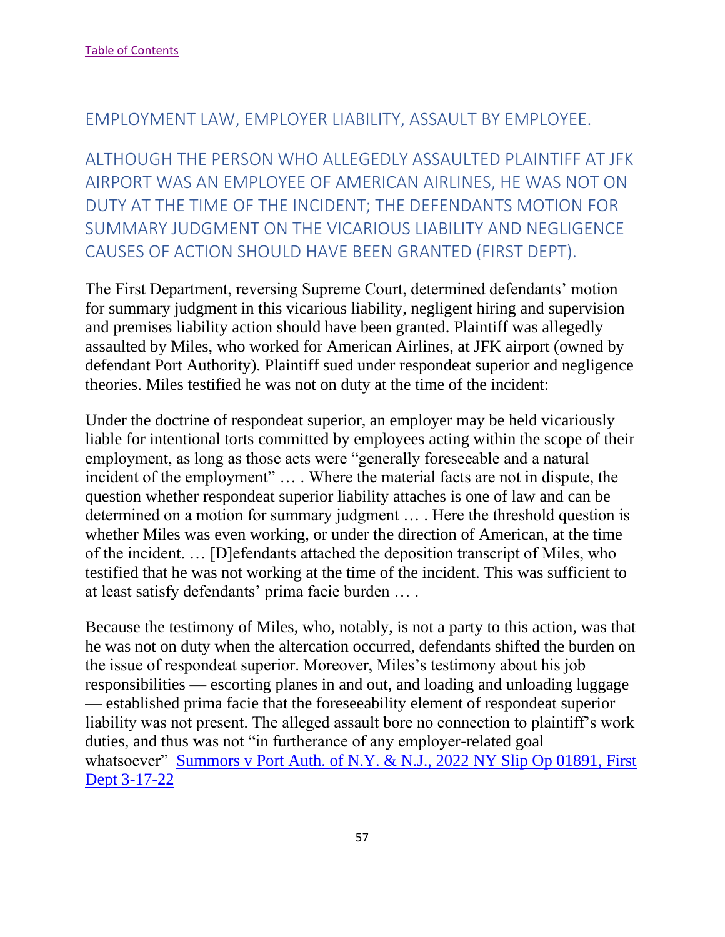### EMPLOYMENT LAW, EMPLOYER LIABILITY, ASSAULT BY EMPLOYEE.

ALTHOUGH THE PERSON WHO ALLEGEDLY ASSAULTED PLAINTIFF AT JFK AIRPORT WAS AN EMPLOYEE OF AMERICAN AIRLINES, HE WAS NOT ON DUTY AT THE TIME OF THE INCIDENT; THE DEFENDANTS MOTION FOR SUMMARY JUDGMENT ON THE VICARIOUS LIABILITY AND NEGLIGENCE CAUSES OF ACTION SHOULD HAVE BEEN GRANTED (FIRST DEPT).

The First Department, reversing Supreme Court, determined defendants' motion for summary judgment in this vicarious liability, negligent hiring and supervision and premises liability action should have been granted. Plaintiff was allegedly assaulted by Miles, who worked for American Airlines, at JFK airport (owned by defendant Port Authority). Plaintiff sued under respondeat superior and negligence theories. Miles testified he was not on duty at the time of the incident:

Under the doctrine of respondeat superior, an employer may be held vicariously liable for intentional torts committed by employees acting within the scope of their employment, as long as those acts were "generally foreseeable and a natural incident of the employment" … . Where the material facts are not in dispute, the question whether respondeat superior liability attaches is one of law and can be determined on a motion for summary judgment … . Here the threshold question is whether Miles was even working, or under the direction of American, at the time of the incident. … [D]efendants attached the deposition transcript of Miles, who testified that he was not working at the time of the incident. This was sufficient to at least satisfy defendants' prima facie burden … .

Because the testimony of Miles, who, notably, is not a party to this action, was that he was not on duty when the altercation occurred, defendants shifted the burden on the issue of respondeat superior. Moreover, Miles's testimony about his job responsibilities — escorting planes in and out, and loading and unloading luggage — established prima facie that the foreseeability element of respondeat superior liability was not present. The alleged assault bore no connection to plaintiff's work duties, and thus was not "in furtherance of any employer-related goal whatsoever" Summors v Port Auth. of N.Y. & N.J., 2022 NY Slip Op 01891, First [Dept 3-17-22](https://nycourts.gov/reporter/3dseries/2022/2022_01891.htm)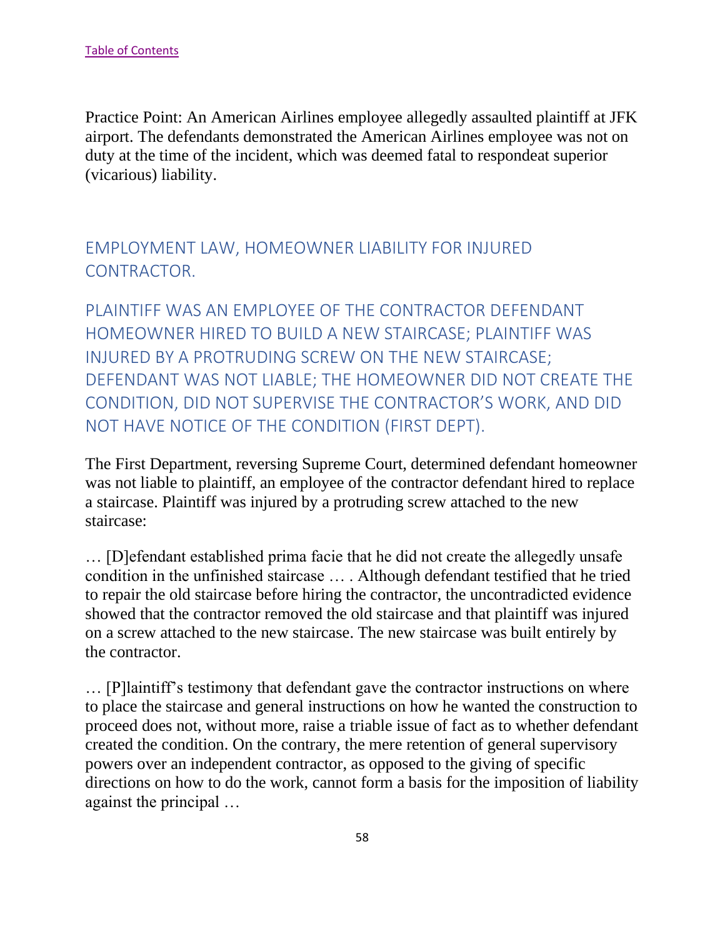Practice Point: An American Airlines employee allegedly assaulted plaintiff at JFK airport. The defendants demonstrated the American Airlines employee was not on duty at the time of the incident, which was deemed fatal to respondeat superior (vicarious) liability.

# EMPLOYMENT LAW, HOMEOWNER LIABILITY FOR INJURED CONTRACTOR.

PLAINTIFF WAS AN EMPLOYEE OF THE CONTRACTOR DEFENDANT HOMEOWNER HIRED TO BUILD A NEW STAIRCASE; PLAINTIFF WAS INJURED BY A PROTRUDING SCREW ON THE NEW STAIRCASE; DEFENDANT WAS NOT LIABLE; THE HOMEOWNER DID NOT CREATE THE CONDITION, DID NOT SUPERVISE THE CONTRACTOR'S WORK, AND DID NOT HAVE NOTICE OF THE CONDITION (FIRST DEPT).

The First Department, reversing Supreme Court, determined defendant homeowner was not liable to plaintiff, an employee of the contractor defendant hired to replace a staircase. Plaintiff was injured by a protruding screw attached to the new staircase:

… [D]efendant established prima facie that he did not create the allegedly unsafe condition in the unfinished staircase … . Although defendant testified that he tried to repair the old staircase before hiring the contractor, the uncontradicted evidence showed that the contractor removed the old staircase and that plaintiff was injured on a screw attached to the new staircase. The new staircase was built entirely by the contractor.

… [P]laintiff's testimony that defendant gave the contractor instructions on where to place the staircase and general instructions on how he wanted the construction to proceed does not, without more, raise a triable issue of fact as to whether defendant created the condition. On the contrary, the mere retention of general supervisory powers over an independent contractor, as opposed to the giving of specific directions on how to do the work, cannot form a basis for the imposition of liability against the principal …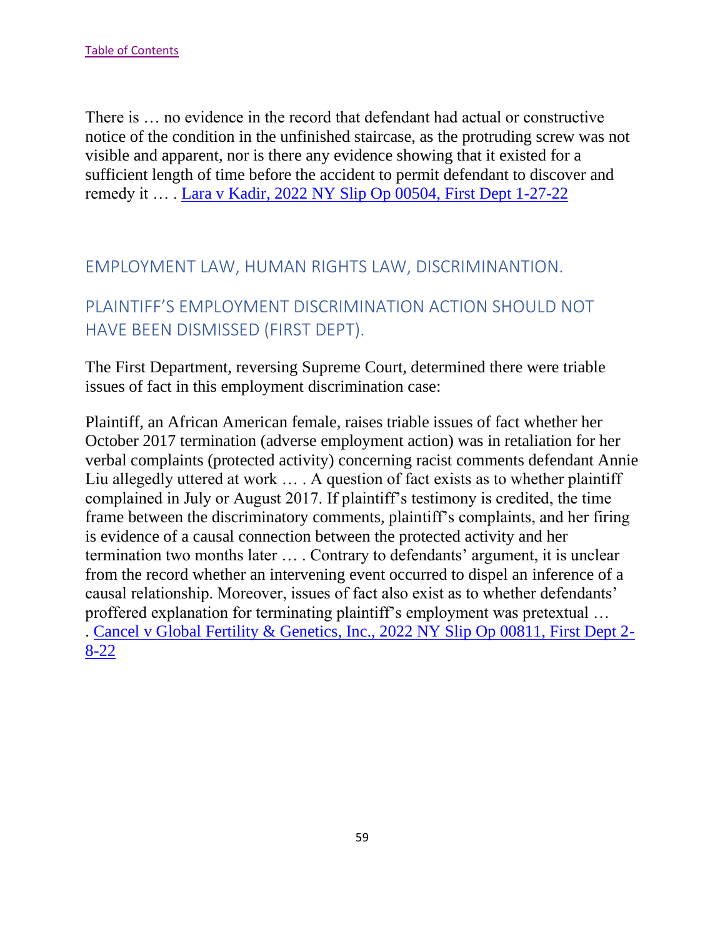There is … no evidence in the record that defendant had actual or constructive notice of the condition in the unfinished staircase, as the protruding screw was not visible and apparent, nor is there any evidence showing that it existed for a sufficient length of time before the accident to permit defendant to discover and remedy it … . [Lara v Kadir, 2022 NY Slip Op 00504, First Dept 1-27-22](https://nycourts.gov/reporter/3dseries/2022/2022_00504.htm)

### EMPLOYMENT LAW, HUMAN RIGHTS LAW, DISCRIMINANTION.

## PLAINTIFF'S EMPLOYMENT DISCRIMINATION ACTION SHOULD NOT HAVE BEEN DISMISSED (FIRST DEPT).

The First Department, reversing Supreme Court, determined there were triable issues of fact in this employment discrimination case:

Plaintiff, an African American female, raises triable issues of fact whether her October 2017 termination (adverse employment action) was in retaliation for her verbal complaints (protected activity) concerning racist comments defendant Annie Liu allegedly uttered at work … . A question of fact exists as to whether plaintiff complained in July or August 2017. If plaintiff's testimony is credited, the time frame between the discriminatory comments, plaintiff's complaints, and her firing is evidence of a causal connection between the protected activity and her termination two months later … . Contrary to defendants' argument, it is unclear from the record whether an intervening event occurred to dispel an inference of a causal relationship. Moreover, issues of fact also exist as to whether defendants' proffered explanation for terminating plaintiff's employment was pretextual … . [Cancel v Global Fertility & Genetics, Inc., 2022 NY Slip Op 00811, First Dept 2-](https://nycourts.gov/reporter/3dseries/2022/2022_00811.htm) [8-22](https://nycourts.gov/reporter/3dseries/2022/2022_00811.htm)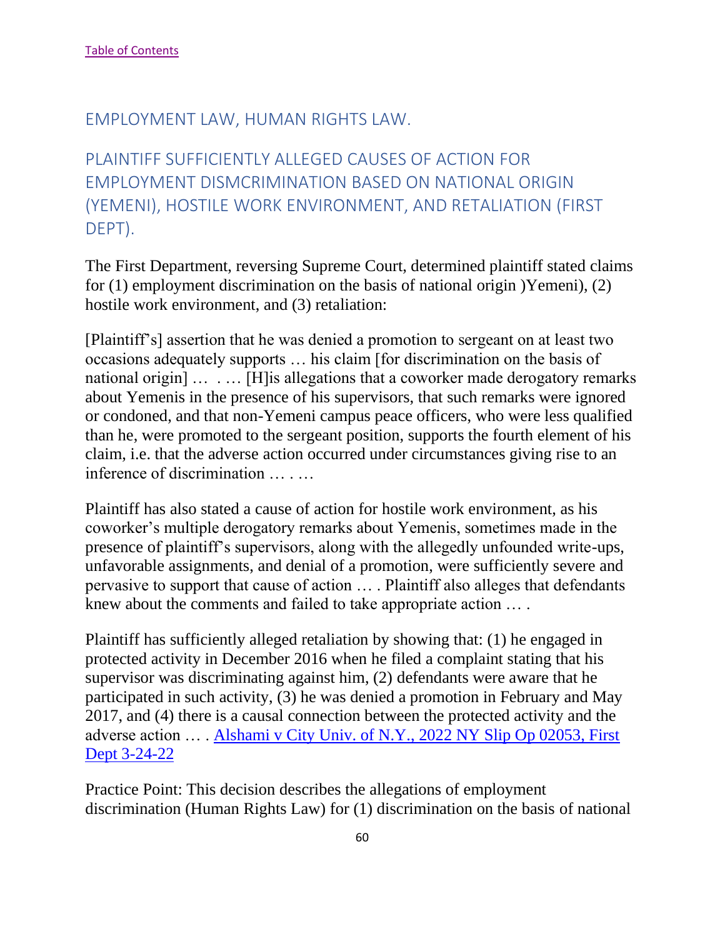#### EMPLOYMENT LAW, HUMAN RIGHTS LAW.

PLAINTIFF SUFFICIENTLY ALLEGED CAUSES OF ACTION FOR EMPLOYMENT DISMCRIMINATION BASED ON NATIONAL ORIGIN (YEMENI), HOSTILE WORK ENVIRONMENT, AND RETALIATION (FIRST DEPT).

The First Department, reversing Supreme Court, determined plaintiff stated claims for (1) employment discrimination on the basis of national origin )Yemeni), (2) hostile work environment, and (3) retaliation:

[Plaintiff's] assertion that he was denied a promotion to sergeant on at least two occasions adequately supports … his claim [for discrimination on the basis of national origin] ... ... [H] is allegations that a coworker made derogatory remarks about Yemenis in the presence of his supervisors, that such remarks were ignored or condoned, and that non-Yemeni campus peace officers, who were less qualified than he, were promoted to the sergeant position, supports the fourth element of his claim, i.e. that the adverse action occurred under circumstances giving rise to an inference of discrimination … . …

Plaintiff has also stated a cause of action for hostile work environment, as his coworker's multiple derogatory remarks about Yemenis, sometimes made in the presence of plaintiff's supervisors, along with the allegedly unfounded write-ups, unfavorable assignments, and denial of a promotion, were sufficiently severe and pervasive to support that cause of action … . Plaintiff also alleges that defendants knew about the comments and failed to take appropriate action … .

Plaintiff has sufficiently alleged retaliation by showing that: (1) he engaged in protected activity in December 2016 when he filed a complaint stating that his supervisor was discriminating against him, (2) defendants were aware that he participated in such activity, (3) he was denied a promotion in February and May 2017, and (4) there is a causal connection between the protected activity and the adverse action … . [Alshami v City Univ. of N.Y., 2022 NY Slip Op 02053, First](https://nycourts.gov/reporter/3dseries/2022/2022_02053.htm)  [Dept 3-24-22](https://nycourts.gov/reporter/3dseries/2022/2022_02053.htm)

Practice Point: This decision describes the allegations of employment discrimination (Human Rights Law) for (1) discrimination on the basis of national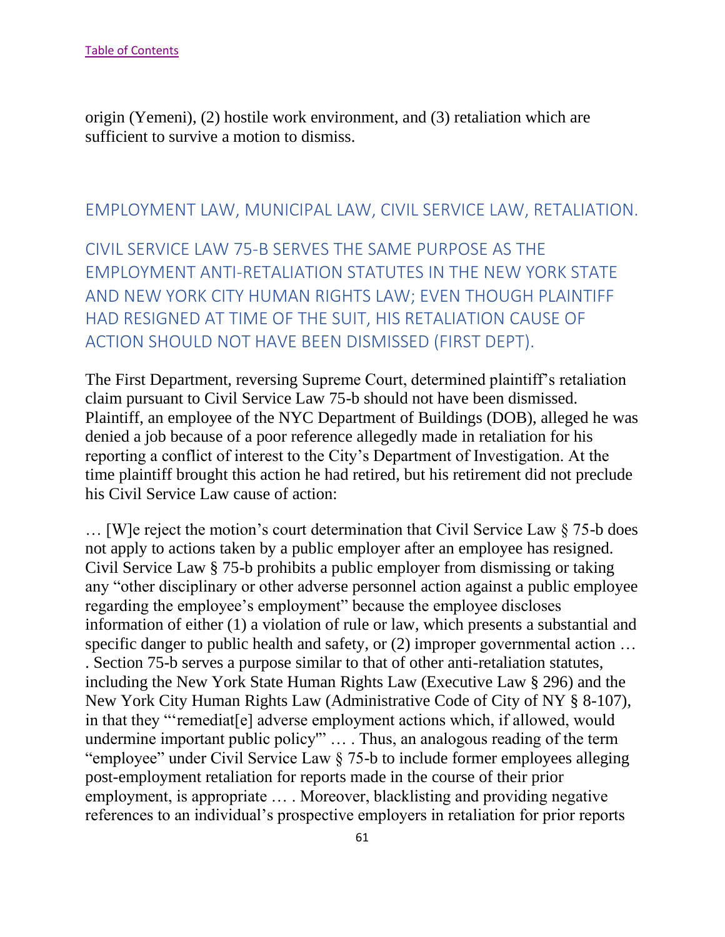origin (Yemeni), (2) hostile work environment, and (3) retaliation which are sufficient to survive a motion to dismiss.

### EMPLOYMENT LAW, MUNICIPAL LAW, CIVIL SERVICE LAW, RETALIATION.

CIVIL SERVICE LAW 75-B SERVES THE SAME PURPOSE AS THE EMPLOYMENT ANTI-RETALIATION STATUTES IN THE NEW YORK STATE AND NEW YORK CITY HUMAN RIGHTS LAW; EVEN THOUGH PLAINTIFF HAD RESIGNED AT TIME OF THE SUIT, HIS RETALIATION CAUSE OF ACTION SHOULD NOT HAVE BEEN DISMISSED (FIRST DEPT).

The First Department, reversing Supreme Court, determined plaintiff's retaliation claim pursuant to Civil Service Law 75-b should not have been dismissed. Plaintiff, an employee of the NYC Department of Buildings (DOB), alleged he was denied a job because of a poor reference allegedly made in retaliation for his reporting a conflict of interest to the City's Department of Investigation. At the time plaintiff brought this action he had retired, but his retirement did not preclude his Civil Service Law cause of action:

… [W]e reject the motion's court determination that Civil Service Law § 75-b does not apply to actions taken by a public employer after an employee has resigned. Civil Service Law § 75-b prohibits a public employer from dismissing or taking any "other disciplinary or other adverse personnel action against a public employee regarding the employee's employment" because the employee discloses information of either (1) a violation of rule or law, which presents a substantial and specific danger to public health and safety, or (2) improper governmental action ... . Section 75-b serves a purpose similar to that of other anti-retaliation statutes, including the New York State Human Rights Law (Executive Law § 296) and the New York City Human Rights Law (Administrative Code of City of NY § 8-107), in that they "'remediat[e] adverse employment actions which, if allowed, would undermine important public policy'" … . Thus, an analogous reading of the term "employee" under Civil Service Law § 75-b to include former employees alleging post-employment retaliation for reports made in the course of their prior employment, is appropriate … . Moreover, blacklisting and providing negative references to an individual's prospective employers in retaliation for prior reports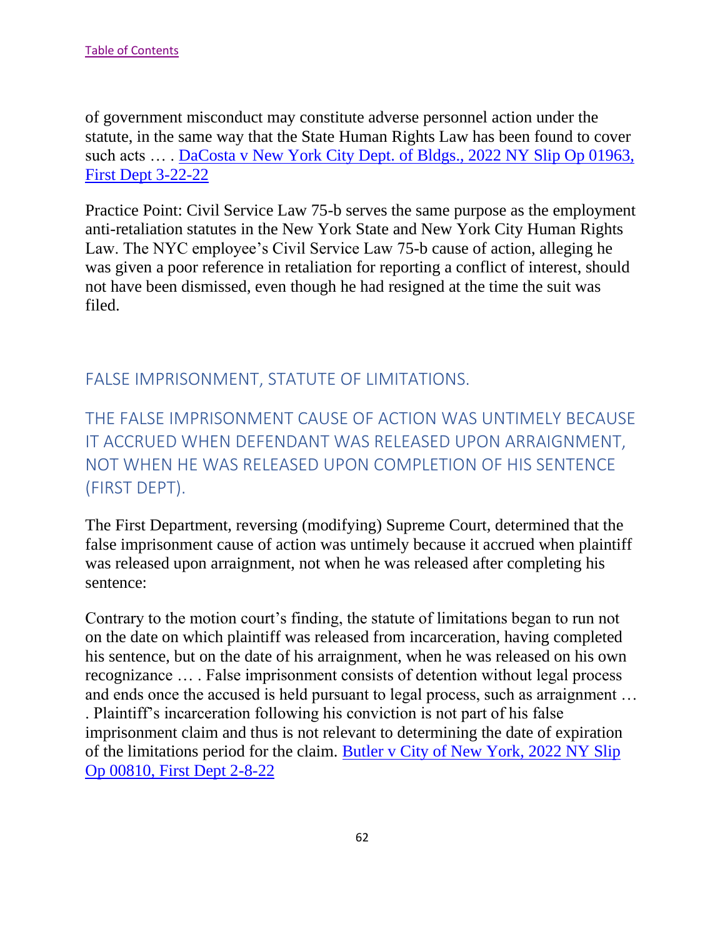of government misconduct may constitute adverse personnel action under the statute, in the same way that the State Human Rights Law has been found to cover such acts … . [DaCosta v New York City Dept. of Bldgs., 2022 NY Slip Op 01963,](https://nycourts.gov/reporter/3dseries/2022/2022_01963.htm)  [First Dept 3-22-22](https://nycourts.gov/reporter/3dseries/2022/2022_01963.htm)

Practice Point: Civil Service Law 75-b serves the same purpose as the employment anti-retaliation statutes in the New York State and New York City Human Rights Law. The NYC employee's Civil Service Law 75-b cause of action, alleging he was given a poor reference in retaliation for reporting a conflict of interest, should not have been dismissed, even though he had resigned at the time the suit was filed.

FALSE IMPRISONMENT, STATUTE OF LIMITATIONS.

THE FALSE IMPRISONMENT CAUSE OF ACTION WAS UNTIMELY BECAUSE IT ACCRUED WHEN DEFENDANT WAS RELEASED UPON ARRAIGNMENT, NOT WHEN HE WAS RELEASED UPON COMPLETION OF HIS SENTENCE (FIRST DEPT).

The First Department, reversing (modifying) Supreme Court, determined that the false imprisonment cause of action was untimely because it accrued when plaintiff was released upon arraignment, not when he was released after completing his sentence:

Contrary to the motion court's finding, the statute of limitations began to run not on the date on which plaintiff was released from incarceration, having completed his sentence, but on the date of his arraignment, when he was released on his own recognizance … . False imprisonment consists of detention without legal process and ends once the accused is held pursuant to legal process, such as arraignment … . Plaintiff's incarceration following his conviction is not part of his false imprisonment claim and thus is not relevant to determining the date of expiration of the limitations period for the claim. [Butler v City of New York, 2022 NY Slip](https://nycourts.gov/reporter/3dseries/2022/2022_00810.htm)  [Op 00810, First Dept 2-8-22](https://nycourts.gov/reporter/3dseries/2022/2022_00810.htm)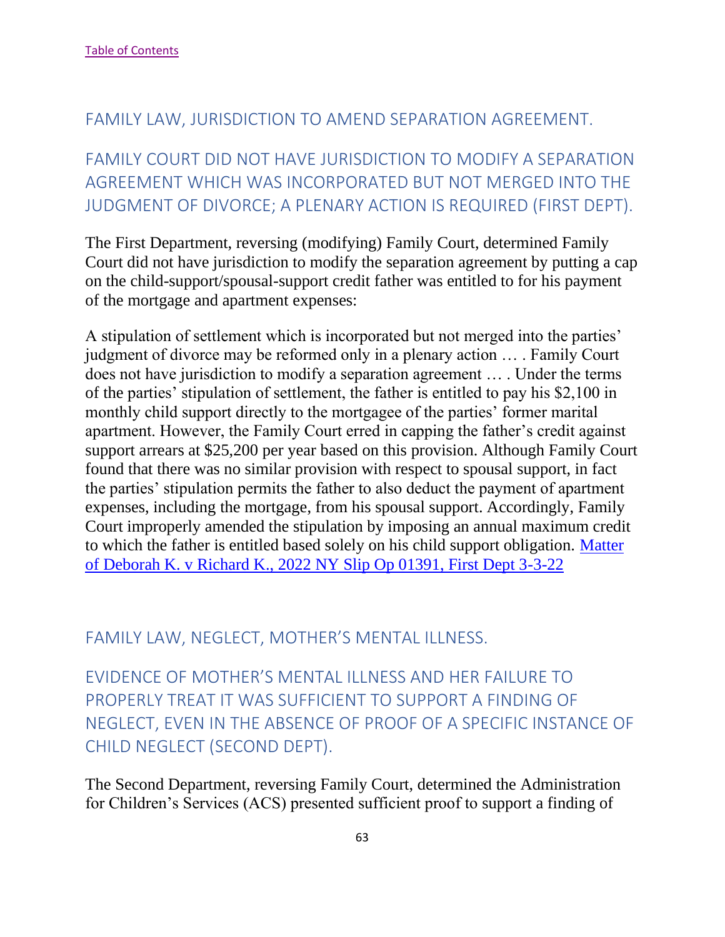### FAMILY LAW, JURISDICTION TO AMEND SEPARATION AGREEMENT.

FAMILY COURT DID NOT HAVE JURISDICTION TO MODIFY A SEPARATION AGREEMENT WHICH WAS INCORPORATED BUT NOT MERGED INTO THE JUDGMENT OF DIVORCE; A PLENARY ACTION IS REQUIRED (FIRST DEPT).

The First Department, reversing (modifying) Family Court, determined Family Court did not have jurisdiction to modify the separation agreement by putting a cap on the child-support/spousal-support credit father was entitled to for his payment of the mortgage and apartment expenses:

A stipulation of settlement which is incorporated but not merged into the parties' judgment of divorce may be reformed only in a plenary action … . Family Court does not have jurisdiction to modify a separation agreement … . Under the terms of the parties' stipulation of settlement, the father is entitled to pay his \$2,100 in monthly child support directly to the mortgagee of the parties' former marital apartment. However, the Family Court erred in capping the father's credit against support arrears at \$25,200 per year based on this provision. Although Family Court found that there was no similar provision with respect to spousal support, in fact the parties' stipulation permits the father to also deduct the payment of apartment expenses, including the mortgage, from his spousal support. Accordingly, Family Court improperly amended the stipulation by imposing an annual maximum credit to which the father is entitled based solely on his child support obligation. [Matter](https://nycourts.gov/reporter/3dseries/2022/2022_01391.htm)  [of Deborah K. v Richard K., 2022 NY Slip Op 01391, First Dept 3-3-22](https://nycourts.gov/reporter/3dseries/2022/2022_01391.htm)

FAMILY LAW, NEGLECT, MOTHER'S MENTAL ILLNESS.

EVIDENCE OF MOTHER'S MENTAL ILLNESS AND HER FAILURE TO PROPERLY TREAT IT WAS SUFFICIENT TO SUPPORT A FINDING OF NEGLECT, EVEN IN THE ABSENCE OF PROOF OF A SPECIFIC INSTANCE OF CHILD NEGLECT (SECOND DEPT).

The Second Department, reversing Family Court, determined the Administration for Children's Services (ACS) presented sufficient proof to support a finding of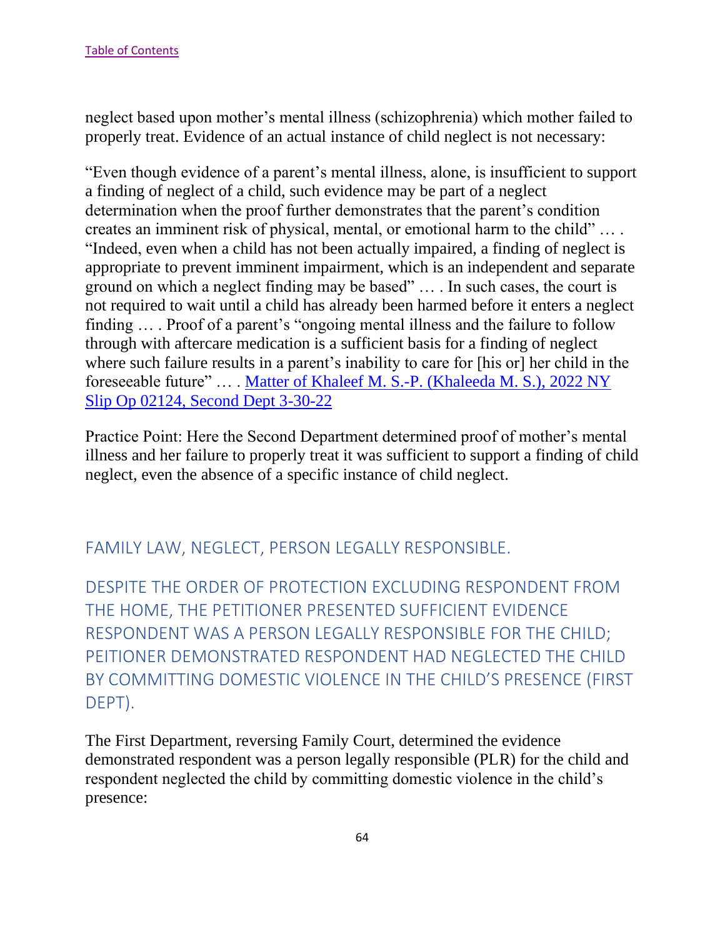neglect based upon mother's mental illness (schizophrenia) which mother failed to properly treat. Evidence of an actual instance of child neglect is not necessary:

"Even though evidence of a parent's mental illness, alone, is insufficient to support a finding of neglect of a child, such evidence may be part of a neglect determination when the proof further demonstrates that the parent's condition creates an imminent risk of physical, mental, or emotional harm to the child" … . "Indeed, even when a child has not been actually impaired, a finding of neglect is appropriate to prevent imminent impairment, which is an independent and separate ground on which a neglect finding may be based" … . In such cases, the court is not required to wait until a child has already been harmed before it enters a neglect finding … . Proof of a parent's "ongoing mental illness and the failure to follow through with aftercare medication is a sufficient basis for a finding of neglect where such failure results in a parent's inability to care for [his or] her child in the foreseeable future" … . [Matter of Khaleef M. S.-P. \(Khaleeda](https://nycourts.gov/reporter/3dseries/2022/2022_02124.htm) M. S.), 2022 NY [Slip Op 02124, Second Dept 3-30-22](https://nycourts.gov/reporter/3dseries/2022/2022_02124.htm)

Practice Point: Here the Second Department determined proof of mother's mental illness and her failure to properly treat it was sufficient to support a finding of child neglect, even the absence of a specific instance of child neglect.

FAMILY LAW, NEGLECT, PERSON LEGALLY RESPONSIBLE.

DESPITE THE ORDER OF PROTECTION EXCLUDING RESPONDENT FROM THE HOME, THE PETITIONER PRESENTED SUFFICIENT EVIDENCE RESPONDENT WAS A PERSON LEGALLY RESPONSIBLE FOR THE CHILD; PEITIONER DEMONSTRATED RESPONDENT HAD NEGLECTED THE CHILD BY COMMITTING DOMESTIC VIOLENCE IN THE CHILD'S PRESENCE (FIRST DEPT).

The First Department, reversing Family Court, determined the evidence demonstrated respondent was a person legally responsible (PLR) for the child and respondent neglected the child by committing domestic violence in the child's presence: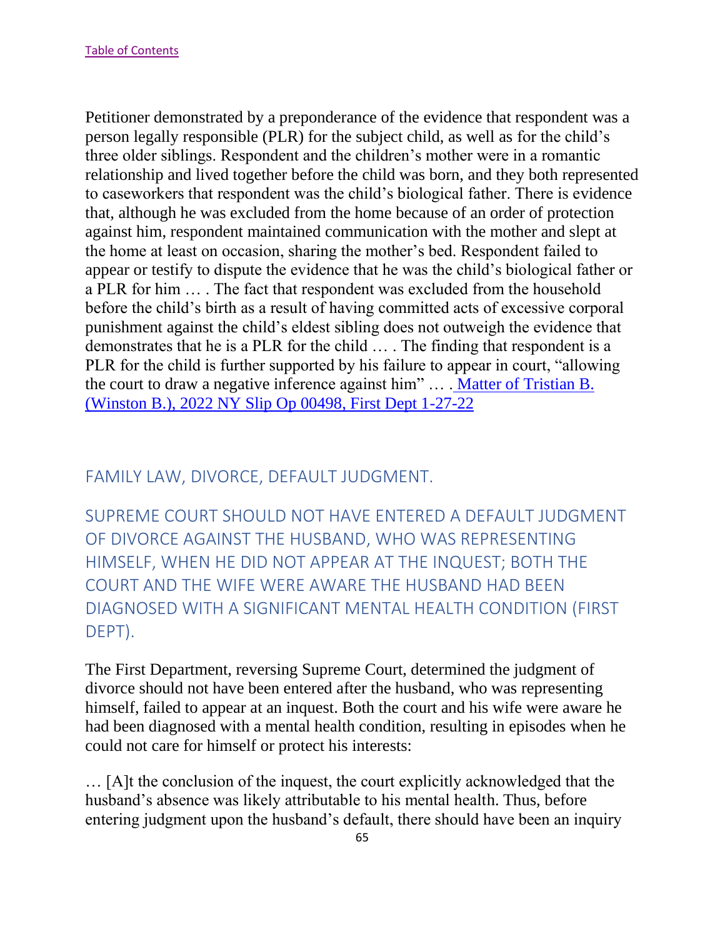Petitioner demonstrated by a preponderance of the evidence that respondent was a person legally responsible (PLR) for the subject child, as well as for the child's three older siblings. Respondent and the children's mother were in a romantic relationship and lived together before the child was born, and they both represented to caseworkers that respondent was the child's biological father. There is evidence that, although he was excluded from the home because of an order of protection against him, respondent maintained communication with the mother and slept at the home at least on occasion, sharing the mother's bed. Respondent failed to appear or testify to dispute the evidence that he was the child's biological father or a PLR for him … . The fact that respondent was excluded from the household before the child's birth as a result of having committed acts of excessive corporal punishment against the child's eldest sibling does not outweigh the evidence that demonstrates that he is a PLR for the child … . The finding that respondent is a PLR for the child is further supported by his failure to appear in court, "allowing the court to draw a negative inference against him" … . [Matter of Tristian B.](https://nycourts.gov/reporter/3dseries/2022/2022_00498.htm)  [\(Winston B.\), 2022 NY Slip Op 00498, First Dept 1-27-22](https://nycourts.gov/reporter/3dseries/2022/2022_00498.htm)

## FAMILY LAW, DIVORCE, DEFAULT JUDGMENT.

SUPREME COURT SHOULD NOT HAVE ENTERED A DEFAULT JUDGMENT OF DIVORCE AGAINST THE HUSBAND, WHO WAS REPRESENTING HIMSELF, WHEN HE DID NOT APPEAR AT THE INQUEST; BOTH THE COURT AND THE WIFE WERE AWARE THE HUSBAND HAD BEEN DIAGNOSED WITH A SIGNIFICANT MENTAL HEALTH CONDITION (FIRST DEPT).

The First Department, reversing Supreme Court, determined the judgment of divorce should not have been entered after the husband, who was representing himself, failed to appear at an inquest. Both the court and his wife were aware he had been diagnosed with a mental health condition, resulting in episodes when he could not care for himself or protect his interests:

… [A]t the conclusion of the inquest, the court explicitly acknowledged that the husband's absence was likely attributable to his mental health. Thus, before entering judgment upon the husband's default, there should have been an inquiry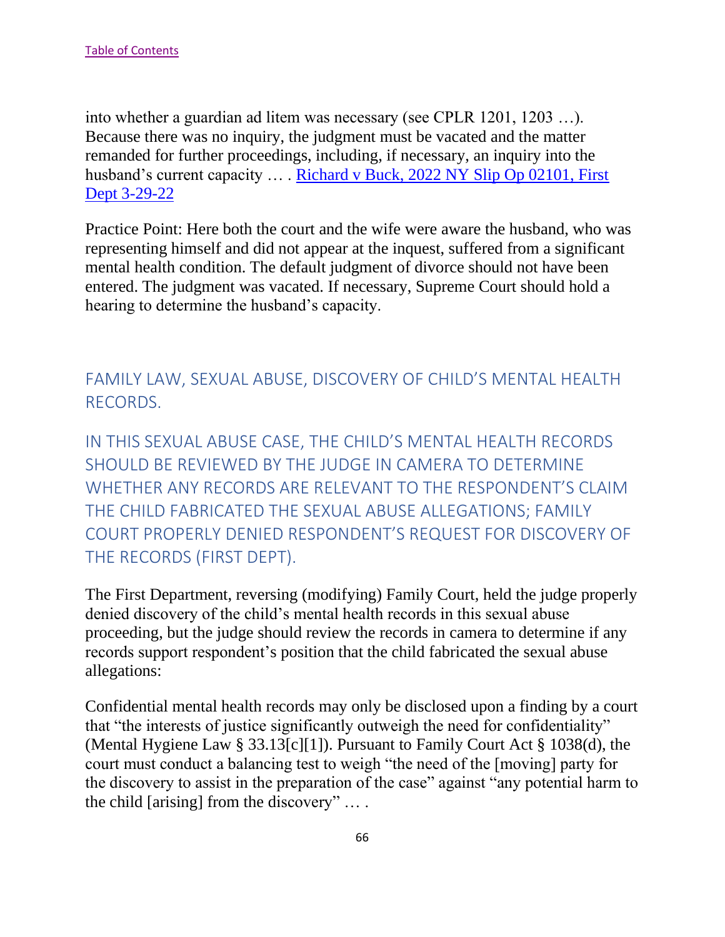into whether a guardian ad litem was necessary (see CPLR 1201, 1203 …). Because there was no inquiry, the judgment must be vacated and the matter remanded for further proceedings, including, if necessary, an inquiry into the husband's current capacity ... . Richard v Buck, 2022 NY Slip Op 02101, First [Dept 3-29-22](https://nycourts.gov/reporter/3dseries/2022/2022_02101.htm)

Practice Point: Here both the court and the wife were aware the husband, who was representing himself and did not appear at the inquest, suffered from a significant mental health condition. The default judgment of divorce should not have been entered. The judgment was vacated. If necessary, Supreme Court should hold a hearing to determine the husband's capacity.

## FAMILY LAW, SEXUAL ABUSE, DISCOVERY OF CHILD'S MENTAL HEALTH RECORDS.

IN THIS SEXUAL ABUSE CASE, THE CHILD'S MENTAL HEALTH RECORDS SHOULD BE REVIEWED BY THE JUDGE IN CAMERA TO DETERMINE WHETHER ANY RECORDS ARE RELEVANT TO THE RESPONDENT'S CLAIM THE CHILD FABRICATED THE SEXUAL ABUSE ALLEGATIONS; FAMILY COURT PROPERLY DENIED RESPONDENT'S REQUEST FOR DISCOVERY OF THE RECORDS (FIRST DEPT).

The First Department, reversing (modifying) Family Court, held the judge properly denied discovery of the child's mental health records in this sexual abuse proceeding, but the judge should review the records in camera to determine if any records support respondent's position that the child fabricated the sexual abuse allegations:

Confidential mental health records may only be disclosed upon a finding by a court that "the interests of justice significantly outweigh the need for confidentiality" (Mental Hygiene Law § 33.13[c][1]). Pursuant to Family Court Act § 1038(d), the court must conduct a balancing test to weigh "the need of the [moving] party for the discovery to assist in the preparation of the case" against "any potential harm to the child [arising] from the discovery" … .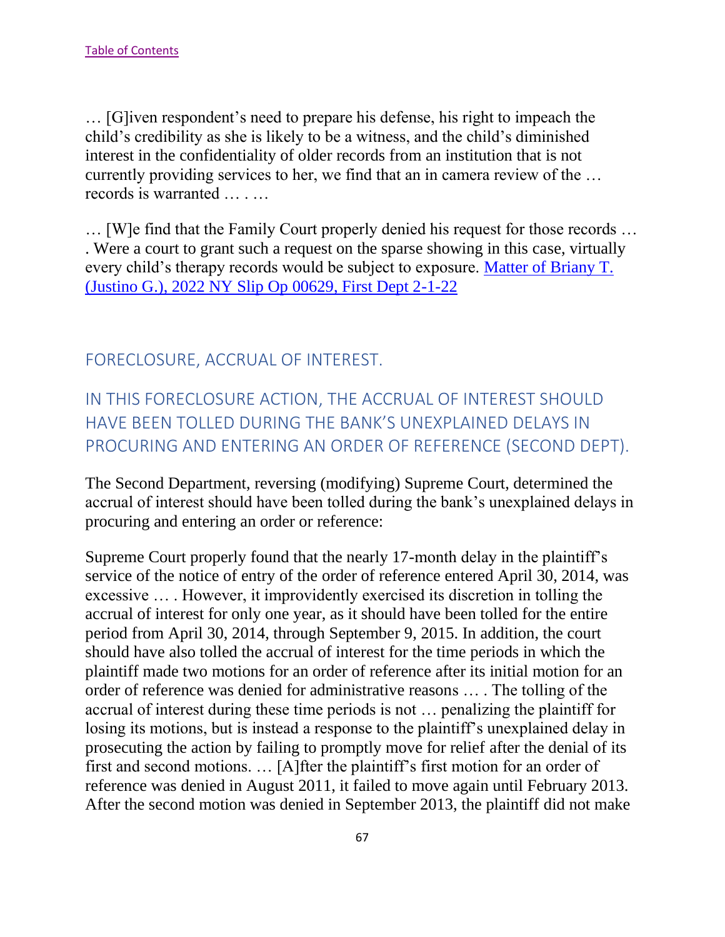… [G]iven respondent's need to prepare his defense, his right to impeach the child's credibility as she is likely to be a witness, and the child's diminished interest in the confidentiality of older records from an institution that is not currently providing services to her, we find that an in camera review of the … records is warranted … . …

… [W]e find that the Family Court properly denied his request for those records … . Were a court to grant such a request on the sparse showing in this case, virtually every child's therapy records would be subject to exposure. [Matter of Briany T.](https://nycourts.gov/reporter/3dseries/2022/2022_00629.htm)  [\(Justino G.\), 2022 NY Slip Op 00629, First Dept 2-1-22](https://nycourts.gov/reporter/3dseries/2022/2022_00629.htm)

### FORECLOSURE, ACCRUAL OF INTEREST.

IN THIS FORECLOSURE ACTION, THE ACCRUAL OF INTEREST SHOULD HAVE BEEN TOLLED DURING THE BANK'S UNEXPLAINED DELAYS IN PROCURING AND ENTERING AN ORDER OF REFERENCE (SECOND DEPT).

The Second Department, reversing (modifying) Supreme Court, determined the accrual of interest should have been tolled during the bank's unexplained delays in procuring and entering an order or reference:

Supreme Court properly found that the nearly 17-month delay in the plaintiff's service of the notice of entry of the order of reference entered April 30, 2014, was excessive … . However, it improvidently exercised its discretion in tolling the accrual of interest for only one year, as it should have been tolled for the entire period from April 30, 2014, through September 9, 2015. In addition, the court should have also tolled the accrual of interest for the time periods in which the plaintiff made two motions for an order of reference after its initial motion for an order of reference was denied for administrative reasons … . The tolling of the accrual of interest during these time periods is not … penalizing the plaintiff for losing its motions, but is instead a response to the plaintiff's unexplained delay in prosecuting the action by failing to promptly move for relief after the denial of its first and second motions. … [A]fter the plaintiff's first motion for an order of reference was denied in August 2011, it failed to move again until February 2013. After the second motion was denied in September 2013, the plaintiff did not make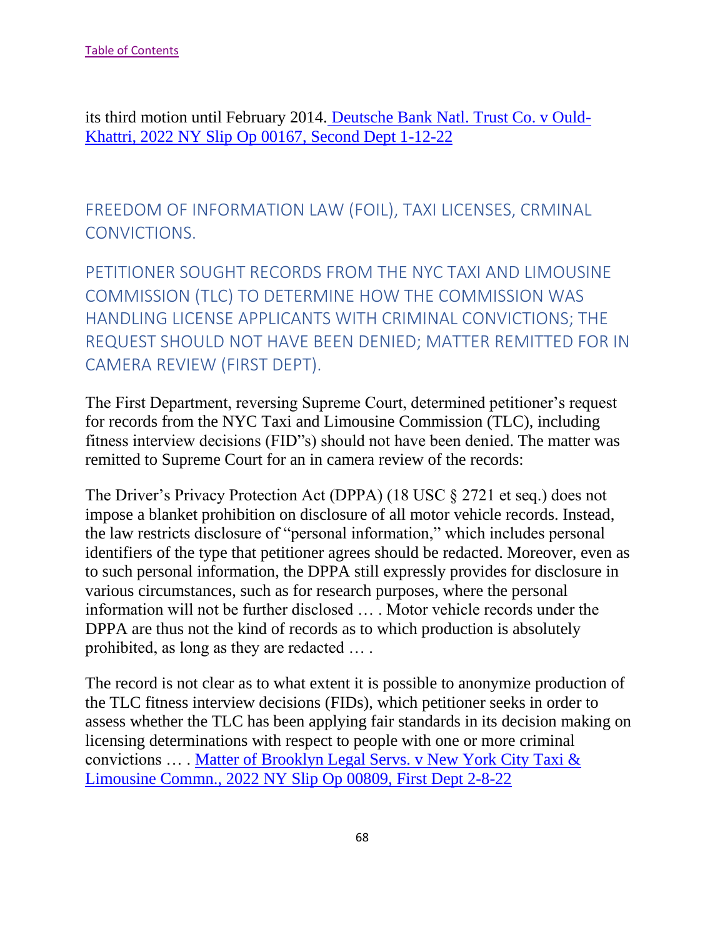its third motion until February 2014. [Deutsche Bank Natl. Trust Co. v Ould-](https://nycourts.gov/reporter/3dseries/2022/2022_00167.htm)[Khattri, 2022 NY Slip Op 00167, Second Dept 1-12-22](https://nycourts.gov/reporter/3dseries/2022/2022_00167.htm)

FREEDOM OF INFORMATION LAW (FOIL), TAXI LICENSES, CRMINAL CONVICTIONS.

PETITIONER SOUGHT RECORDS FROM THE NYC TAXI AND LIMOUSINE COMMISSION (TLC) TO DETERMINE HOW THE COMMISSION WAS HANDLING LICENSE APPLICANTS WITH CRIMINAL CONVICTIONS; THE REQUEST SHOULD NOT HAVE BEEN DENIED; MATTER REMITTED FOR IN CAMERA REVIEW (FIRST DEPT).

The First Department, reversing Supreme Court, determined petitioner's request for records from the NYC Taxi and Limousine Commission (TLC), including fitness interview decisions (FID"s) should not have been denied. The matter was remitted to Supreme Court for an in camera review of the records:

The Driver's Privacy Protection Act (DPPA) (18 USC § 2721 et seq.) does not impose a blanket prohibition on disclosure of all motor vehicle records. Instead, the law restricts disclosure of "personal information," which includes personal identifiers of the type that petitioner agrees should be redacted. Moreover, even as to such personal information, the DPPA still expressly provides for disclosure in various circumstances, such as for research purposes, where the personal information will not be further disclosed … . Motor vehicle records under the DPPA are thus not the kind of records as to which production is absolutely prohibited, as long as they are redacted … .

The record is not clear as to what extent it is possible to anonymize production of the TLC fitness interview decisions (FIDs), which petitioner seeks in order to assess whether the TLC has been applying fair standards in its decision making on licensing determinations with respect to people with one or more criminal convictions … . [Matter of Brooklyn Legal Servs. v New York City Taxi &](https://nycourts.gov/reporter/3dseries/2022/2022_00809.htm)  [Limousine Commn., 2022 NY Slip Op 00809, First Dept 2-8-22](https://nycourts.gov/reporter/3dseries/2022/2022_00809.htm)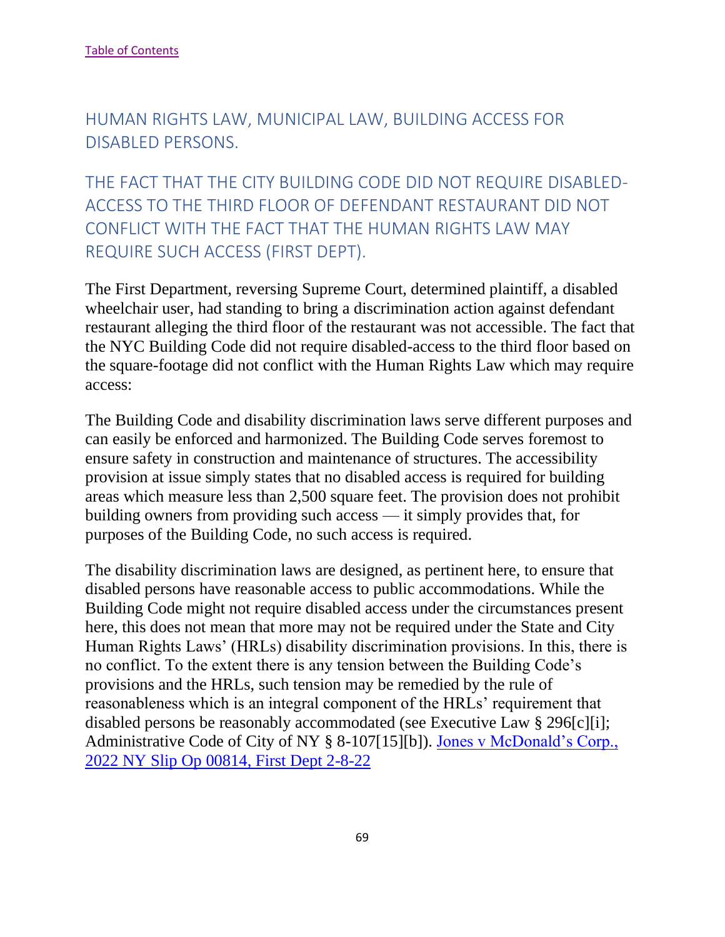HUMAN RIGHTS LAW, MUNICIPAL LAW, BUILDING ACCESS FOR DISABLED PERSONS.

THE FACT THAT THE CITY BUILDING CODE DID NOT REQUIRE DISABLED-ACCESS TO THE THIRD FLOOR OF DEFENDANT RESTAURANT DID NOT CONFLICT WITH THE FACT THAT THE HUMAN RIGHTS LAW MAY REQUIRE SUCH ACCESS (FIRST DEPT).

The First Department, reversing Supreme Court, determined plaintiff, a disabled wheelchair user, had standing to bring a discrimination action against defendant restaurant alleging the third floor of the restaurant was not accessible. The fact that the NYC Building Code did not require disabled-access to the third floor based on the square-footage did not conflict with the Human Rights Law which may require access:

The Building Code and disability discrimination laws serve different purposes and can easily be enforced and harmonized. The Building Code serves foremost to ensure safety in construction and maintenance of structures. The accessibility provision at issue simply states that no disabled access is required for building areas which measure less than 2,500 square feet. The provision does not prohibit building owners from providing such access — it simply provides that, for purposes of the Building Code, no such access is required.

The disability discrimination laws are designed, as pertinent here, to ensure that disabled persons have reasonable access to public accommodations. While the Building Code might not require disabled access under the circumstances present here, this does not mean that more may not be required under the State and City Human Rights Laws' (HRLs) disability discrimination provisions. In this, there is no conflict. To the extent there is any tension between the Building Code's provisions and the HRLs, such tension may be remedied by the rule of reasonableness which is an integral component of the HRLs' requirement that disabled persons be reasonably accommodated (see Executive Law § 296[c][i]; Administrative Code of City of NY § 8-107[15][b]). [Jones v McDonald's Corp.,](https://nycourts.gov/reporter/3dseries/2022/2022_00814.htm)  [2022 NY Slip Op 00814, First Dept 2-8-22](https://nycourts.gov/reporter/3dseries/2022/2022_00814.htm)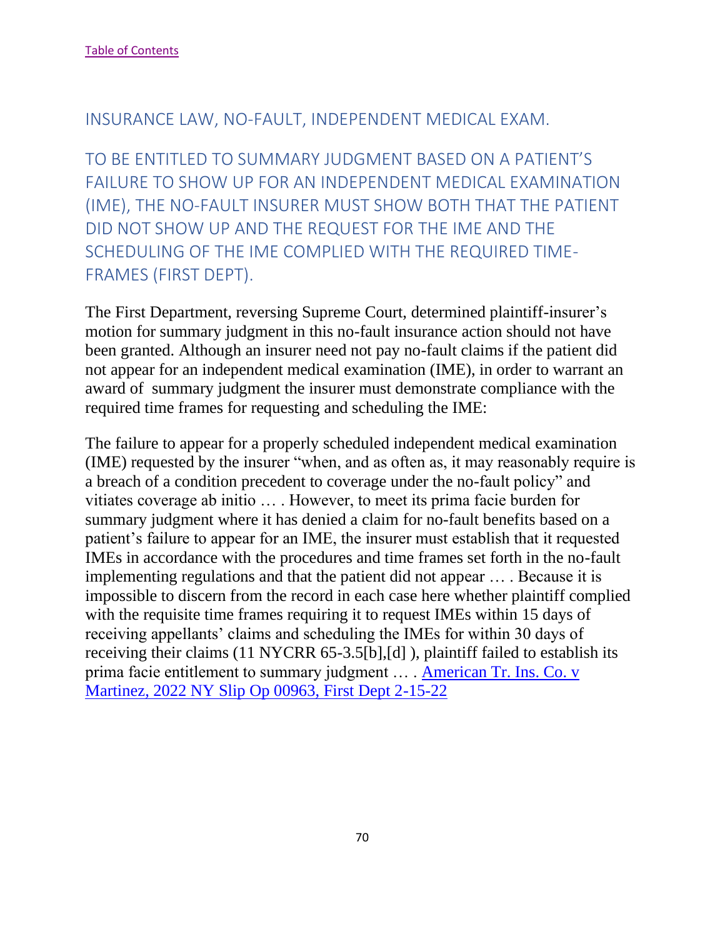#### INSURANCE LAW, NO-FAULT, INDEPENDENT MEDICAL EXAM.

TO BE ENTITLED TO SUMMARY JUDGMENT BASED ON A PATIENT'S FAILURE TO SHOW UP FOR AN INDEPENDENT MEDICAL EXAMINATION (IME), THE NO-FAULT INSURER MUST SHOW BOTH THAT THE PATIENT DID NOT SHOW UP AND THE REQUEST FOR THE IME AND THE SCHEDULING OF THE IME COMPLIED WITH THE REQUIRED TIME-FRAMES (FIRST DEPT).

The First Department, reversing Supreme Court, determined plaintiff-insurer's motion for summary judgment in this no-fault insurance action should not have been granted. Although an insurer need not pay no-fault claims if the patient did not appear for an independent medical examination (IME), in order to warrant an award of summary judgment the insurer must demonstrate compliance with the required time frames for requesting and scheduling the IME:

The failure to appear for a properly scheduled independent medical examination (IME) requested by the insurer "when, and as often as, it may reasonably require is a breach of a condition precedent to coverage under the no-fault policy" and vitiates coverage ab initio … . However, to meet its prima facie burden for summary judgment where it has denied a claim for no-fault benefits based on a patient's failure to appear for an IME, the insurer must establish that it requested IMEs in accordance with the procedures and time frames set forth in the no-fault implementing regulations and that the patient did not appear … . Because it is impossible to discern from the record in each case here whether plaintiff complied with the requisite time frames requiring it to request IMEs within 15 days of receiving appellants' claims and scheduling the IMEs for within 30 days of receiving their claims (11 NYCRR 65-3.5[b],[d] ), plaintiff failed to establish its prima facie entitlement to summary judgment … . [American Tr. Ins. Co. v](https://nycourts.gov/reporter/3dseries/2022/2022_00963.htm)  [Martinez, 2022 NY Slip Op 00963, First Dept 2-15-22](https://nycourts.gov/reporter/3dseries/2022/2022_00963.htm)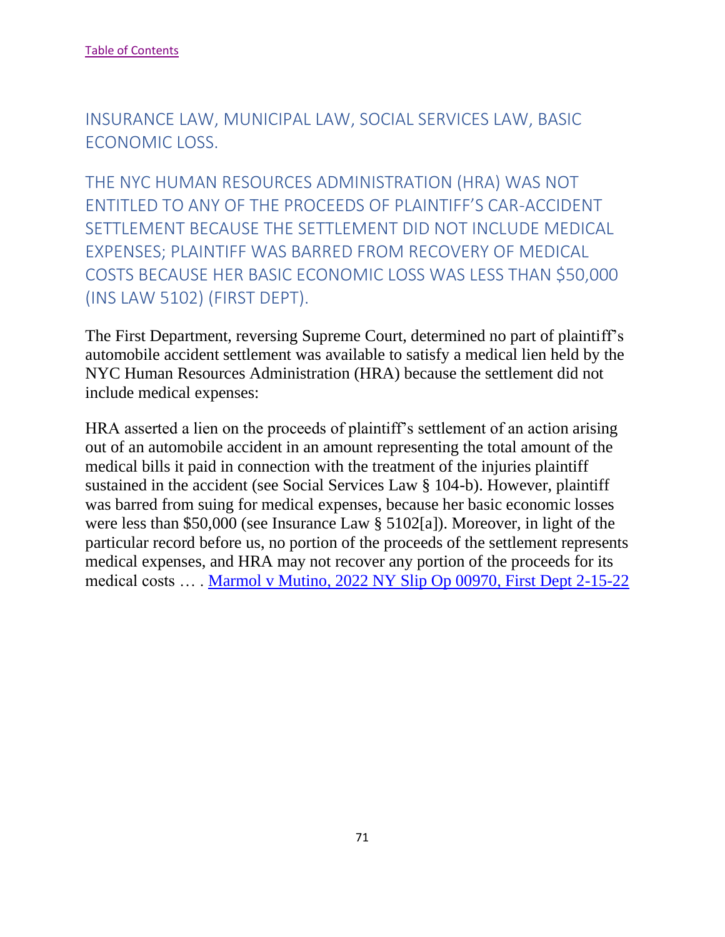INSURANCE LAW, MUNICIPAL LAW, SOCIAL SERVICES LAW, BASIC ECONOMIC LOSS.

THE NYC HUMAN RESOURCES ADMINISTRATION (HRA) WAS NOT ENTITLED TO ANY OF THE PROCEEDS OF PLAINTIFF'S CAR-ACCIDENT SETTLEMENT BECAUSE THE SETTLEMENT DID NOT INCLUDE MEDICAL EXPENSES; PLAINTIFF WAS BARRED FROM RECOVERY OF MEDICAL COSTS BECAUSE HER BASIC ECONOMIC LOSS WAS LESS THAN \$50,000 (INS LAW 5102) (FIRST DEPT).

The First Department, reversing Supreme Court, determined no part of plaintiff's automobile accident settlement was available to satisfy a medical lien held by the NYC Human Resources Administration (HRA) because the settlement did not include medical expenses:

HRA asserted a lien on the proceeds of plaintiff's settlement of an action arising out of an automobile accident in an amount representing the total amount of the medical bills it paid in connection with the treatment of the injuries plaintiff sustained in the accident (see Social Services Law § 104-b). However, plaintiff was barred from suing for medical expenses, because her basic economic losses were less than \$50,000 (see Insurance Law § 5102[a]). Moreover, in light of the particular record before us, no portion of the proceeds of the settlement represents medical expenses, and HRA may not recover any portion of the proceeds for its medical costs … . [Marmol v Mutino, 2022 NY Slip Op 00970, First Dept 2-15-22](https://nycourts.gov/reporter/3dseries/2022/2022_00970.htm)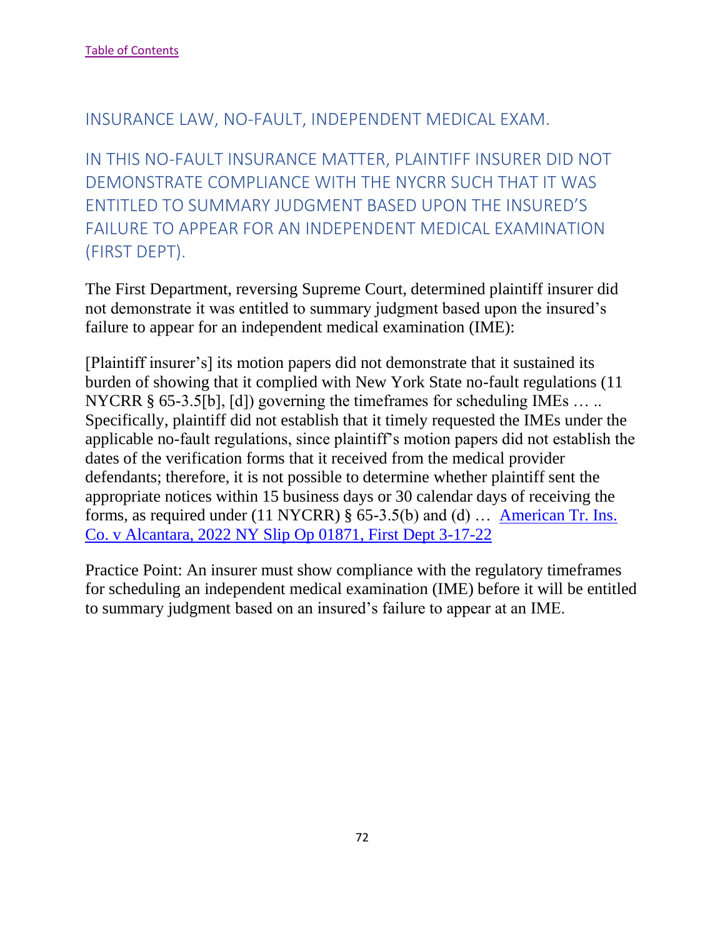#### INSURANCE LAW, NO-FAULT, INDEPENDENT MEDICAL EXAM.

IN THIS NO-FAULT INSURANCE MATTER, PLAINTIFF INSURER DID NOT DEMONSTRATE COMPLIANCE WITH THE NYCRR SUCH THAT IT WAS ENTITLED TO SUMMARY JUDGMENT BASED UPON THE INSURED'S FAILURE TO APPEAR FOR AN INDEPENDENT MEDICAL EXAMINATION (FIRST DEPT).

The First Department, reversing Supreme Court, determined plaintiff insurer did not demonstrate it was entitled to summary judgment based upon the insured's failure to appear for an independent medical examination (IME):

[Plaintiff insurer's] its motion papers did not demonstrate that it sustained its burden of showing that it complied with New York State no-fault regulations (11 NYCRR § 65-3.5[b], [d]) governing the timeframes for scheduling IMEs ... .. Specifically, plaintiff did not establish that it timely requested the IMEs under the applicable no-fault regulations, since plaintiff's motion papers did not establish the dates of the verification forms that it received from the medical provider defendants; therefore, it is not possible to determine whether plaintiff sent the appropriate notices within 15 business days or 30 calendar days of receiving the forms, as required under (11 NYCRR) § 65-3.5(b) and (d) … [American Tr. Ins.](https://nycourts.gov/reporter/3dseries/2022/2022_01871.htm)  [Co. v Alcantara, 2022 NY Slip Op 01871, First Dept 3-17-22](https://nycourts.gov/reporter/3dseries/2022/2022_01871.htm)

Practice Point: An insurer must show compliance with the regulatory timeframes for scheduling an independent medical examination (IME) before it will be entitled to summary judgment based on an insured's failure to appear at an IME.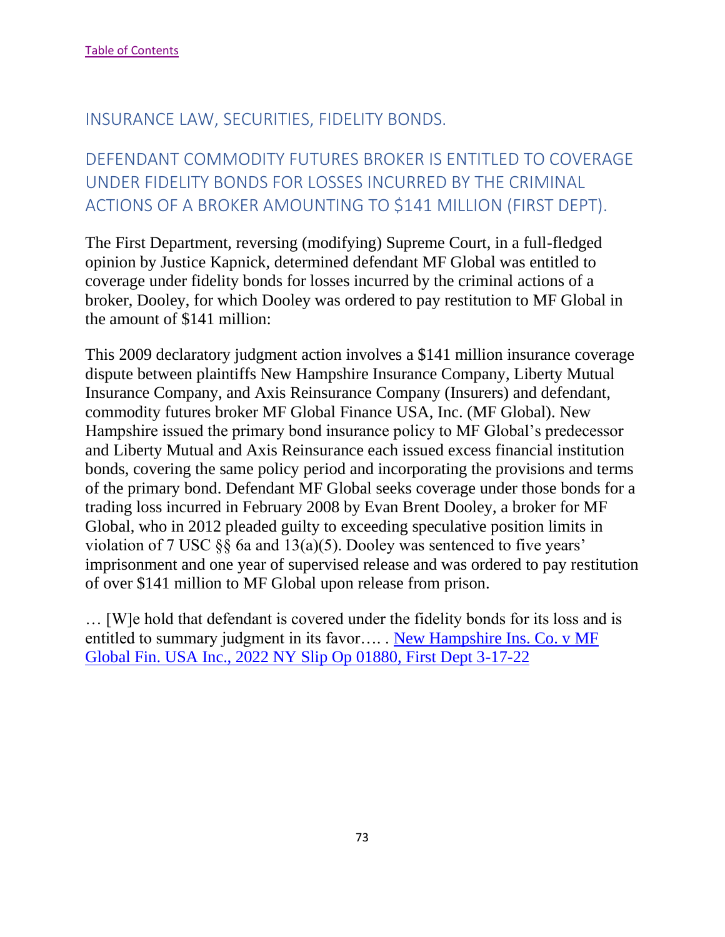## INSURANCE LAW, SECURITIES, FIDELITY BONDS.

# DEFENDANT COMMODITY FUTURES BROKER IS ENTITLED TO COVERAGE UNDER FIDELITY BONDS FOR LOSSES INCURRED BY THE CRIMINAL ACTIONS OF A BROKER AMOUNTING TO \$141 MILLION (FIRST DEPT).

The First Department, reversing (modifying) Supreme Court, in a full-fledged opinion by Justice Kapnick, determined defendant MF Global was entitled to coverage under fidelity bonds for losses incurred by the criminal actions of a broker, Dooley, for which Dooley was ordered to pay restitution to MF Global in the amount of \$141 million:

This 2009 declaratory judgment action involves a \$141 million insurance coverage dispute between plaintiffs New Hampshire Insurance Company, Liberty Mutual Insurance Company, and Axis Reinsurance Company (Insurers) and defendant, commodity futures broker MF Global Finance USA, Inc. (MF Global). New Hampshire issued the primary bond insurance policy to MF Global's predecessor and Liberty Mutual and Axis Reinsurance each issued excess financial institution bonds, covering the same policy period and incorporating the provisions and terms of the primary bond. Defendant MF Global seeks coverage under those bonds for a trading loss incurred in February 2008 by Evan Brent Dooley, a broker for MF Global, who in 2012 pleaded guilty to exceeding speculative position limits in violation of 7 USC §§ 6a and 13(a)(5). Dooley was sentenced to five years' imprisonment and one year of supervised release and was ordered to pay restitution of over \$141 million to MF Global upon release from prison.

… [W]e hold that defendant is covered under the fidelity bonds for its loss and is entitled to summary judgment in its favor…. . [New Hampshire Ins. Co. v MF](https://nycourts.gov/reporter/3dseries/2022/2022_01880.htm)  [Global Fin. USA Inc., 2022 NY Slip Op 01880, First Dept 3-17-22](https://nycourts.gov/reporter/3dseries/2022/2022_01880.htm)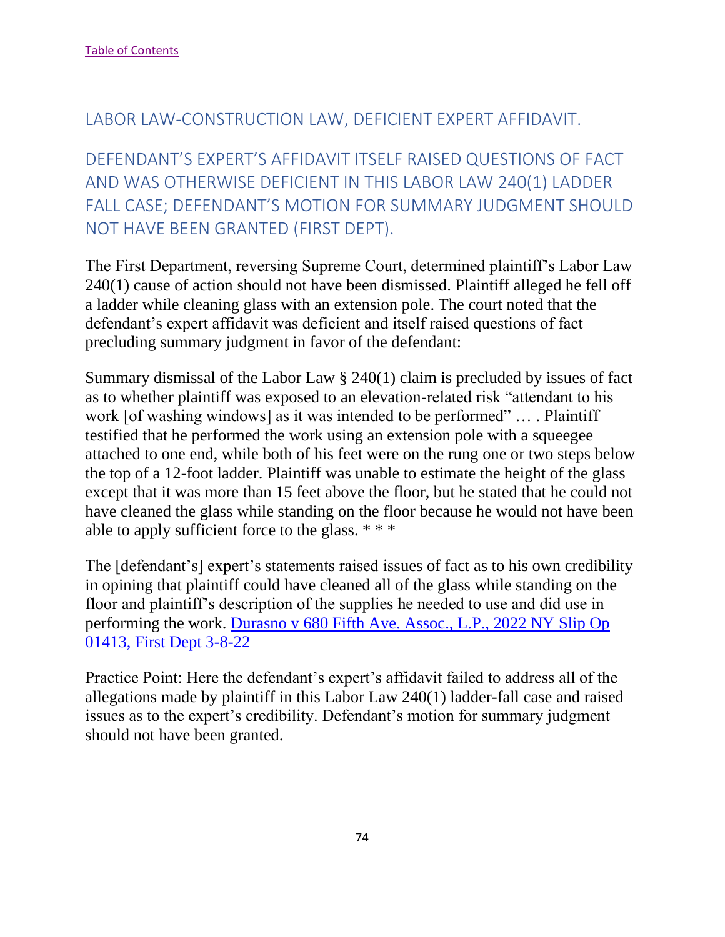#### LABOR LAW-CONSTRUCTION LAW, DEFICIENT EXPERT AFFIDAVIT.

DEFENDANT'S EXPERT'S AFFIDAVIT ITSELF RAISED QUESTIONS OF FACT AND WAS OTHERWISE DEFICIENT IN THIS LABOR LAW 240(1) LADDER FALL CASE; DEFENDANT'S MOTION FOR SUMMARY JUDGMENT SHOULD NOT HAVE BEEN GRANTED (FIRST DEPT).

The First Department, reversing Supreme Court, determined plaintiff's Labor Law 240(1) cause of action should not have been dismissed. Plaintiff alleged he fell off a ladder while cleaning glass with an extension pole. The court noted that the defendant's expert affidavit was deficient and itself raised questions of fact precluding summary judgment in favor of the defendant:

Summary dismissal of the Labor Law § 240(1) claim is precluded by issues of fact as to whether plaintiff was exposed to an elevation-related risk "attendant to his work [of washing windows] as it was intended to be performed" ... . Plaintiff testified that he performed the work using an extension pole with a squeegee attached to one end, while both of his feet were on the rung one or two steps below the top of a 12-foot ladder. Plaintiff was unable to estimate the height of the glass except that it was more than 15 feet above the floor, but he stated that he could not have cleaned the glass while standing on the floor because he would not have been able to apply sufficient force to the glass. \* \* \*

The [defendant's] expert's statements raised issues of fact as to his own credibility in opining that plaintiff could have cleaned all of the glass while standing on the floor and plaintiff's description of the supplies he needed to use and did use in performing the work. [Durasno v 680 Fifth Ave. Assoc., L.P., 2022 NY Slip Op](https://nycourts.gov/reporter/3dseries/2022/2022_01413.htm)  [01413, First Dept 3-8-22](https://nycourts.gov/reporter/3dseries/2022/2022_01413.htm)

Practice Point: Here the defendant's expert's affidavit failed to address all of the allegations made by plaintiff in this Labor Law 240(1) ladder-fall case and raised issues as to the expert's credibility. Defendant's motion for summary judgment should not have been granted.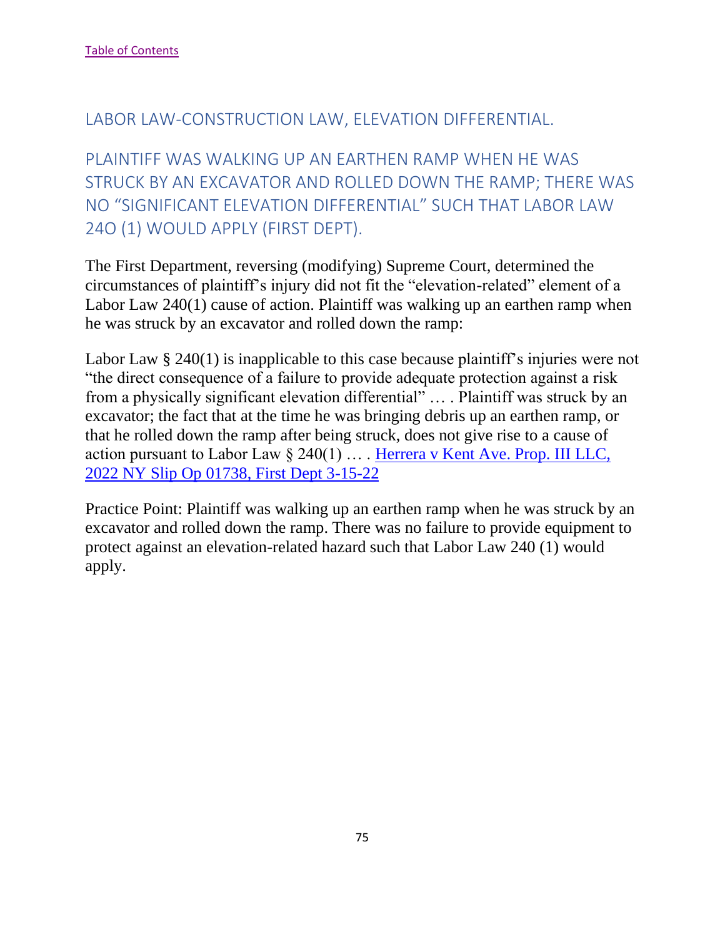#### LABOR LAW-CONSTRUCTION LAW, ELEVATION DIFFERENTIAL.

PLAINTIFF WAS WALKING UP AN EARTHEN RAMP WHEN HE WAS STRUCK BY AN EXCAVATOR AND ROLLED DOWN THE RAMP; THERE WAS NO "SIGNIFICANT ELEVATION DIFFERENTIAL" SUCH THAT LABOR LAW 24O (1) WOULD APPLY (FIRST DEPT).

The First Department, reversing (modifying) Supreme Court, determined the circumstances of plaintiff's injury did not fit the "elevation-related" element of a Labor Law 240(1) cause of action. Plaintiff was walking up an earthen ramp when he was struck by an excavator and rolled down the ramp:

Labor Law § 240(1) is inapplicable to this case because plaintiff's injuries were not "the direct consequence of a failure to provide adequate protection against a risk from a physically significant elevation differential" … . Plaintiff was struck by an excavator; the fact that at the time he was bringing debris up an earthen ramp, or that he rolled down the ramp after being struck, does not give rise to a cause of action pursuant to Labor Law § 240(1) … . [Herrera v Kent Ave. Prop. III LLC,](https://nycourts.gov/reporter/3dseries/2022/2022_01738.htm)  [2022 NY Slip Op 01738, First Dept 3-15-22](https://nycourts.gov/reporter/3dseries/2022/2022_01738.htm)

Practice Point: Plaintiff was walking up an earthen ramp when he was struck by an excavator and rolled down the ramp. There was no failure to provide equipment to protect against an elevation-related hazard such that Labor Law 240 (1) would apply.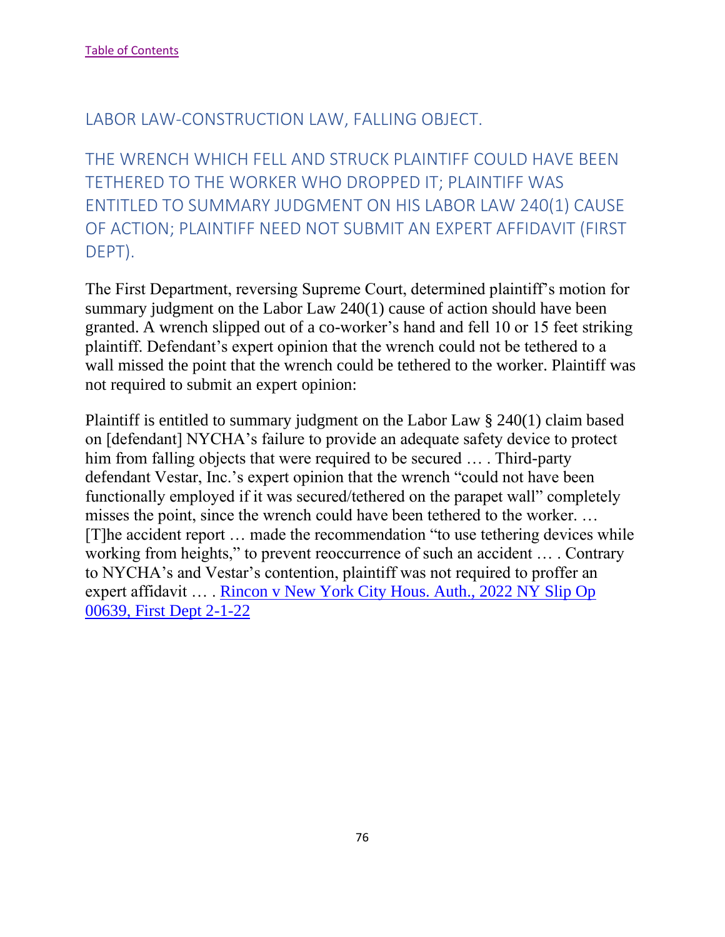#### LABOR LAW-CONSTRUCTION LAW, FALLING OBJECT.

THE WRENCH WHICH FELL AND STRUCK PLAINTIFF COULD HAVE BEEN TETHERED TO THE WORKER WHO DROPPED IT; PLAINTIFF WAS ENTITLED TO SUMMARY JUDGMENT ON HIS LABOR LAW 240(1) CAUSE OF ACTION; PLAINTIFF NEED NOT SUBMIT AN EXPERT AFFIDAVIT (FIRST DEPT).

The First Department, reversing Supreme Court, determined plaintiff's motion for summary judgment on the Labor Law 240(1) cause of action should have been granted. A wrench slipped out of a co-worker's hand and fell 10 or 15 feet striking plaintiff. Defendant's expert opinion that the wrench could not be tethered to a wall missed the point that the wrench could be tethered to the worker. Plaintiff was not required to submit an expert opinion:

Plaintiff is entitled to summary judgment on the Labor Law § 240(1) claim based on [defendant] NYCHA's failure to provide an adequate safety device to protect him from falling objects that were required to be secured … . Third-party defendant Vestar, Inc.'s expert opinion that the wrench "could not have been functionally employed if it was secured/tethered on the parapet wall" completely misses the point, since the wrench could have been tethered to the worker. … [T]he accident report … made the recommendation "to use tethering devices while working from heights," to prevent reoccurrence of such an accident … . Contrary to NYCHA's and Vestar's contention, plaintiff was not required to proffer an expert affidavit … . [Rincon v New York City Hous. Auth., 2022 NY Slip Op](https://nycourts.gov/reporter/3dseries/2022/2022_00639.htm)  [00639, First Dept 2-1-22](https://nycourts.gov/reporter/3dseries/2022/2022_00639.htm)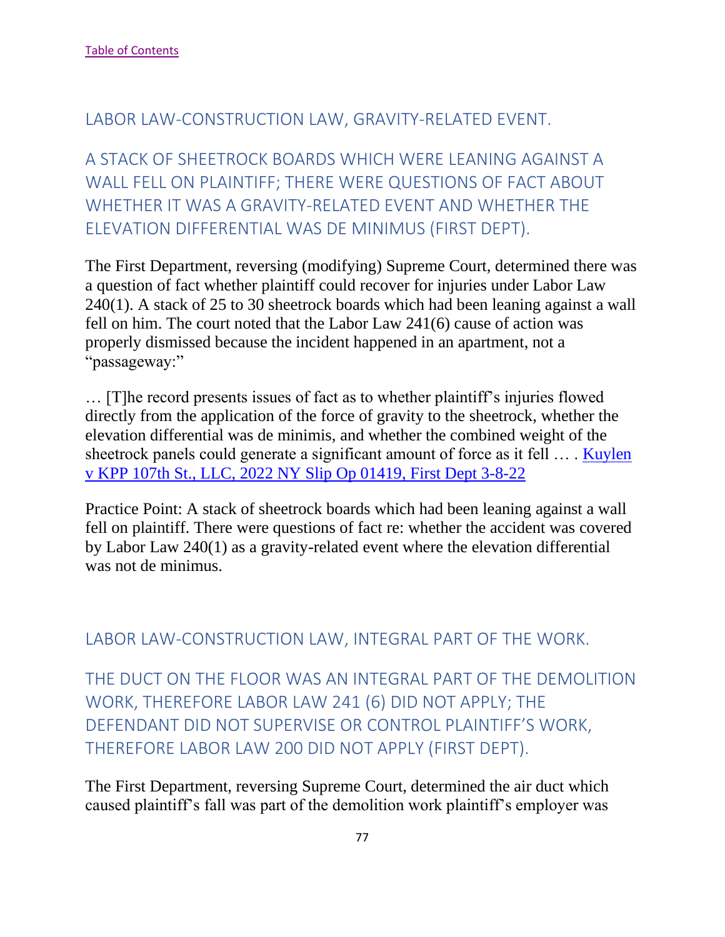#### LABOR LAW-CONSTRUCTION LAW, GRAVITY-RELATED EVENT.

A STACK OF SHEETROCK BOARDS WHICH WERE LEANING AGAINST A WALL FELL ON PLAINTIFF; THERE WERE QUESTIONS OF FACT ABOUT WHETHER IT WAS A GRAVITY-RELATED EVENT AND WHETHER THE ELEVATION DIFFERENTIAL WAS DE MINIMUS (FIRST DEPT).

The First Department, reversing (modifying) Supreme Court, determined there was a question of fact whether plaintiff could recover for injuries under Labor Law 240(1). A stack of 25 to 30 sheetrock boards which had been leaning against a wall fell on him. The court noted that the Labor Law 241(6) cause of action was properly dismissed because the incident happened in an apartment, not a "passageway:"

… [T]he record presents issues of fact as to whether plaintiff's injuries flowed directly from the application of the force of gravity to the sheetrock, whether the elevation differential was de minimis, and whether the combined weight of the sheetrock panels could generate a significant amount of force as it fell … . [Kuylen](https://nycourts.gov/reporter/3dseries/2022/2022_01419.htm)  [v KPP 107th St., LLC, 2022 NY Slip Op 01419, First Dept 3-8-22](https://nycourts.gov/reporter/3dseries/2022/2022_01419.htm)

Practice Point: A stack of sheetrock boards which had been leaning against a wall fell on plaintiff. There were questions of fact re: whether the accident was covered by Labor Law 240(1) as a gravity-related event where the elevation differential was not de minimus.

### LABOR LAW-CONSTRUCTION LAW, INTEGRAL PART OF THE WORK.

THE DUCT ON THE FLOOR WAS AN INTEGRAL PART OF THE DEMOLITION WORK, THEREFORE LABOR LAW 241 (6) DID NOT APPLY; THE DEFENDANT DID NOT SUPERVISE OR CONTROL PLAINTIFF'S WORK, THEREFORE LABOR LAW 200 DID NOT APPLY (FIRST DEPT).

The First Department, reversing Supreme Court, determined the air duct which caused plaintiff's fall was part of the demolition work plaintiff's employer was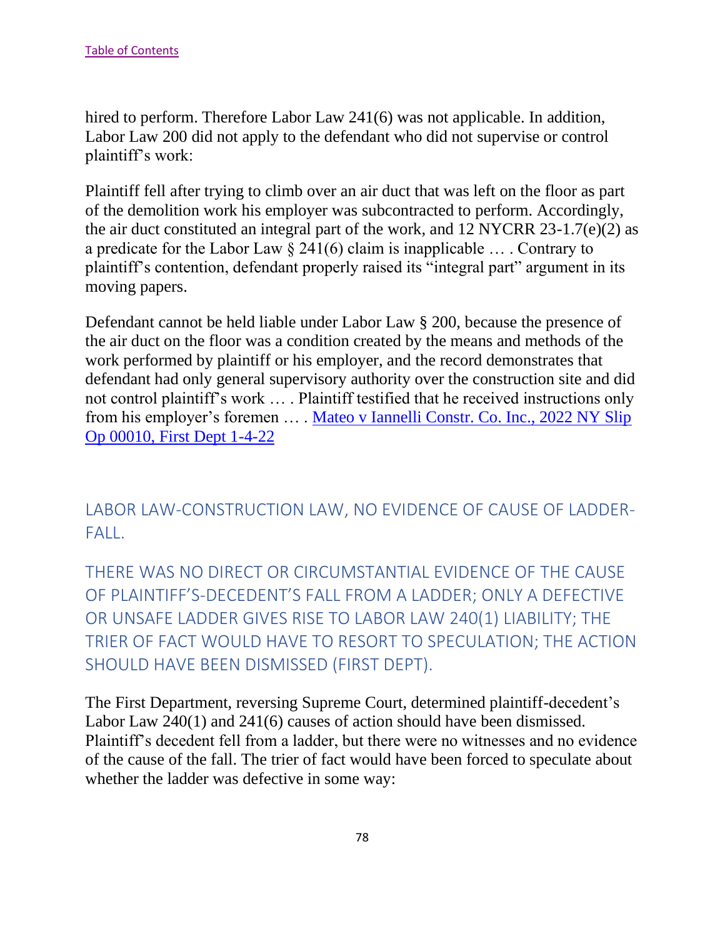hired to perform. Therefore Labor Law 241(6) was not applicable. In addition, Labor Law 200 did not apply to the defendant who did not supervise or control plaintiff's work:

Plaintiff fell after trying to climb over an air duct that was left on the floor as part of the demolition work his employer was subcontracted to perform. Accordingly, the air duct constituted an integral part of the work, and 12 NYCRR 23-1.7(e)(2) as a predicate for the Labor Law  $\S$  241(6) claim is inapplicable ... . Contrary to plaintiff's contention, defendant properly raised its "integral part" argument in its moving papers.

Defendant cannot be held liable under Labor Law § 200, because the presence of the air duct on the floor was a condition created by the means and methods of the work performed by plaintiff or his employer, and the record demonstrates that defendant had only general supervisory authority over the construction site and did not control plaintiff's work … . Plaintiff testified that he received instructions only from his employer's foremen … . [Mateo v Iannelli Constr. Co. Inc., 2022 NY Slip](https://nycourts.gov/reporter/3dseries/2022/2022_00010.htm)  [Op 00010, First Dept 1-4-22](https://nycourts.gov/reporter/3dseries/2022/2022_00010.htm)

LABOR LAW-CONSTRUCTION LAW, NO EVIDENCE OF CAUSE OF LADDER-FALL.

THERE WAS NO DIRECT OR CIRCUMSTANTIAL EVIDENCE OF THE CAUSE OF PLAINTIFF'S-DECEDENT'S FALL FROM A LADDER; ONLY A DEFECTIVE OR UNSAFE LADDER GIVES RISE TO LABOR LAW 240(1) LIABILITY; THE TRIER OF FACT WOULD HAVE TO RESORT TO SPECULATION; THE ACTION SHOULD HAVE BEEN DISMISSED (FIRST DEPT).

The First Department, reversing Supreme Court, determined plaintiff-decedent's Labor Law 240(1) and 241(6) causes of action should have been dismissed. Plaintiff's decedent fell from a ladder, but there were no witnesses and no evidence of the cause of the fall. The trier of fact would have been forced to speculate about whether the ladder was defective in some way: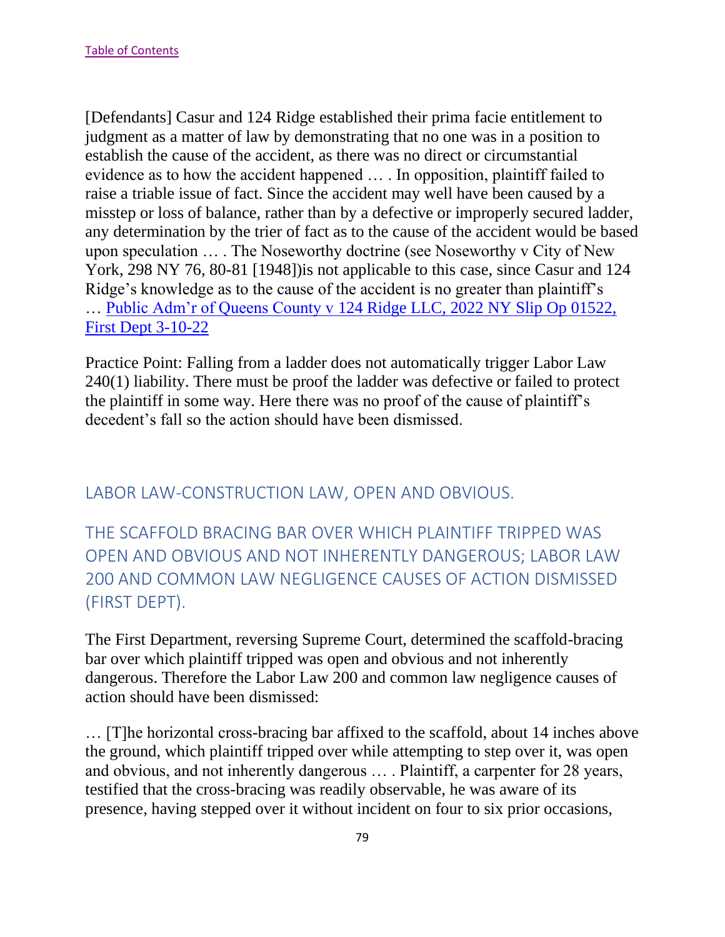[Defendants] Casur and 124 Ridge established their prima facie entitlement to judgment as a matter of law by demonstrating that no one was in a position to establish the cause of the accident, as there was no direct or circumstantial evidence as to how the accident happened … . In opposition, plaintiff failed to raise a triable issue of fact. Since the accident may well have been caused by a misstep or loss of balance, rather than by a defective or improperly secured ladder, any determination by the trier of fact as to the cause of the accident would be based upon speculation … . The Noseworthy doctrine (see Noseworthy v City of New York, 298 NY 76, 80-81 [1948])is not applicable to this case, since Casur and 124 Ridge's knowledge as to the cause of the accident is no greater than plaintiff's … [Public Adm'r of Queens County v 124 Ridge LLC, 2022 NY Slip Op 01522,](https://nycourts.gov/reporter/3dseries/2022/2022_01522.htm)  [First Dept 3-10-22](https://nycourts.gov/reporter/3dseries/2022/2022_01522.htm)

Practice Point: Falling from a ladder does not automatically trigger Labor Law 240(1) liability. There must be proof the ladder was defective or failed to protect the plaintiff in some way. Here there was no proof of the cause of plaintiff's decedent's fall so the action should have been dismissed.

## LABOR LAW-CONSTRUCTION LAW, OPEN AND OBVIOUS.

THE SCAFFOLD BRACING BAR OVER WHICH PLAINTIFF TRIPPED WAS OPEN AND OBVIOUS AND NOT INHERENTLY DANGEROUS; LABOR LAW 200 AND COMMON LAW NEGLIGENCE CAUSES OF ACTION DISMISSED (FIRST DEPT).

The First Department, reversing Supreme Court, determined the scaffold-bracing bar over which plaintiff tripped was open and obvious and not inherently dangerous. Therefore the Labor Law 200 and common law negligence causes of action should have been dismissed:

… [T]he horizontal cross-bracing bar affixed to the scaffold, about 14 inches above the ground, which plaintiff tripped over while attempting to step over it, was open and obvious, and not inherently dangerous … . Plaintiff, a carpenter for 28 years, testified that the cross-bracing was readily observable, he was aware of its presence, having stepped over it without incident on four to six prior occasions,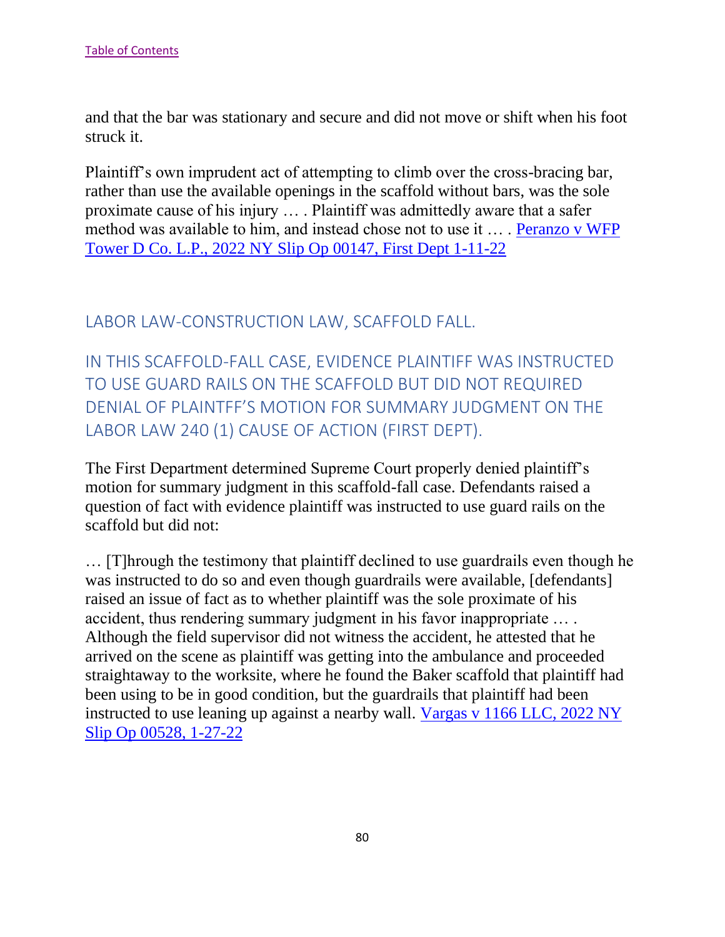and that the bar was stationary and secure and did not move or shift when his foot struck it.

Plaintiff's own imprudent act of attempting to climb over the cross-bracing bar, rather than use the available openings in the scaffold without bars, was the sole proximate cause of his injury … . Plaintiff was admittedly aware that a safer method was available to him, and instead chose not to use it … . [Peranzo v WFP](https://nycourts.gov/reporter/3dseries/2022/2022_00147.htm)  [Tower D Co. L.P., 2022 NY Slip Op 00147, First Dept 1-11-22](https://nycourts.gov/reporter/3dseries/2022/2022_00147.htm)

LABOR LAW-CONSTRUCTION LAW, SCAFFOLD FALL.

IN THIS SCAFFOLD-FALL CASE, EVIDENCE PLAINTIFF WAS INSTRUCTED TO USE GUARD RAILS ON THE SCAFFOLD BUT DID NOT REQUIRED DENIAL OF PLAINTFF'S MOTION FOR SUMMARY JUDGMENT ON THE LABOR LAW 240 (1) CAUSE OF ACTION (FIRST DEPT).

The First Department determined Supreme Court properly denied plaintiff's motion for summary judgment in this scaffold-fall case. Defendants raised a question of fact with evidence plaintiff was instructed to use guard rails on the scaffold but did not:

… [T]hrough the testimony that plaintiff declined to use guardrails even though he was instructed to do so and even though guardrails were available, [defendants] raised an issue of fact as to whether plaintiff was the sole proximate of his accident, thus rendering summary judgment in his favor inappropriate … . Although the field supervisor did not witness the accident, he attested that he arrived on the scene as plaintiff was getting into the ambulance and proceeded straightaway to the worksite, where he found the Baker scaffold that plaintiff had been using to be in good condition, but the guardrails that plaintiff had been instructed to use leaning up against a nearby wall. [Vargas v 1166 LLC, 2022 NY](https://nycourts.gov/reporter/3dseries/2022/2022_00528.htm)  [Slip Op 00528, 1-27-22](https://nycourts.gov/reporter/3dseries/2022/2022_00528.htm)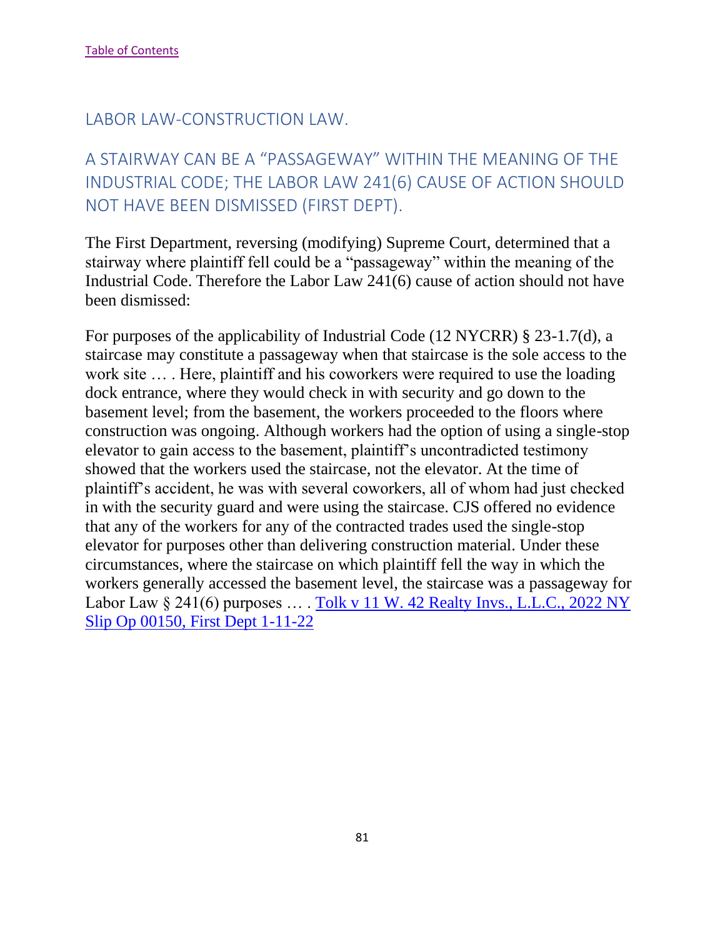# A STAIRWAY CAN BE A "PASSAGEWAY" WITHIN THE MEANING OF THE INDUSTRIAL CODE; THE LABOR LAW 241(6) CAUSE OF ACTION SHOULD NOT HAVE BEEN DISMISSED (FIRST DEPT).

The First Department, reversing (modifying) Supreme Court, determined that a stairway where plaintiff fell could be a "passageway" within the meaning of the Industrial Code. Therefore the Labor Law 241(6) cause of action should not have been dismissed:

For purposes of the applicability of Industrial Code (12 NYCRR) § 23-1.7(d), a staircase may constitute a passageway when that staircase is the sole access to the work site ... . Here, plaintiff and his coworkers were required to use the loading dock entrance, where they would check in with security and go down to the basement level; from the basement, the workers proceeded to the floors where construction was ongoing. Although workers had the option of using a single-stop elevator to gain access to the basement, plaintiff's uncontradicted testimony showed that the workers used the staircase, not the elevator. At the time of plaintiff's accident, he was with several coworkers, all of whom had just checked in with the security guard and were using the staircase. CJS offered no evidence that any of the workers for any of the contracted trades used the single-stop elevator for purposes other than delivering construction material. Under these circumstances, where the staircase on which plaintiff fell the way in which the workers generally accessed the basement level, the staircase was a passageway for Labor Law § 241(6) purposes … . [Tolk v 11 W. 42 Realty Invs., L.L.C., 2022 NY](https://nycourts.gov/reporter/3dseries/2022/2022_00150.htm)  [Slip Op 00150, First Dept 1-11-22](https://nycourts.gov/reporter/3dseries/2022/2022_00150.htm)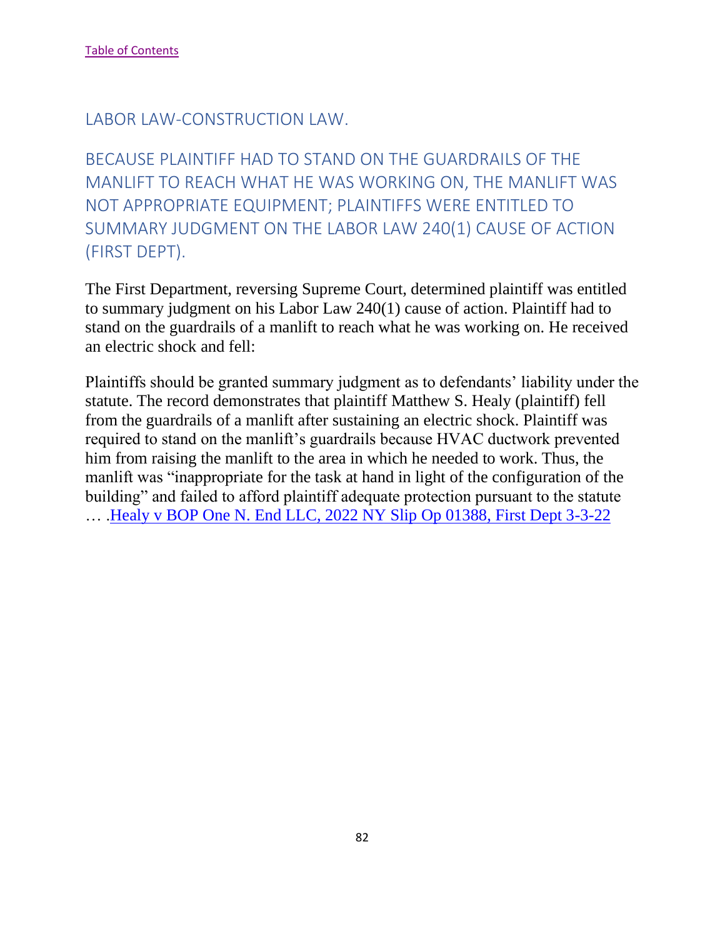BECAUSE PLAINTIFF HAD TO STAND ON THE GUARDRAILS OF THE MANLIFT TO REACH WHAT HE WAS WORKING ON, THE MANLIFT WAS NOT APPROPRIATE EQUIPMENT; PLAINTIFFS WERE ENTITLED TO SUMMARY JUDGMENT ON THE LABOR LAW 240(1) CAUSE OF ACTION (FIRST DEPT).

The First Department, reversing Supreme Court, determined plaintiff was entitled to summary judgment on his Labor Law 240(1) cause of action. Plaintiff had to stand on the guardrails of a manlift to reach what he was working on. He received an electric shock and fell:

Plaintiffs should be granted summary judgment as to defendants' liability under the statute. The record demonstrates that plaintiff Matthew S. Healy (plaintiff) fell from the guardrails of a manlift after sustaining an electric shock. Plaintiff was required to stand on the manlift's guardrails because HVAC ductwork prevented him from raising the manlift to the area in which he needed to work. Thus, the manlift was "inappropriate for the task at hand in light of the configuration of the building" and failed to afford plaintiff adequate protection pursuant to the statute … .Healy v BOP One N. [End LLC, 2022 NY Slip Op 01388, First Dept 3-3-22](https://nycourts.gov/reporter/3dseries/2022/2022_01388.htm)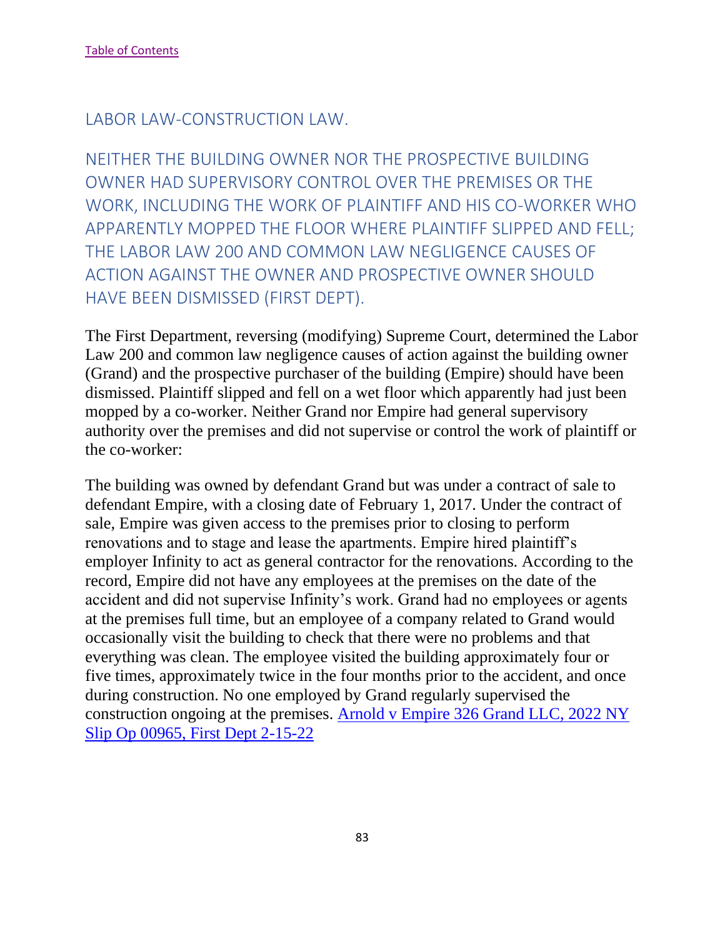NEITHER THE BUILDING OWNER NOR THE PROSPECTIVE BUILDING OWNER HAD SUPERVISORY CONTROL OVER THE PREMISES OR THE WORK, INCLUDING THE WORK OF PLAINTIFF AND HIS CO-WORKER WHO APPARENTLY MOPPED THE FLOOR WHERE PLAINTIFF SLIPPED AND FELL; THE LABOR LAW 200 AND COMMON LAW NEGLIGENCE CAUSES OF ACTION AGAINST THE OWNER AND PROSPECTIVE OWNER SHOULD HAVE BEEN DISMISSED (FIRST DEPT).

The First Department, reversing (modifying) Supreme Court, determined the Labor Law 200 and common law negligence causes of action against the building owner (Grand) and the prospective purchaser of the building (Empire) should have been dismissed. Plaintiff slipped and fell on a wet floor which apparently had just been mopped by a co-worker. Neither Grand nor Empire had general supervisory authority over the premises and did not supervise or control the work of plaintiff or the co-worker:

The building was owned by defendant Grand but was under a contract of sale to defendant Empire, with a closing date of February 1, 2017. Under the contract of sale, Empire was given access to the premises prior to closing to perform renovations and to stage and lease the apartments. Empire hired plaintiff's employer Infinity to act as general contractor for the renovations. According to the record, Empire did not have any employees at the premises on the date of the accident and did not supervise Infinity's work. Grand had no employees or agents at the premises full time, but an employee of a company related to Grand would occasionally visit the building to check that there were no problems and that everything was clean. The employee visited the building approximately four or five times, approximately twice in the four months prior to the accident, and once during construction. No one employed by Grand regularly supervised the construction ongoing at the premises. [Arnold v Empire 326 Grand LLC, 2022 NY](https://nycourts.gov/reporter/3dseries/2022/2022_00965.htm)  [Slip Op 00965, First Dept 2-15-22](https://nycourts.gov/reporter/3dseries/2022/2022_00965.htm)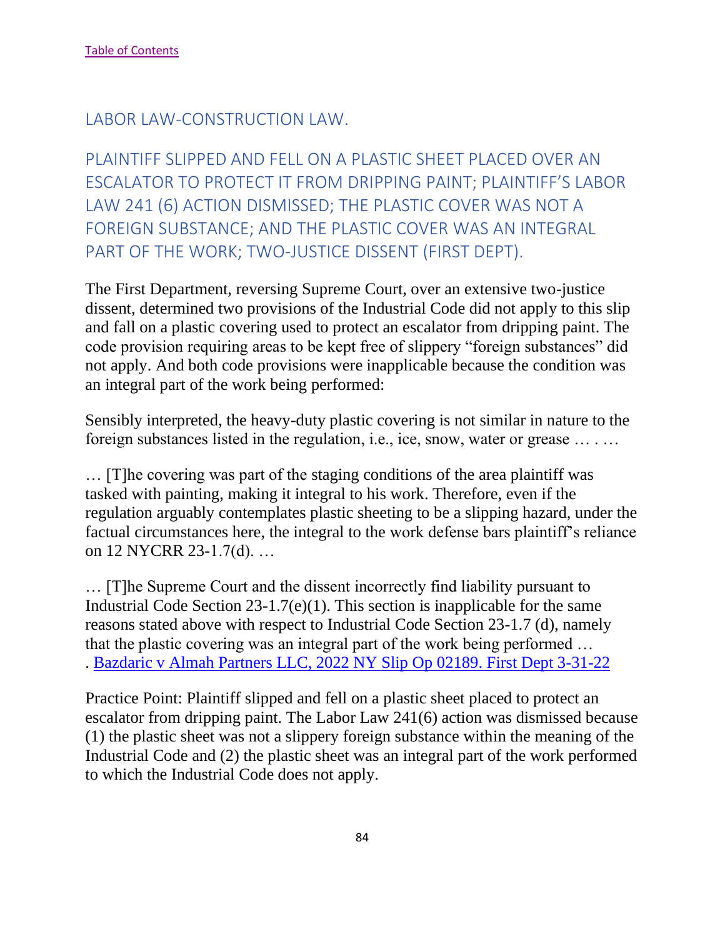PLAINTIFF SLIPPED AND FELL ON A PLASTIC SHEET PLACED OVER AN ESCALATOR TO PROTECT IT FROM DRIPPING PAINT; PLAINTIFF'S LABOR LAW 241 (6) ACTION DISMISSED; THE PLASTIC COVER WAS NOT A FOREIGN SUBSTANCE; AND THE PLASTIC COVER WAS AN INTEGRAL PART OF THE WORK; TWO-JUSTICE DISSENT (FIRST DEPT).

The First Department, reversing Supreme Court, over an extensive two-justice dissent, determined two provisions of the Industrial Code did not apply to this slip and fall on a plastic covering used to protect an escalator from dripping paint. The code provision requiring areas to be kept free of slippery "foreign substances" did not apply. And both code provisions were inapplicable because the condition was an integral part of the work being performed:

Sensibly interpreted, the heavy-duty plastic covering is not similar in nature to the foreign substances listed in the regulation, i.e., ice, snow, water or grease … . …

… [T]he covering was part of the staging conditions of the area plaintiff was tasked with painting, making it integral to his work. Therefore, even if the regulation arguably contemplates plastic sheeting to be a slipping hazard, under the factual circumstances here, the integral to the work defense bars plaintiff's reliance on 12 NYCRR 23-1.7(d). …

… [T]he Supreme Court and the dissent incorrectly find liability pursuant to Industrial Code Section 23-1.7(e)(1). This section is inapplicable for the same reasons stated above with respect to Industrial Code Section 23-1.7 (d), namely that the plastic covering was an integral part of the work being performed … . [Bazdaric v Almah Partners LLC, 2022 NY Slip Op 02189. First Dept 3-31-22](https://nycourts.gov/reporter/3dseries/2022/2022_02189.htm)

Practice Point: Plaintiff slipped and fell on a plastic sheet placed to protect an escalator from dripping paint. The Labor Law 241(6) action was dismissed because (1) the plastic sheet was not a slippery foreign substance within the meaning of the Industrial Code and (2) the plastic sheet was an integral part of the work performed to which the Industrial Code does not apply.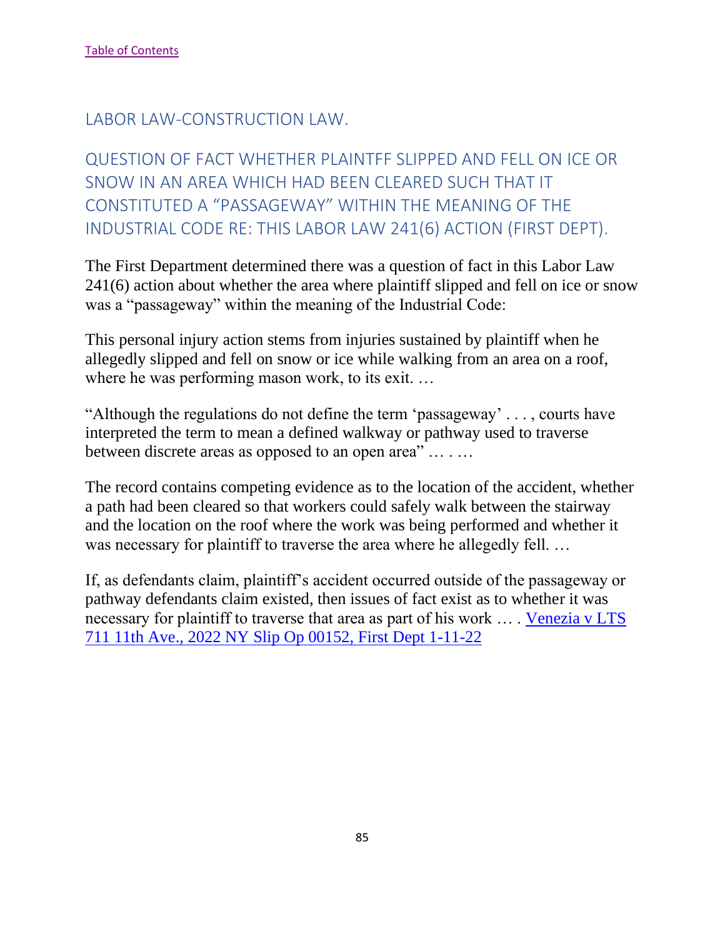QUESTION OF FACT WHETHER PLAINTFF SLIPPED AND FELL ON ICE OR SNOW IN AN AREA WHICH HAD BEEN CLEARED SUCH THAT IT CONSTITUTED A "PASSAGEWAY" WITHIN THE MEANING OF THE INDUSTRIAL CODE RE: THIS LABOR LAW 241(6) ACTION (FIRST DEPT).

The First Department determined there was a question of fact in this Labor Law 241(6) action about whether the area where plaintiff slipped and fell on ice or snow was a "passageway" within the meaning of the Industrial Code:

This personal injury action stems from injuries sustained by plaintiff when he allegedly slipped and fell on snow or ice while walking from an area on a roof, where he was performing mason work, to its exit. ...

"Although the regulations do not define the term 'passageway' . . . , courts have interpreted the term to mean a defined walkway or pathway used to traverse between discrete areas as opposed to an open area" … . …

The record contains competing evidence as to the location of the accident, whether a path had been cleared so that workers could safely walk between the stairway and the location on the roof where the work was being performed and whether it was necessary for plaintiff to traverse the area where he allegedly fell. …

If, as defendants claim, plaintiff's accident occurred outside of the passageway or pathway defendants claim existed, then issues of fact exist as to whether it was necessary for plaintiff to traverse that area as part of his work ... Venezia v LTS [711 11th Ave., 2022 NY Slip Op 00152, First Dept 1-11-22](https://nycourts.gov/reporter/3dseries/2022/2022_00152.htm)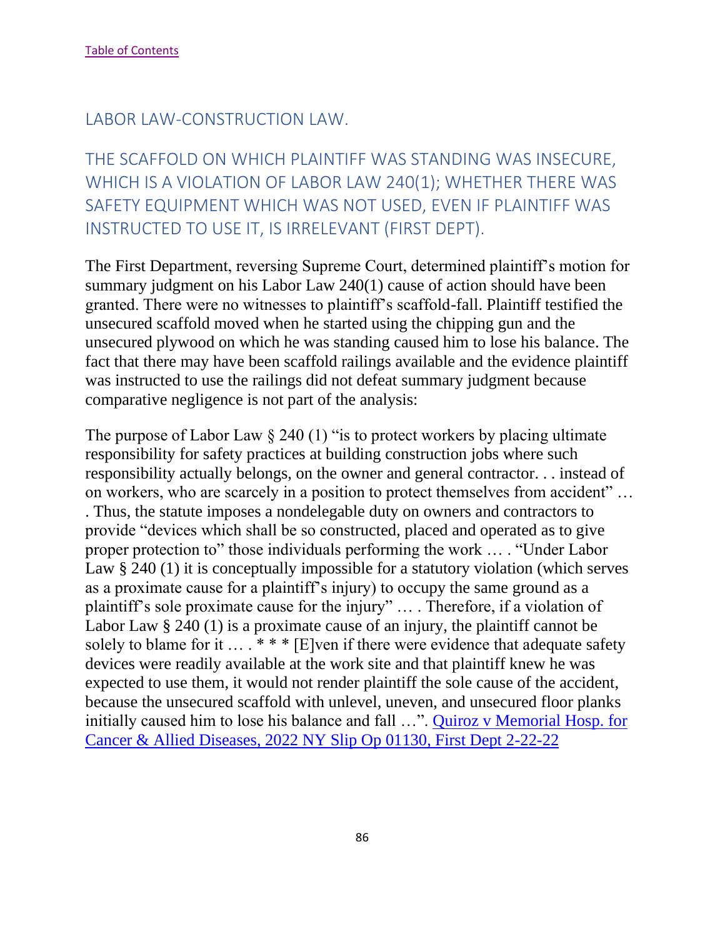THE SCAFFOLD ON WHICH PLAINTIFF WAS STANDING WAS INSECURE, WHICH IS A VIOLATION OF LABOR LAW 240(1); WHETHER THERE WAS SAFETY EQUIPMENT WHICH WAS NOT USED, EVEN IF PLAINTIFF WAS INSTRUCTED TO USE IT, IS IRRELEVANT (FIRST DEPT).

The First Department, reversing Supreme Court, determined plaintiff's motion for summary judgment on his Labor Law 240(1) cause of action should have been granted. There were no witnesses to plaintiff's scaffold-fall. Plaintiff testified the unsecured scaffold moved when he started using the chipping gun and the unsecured plywood on which he was standing caused him to lose his balance. The fact that there may have been scaffold railings available and the evidence plaintiff was instructed to use the railings did not defeat summary judgment because comparative negligence is not part of the analysis:

The purpose of Labor Law  $\S 240(1)$  "is to protect workers by placing ultimate responsibility for safety practices at building construction jobs where such responsibility actually belongs, on the owner and general contractor. . . instead of on workers, who are scarcely in a position to protect themselves from accident" … . Thus, the statute imposes a nondelegable duty on owners and contractors to provide "devices which shall be so constructed, placed and operated as to give proper protection to" those individuals performing the work … . "Under Labor Law § 240 (1) it is conceptually impossible for a statutory violation (which serves as a proximate cause for a plaintiff's injury) to occupy the same ground as a plaintiff's sole proximate cause for the injury" … . Therefore, if a violation of Labor Law § 240 (1) is a proximate cause of an injury, the plaintiff cannot be solely to blame for it  $\dots$  \*\*\* [E]ven if there were evidence that adequate safety devices were readily available at the work site and that plaintiff knew he was expected to use them, it would not render plaintiff the sole cause of the accident, because the unsecured scaffold with unlevel, uneven, and unsecured floor planks initially caused him to lose his balance and fall …". [Quiroz v Memorial Hosp. for](https://nycourts.gov/reporter/3dseries/2022/2022_01130.htm)  [Cancer & Allied Diseases, 2022 NY Slip Op 01130, First Dept 2-22-22](https://nycourts.gov/reporter/3dseries/2022/2022_01130.htm)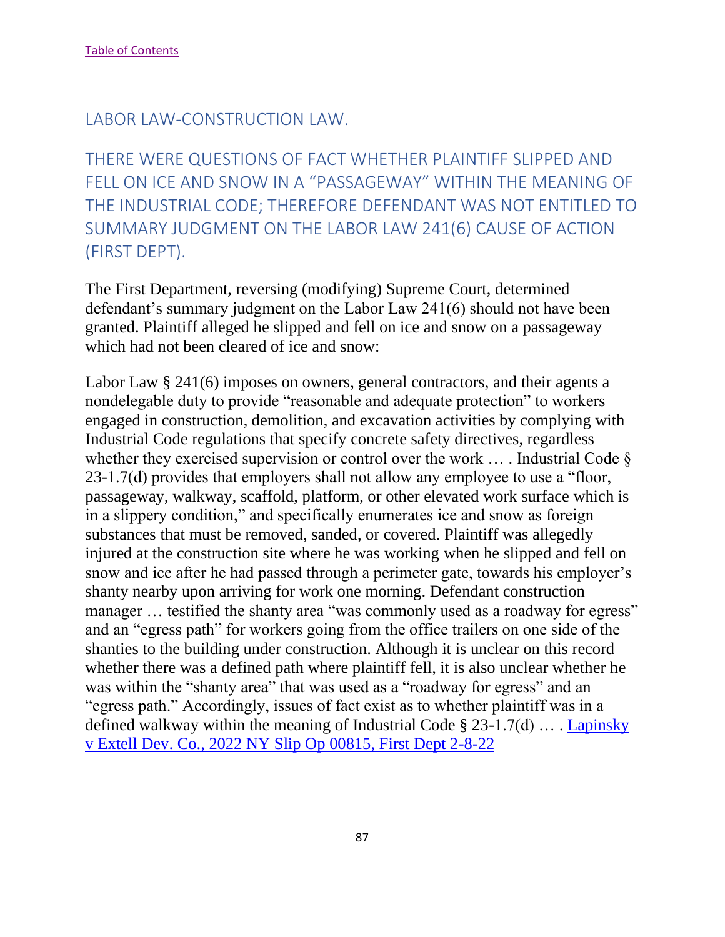THERE WERE QUESTIONS OF FACT WHETHER PLAINTIFF SLIPPED AND FELL ON ICE AND SNOW IN A "PASSAGEWAY" WITHIN THE MEANING OF THE INDUSTRIAL CODE; THEREFORE DEFENDANT WAS NOT ENTITLED TO SUMMARY JUDGMENT ON THE LABOR LAW 241(6) CAUSE OF ACTION (FIRST DEPT).

The First Department, reversing (modifying) Supreme Court, determined defendant's summary judgment on the Labor Law 241(6) should not have been granted. Plaintiff alleged he slipped and fell on ice and snow on a passageway which had not been cleared of ice and snow:

Labor Law § 241(6) imposes on owners, general contractors, and their agents a nondelegable duty to provide "reasonable and adequate protection" to workers engaged in construction, demolition, and excavation activities by complying with Industrial Code regulations that specify concrete safety directives, regardless whether they exercised supervision or control over the work ... . Industrial Code  $\S$ 23-1.7(d) provides that employers shall not allow any employee to use a "floor, passageway, walkway, scaffold, platform, or other elevated work surface which is in a slippery condition," and specifically enumerates ice and snow as foreign substances that must be removed, sanded, or covered. Plaintiff was allegedly injured at the construction site where he was working when he slipped and fell on snow and ice after he had passed through a perimeter gate, towards his employer's shanty nearby upon arriving for work one morning. Defendant construction manager ... testified the shanty area "was commonly used as a roadway for egress" and an "egress path" for workers going from the office trailers on one side of the shanties to the building under construction. Although it is unclear on this record whether there was a defined path where plaintiff fell, it is also unclear whether he was within the "shanty area" that was used as a "roadway for egress" and an "egress path." Accordingly, issues of fact exist as to whether plaintiff was in a defined walkway within the meaning of Industrial Code § 23-1.7(d) … . [Lapinsky](https://nycourts.gov/reporter/3dseries/2022/2022_00815.htm)  [v Extell Dev. Co., 2022 NY Slip Op 00815, First Dept 2-8-22](https://nycourts.gov/reporter/3dseries/2022/2022_00815.htm)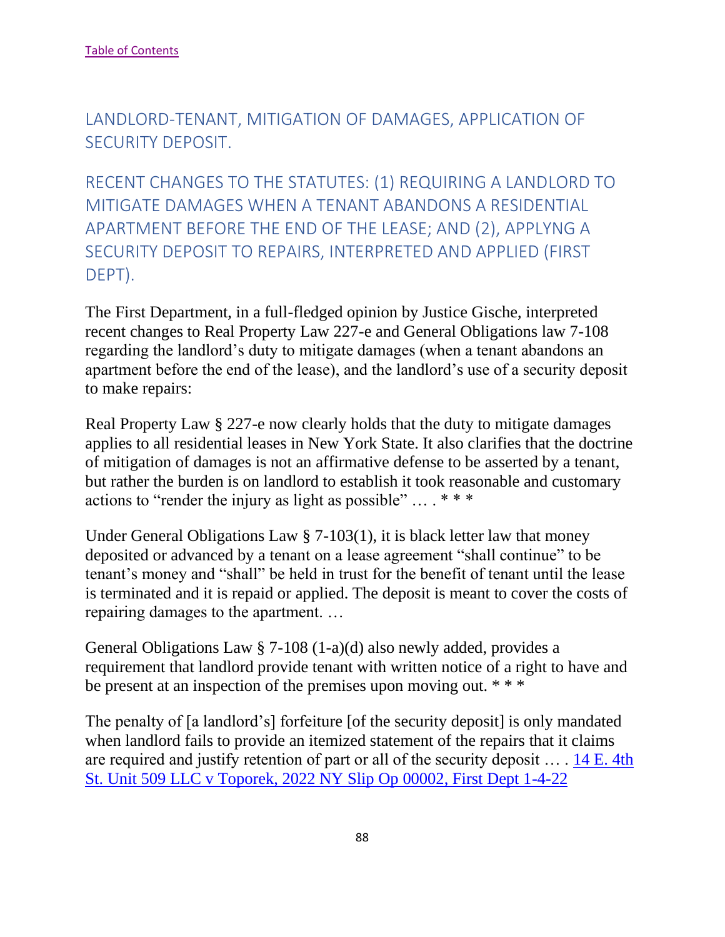LANDLORD-TENANT, MITIGATION OF DAMAGES, APPLICATION OF SECURITY DEPOSIT.

RECENT CHANGES TO THE STATUTES: (1) REQUIRING A LANDLORD TO MITIGATE DAMAGES WHEN A TENANT ABANDONS A RESIDENTIAL APARTMENT BEFORE THE END OF THE LEASE; AND (2), APPLYNG A SECURITY DEPOSIT TO REPAIRS, INTERPRETED AND APPLIED (FIRST DEPT).

The First Department, in a full-fledged opinion by Justice Gische, interpreted recent changes to Real Property Law 227-e and General Obligations law 7-108 regarding the landlord's duty to mitigate damages (when a tenant abandons an apartment before the end of the lease), and the landlord's use of a security deposit to make repairs:

Real Property Law § 227-e now clearly holds that the duty to mitigate damages applies to all residential leases in New York State. It also clarifies that the doctrine of mitigation of damages is not an affirmative defense to be asserted by a tenant, but rather the burden is on landlord to establish it took reasonable and customary actions to "render the injury as light as possible" … . \* \* \*

Under General Obligations Law § 7-103(1), it is black letter law that money deposited or advanced by a tenant on a lease agreement "shall continue" to be tenant's money and "shall" be held in trust for the benefit of tenant until the lease is terminated and it is repaid or applied. The deposit is meant to cover the costs of repairing damages to the apartment. …

General Obligations Law § 7-108 (1-a)(d) also newly added, provides a requirement that landlord provide tenant with written notice of a right to have and be present at an inspection of the premises upon moving out. \* \* \*

The penalty of [a landlord's] forfeiture [of the security deposit] is only mandated when landlord fails to provide an itemized statement of the repairs that it claims are required and justify retention of part or all of the security deposit … . [14 E. 4th](https://nycourts.gov/reporter/3dseries/2022/2022_00002.htm)  [St. Unit 509 LLC v Toporek, 2022 NY Slip Op 00002, First Dept 1-4-22](https://nycourts.gov/reporter/3dseries/2022/2022_00002.htm)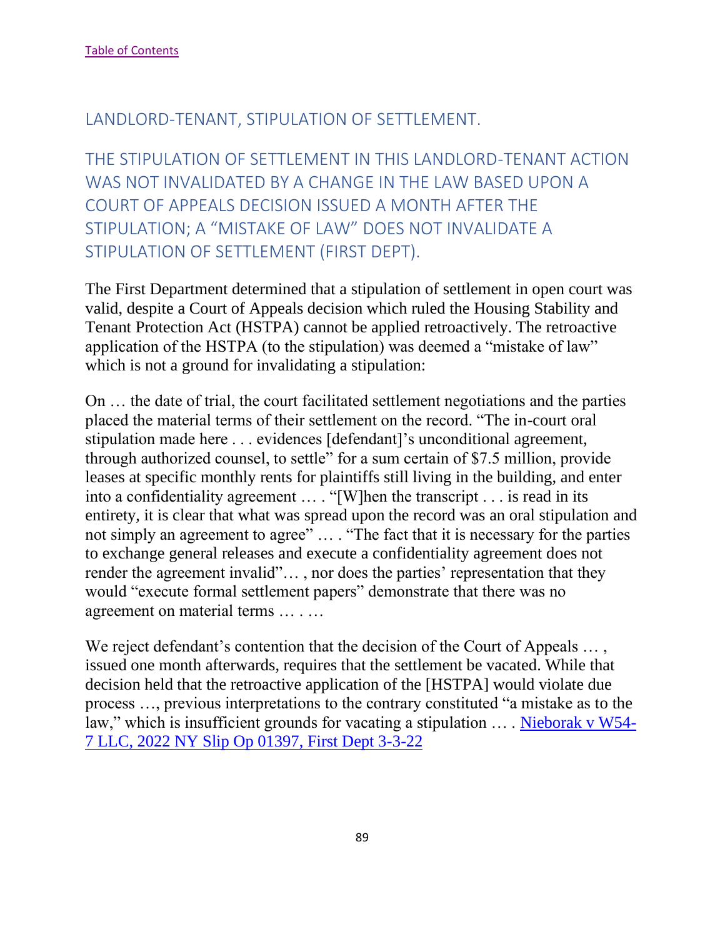### LANDLORD-TENANT, STIPULATION OF SETTLEMENT.

THE STIPULATION OF SETTLEMENT IN THIS LANDLORD-TENANT ACTION WAS NOT INVALIDATED BY A CHANGE IN THE LAW BASED UPON A COURT OF APPEALS DECISION ISSUED A MONTH AFTER THE STIPULATION; A "MISTAKE OF LAW" DOES NOT INVALIDATE A STIPULATION OF SETTLEMENT (FIRST DEPT).

The First Department determined that a stipulation of settlement in open court was valid, despite a Court of Appeals decision which ruled the Housing Stability and Tenant Protection Act (HSTPA) cannot be applied retroactively. The retroactive application of the HSTPA (to the stipulation) was deemed a "mistake of law" which is not a ground for invalidating a stipulation:

On … the date of trial, the court facilitated settlement negotiations and the parties placed the material terms of their settlement on the record. "The in-court oral stipulation made here . . . evidences [defendant]'s unconditional agreement, through authorized counsel, to settle" for a sum certain of \$7.5 million, provide leases at specific monthly rents for plaintiffs still living in the building, and enter into a confidentiality agreement … . "[W]hen the transcript . . . is read in its entirety, it is clear that what was spread upon the record was an oral stipulation and not simply an agreement to agree" … . "The fact that it is necessary for the parties to exchange general releases and execute a confidentiality agreement does not render the agreement invalid"… , nor does the parties' representation that they would "execute formal settlement papers" demonstrate that there was no agreement on material terms … . …

We reject defendant's contention that the decision of the Court of Appeals ..., issued one month afterwards, requires that the settlement be vacated. While that decision held that the retroactive application of the [HSTPA] would violate due process …, previous interpretations to the contrary constituted "a mistake as to the law," which is insufficient grounds for vacating a stipulation ... . [Nieborak v W54-](https://nycourts.gov/reporter/3dseries/2022/2022_01397.htm) [7 LLC, 2022 NY Slip Op 01397, First Dept 3-3-22](https://nycourts.gov/reporter/3dseries/2022/2022_01397.htm)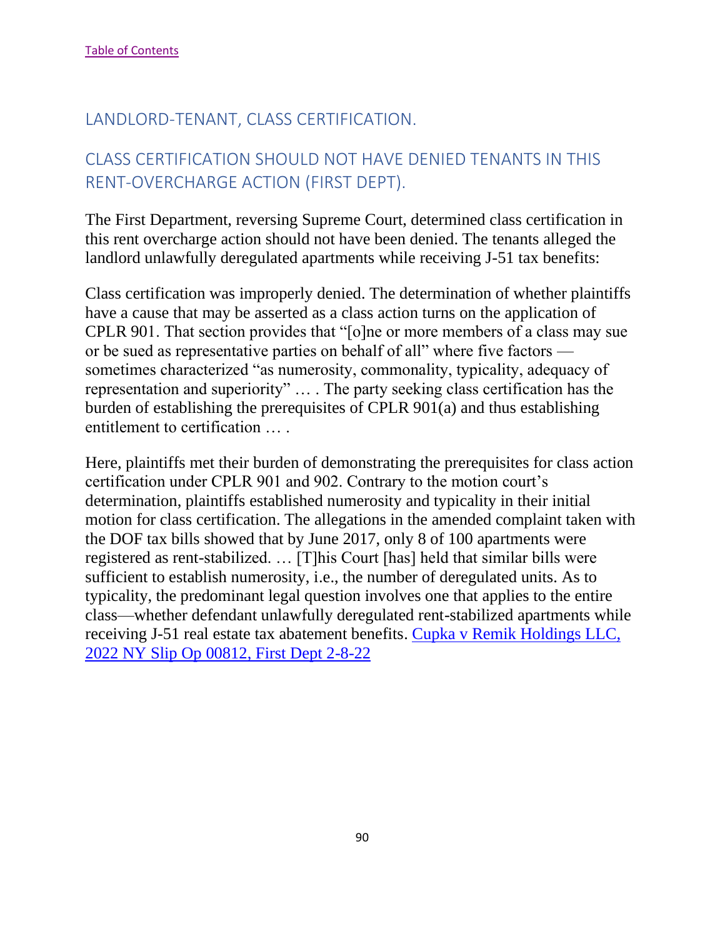## LANDLORD-TENANT, CLASS CERTIFICATION.

## CLASS CERTIFICATION SHOULD NOT HAVE DENIED TENANTS IN THIS RENT-OVERCHARGE ACTION (FIRST DEPT).

The First Department, reversing Supreme Court, determined class certification in this rent overcharge action should not have been denied. The tenants alleged the landlord unlawfully deregulated apartments while receiving J-51 tax benefits:

Class certification was improperly denied. The determination of whether plaintiffs have a cause that may be asserted as a class action turns on the application of CPLR 901. That section provides that "[o]ne or more members of a class may sue or be sued as representative parties on behalf of all" where five factors sometimes characterized "as numerosity, commonality, typicality, adequacy of representation and superiority" … . The party seeking class certification has the burden of establishing the prerequisites of CPLR 901(a) and thus establishing entitlement to certification … .

Here, plaintiffs met their burden of demonstrating the prerequisites for class action certification under CPLR 901 and 902. Contrary to the motion court's determination, plaintiffs established numerosity and typicality in their initial motion for class certification. The allegations in the amended complaint taken with the DOF tax bills showed that by June 2017, only 8 of 100 apartments were registered as rent-stabilized. … [T]his Court [has] held that similar bills were sufficient to establish numerosity, i.e., the number of deregulated units. As to typicality, the predominant legal question involves one that applies to the entire class—whether defendant unlawfully deregulated rent-stabilized apartments while receiving J-51 real estate tax abatement benefits. [Cupka v Remik Holdings LLC,](https://nycourts.gov/reporter/3dseries/2022/2022_00812.htm)  [2022 NY Slip Op 00812, First Dept 2-8-22](https://nycourts.gov/reporter/3dseries/2022/2022_00812.htm)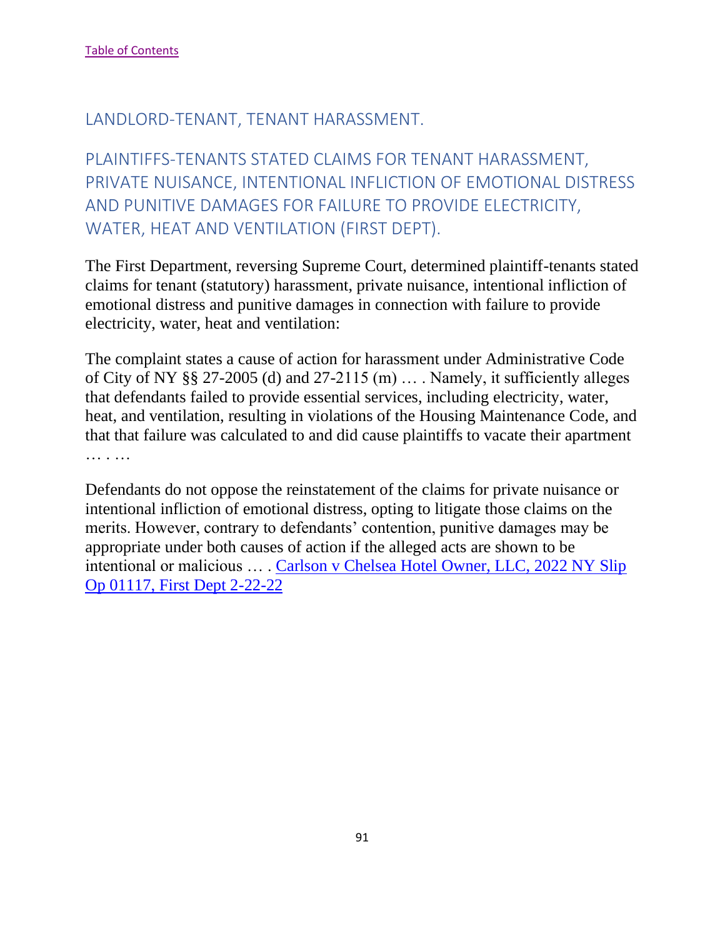#### LANDLORD-TENANT, TENANT HARASSMENT.

PLAINTIFFS-TENANTS STATED CLAIMS FOR TENANT HARASSMENT, PRIVATE NUISANCE, INTENTIONAL INFLICTION OF EMOTIONAL DISTRESS AND PUNITIVE DAMAGES FOR FAILURE TO PROVIDE ELECTRICITY, WATER, HEAT AND VENTILATION (FIRST DEPT).

The First Department, reversing Supreme Court, determined plaintiff-tenants stated claims for tenant (statutory) harassment, private nuisance, intentional infliction of emotional distress and punitive damages in connection with failure to provide electricity, water, heat and ventilation:

The complaint states a cause of action for harassment under Administrative Code of City of NY §§ 27-2005 (d) and 27-2115 (m) … . Namely, it sufficiently alleges that defendants failed to provide essential services, including electricity, water, heat, and ventilation, resulting in violations of the Housing Maintenance Code, and that that failure was calculated to and did cause plaintiffs to vacate their apartment … . . . . .

Defendants do not oppose the reinstatement of the claims for private nuisance or intentional infliction of emotional distress, opting to litigate those claims on the merits. However, contrary to defendants' contention, punitive damages may be appropriate under both causes of action if the alleged acts are shown to be intentional or malicious … . [Carlson v Chelsea Hotel Owner, LLC, 2022 NY Slip](https://nycourts.gov/reporter/3dseries/2022/2022_01117.htm)  [Op 01117, First Dept 2-22-22](https://nycourts.gov/reporter/3dseries/2022/2022_01117.htm)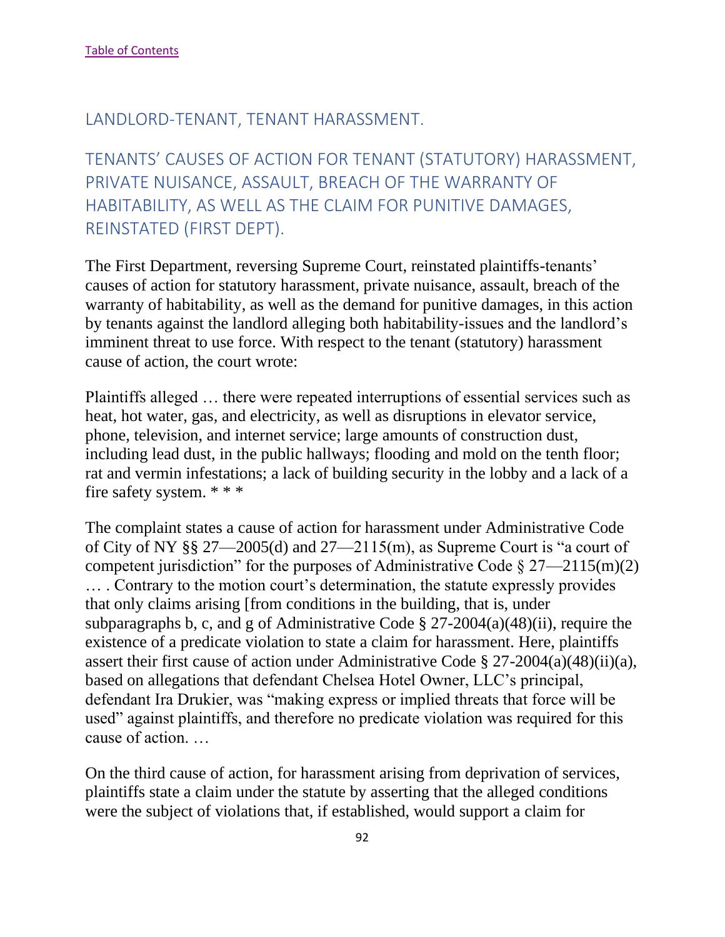#### LANDLORD-TENANT, TENANT HARASSMENT.

TENANTS' CAUSES OF ACTION FOR TENANT (STATUTORY) HARASSMENT, PRIVATE NUISANCE, ASSAULT, BREACH OF THE WARRANTY OF HABITABILITY, AS WELL AS THE CLAIM FOR PUNITIVE DAMAGES, REINSTATED (FIRST DEPT).

The First Department, reversing Supreme Court, reinstated plaintiffs-tenants' causes of action for statutory harassment, private nuisance, assault, breach of the warranty of habitability, as well as the demand for punitive damages, in this action by tenants against the landlord alleging both habitability-issues and the landlord's imminent threat to use force. With respect to the tenant (statutory) harassment cause of action, the court wrote:

Plaintiffs alleged … there were repeated interruptions of essential services such as heat, hot water, gas, and electricity, as well as disruptions in elevator service, phone, television, and internet service; large amounts of construction dust, including lead dust, in the public hallways; flooding and mold on the tenth floor; rat and vermin infestations; a lack of building security in the lobby and a lack of a fire safety system. \* \* \*

The complaint states a cause of action for harassment under Administrative Code of City of NY §§ 27—2005(d) and 27—2115(m), as Supreme Court is "a court of competent jurisdiction" for the purposes of Administrative Code  $\S 27 - 2115(m)(2)$ … . Contrary to the motion court's determination, the statute expressly provides that only claims arising [from conditions in the building, that is, under subparagraphs b, c, and g of Administrative Code § 27-2004(a)(48)(ii), require the existence of a predicate violation to state a claim for harassment. Here, plaintiffs assert their first cause of action under Administrative Code § 27-2004(a)(48)(ii)(a), based on allegations that defendant Chelsea Hotel Owner, LLC's principal, defendant Ira Drukier, was "making express or implied threats that force will be used" against plaintiffs, and therefore no predicate violation was required for this cause of action. …

On the third cause of action, for harassment arising from deprivation of services, plaintiffs state a claim under the statute by asserting that the alleged conditions were the subject of violations that, if established, would support a claim for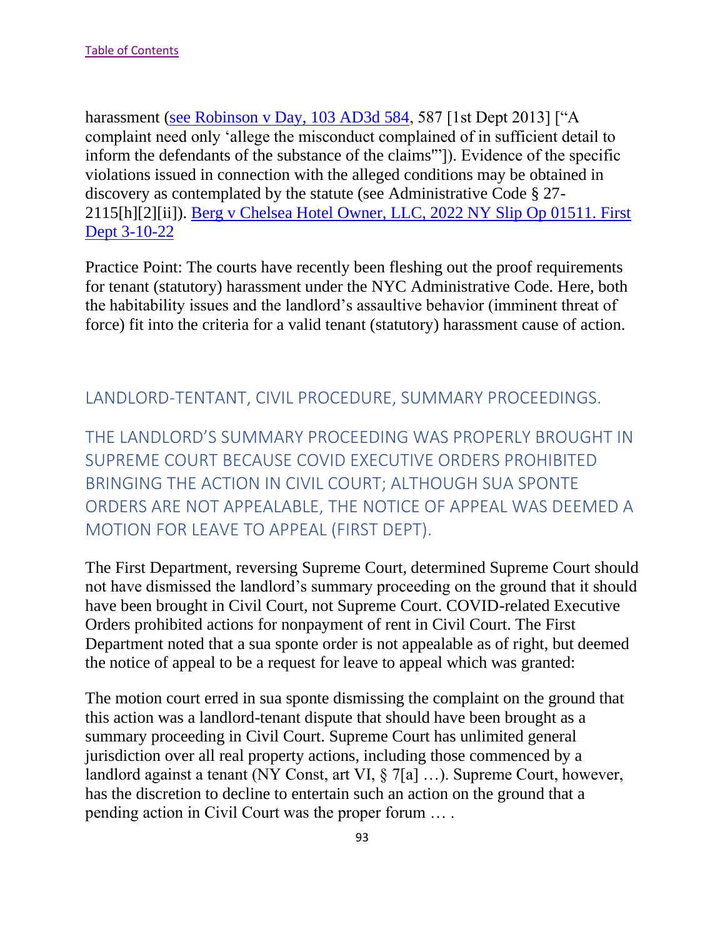harassment [\(see Robinson v Day, 103 AD3d 584,](https://nycourts.gov/reporter/3dseries/2013/2013_01321.htm) 587 [1st Dept 2013] ["A complaint need only 'allege the misconduct complained of in sufficient detail to inform the defendants of the substance of the claims'"]). Evidence of the specific violations issued in connection with the alleged conditions may be obtained in discovery as contemplated by the statute (see Administrative Code § 27- 2115[h][2][ii]). [Berg v Chelsea Hotel Owner, LLC, 2022 NY Slip Op 01511. First](https://nycourts.gov/reporter/3dseries/2022/2022_01511.htm)  [Dept 3-10-22](https://nycourts.gov/reporter/3dseries/2022/2022_01511.htm)

Practice Point: The courts have recently been fleshing out the proof requirements for tenant (statutory) harassment under the NYC Administrative Code. Here, both the habitability issues and the landlord's assaultive behavior (imminent threat of force) fit into the criteria for a valid tenant (statutory) harassment cause of action.

#### LANDLORD-TENTANT, CIVIL PROCEDURE, SUMMARY PROCEEDINGS.

THE LANDLORD'S SUMMARY PROCEEDING WAS PROPERLY BROUGHT IN SUPREME COURT BECAUSE COVID EXECUTIVE ORDERS PROHIBITED BRINGING THE ACTION IN CIVIL COURT; ALTHOUGH SUA SPONTE ORDERS ARE NOT APPEALABLE, THE NOTICE OF APPEAL WAS DEEMED A MOTION FOR LEAVE TO APPEAL (FIRST DEPT).

The First Department, reversing Supreme Court, determined Supreme Court should not have dismissed the landlord's summary proceeding on the ground that it should have been brought in Civil Court, not Supreme Court. COVID-related Executive Orders prohibited actions for nonpayment of rent in Civil Court. The First Department noted that a sua sponte order is not appealable as of right, but deemed the notice of appeal to be a request for leave to appeal which was granted:

The motion court erred in sua sponte dismissing the complaint on the ground that this action was a landlord-tenant dispute that should have been brought as a summary proceeding in Civil Court. Supreme Court has unlimited general jurisdiction over all real property actions, including those commenced by a landlord against a tenant (NY Const, art VI, § 7[a] …). Supreme Court, however, has the discretion to decline to entertain such an action on the ground that a pending action in Civil Court was the proper forum … .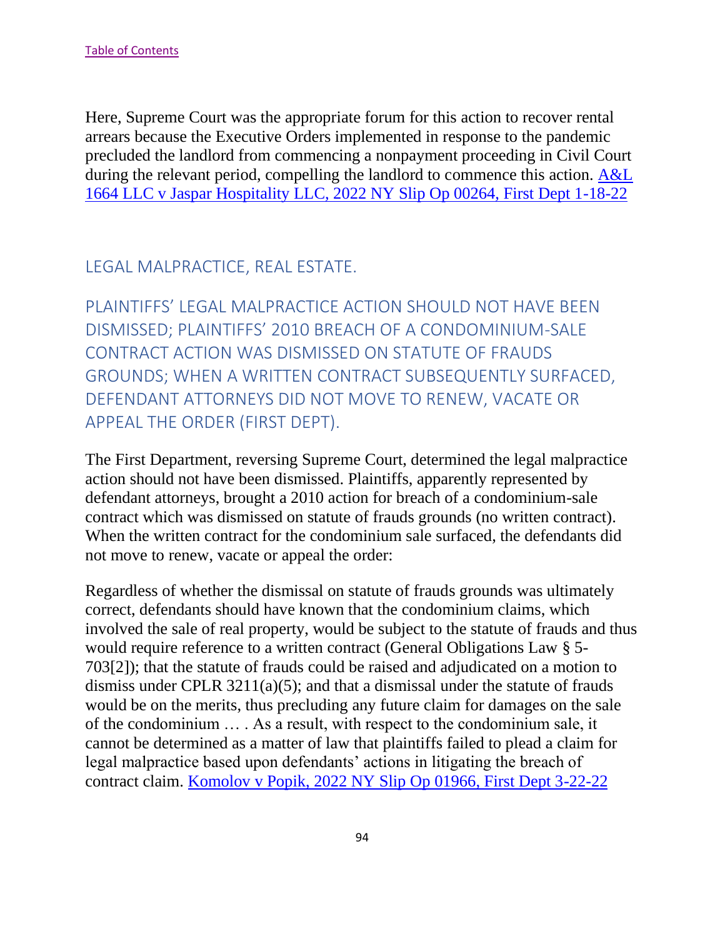Here, Supreme Court was the appropriate forum for this action to recover rental arrears because the Executive Orders implemented in response to the pandemic precluded the landlord from commencing a nonpayment proceeding in Civil Court during the relevant period, compelling the landlord to commence this action. [A&L](https://nycourts.gov/reporter/3dseries/2022/2022_00264.htm)  [1664 LLC v Jaspar Hospitality LLC, 2022 NY Slip Op 00264, First Dept 1-18-22](https://nycourts.gov/reporter/3dseries/2022/2022_00264.htm)

## LEGAL MALPRACTICE, REAL ESTATE.

PLAINTIFFS' LEGAL MALPRACTICE ACTION SHOULD NOT HAVE BEEN DISMISSED; PLAINTIFFS' 2010 BREACH OF A CONDOMINIUM-SALE CONTRACT ACTION WAS DISMISSED ON STATUTE OF FRAUDS GROUNDS; WHEN A WRITTEN CONTRACT SUBSEQUENTLY SURFACED, DEFENDANT ATTORNEYS DID NOT MOVE TO RENEW, VACATE OR APPEAL THE ORDER (FIRST DEPT).

The First Department, reversing Supreme Court, determined the legal malpractice action should not have been dismissed. Plaintiffs, apparently represented by defendant attorneys, brought a 2010 action for breach of a condominium-sale contract which was dismissed on statute of frauds grounds (no written contract). When the written contract for the condominium sale surfaced, the defendants did not move to renew, vacate or appeal the order:

Regardless of whether the dismissal on statute of frauds grounds was ultimately correct, defendants should have known that the condominium claims, which involved the sale of real property, would be subject to the statute of frauds and thus would require reference to a written contract (General Obligations Law § 5- 703[2]); that the statute of frauds could be raised and adjudicated on a motion to dismiss under CPLR  $3211(a)(5)$ ; and that a dismissal under the statute of frauds would be on the merits, thus precluding any future claim for damages on the sale of the condominium … . As a result, with respect to the condominium sale, it cannot be determined as a matter of law that plaintiffs failed to plead a claim for legal malpractice based upon defendants' actions in litigating the breach of contract claim. [Komolov v Popik, 2022 NY Slip Op 01966, First Dept 3-22-22](https://nycourts.gov/reporter/3dseries/2022/2022_01966.htm)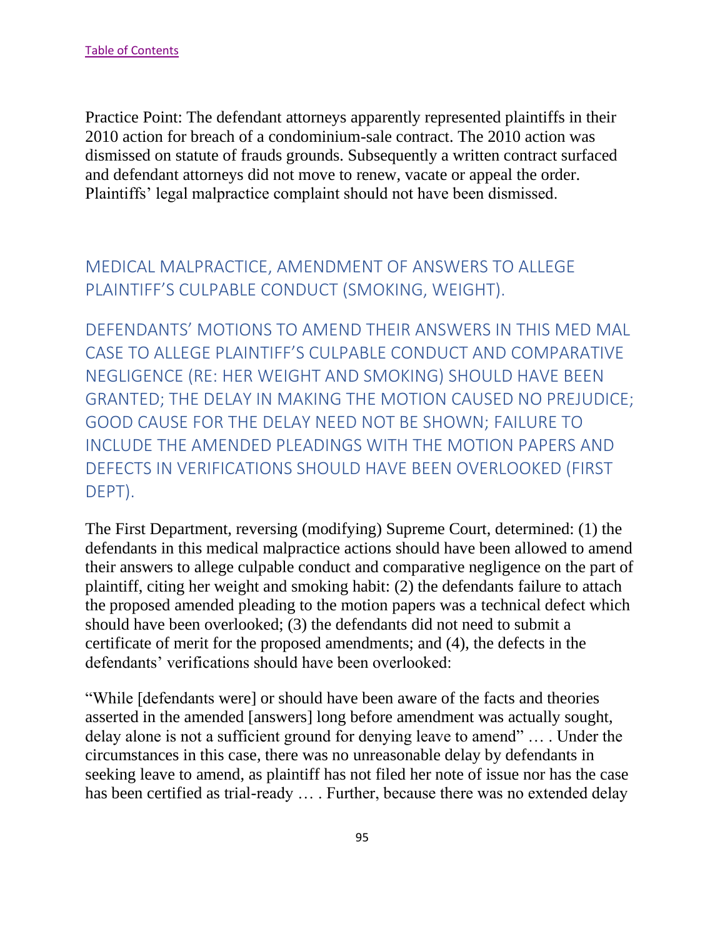Practice Point: The defendant attorneys apparently represented plaintiffs in their 2010 action for breach of a condominium-sale contract. The 2010 action was dismissed on statute of frauds grounds. Subsequently a written contract surfaced and defendant attorneys did not move to renew, vacate or appeal the order. Plaintiffs' legal malpractice complaint should not have been dismissed.

# MEDICAL MALPRACTICE, AMENDMENT OF ANSWERS TO ALLEGE PLAINTIFF'S CULPABLE CONDUCT (SMOKING, WEIGHT).

DEFENDANTS' MOTIONS TO AMEND THEIR ANSWERS IN THIS MED MAL CASE TO ALLEGE PLAINTIFF'S CULPABLE CONDUCT AND COMPARATIVE NEGLIGENCE (RE: HER WEIGHT AND SMOKING) SHOULD HAVE BEEN GRANTED; THE DELAY IN MAKING THE MOTION CAUSED NO PREJUDICE; GOOD CAUSE FOR THE DELAY NEED NOT BE SHOWN; FAILURE TO INCLUDE THE AMENDED PLEADINGS WITH THE MOTION PAPERS AND DEFECTS IN VERIFICATIONS SHOULD HAVE BEEN OVERLOOKED (FIRST DEPT).

The First Department, reversing (modifying) Supreme Court, determined: (1) the defendants in this medical malpractice actions should have been allowed to amend their answers to allege culpable conduct and comparative negligence on the part of plaintiff, citing her weight and smoking habit: (2) the defendants failure to attach the proposed amended pleading to the motion papers was a technical defect which should have been overlooked; (3) the defendants did not need to submit a certificate of merit for the proposed amendments; and (4), the defects in the defendants' verifications should have been overlooked:

"While [defendants were] or should have been aware of the facts and theories asserted in the amended [answers] long before amendment was actually sought, delay alone is not a sufficient ground for denying leave to amend" … . Under the circumstances in this case, there was no unreasonable delay by defendants in seeking leave to amend, as plaintiff has not filed her note of issue nor has the case has been certified as trial-ready … . Further, because there was no extended delay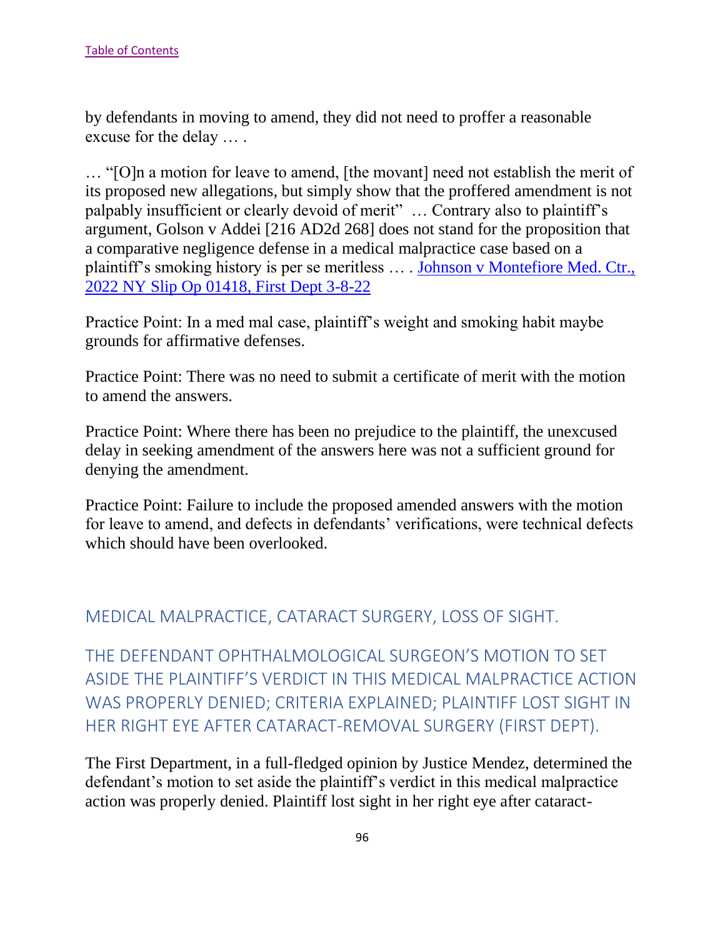by defendants in moving to amend, they did not need to proffer a reasonable excuse for the delay … .

… "[O]n a motion for leave to amend, [the movant] need not establish the merit of its proposed new allegations, but simply show that the proffered amendment is not palpably insufficient or clearly devoid of merit" … Contrary also to plaintiff's argument, Golson v Addei [216 AD2d 268] does not stand for the proposition that a comparative negligence defense in a medical malpractice case based on a plaintiff's smoking history is per se meritless … . [Johnson v Montefiore Med. Ctr.,](https://nycourts.gov/reporter/3dseries/2022/2022_01418.htm)  [2022 NY Slip Op 01418, First Dept 3-8-22](https://nycourts.gov/reporter/3dseries/2022/2022_01418.htm)

Practice Point: In a med mal case, plaintiff's weight and smoking habit maybe grounds for affirmative defenses.

Practice Point: There was no need to submit a certificate of merit with the motion to amend the answers.

Practice Point: Where there has been no prejudice to the plaintiff, the unexcused delay in seeking amendment of the answers here was not a sufficient ground for denying the amendment.

Practice Point: Failure to include the proposed amended answers with the motion for leave to amend, and defects in defendants' verifications, were technical defects which should have been overlooked.

#### MEDICAL MALPRACTICE, CATARACT SURGERY, LOSS OF SIGHT.

THE DEFENDANT OPHTHALMOLOGICAL SURGEON'S MOTION TO SET ASIDE THE PLAINTIFF'S VERDICT IN THIS MEDICAL MALPRACTICE ACTION WAS PROPERLY DENIED; CRITERIA EXPLAINED; PLAINTIFF LOST SIGHT IN HER RIGHT EYE AFTER CATARACT-REMOVAL SURGERY (FIRST DEPT).

The First Department, in a full-fledged opinion by Justice Mendez, determined the defendant's motion to set aside the plaintiff's verdict in this medical malpractice action was properly denied. Plaintiff lost sight in her right eye after cataract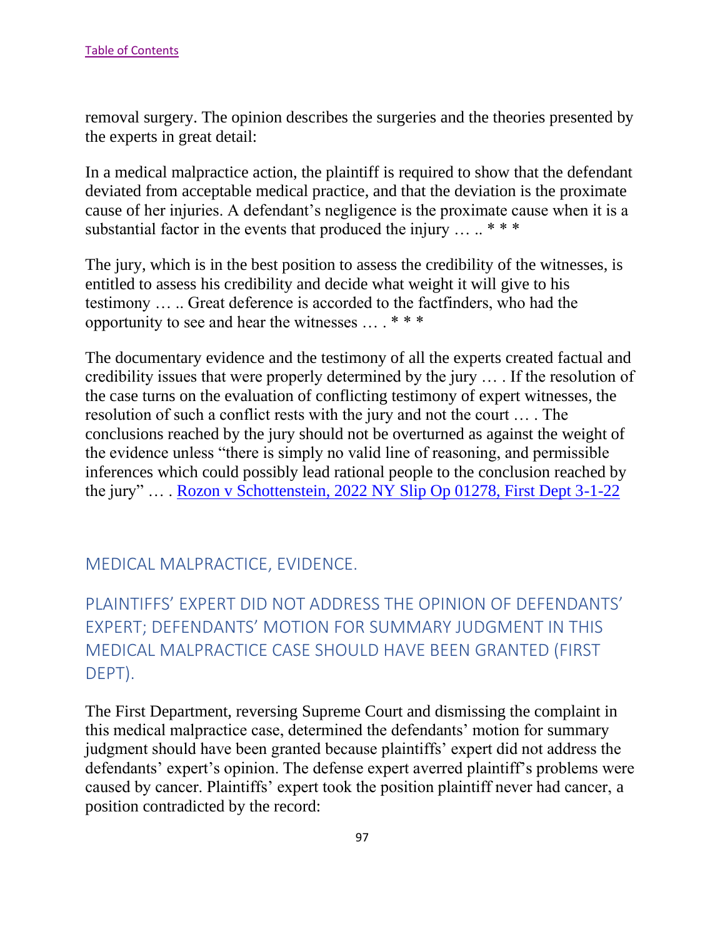removal surgery. The opinion describes the surgeries and the theories presented by the experts in great detail:

In a medical malpractice action, the plaintiff is required to show that the defendant deviated from acceptable medical practice, and that the deviation is the proximate cause of her injuries. A defendant's negligence is the proximate cause when it is a substantial factor in the events that produced the injury  $\dots$  \*\*\*

The jury, which is in the best position to assess the credibility of the witnesses, is entitled to assess his credibility and decide what weight it will give to his testimony … .. Great deference is accorded to the factfinders, who had the opportunity to see and hear the witnesses … . \* \* \*

The documentary evidence and the testimony of all the experts created factual and credibility issues that were properly determined by the jury … . If the resolution of the case turns on the evaluation of conflicting testimony of expert witnesses, the resolution of such a conflict rests with the jury and not the court … . The conclusions reached by the jury should not be overturned as against the weight of the evidence unless "there is simply no valid line of reasoning, and permissible inferences which could possibly lead rational people to the conclusion reached by the jury" ... . [Rozon v Schottenstein, 2022 NY Slip Op 01278, First Dept 3-1-22](https://nycourts.gov/reporter/3dseries/2022/2022_01278.htm)

#### MEDICAL MALPRACTICE, EVIDENCE.

# PLAINTIFFS' EXPERT DID NOT ADDRESS THE OPINION OF DEFENDANTS' EXPERT; DEFENDANTS' MOTION FOR SUMMARY JUDGMENT IN THIS MEDICAL MALPRACTICE CASE SHOULD HAVE BEEN GRANTED (FIRST DEPT).

The First Department, reversing Supreme Court and dismissing the complaint in this medical malpractice case, determined the defendants' motion for summary judgment should have been granted because plaintiffs' expert did not address the defendants' expert's opinion. The defense expert averred plaintiff's problems were caused by cancer. Plaintiffs' expert took the position plaintiff never had cancer, a position contradicted by the record: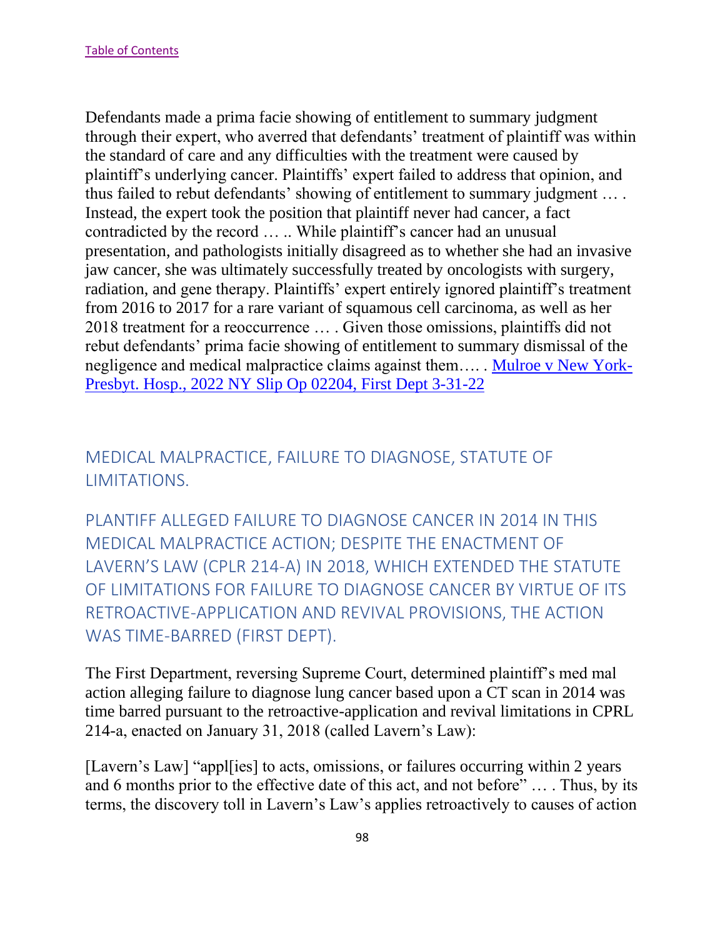Defendants made a prima facie showing of entitlement to summary judgment through their expert, who averred that defendants' treatment of plaintiff was within the standard of care and any difficulties with the treatment were caused by plaintiff's underlying cancer. Plaintiffs' expert failed to address that opinion, and thus failed to rebut defendants' showing of entitlement to summary judgment … . Instead, the expert took the position that plaintiff never had cancer, a fact contradicted by the record … .. While plaintiff's cancer had an unusual presentation, and pathologists initially disagreed as to whether she had an invasive jaw cancer, she was ultimately successfully treated by oncologists with surgery, radiation, and gene therapy. Plaintiffs' expert entirely ignored plaintiff's treatment from 2016 to 2017 for a rare variant of squamous cell carcinoma, as well as her 2018 treatment for a reoccurrence … . Given those omissions, plaintiffs did not rebut defendants' prima facie showing of entitlement to summary dismissal of the negligence and medical malpractice claims against them…. . [Mulroe v New York-](https://nycourts.gov/reporter/3dseries/2022/2022_02204.htm)[Presbyt. Hosp., 2022 NY Slip Op 02204, First Dept 3-31-22](https://nycourts.gov/reporter/3dseries/2022/2022_02204.htm)

## MEDICAL MALPRACTICE, FAILURE TO DIAGNOSE, STATUTE OF LIMITATIONS.

PLANTIFF ALLEGED FAILURE TO DIAGNOSE CANCER IN 2014 IN THIS MEDICAL MALPRACTICE ACTION; DESPITE THE ENACTMENT OF LAVERN'S LAW (CPLR 214-A) IN 2018, WHICH EXTENDED THE STATUTE OF LIMITATIONS FOR FAILURE TO DIAGNOSE CANCER BY VIRTUE OF ITS RETROACTIVE-APPLICATION AND REVIVAL PROVISIONS, THE ACTION WAS TIME-BARRED (FIRST DEPT).

The First Department, reversing Supreme Court, determined plaintiff's med mal action alleging failure to diagnose lung cancer based upon a CT scan in 2014 was time barred pursuant to the retroactive-application and revival limitations in CPRL 214-a, enacted on January 31, 2018 (called Lavern's Law):

[Lavern's Law] "appl[ies] to acts, omissions, or failures occurring within 2 years and 6 months prior to the effective date of this act, and not before" … . Thus, by its terms, the discovery toll in Lavern's Law's applies retroactively to causes of action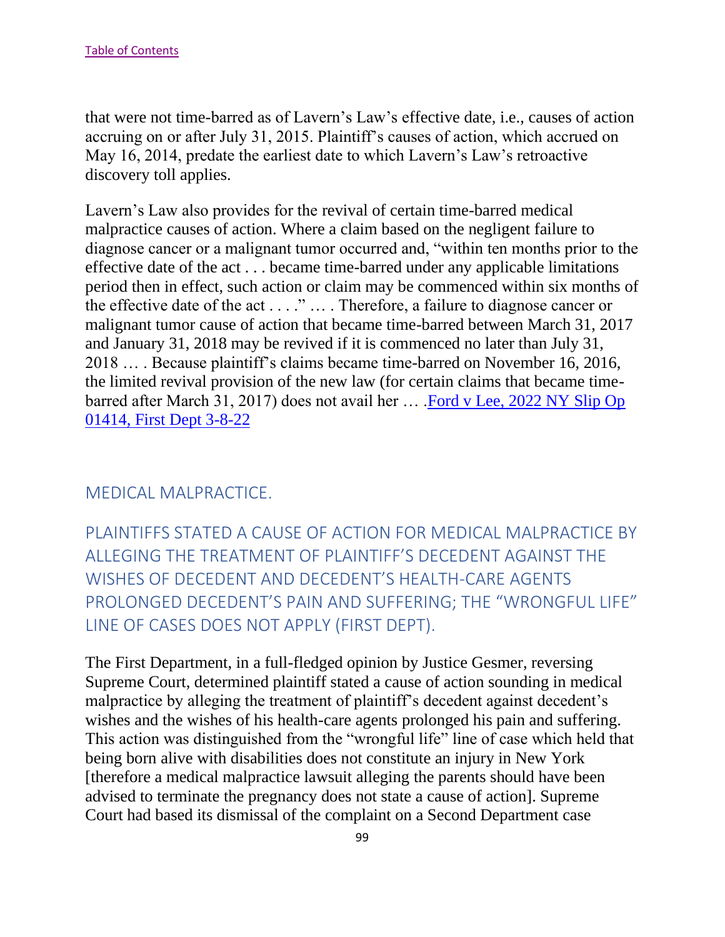that were not time-barred as of Lavern's Law's effective date, i.e., causes of action accruing on or after July 31, 2015. Plaintiff's causes of action, which accrued on May 16, 2014, predate the earliest date to which Lavern's Law's retroactive discovery toll applies.

Lavern's Law also provides for the revival of certain time-barred medical malpractice causes of action. Where a claim based on the negligent failure to diagnose cancer or a malignant tumor occurred and, "within ten months prior to the effective date of the act . . . became time-barred under any applicable limitations period then in effect, such action or claim may be commenced within six months of the effective date of the act . . . ." … . Therefore, a failure to diagnose cancer or malignant tumor cause of action that became time-barred between March 31, 2017 and January 31, 2018 may be revived if it is commenced no later than July 31, 2018 … . Because plaintiff's claims became time-barred on November 16, 2016, the limited revival provision of the new law (for certain claims that became timebarred after March 31, 2017) does not avail her … [.Ford v Lee, 2022 NY Slip Op](https://nycourts.gov/reporter/3dseries/2022/2022_01414.htm)  [01414, First Dept 3-8-22](https://nycourts.gov/reporter/3dseries/2022/2022_01414.htm)

#### MEDICAL MALPRACTICE.

PLAINTIFFS STATED A CAUSE OF ACTION FOR MEDICAL MALPRACTICE BY ALLEGING THE TREATMENT OF PLAINTIFF'S DECEDENT AGAINST THE WISHES OF DECEDENT AND DECEDENT'S HEALTH-CARE AGENTS PROLONGED DECEDENT'S PAIN AND SUFFERING; THE "WRONGFUL LIFE" LINE OF CASES DOES NOT APPLY (FIRST DEPT).

The First Department, in a full-fledged opinion by Justice Gesmer, reversing Supreme Court, determined plaintiff stated a cause of action sounding in medical malpractice by alleging the treatment of plaintiff's decedent against decedent's wishes and the wishes of his health-care agents prolonged his pain and suffering. This action was distinguished from the "wrongful life" line of case which held that being born alive with disabilities does not constitute an injury in New York [therefore a medical malpractice lawsuit alleging the parents should have been advised to terminate the pregnancy does not state a cause of action]. Supreme Court had based its dismissal of the complaint on a Second Department case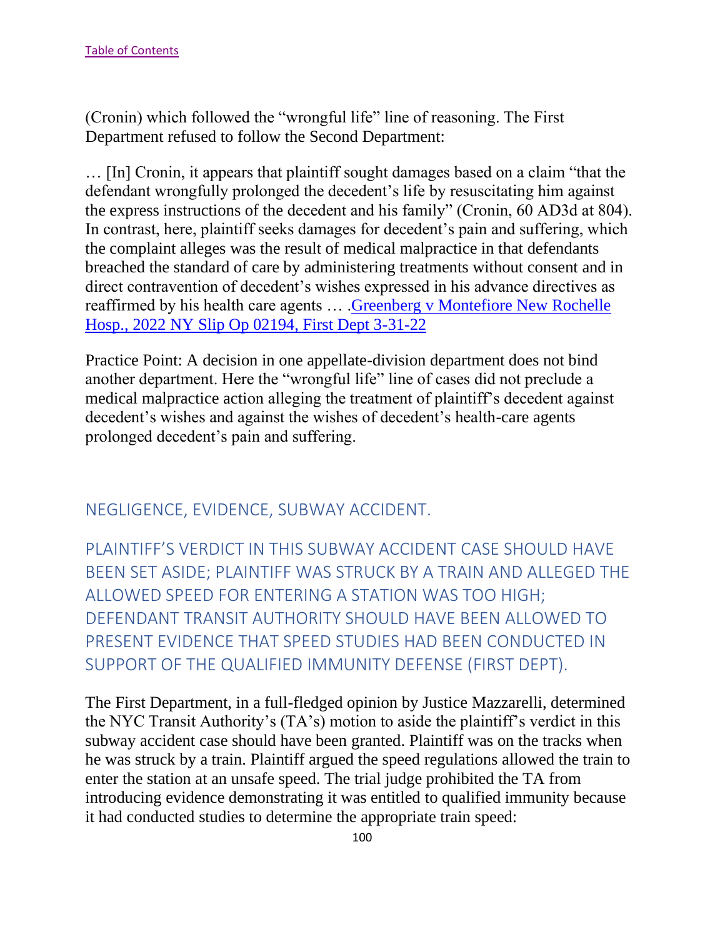(Cronin) which followed the "wrongful life" line of reasoning. The First Department refused to follow the Second Department:

… [In] Cronin, it appears that plaintiff sought damages based on a claim "that the defendant wrongfully prolonged the decedent's life by resuscitating him against the express instructions of the decedent and his family" (Cronin, 60 AD3d at 804). In contrast, here, plaintiff seeks damages for decedent's pain and suffering, which the complaint alleges was the result of medical malpractice in that defendants breached the standard of care by administering treatments without consent and in direct contravention of decedent's wishes expressed in his advance directives as reaffirmed by his health care agents … .Greenberg [v Montefiore New Rochelle](https://nycourts.gov/reporter/3dseries/2022/2022_02194.htm)  [Hosp., 2022 NY Slip Op 02194, First Dept 3-31-22](https://nycourts.gov/reporter/3dseries/2022/2022_02194.htm)

Practice Point: A decision in one appellate-division department does not bind another department. Here the "wrongful life" line of cases did not preclude a medical malpractice action alleging the treatment of plaintiff's decedent against decedent's wishes and against the wishes of decedent's health-care agents prolonged decedent's pain and suffering.

NEGLIGENCE, EVIDENCE, SUBWAY ACCIDENT.

PLAINTIFF'S VERDICT IN THIS SUBWAY ACCIDENT CASE SHOULD HAVE BEEN SET ASIDE; PLAINTIFF WAS STRUCK BY A TRAIN AND ALLEGED THE ALLOWED SPEED FOR ENTERING A STATION WAS TOO HIGH; DEFENDANT TRANSIT AUTHORITY SHOULD HAVE BEEN ALLOWED TO PRESENT EVIDENCE THAT SPEED STUDIES HAD BEEN CONDUCTED IN SUPPORT OF THE QUALIFIED IMMUNITY DEFENSE (FIRST DEPT).

The First Department, in a full-fledged opinion by Justice Mazzarelli, determined the NYC Transit Authority's (TA's) motion to aside the plaintiff's verdict in this subway accident case should have been granted. Plaintiff was on the tracks when he was struck by a train. Plaintiff argued the speed regulations allowed the train to enter the station at an unsafe speed. The trial judge prohibited the TA from introducing evidence demonstrating it was entitled to qualified immunity because it had conducted studies to determine the appropriate train speed: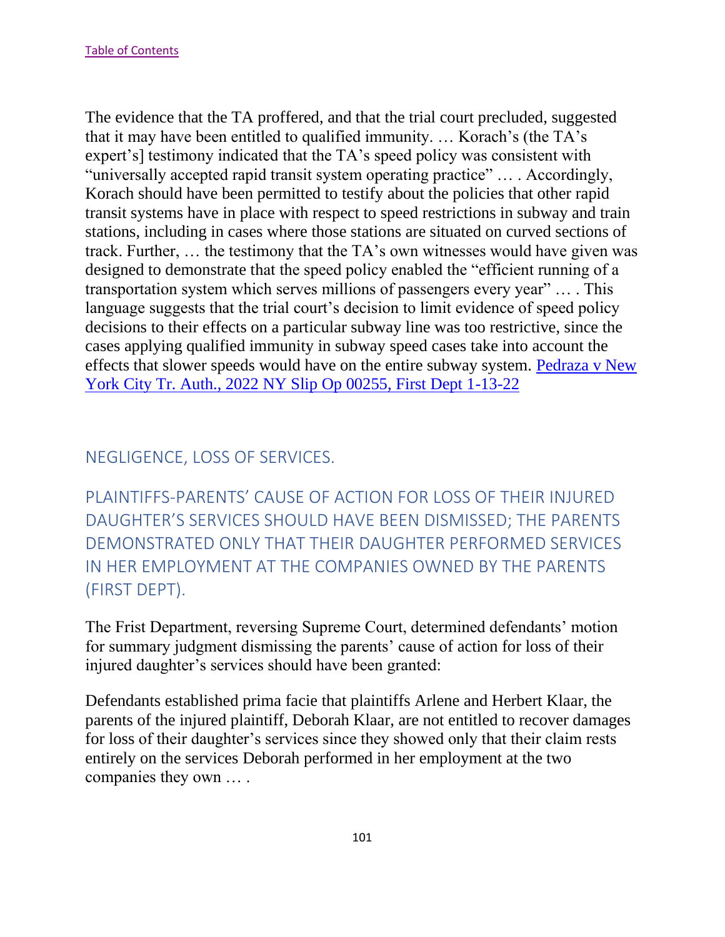The evidence that the TA proffered, and that the trial court precluded, suggested that it may have been entitled to qualified immunity. … Korach's (the TA's expert's] testimony indicated that the TA's speed policy was consistent with "universally accepted rapid transit system operating practice" … . Accordingly, Korach should have been permitted to testify about the policies that other rapid transit systems have in place with respect to speed restrictions in subway and train stations, including in cases where those stations are situated on curved sections of track. Further, … the testimony that the TA's own witnesses would have given was designed to demonstrate that the speed policy enabled the "efficient running of a transportation system which serves millions of passengers every year" … . This language suggests that the trial court's decision to limit evidence of speed policy decisions to their effects on a particular subway line was too restrictive, since the cases applying qualified immunity in subway speed cases take into account the effects that slower speeds would have on the entire subway system. [Pedraza v New](https://nycourts.gov/reporter/3dseries/2022/2022_00255.htm)  [York City Tr. Auth., 2022 NY Slip Op 00255, First Dept 1-13-22](https://nycourts.gov/reporter/3dseries/2022/2022_00255.htm)

## NEGLIGENCE, LOSS OF SERVICES.

PLAINTIFFS-PARENTS' CAUSE OF ACTION FOR LOSS OF THEIR INJURED DAUGHTER'S SERVICES SHOULD HAVE BEEN DISMISSED; THE PARENTS DEMONSTRATED ONLY THAT THEIR DAUGHTER PERFORMED SERVICES IN HER EMPLOYMENT AT THE COMPANIES OWNED BY THE PARENTS (FIRST DEPT).

The Frist Department, reversing Supreme Court, determined defendants' motion for summary judgment dismissing the parents' cause of action for loss of their injured daughter's services should have been granted:

Defendants established prima facie that plaintiffs Arlene and Herbert Klaar, the parents of the injured plaintiff, Deborah Klaar, are not entitled to recover damages for loss of their daughter's services since they showed only that their claim rests entirely on the services Deborah performed in her employment at the two companies they own … .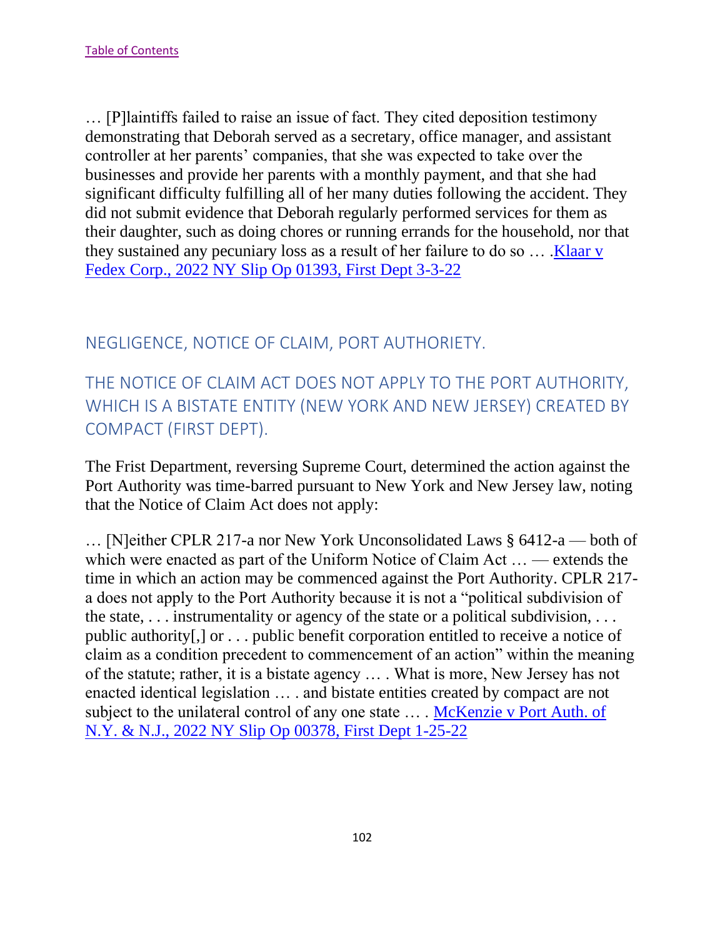… [P]laintiffs failed to raise an issue of fact. They cited deposition testimony demonstrating that Deborah served as a secretary, office manager, and assistant controller at her parents' companies, that she was expected to take over the businesses and provide her parents with a monthly payment, and that she had significant difficulty fulfilling all of her many duties following the accident. They did not submit evidence that Deborah regularly performed services for them as their daughter, such as doing chores or running errands for the household, nor that they sustained any pecuniary loss as a result of her failure to do so … [.Klaar v](https://nycourts.gov/reporter/3dseries/2022/2022_01393.htm)  [Fedex Corp., 2022 NY Slip Op 01393, First Dept 3-3-22](https://nycourts.gov/reporter/3dseries/2022/2022_01393.htm)

## NEGLIGENCE, NOTICE OF CLAIM, PORT AUTHORIETY.

THE NOTICE OF CLAIM ACT DOES NOT APPLY TO THE PORT AUTHORITY, WHICH IS A BISTATE ENTITY (NEW YORK AND NEW JERSEY) CREATED BY COMPACT (FIRST DEPT).

The Frist Department, reversing Supreme Court, determined the action against the Port Authority was time-barred pursuant to New York and New Jersey law, noting that the Notice of Claim Act does not apply:

… [N]either CPLR 217-a nor New York Unconsolidated Laws § 6412-a — both of which were enacted as part of the Uniform Notice of Claim Act … — extends the time in which an action may be commenced against the Port Authority. CPLR 217 a does not apply to the Port Authority because it is not a "political subdivision of the state,  $\dots$  instrumentality or agency of the state or a political subdivision,  $\dots$ public authority[,] or . . . public benefit corporation entitled to receive a notice of claim as a condition precedent to commencement of an action" within the meaning of the statute; rather, it is a bistate agency … . What is more, New Jersey has not enacted identical legislation … . and bistate entities created by compact are not subject to the unilateral control of any one state … . [McKenzie v Port Auth. of](https://nycourts.gov/reporter/3dseries/2022/2022_00378.htm)  [N.Y. & N.J., 2022 NY Slip Op 00378, First Dept 1-25-22](https://nycourts.gov/reporter/3dseries/2022/2022_00378.htm)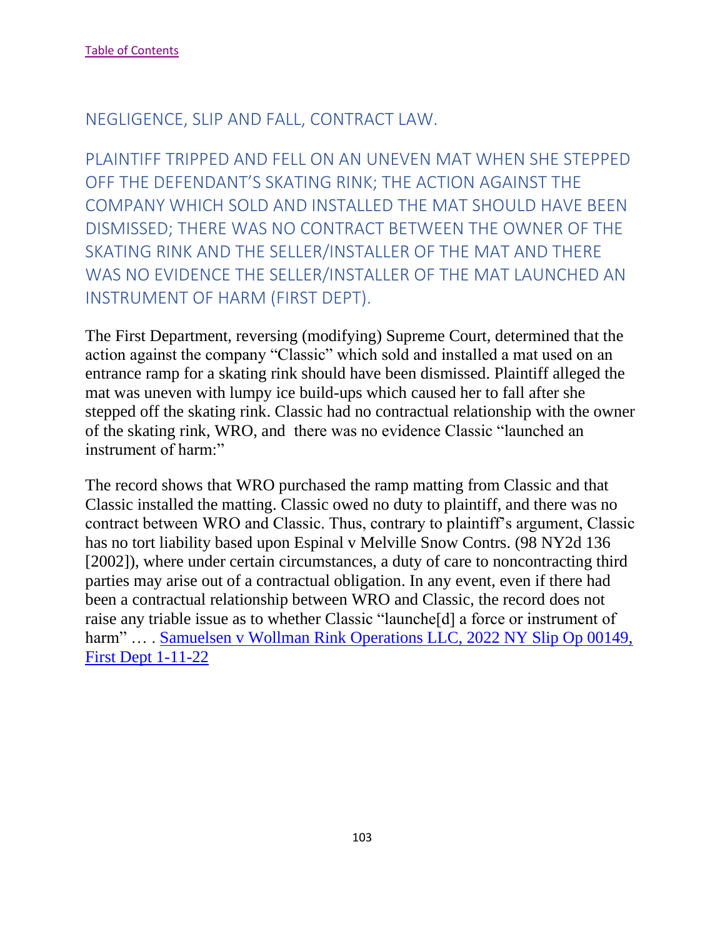#### NEGLIGENCE, SLIP AND FALL, CONTRACT LAW.

PLAINTIFF TRIPPED AND FELL ON AN UNEVEN MAT WHEN SHE STEPPED OFF THE DEFENDANT'S SKATING RINK; THE ACTION AGAINST THE COMPANY WHICH SOLD AND INSTALLED THE MAT SHOULD HAVE BEEN DISMISSED; THERE WAS NO CONTRACT BETWEEN THE OWNER OF THE SKATING RINK AND THE SELLER/INSTALLER OF THE MAT AND THERE WAS NO EVIDENCE THE SELLER/INSTALLER OF THE MAT LAUNCHED AN INSTRUMENT OF HARM (FIRST DEPT).

The First Department, reversing (modifying) Supreme Court, determined that the action against the company "Classic" which sold and installed a mat used on an entrance ramp for a skating rink should have been dismissed. Plaintiff alleged the mat was uneven with lumpy ice build-ups which caused her to fall after she stepped off the skating rink. Classic had no contractual relationship with the owner of the skating rink, WRO, and there was no evidence Classic "launched an instrument of harm:"

The record shows that WRO purchased the ramp matting from Classic and that Classic installed the matting. Classic owed no duty to plaintiff, and there was no contract between WRO and Classic. Thus, contrary to plaintiff's argument, Classic has no tort liability based upon Espinal v Melville Snow Contrs. (98 NY2d 136 [2002]), where under certain circumstances, a duty of care to noncontracting third parties may arise out of a contractual obligation. In any event, even if there had been a contractual relationship between WRO and Classic, the record does not raise any triable issue as to whether Classic "launche[d] a force or instrument of harm" ... . Samuelsen v Wollman Rink Operations LLC, 2022 NY Slip Op 00149, [First Dept 1-11-22](https://nycourts.gov/reporter/3dseries/2022/2022_00149.htm)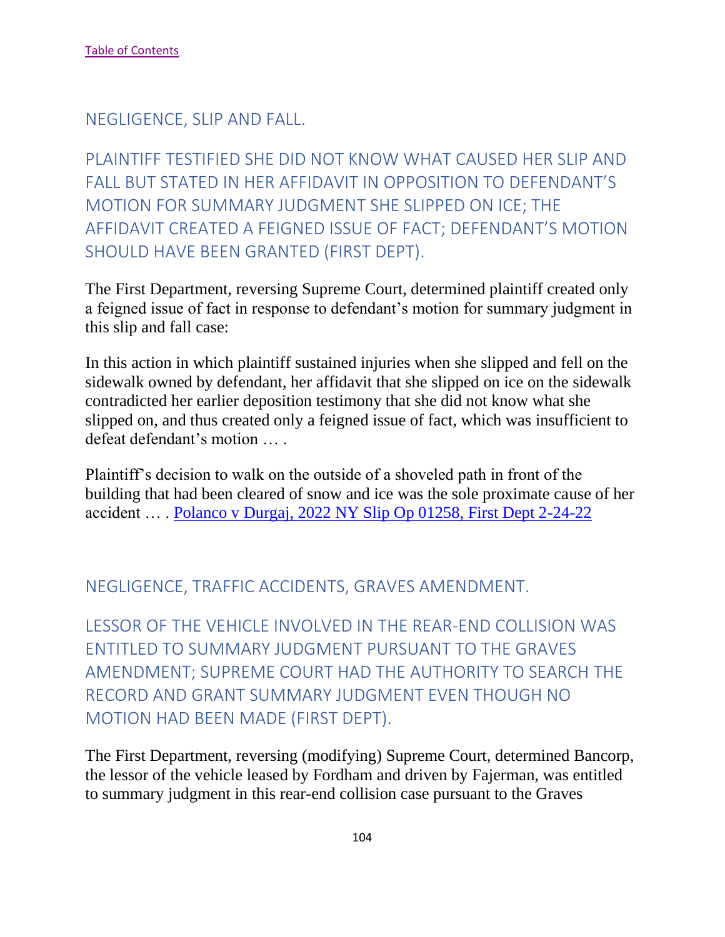NEGLIGENCE, SLIP AND FALL.

PLAINTIFF TESTIFIED SHE DID NOT KNOW WHAT CAUSED HER SLIP AND FALL BUT STATED IN HER AFFIDAVIT IN OPPOSITION TO DEFENDANT'S MOTION FOR SUMMARY JUDGMENT SHE SLIPPED ON ICE; THE AFFIDAVIT CREATED A FEIGNED ISSUE OF FACT; DEFENDANT'S MOTION SHOULD HAVE BEEN GRANTED (FIRST DEPT).

The First Department, reversing Supreme Court, determined plaintiff created only a feigned issue of fact in response to defendant's motion for summary judgment in this slip and fall case:

In this action in which plaintiff sustained injuries when she slipped and fell on the sidewalk owned by defendant, her affidavit that she slipped on ice on the sidewalk contradicted her earlier deposition testimony that she did not know what she slipped on, and thus created only a feigned issue of fact, which was insufficient to defeat defendant's motion … .

Plaintiff's decision to walk on the outside of a shoveled path in front of the building that had been cleared of snow and ice was the sole proximate cause of her accident … . [Polanco v Durgaj, 2022 NY Slip Op 01258, First Dept 2-24-22](https://nycourts.gov/reporter/3dseries/2022/2022_01258.htm)

#### NEGLIGENCE, TRAFFIC ACCIDENTS, GRAVES AMENDMENT.

LESSOR OF THE VEHICLE INVOLVED IN THE REAR-END COLLISION WAS ENTITLED TO SUMMARY JUDGMENT PURSUANT TO THE GRAVES AMENDMENT; SUPREME COURT HAD THE AUTHORITY TO SEARCH THE RECORD AND GRANT SUMMARY JUDGMENT EVEN THOUGH NO MOTION HAD BEEN MADE (FIRST DEPT).

The First Department, reversing (modifying) Supreme Court, determined Bancorp, the lessor of the vehicle leased by Fordham and driven by Fajerman, was entitled to summary judgment in this rear-end collision case pursuant to the Graves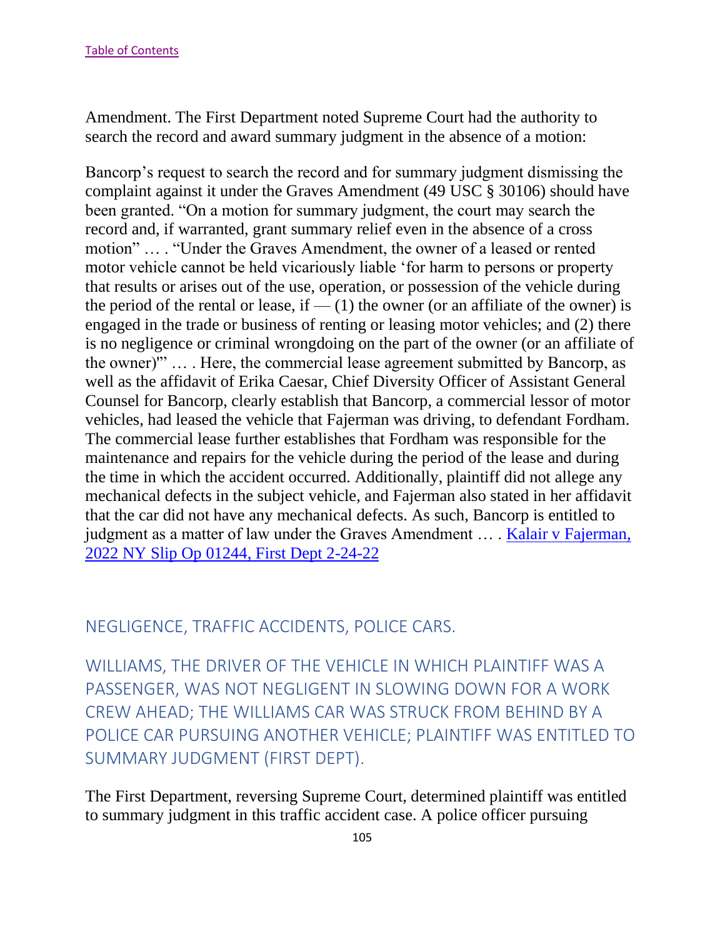Amendment. The First Department noted Supreme Court had the authority to search the record and award summary judgment in the absence of a motion:

Bancorp's request to search the record and for summary judgment dismissing the complaint against it under the Graves Amendment (49 USC § 30106) should have been granted. "On a motion for summary judgment, the court may search the record and, if warranted, grant summary relief even in the absence of a cross motion" … . "Under the Graves Amendment, the owner of a leased or rented motor vehicle cannot be held vicariously liable 'for harm to persons or property that results or arises out of the use, operation, or possession of the vehicle during the period of the rental or lease, if  $-$  (1) the owner (or an affiliate of the owner) is engaged in the trade or business of renting or leasing motor vehicles; and (2) there is no negligence or criminal wrongdoing on the part of the owner (or an affiliate of the owner)'" … . Here, the commercial lease agreement submitted by Bancorp, as well as the affidavit of Erika Caesar, Chief Diversity Officer of Assistant General Counsel for Bancorp, clearly establish that Bancorp, a commercial lessor of motor vehicles, had leased the vehicle that Fajerman was driving, to defendant Fordham. The commercial lease further establishes that Fordham was responsible for the maintenance and repairs for the vehicle during the period of the lease and during the time in which the accident occurred. Additionally, plaintiff did not allege any mechanical defects in the subject vehicle, and Fajerman also stated in her affidavit that the car did not have any mechanical defects. As such, Bancorp is entitled to judgment as a matter of law under the Graves Amendment … . [Kalair v Fajerman,](https://nycourts.gov/reporter/3dseries/2022/2022_01244.htm)  [2022 NY Slip Op 01244, First Dept 2-24-22](https://nycourts.gov/reporter/3dseries/2022/2022_01244.htm)

## NEGLIGENCE, TRAFFIC ACCIDENTS, POLICE CARS.

WILLIAMS, THE DRIVER OF THE VEHICLE IN WHICH PLAINTIFF WAS A PASSENGER, WAS NOT NEGLIGENT IN SLOWING DOWN FOR A WORK CREW AHEAD; THE WILLIAMS CAR WAS STRUCK FROM BEHIND BY A POLICE CAR PURSUING ANOTHER VEHICLE; PLAINTIFF WAS ENTITLED TO SUMMARY JUDGMENT (FIRST DEPT).

The First Department, reversing Supreme Court, determined plaintiff was entitled to summary judgment in this traffic accident case. A police officer pursuing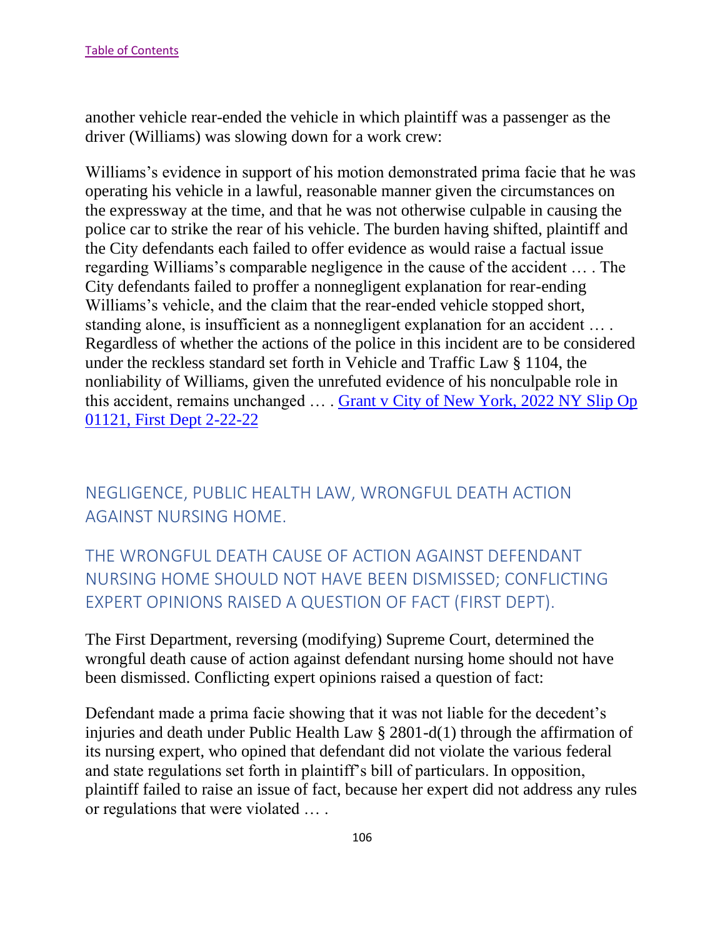another vehicle rear-ended the vehicle in which plaintiff was a passenger as the driver (Williams) was slowing down for a work crew:

Williams's evidence in support of his motion demonstrated prima facie that he was operating his vehicle in a lawful, reasonable manner given the circumstances on the expressway at the time, and that he was not otherwise culpable in causing the police car to strike the rear of his vehicle. The burden having shifted, plaintiff and the City defendants each failed to offer evidence as would raise a factual issue regarding Williams's comparable negligence in the cause of the accident … . The City defendants failed to proffer a nonnegligent explanation for rear-ending Williams's vehicle, and the claim that the rear-ended vehicle stopped short, standing alone, is insufficient as a nonnegligent explanation for an accident … . Regardless of whether the actions of the police in this incident are to be considered under the reckless standard set forth in Vehicle and Traffic Law § 1104, the nonliability of Williams, given the unrefuted evidence of his nonculpable role in this accident, remains unchanged … . Grant v [City of New York, 2022 NY Slip Op](https://nycourts.gov/reporter/3dseries/2022/2022_01121.htm)  [01121, First Dept 2-22-22](https://nycourts.gov/reporter/3dseries/2022/2022_01121.htm)

NEGLIGENCE, PUBLIC HEALTH LAW, WRONGFUL DEATH ACTION AGAINST NURSING HOME.

THE WRONGFUL DEATH CAUSE OF ACTION AGAINST DEFENDANT NURSING HOME SHOULD NOT HAVE BEEN DISMISSED; CONFLICTING EXPERT OPINIONS RAISED A QUESTION OF FACT (FIRST DEPT).

The First Department, reversing (modifying) Supreme Court, determined the wrongful death cause of action against defendant nursing home should not have been dismissed. Conflicting expert opinions raised a question of fact:

Defendant made a prima facie showing that it was not liable for the decedent's injuries and death under Public Health Law § 2801-d(1) through the affirmation of its nursing expert, who opined that defendant did not violate the various federal and state regulations set forth in plaintiff's bill of particulars. In opposition, plaintiff failed to raise an issue of fact, because her expert did not address any rules or regulations that were violated … .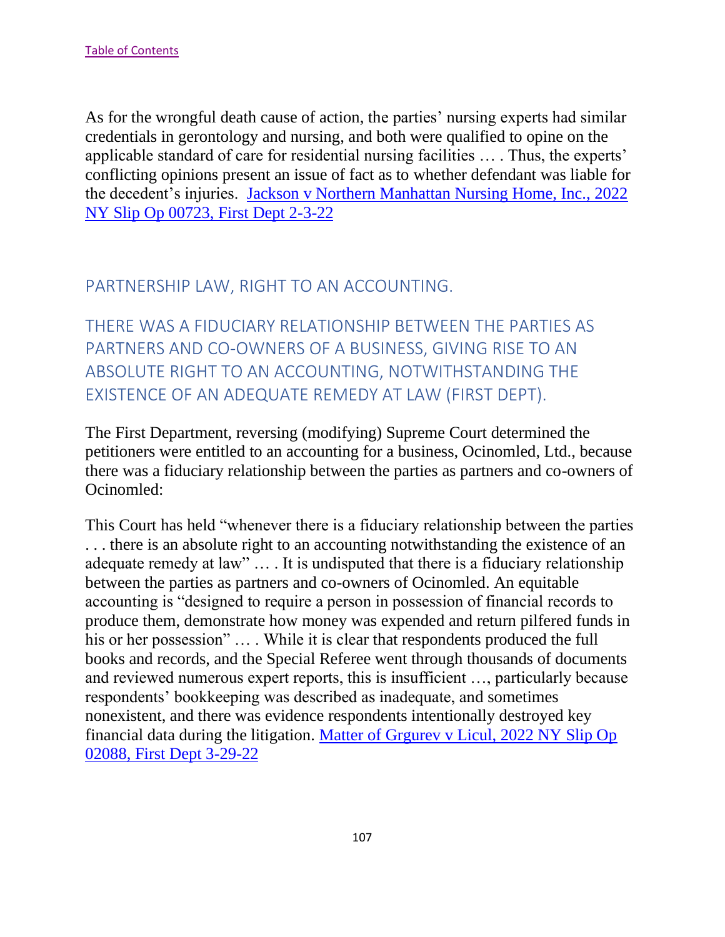As for the wrongful death cause of action, the parties' nursing experts had similar credentials in gerontology and nursing, and both were qualified to opine on the applicable standard of care for residential nursing facilities … . Thus, the experts' conflicting opinions present an issue of fact as to whether defendant was liable for the decedent's injuries. [Jackson v Northern Manhattan Nursing Home, Inc., 2022](https://nycourts.gov/reporter/3dseries/2022/2022_00723.htm)  [NY Slip Op 00723, First Dept 2-3-22](https://nycourts.gov/reporter/3dseries/2022/2022_00723.htm)

## PARTNERSHIP LAW, RIGHT TO AN ACCOUNTING.

THERE WAS A FIDUCIARY RELATIONSHIP BETWEEN THE PARTIES AS PARTNERS AND CO-OWNERS OF A BUSINESS, GIVING RISE TO AN ABSOLUTE RIGHT TO AN ACCOUNTING, NOTWITHSTANDING THE EXISTENCE OF AN ADEQUATE REMEDY AT LAW (FIRST DEPT).

The First Department, reversing (modifying) Supreme Court determined the petitioners were entitled to an accounting for a business, Ocinomled, Ltd., because there was a fiduciary relationship between the parties as partners and co-owners of Ocinomled:

This Court has held "whenever there is a fiduciary relationship between the parties . . . there is an absolute right to an accounting notwithstanding the existence of an adequate remedy at law" … . It is undisputed that there is a fiduciary relationship between the parties as partners and co-owners of Ocinomled. An equitable accounting is "designed to require a person in possession of financial records to produce them, demonstrate how money was expended and return pilfered funds in his or her possession" ... While it is clear that respondents produced the full books and records, and the Special Referee went through thousands of documents and reviewed numerous expert reports, this is insufficient …, particularly because respondents' bookkeeping was described as inadequate, and sometimes nonexistent, and there was evidence respondents intentionally destroyed key financial data during the litigation. [Matter of Grgurev v Licul, 2022 NY Slip Op](https://nycourts.gov/reporter/3dseries/2022/2022_02088.htm)  [02088, First Dept 3-29-22](https://nycourts.gov/reporter/3dseries/2022/2022_02088.htm)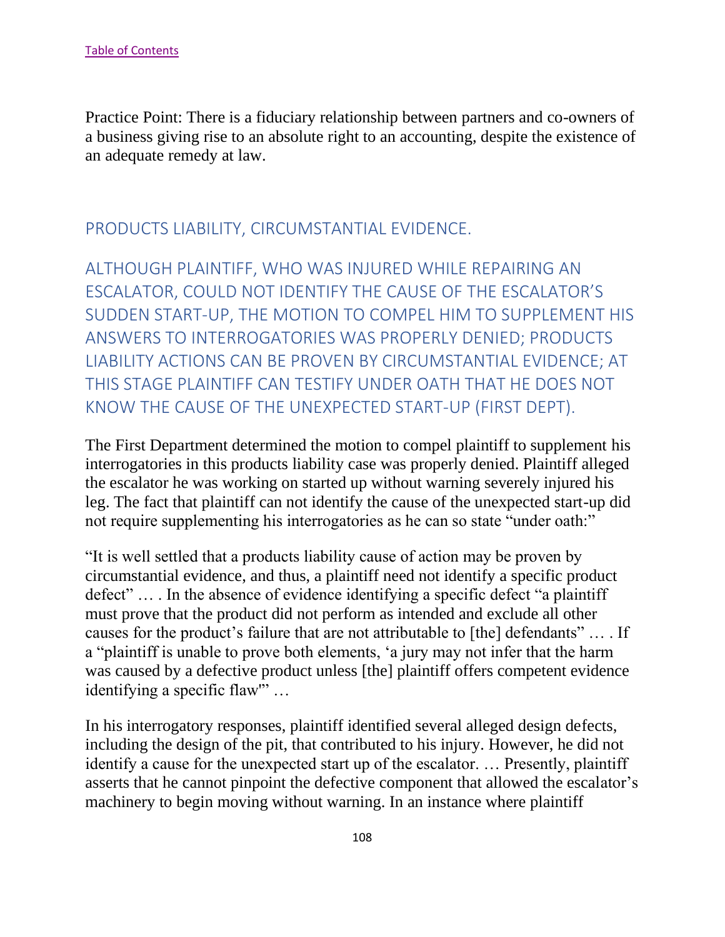Practice Point: There is a fiduciary relationship between partners and co-owners of a business giving rise to an absolute right to an accounting, despite the existence of an adequate remedy at law.

## PRODUCTS LIABILITY, CIRCUMSTANTIAL EVIDENCE.

ALTHOUGH PLAINTIFF, WHO WAS INJURED WHILE REPAIRING AN ESCALATOR, COULD NOT IDENTIFY THE CAUSE OF THE ESCALATOR'S SUDDEN START-UP, THE MOTION TO COMPEL HIM TO SUPPLEMENT HIS ANSWERS TO INTERROGATORIES WAS PROPERLY DENIED; PRODUCTS LIABILITY ACTIONS CAN BE PROVEN BY CIRCUMSTANTIAL EVIDENCE; AT THIS STAGE PLAINTIFF CAN TESTIFY UNDER OATH THAT HE DOES NOT KNOW THE CAUSE OF THE UNEXPECTED START-UP (FIRST DEPT).

The First Department determined the motion to compel plaintiff to supplement his interrogatories in this products liability case was properly denied. Plaintiff alleged the escalator he was working on started up without warning severely injured his leg. The fact that plaintiff can not identify the cause of the unexpected start-up did not require supplementing his interrogatories as he can so state "under oath:"

"It is well settled that a products liability cause of action may be proven by circumstantial evidence, and thus, a plaintiff need not identify a specific product defect" … . In the absence of evidence identifying a specific defect "a plaintiff must prove that the product did not perform as intended and exclude all other causes for the product's failure that are not attributable to [the] defendants" … . If a "plaintiff is unable to prove both elements, 'a jury may not infer that the harm was caused by a defective product unless [the] plaintiff offers competent evidence identifying a specific flaw'" …

In his interrogatory responses, plaintiff identified several alleged design defects, including the design of the pit, that contributed to his injury. However, he did not identify a cause for the unexpected start up of the escalator. … Presently, plaintiff asserts that he cannot pinpoint the defective component that allowed the escalator's machinery to begin moving without warning. In an instance where plaintiff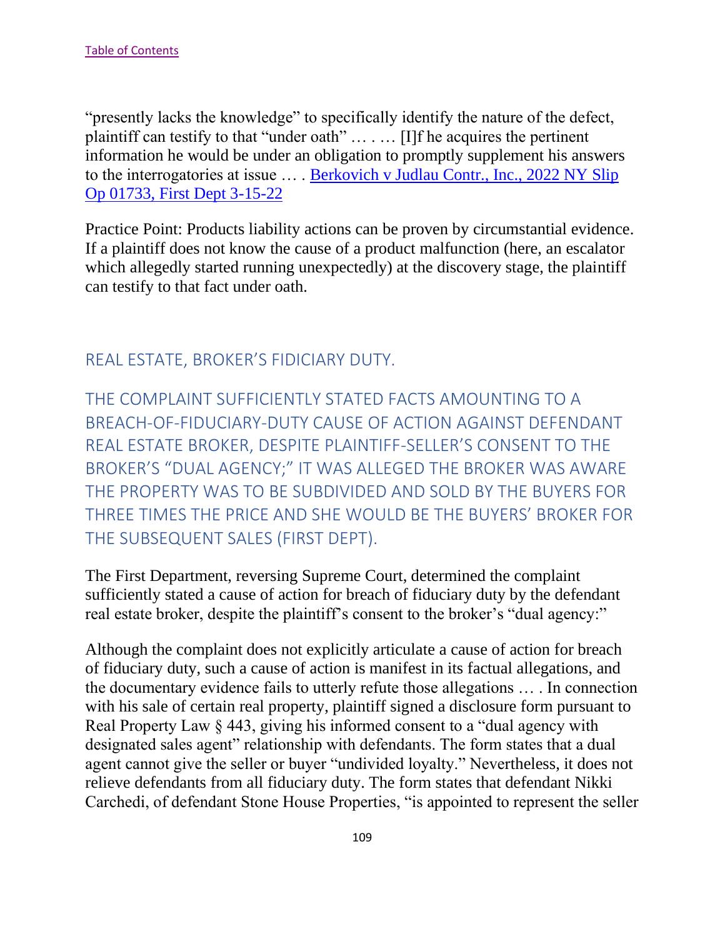"presently lacks the knowledge" to specifically identify the nature of the defect, plaintiff can testify to that "under oath" … . … [I]f he acquires the pertinent information he would be under an obligation to promptly supplement his answers to the interrogatories at issue ... . Berkovich v Judlau Contr., Inc., 2022 NY Slip Op 01733, First Dept 3-15-22

Practice Point: Products liability actions can be proven by circumstantial evidence. If a plaintiff does not know the cause of a product malfunction (here, an escalator which allegedly started running unexpectedly) at the discovery stage, the plaintiff can testify to that fact under oath.

## REAL ESTATE, BROKER'S FIDICIARY DUTY.

THE COMPLAINT SUFFICIENTLY STATED FACTS AMOUNTING TO A BREACH-OF-FIDUCIARY-DUTY CAUSE OF ACTION AGAINST DEFENDANT REAL ESTATE BROKER, DESPITE PLAINTIFF-SELLER'S CONSENT TO THE BROKER'S "DUAL AGENCY;" IT WAS ALLEGED THE BROKER WAS AWARE THE PROPERTY WAS TO BE SUBDIVIDED AND SOLD BY THE BUYERS FOR THREE TIMES THE PRICE AND SHE WOULD BE THE BUYERS' BROKER FOR THE SUBSEQUENT SALES (FIRST DEPT).

The First Department, reversing Supreme Court, determined the complaint sufficiently stated a cause of action for breach of fiduciary duty by the defendant real estate broker, despite the plaintiff's consent to the broker's "dual agency:"

Although the complaint does not explicitly articulate a cause of action for breach of fiduciary duty, such a cause of action is manifest in its factual allegations, and the documentary evidence fails to utterly refute those allegations … . In connection with his sale of certain real property, plaintiff signed a disclosure form pursuant to Real Property Law § 443, giving his informed consent to a "dual agency with designated sales agent" relationship with defendants. The form states that a dual agent cannot give the seller or buyer "undivided loyalty." Nevertheless, it does not relieve defendants from all fiduciary duty. The form states that defendant Nikki Carchedi, of defendant Stone House Properties, "is appointed to represent the seller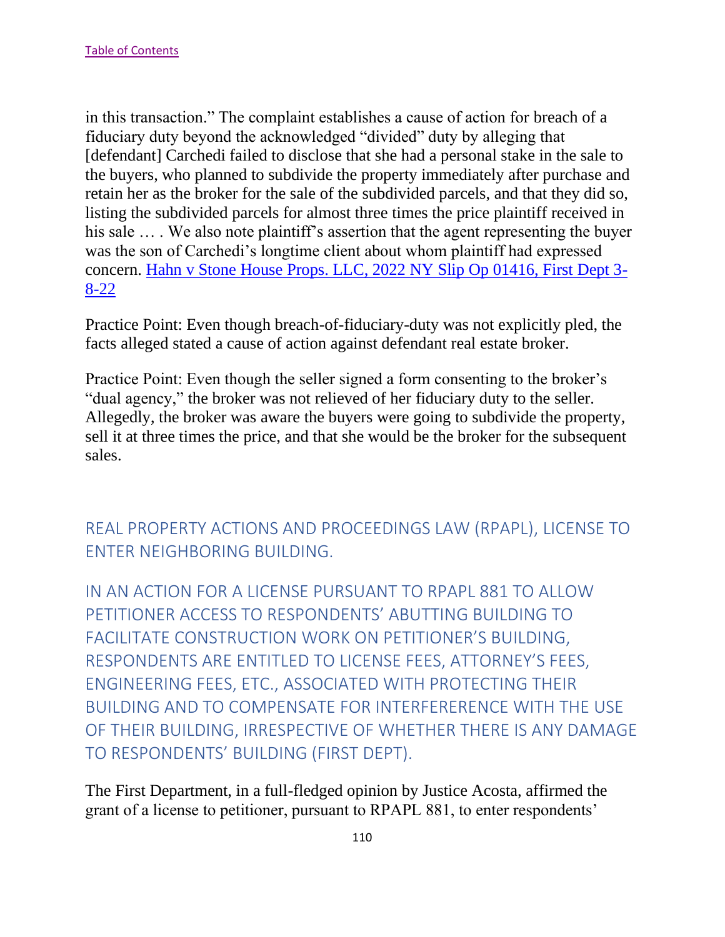in this transaction." The complaint establishes a cause of action for breach of a fiduciary duty beyond the acknowledged "divided" duty by alleging that [defendant] Carchedi failed to disclose that she had a personal stake in the sale to the buyers, who planned to subdivide the property immediately after purchase and retain her as the broker for the sale of the subdivided parcels, and that they did so, listing the subdivided parcels for almost three times the price plaintiff received in his sale ... . We also note plaintiff's assertion that the agent representing the buyer was the son of Carchedi's longtime client about whom plaintiff had expressed concern. Hahn v Stone House Props. LLC, 2022 NY Slip Op 01416, First Dept 3- 8-22

Practice Point: Even though breach-of-fiduciary-duty was not explicitly pled, the facts alleged stated a cause of action against defendant real estate broker.

Practice Point: Even though the seller signed a form consenting to the broker's "dual agency," the broker was not relieved of her fiduciary duty to the seller. Allegedly, the broker was aware the buyers were going to subdivide the property, sell it at three times the price, and that she would be the broker for the subsequent sales.

## REAL PROPERTY ACTIONS AND PROCEEDINGS LAW (RPAPL), LICENSE TO ENTER NEIGHBORING BUILDING.

IN AN ACTION FOR A LICENSE PURSUANT TO RPAPL 881 TO ALLOW PETITIONER ACCESS TO RESPONDENTS' ABUTTING BUILDING TO FACILITATE CONSTRUCTION WORK ON PETITIONER'S BUILDING, RESPONDENTS ARE ENTITLED TO LICENSE FEES, ATTORNEY'S FEES, ENGINEERING FEES, ETC., ASSOCIATED WITH PROTECTING THEIR BUILDING AND TO COMPENSATE FOR INTERFERERENCE WITH THE USE OF THEIR BUILDING, IRRESPECTIVE OF WHETHER THERE IS ANY DAMAGE TO RESPONDENTS' BUILDING (FIRST DEPT).

The First Department, in a full-fledged opinion by Justice Acosta, affirmed the grant of a license to petitioner, pursuant to RPAPL 881, to enter respondents'